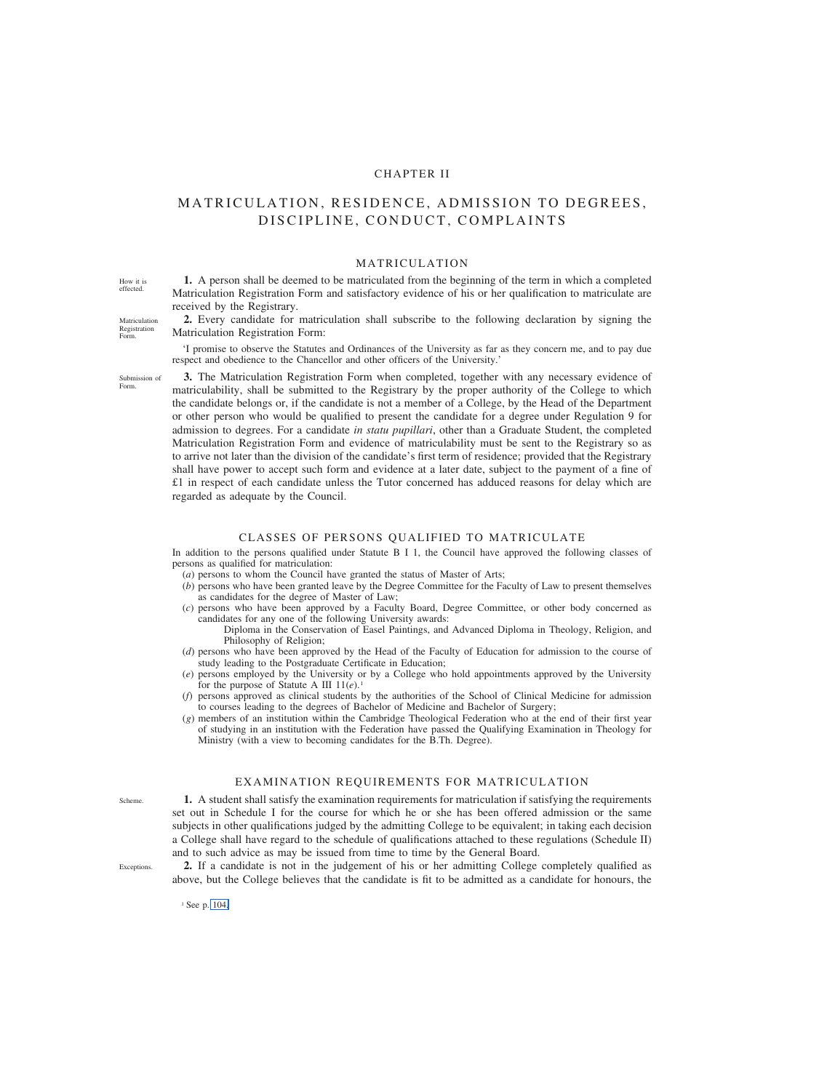# CHAPTER II

# MATRICULATION, RESIDENCE, ADMISSION TO DEGREES, DISCIPLINE, CONDUCT, COMPLAINTS

MATRICULATION

**1.** A person shall be deemed to be matriculated from the beginning of the term in which a completed Matriculation Registration Form and satisfactory evidence of his or her qualification to matriculate are received by the Registrary.

**2.** Every candidate for matriculation shall subscribe to the following declaration by signing the Matriculation Registration Form:

'I promise to observe the Statutes and Ordinances of the University as far as they concern me, and to pay due respect and obedience to the Chancellor and other officers of the University.'

Submission of Form.

Matriculation Registration Form.

How it is effected.

> **3.** The Matriculation Registration Form when completed, together with any necessary evidence of matriculability, shall be submitted to the Registrary by the proper authority of the College to which the candidate belongs or, if the candidate is not a member of a College, by the Head of the Department or other person who would be qualified to present the candidate for a degree under Regulation 9 for admission to degrees. For a candidate *in statu pupillari*, other than a Graduate Student, the completed Matriculation Registration Form and evidence of matriculability must be sent to the Registrary so as to arrive not later than the division of the candidate's first term of residence; provided that the Registrary shall have power to accept such form and evidence at a later date, subject to the payment of a fine of £1 in respect of each candidate unless the Tutor concerned has adduced reasons for delay which are regarded as adequate by the Council.

### CLASSES OF PERSONS QUALIFIED TO MATRICULATE

In addition to the persons qualified under Statute B I 1, the Council have approved the following classes of persons as qualified for matriculation:

- (*a*) persons to whom the Council have granted the status of Master of Arts;
- (*b*) persons who have been granted leave by the Degree Committee for the Faculty of Law to present themselves as candidates for the degree of Master of Law;
- (*c*) persons who have been approved by a Faculty Board, Degree Committee, or other body concerned as candidates for any one of the following University awards:
	- Diploma in the Conservation of Easel Paintings, and Advanced Diploma in Theology, Religion, and Philosophy of Religion;
- (*d*) persons who have been approved by the Head of the Faculty of Education for admission to the course of study leading to the Postgraduate Certificate in Education;
- (*e*) persons employed by the University or by a College who hold appointments approved by the University for the purpose of Statute A III 11(*e*).1
- (*f*) persons approved as clinical students by the authorities of the School of Clinical Medicine for admission to courses leading to the degrees of Bachelor of Medicine and Bachelor of Surgery;
- (*g*) members of an institution within the Cambridge Theological Federation who at the end of their first year of studying in an institution with the Federation have passed the Qualifying Examination in Theology for Ministry (with a view to becoming candidates for the B.Th. Degree).

# EXAMINATION REQUIREMENTS FOR MATRICULATION

**1.** A student shall satisfy the examination requirements for matriculation if satisfying the requirements set out in Schedule I for the course for which he or she has been offered admission or the same subjects in other qualifications judged by the admitting College to be equivalent; in taking each decision a College shall have regard to the schedule of qualifications attached to these regulations (Schedule II) and to such advice as may be issued from time to time by the General Board.

**2.** If a candidate is not in the judgement of his or her admitting College completely qualified as above, but the College believes that the candidate is fit to be admitted as a candidate for honours, the

<sup>1</sup> See p. 104.

Scheme.

**Exceptions**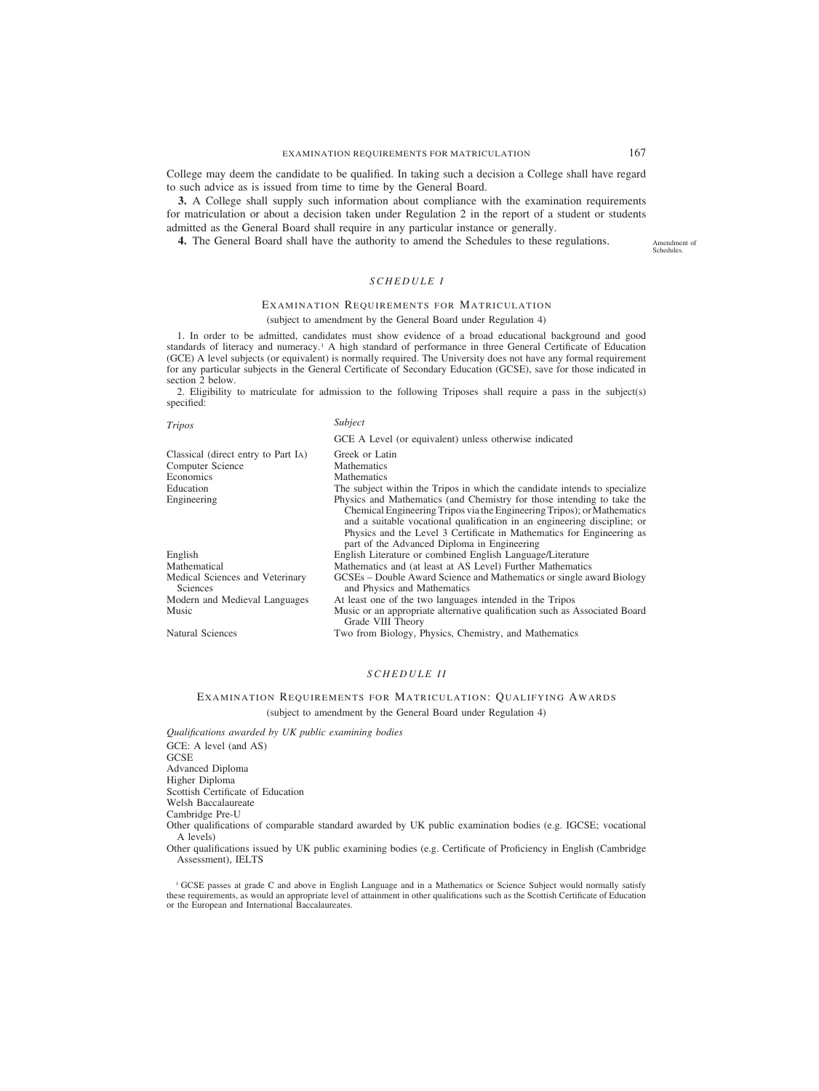College may deem the candidate to be qualified. In taking such a decision a College shall have regard to such advice as is issued from time to time by the General Board.

**3.** A College shall supply such information about compliance with the examination requirements for matriculation or about a decision taken under Regulation 2 in the report of a student or students admitted as the General Board shall require in any particular instance or generally.

**4.** The General Board shall have the authority to amend the Schedules to these regulations.

Amendment of Schedules.

# *SCHEDULE I*

### EXAMINATION REQUIREMENTS FOR MATRICULATION

(subject to amendment by the General Board under Regulation 4)

1. In order to be admitted, candidates must show evidence of a broad educational background and good standards of literacy and numeracy.<sup>1</sup> A high standard of performance in three General Certificate of Education (GCE) A level subjects (or equivalent) is normally required. The University does not have any formal requirement for any particular subjects in the General Certificate of Secondary Education (GCSE), save for those indicated in section 2 below.

2. Eligibility to matriculate for admission to the following Triposes shall require a pass in the subject(s) specified:

| <b>Tripos</b>                               | Subject                                                                                                                                                                                                                                                                                                                                               |  |  |
|---------------------------------------------|-------------------------------------------------------------------------------------------------------------------------------------------------------------------------------------------------------------------------------------------------------------------------------------------------------------------------------------------------------|--|--|
|                                             | GCE A Level (or equivalent) unless otherwise indicated                                                                                                                                                                                                                                                                                                |  |  |
| Classical (direct entry to Part IA)         | Greek or Latin                                                                                                                                                                                                                                                                                                                                        |  |  |
| Computer Science                            | <b>Mathematics</b>                                                                                                                                                                                                                                                                                                                                    |  |  |
| Economics                                   | <b>Mathematics</b>                                                                                                                                                                                                                                                                                                                                    |  |  |
| Education                                   | The subject within the Tripos in which the candidate intends to specialize                                                                                                                                                                                                                                                                            |  |  |
| Engineering                                 | Physics and Mathematics (and Chemistry for those intending to take the<br>Chemical Engineering Tripos via the Engineering Tripos); or Mathematics<br>and a suitable vocational qualification in an engineering discipline; or<br>Physics and the Level 3 Certificate in Mathematics for Engineering as<br>part of the Advanced Diploma in Engineering |  |  |
| English                                     | English Literature or combined English Language/Literature                                                                                                                                                                                                                                                                                            |  |  |
| Mathematical                                | Mathematics and (at least at AS Level) Further Mathematics                                                                                                                                                                                                                                                                                            |  |  |
| Medical Sciences and Veterinary<br>Sciences | GCSEs – Double Award Science and Mathematics or single award Biology<br>and Physics and Mathematics                                                                                                                                                                                                                                                   |  |  |
| Modern and Medieval Languages               | At least one of the two languages intended in the Tripos                                                                                                                                                                                                                                                                                              |  |  |
| Music                                       | Music or an appropriate alternative qualification such as Associated Board<br>Grade VIII Theory                                                                                                                                                                                                                                                       |  |  |
| <b>Natural Sciences</b>                     | Two from Biology, Physics, Chemistry, and Mathematics                                                                                                                                                                                                                                                                                                 |  |  |

# *SCHEDULE II*

# EXAMINATION REQUIREMENTS FOR MATRICULATION: QUALIFYING AWARDS (subject to amendment by the General Board under Regulation 4)

*Qualifications awarded by UK public examining bodies* GCE: A level (and AS) **GCSE** Advanced Diploma Higher Diploma Scottish Certificate of Education Welsh Baccalaureate Cambridge Pre-U Other qualifications of comparable standard awarded by UK public examination bodies (e.g. IGCSE; vocational A levels)

Other qualifications issued by UK public examining bodies (e.g. Certificate of Proficiency in English (Cambridge Assessment), IELTS

<sup>1</sup> GCSE passes at grade C and above in English Language and in a Mathematics or Science Subject would normally satisfy these requirements, as would an appropriate level of attainment in other qualifications such as the Scottish Certificate of Education or the European and International Baccalaureates.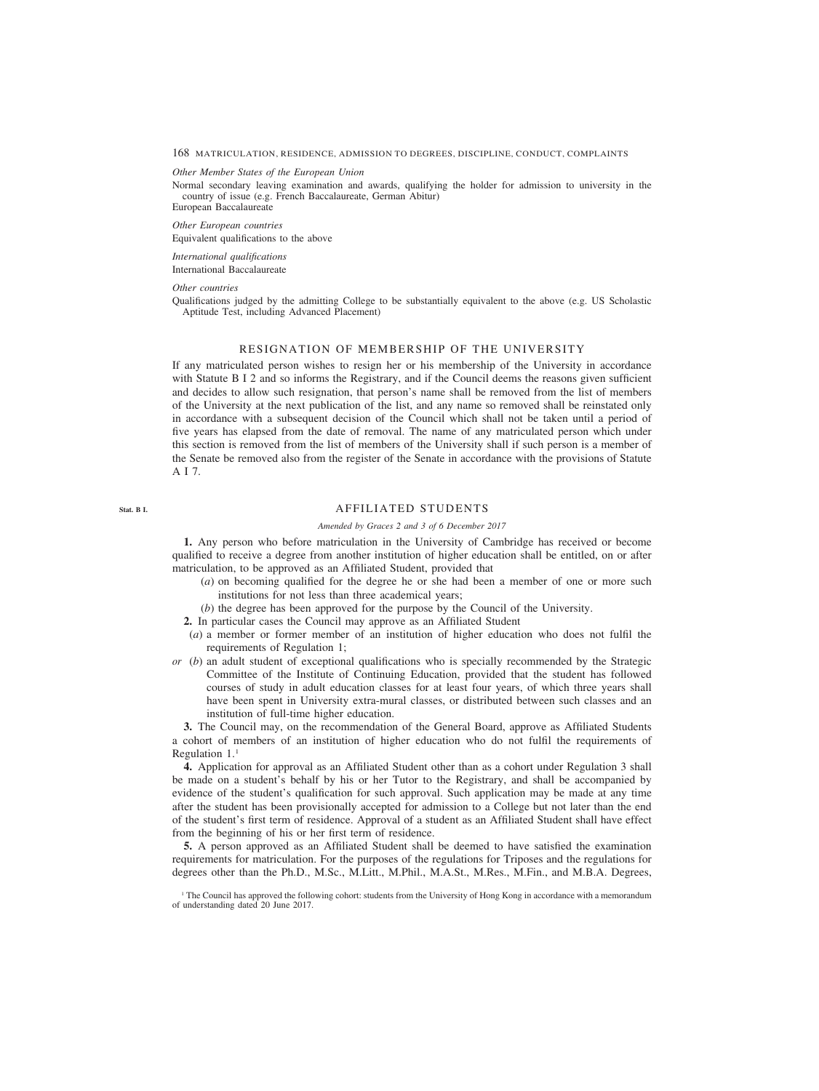### <span id="page-2-0"></span>*Other Member States of the European Union*

Normal secondary leaving examination and awards, qualifying the holder for admission to university in the country of issue (e.g. French Baccalaureate, German Abitur) European Baccalaureate

*Other European countries* Equivalent qualifications to the above

# *International qualifications* International Baccalaureate

#### *Other countries*

Qualifications judged by the admitting College to be substantially equivalent to the above (e.g. US Scholastic Aptitude Test, including Advanced Placement)

# RESIGNATION OF MEMBERSHIP OF THE UNIVERSITY

If any matriculated person wishes to resign her or his membership of the University in accordance with Statute B I 2 and so informs the Registrary, and if the Council deems the reasons given sufficient and decides to allow such resignation, that person's name shall be removed from the list of members of the University at the next publication of the list, and any name so removed shall be reinstated only in accordance with a subsequent decision of the Council which shall not be taken until a period of five years has elapsed from the date of removal. The name of any matriculated person which under this section is removed from the list of members of the University shall if such person is a member of the Senate be removed also from the register of the Senate in accordance with the provisions of Statute A I 7.

**Stat. B I.**

# AFFILIATED STUDENTS

## *Amended by Graces 2 and 3 of 6 December 2017*

**1.** Any person who before matriculation in the University of Cambridge has received or become qualified to receive a degree from another institution of higher education shall be entitled, on or after matriculation, to be approved as an Affiliated Student, provided that

- (*a*) on becoming qualified for the degree he or she had been a member of one or more such institutions for not less than three academical years;
- (*b*) the degree has been approved for the purpose by the Council of the University.
- **2.** In particular cases the Council may approve as an Affiliated Student
- (*a*) a member or former member of an institution of higher education who does not fulfil the requirements of Regulation 1;
- *or* (*b*) an adult student of exceptional qualifications who is specially recommended by the Strategic Committee of the Institute of Continuing Education, provided that the student has followed courses of study in adult education classes for at least four years, of which three years shall have been spent in University extra-mural classes, or distributed between such classes and an institution of full-time higher education.

**3.** The Council may, on the recommendation of the General Board, approve as Affiliated Students a cohort of members of an institution of higher education who do not fulfil the requirements of Regulation 1.1

**4.** Application for approval as an Affiliated Student other than as a cohort under Regulation 3 shall be made on a student's behalf by his or her Tutor to the Registrary, and shall be accompanied by evidence of the student's qualification for such approval. Such application may be made at any time after the student has been provisionally accepted for admission to a College but not later than the end of the student's first term of residence. Approval of a student as an Affiliated Student shall have effect from the beginning of his or her first term of residence.

**5.** A person approved as an Affiliated Student shall be deemed to have satisfied the examination requirements for matriculation. For the purposes of the regulations for Triposes and the regulations for degrees other than the Ph.D., M.Sc., M.Litt., M.Phil., M.A.St., M.Res., M.Fin., and M.B.A. Degrees,

<sup>1</sup> The Council has approved the following cohort: students from the University of Hong Kong in accordance with a memorandum of understanding dated 20 June 2017.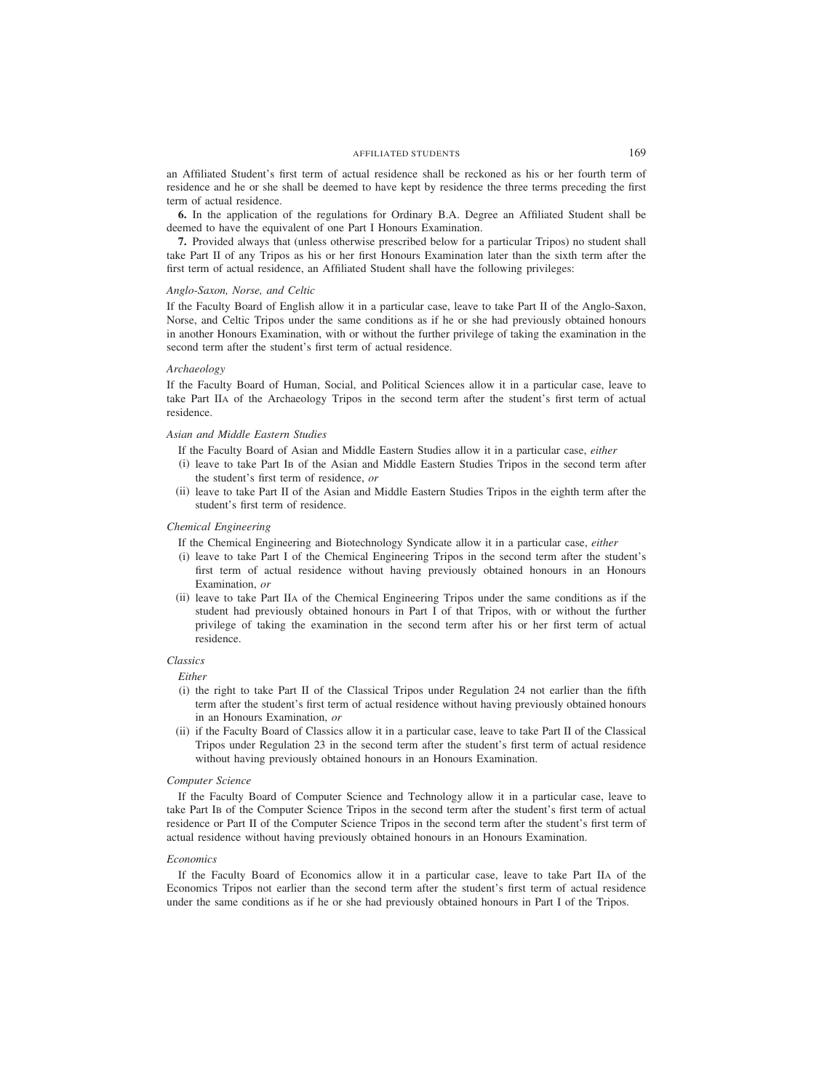an Affiliated Student's first term of actual residence shall be reckoned as his or her fourth term of residence and he or she shall be deemed to have kept by residence the three terms preceding the first term of actual residence.

**6.** In the application of the regulations for Ordinary B.A. Degree an Affiliated Student shall be deemed to have the equivalent of one Part I Honours Examination.

**7.** Provided always that (unless otherwise prescribed below for a particular Tripos) no student shall take Part II of any Tripos as his or her first Honours Examination later than the sixth term after the first term of actual residence, an Affiliated Student shall have the following privileges:

# *Anglo-Saxon, Norse, and Celtic*

If the Faculty Board of English allow it in a particular case, leave to take Part II of the Anglo-Saxon, Norse, and Celtic Tripos under the same conditions as if he or she had previously obtained honours in another Honours Examination, with or without the further privilege of taking the examination in the second term after the student's first term of actual residence.

# *Archaeology*

If the Faculty Board of Human, Social, and Political Sciences allow it in a particular case, leave to take Part IIA of the Archaeology Tripos in the second term after the student's first term of actual residence.

# *Asian and Middle Eastern Studies*

If the Faculty Board of Asian and Middle Eastern Studies allow it in a particular case, *either*

- (i) leave to take Part IB of the Asian and Middle Eastern Studies Tripos in the second term after the student's first term of residence, *or*
- (ii) leave to take Part II of the Asian and Middle Eastern Studies Tripos in the eighth term after the student's first term of residence.

# *Chemical Engineering*

- If the Chemical Engineering and Biotechnology Syndicate allow it in a particular case, *either*
- (i) leave to take Part I of the Chemical Engineering Tripos in the second term after the student's first term of actual residence without having previously obtained honours in an Honours Examination, *or*
- (ii) leave to take Part IIA of the Chemical Engineering Tripos under the same conditions as if the student had previously obtained honours in Part I of that Tripos, with or without the further privilege of taking the examination in the second term after his or her first term of actual residence.

# *Classics*

*Either*

- (i) the right to take Part II of the Classical Tripos under Regulation 24 not earlier than the fifth term after the student's first term of actual residence without having previously obtained honours in an Honours Examination, *or*
- (ii) if the Faculty Board of Classics allow it in a particular case, leave to take Part II of the Classical Tripos under Regulation 23 in the second term after the student's first term of actual residence without having previously obtained honours in an Honours Examination.

### *Computer Science*

If the Faculty Board of Computer Science and Technology allow it in a particular case, leave to take Part IB of the Computer Science Tripos in the second term after the student's first term of actual residence or Part II of the Computer Science Tripos in the second term after the student's first term of actual residence without having previously obtained honours in an Honours Examination.

### *Economics*

If the Faculty Board of Economics allow it in a particular case, leave to take Part IIA of the Economics Tripos not earlier than the second term after the student's first term of actual residence under the same conditions as if he or she had previously obtained honours in Part I of the Tripos.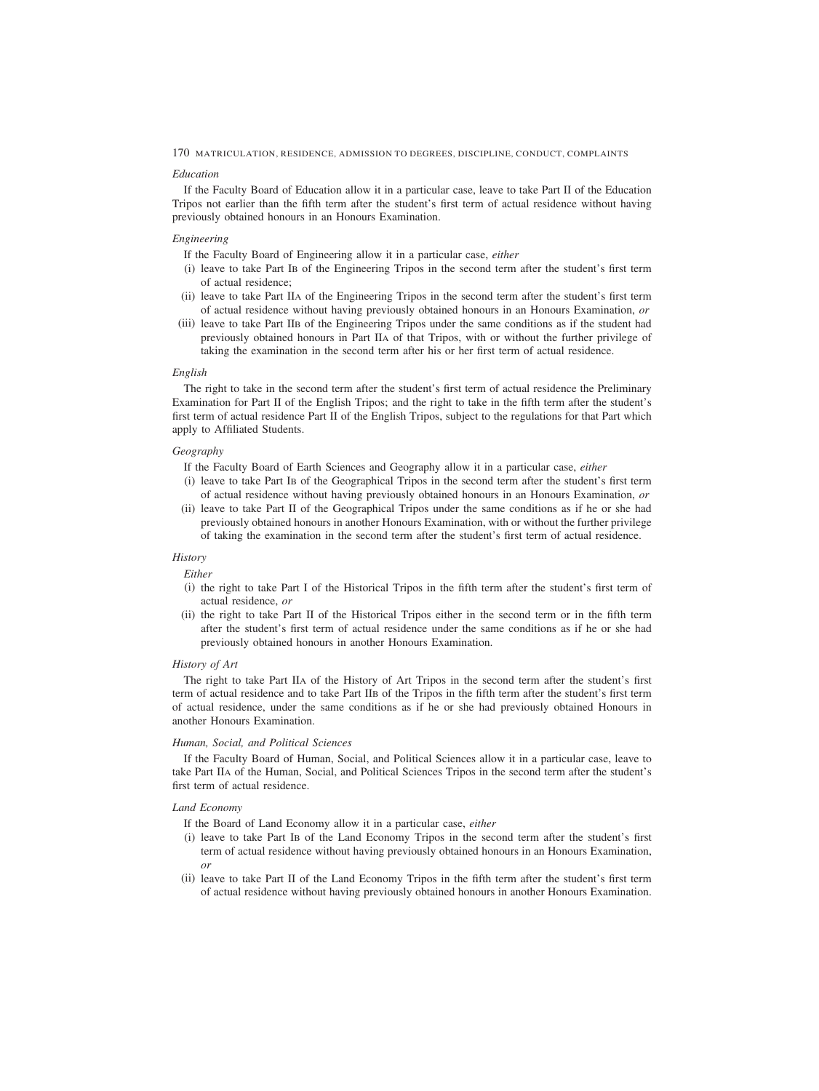# *Education*

If the Faculty Board of Education allow it in a particular case, leave to take Part II of the Education Tripos not earlier than the fifth term after the student's first term of actual residence without having previously obtained honours in an Honours Examination.

# *Engineering*

If the Faculty Board of Engineering allow it in a particular case, *either*

- (i) leave to take Part IB of the Engineering Tripos in the second term after the student's first term of actual residence;
- (ii) leave to take Part IIA of the Engineering Tripos in the second term after the student's first term of actual residence without having previously obtained honours in an Honours Examination, *or*
- (iii) leave to take Part IIB of the Engineering Tripos under the same conditions as if the student had previously obtained honours in Part IIA of that Tripos, with or without the further privilege of taking the examination in the second term after his or her first term of actual residence.

# *English*

The right to take in the second term after the student's first term of actual residence the Preliminary Examination for Part II of the English Tripos; and the right to take in the fifth term after the student's first term of actual residence Part II of the English Tripos, subject to the regulations for that Part which apply to Affiliated Students.

# *Geography*

If the Faculty Board of Earth Sciences and Geography allow it in a particular case, *either*

- (i) leave to take Part IB of the Geographical Tripos in the second term after the student's first term of actual residence without having previously obtained honours in an Honours Examination, *or*
- (ii) leave to take Part II of the Geographical Tripos under the same conditions as if he or she had previously obtained honours in another Honours Examination, with or without the further privilege of taking the examination in the second term after the student's first term of actual residence.

# *History*

*Either*

- (i) the right to take Part I of the Historical Tripos in the fifth term after the student's first term of actual residence, *or*
- (ii) the right to take Part II of the Historical Tripos either in the second term or in the fifth term after the student's first term of actual residence under the same conditions as if he or she had previously obtained honours in another Honours Examination.

# *History of Art*

The right to take Part IIA of the History of Art Tripos in the second term after the student's first term of actual residence and to take Part IIB of the Tripos in the fifth term after the student's first term of actual residence, under the same conditions as if he or she had previously obtained Honours in another Honours Examination.

# *Human, Social, and Political Sciences*

If the Faculty Board of Human, Social, and Political Sciences allow it in a particular case, leave to take Part IIA of the Human, Social, and Political Sciences Tripos in the second term after the student's first term of actual residence.

# *Land Economy*

If the Board of Land Economy allow it in a particular case, *either*

- (i) leave to take Part IB of the Land Economy Tripos in the second term after the student's first term of actual residence without having previously obtained honours in an Honours Examination, *or*
- (ii) leave to take Part II of the Land Economy Tripos in the fifth term after the student's first term of actual residence without having previously obtained honours in another Honours Examination.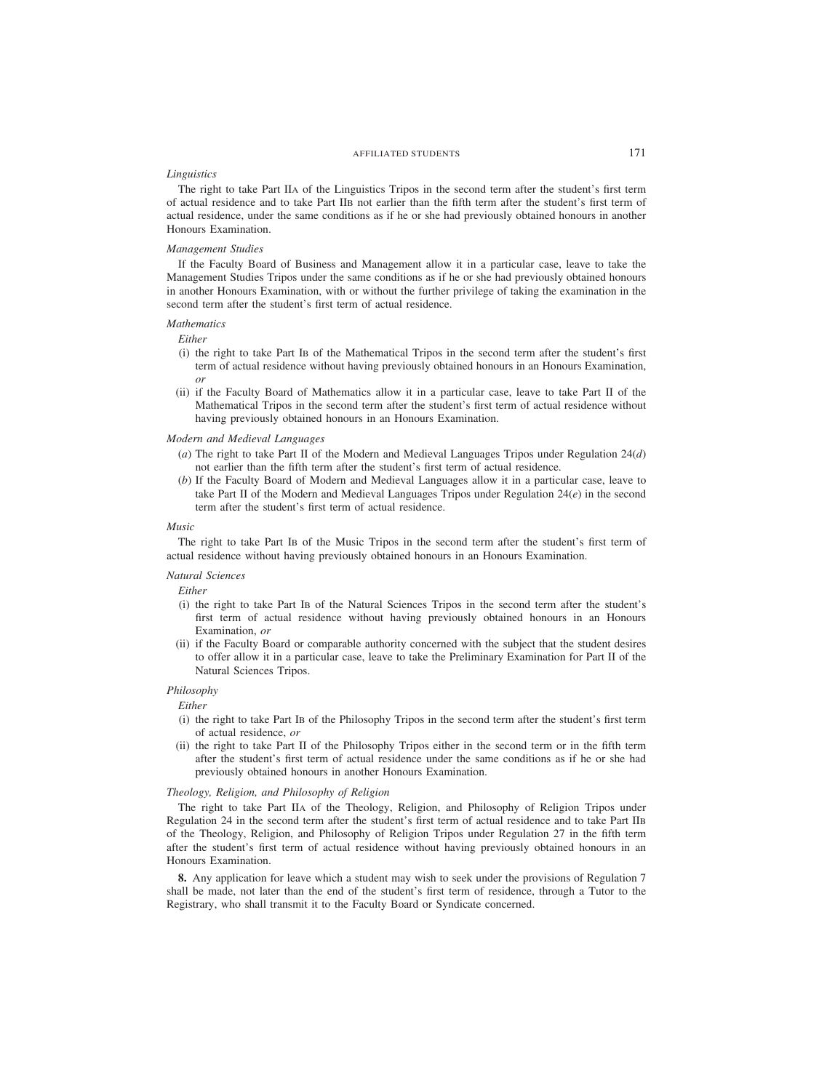# AFFILIATED STUDENTS 171

# *Linguistics*

The right to take Part IIA of the Linguistics Tripos in the second term after the student's first term of actual residence and to take Part IIB not earlier than the fifth term after the student's first term of actual residence, under the same conditions as if he or she had previously obtained honours in another Honours Examination.

## *Management Studies*

If the Faculty Board of Business and Management allow it in a particular case, leave to take the Management Studies Tripos under the same conditions as if he or she had previously obtained honours in another Honours Examination, with or without the further privilege of taking the examination in the second term after the student's first term of actual residence.

# *Mathematics*

# *Either*

- (i) the right to take Part IB of the Mathematical Tripos in the second term after the student's first term of actual residence without having previously obtained honours in an Honours Examination, *or*
- (ii) if the Faculty Board of Mathematics allow it in a particular case, leave to take Part II of the Mathematical Tripos in the second term after the student's first term of actual residence without having previously obtained honours in an Honours Examination.

## *Modern and Medieval Languages*

- (*a*) The right to take Part II of the Modern and Medieval Languages Tripos under Regulation 24(*d*) not earlier than the fifth term after the student's first term of actual residence.
- (*b*) If the Faculty Board of Modern and Medieval Languages allow it in a particular case, leave to take Part II of the Modern and Medieval Languages Tripos under Regulation 24(*e*) in the second term after the student's first term of actual residence.

# *Music*

The right to take Part IB of the Music Tripos in the second term after the student's first term of actual residence without having previously obtained honours in an Honours Examination.

# *Natural Sciences*

*Either*

- (i) the right to take Part IB of the Natural Sciences Tripos in the second term after the student's first term of actual residence without having previously obtained honours in an Honours Examination, *or*
- (ii) if the Faculty Board or comparable authority concerned with the subject that the student desires to offer allow it in a particular case, leave to take the Preliminary Examination for Part II of the Natural Sciences Tripos.

## *Philosophy*

*Either*

- (i) the right to take Part IB of the Philosophy Tripos in the second term after the student's first term of actual residence, *or*
- (ii) the right to take Part II of the Philosophy Tripos either in the second term or in the fifth term after the student's first term of actual residence under the same conditions as if he or she had previously obtained honours in another Honours Examination.

# *Theology, Religion, and Philosophy of Religion*

The right to take Part IIA of the Theology, Religion, and Philosophy of Religion Tripos under Regulation 24 in the second term after the student's first term of actual residence and to take Part IIB of the Theology, Religion, and Philosophy of Religion Tripos under Regulation 27 in the fifth term after the student's first term of actual residence without having previously obtained honours in an Honours Examination.

**8.** Any application for leave which a student may wish to seek under the provisions of Regulation 7 shall be made, not later than the end of the student's first term of residence, through a Tutor to the Registrary, who shall transmit it to the Faculty Board or Syndicate concerned.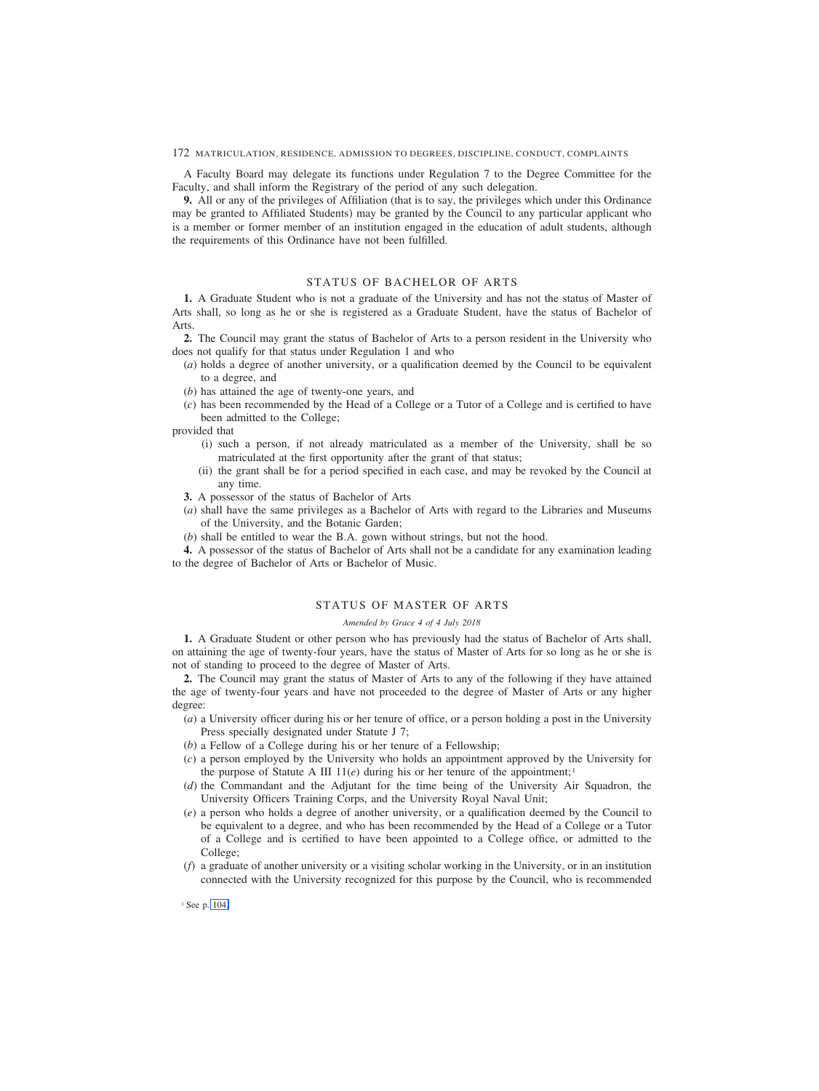A Faculty Board may delegate its functions under Regulation 7 to the Degree Committee for the Faculty, and shall inform the Registrary of the period of any such delegation.

**9.** All or any of the privileges of Affiliation (that is to say, the privileges which under this Ordinance may be granted to Affiliated Students) may be granted by the Council to any particular applicant who is a member or former member of an institution engaged in the education of adult students, although the requirements of this Ordinance have not been fulfilled.

# STATUS OF BACHELOR OF ARTS

**1.** A Graduate Student who is not a graduate of the University and has not the status of Master of Arts shall, so long as he or she is registered as a Graduate Student, have the status of Bachelor of Arts.

**2.** The Council may grant the status of Bachelor of Arts to a person resident in the University who does not qualify for that status under Regulation 1 and who

- (*a*) holds a degree of another university, or a qualification deemed by the Council to be equivalent to a degree, and
- (*b*) has attained the age of twenty-one years, and
- (*c*) has been recommended by the Head of a College or a Tutor of a College and is certified to have been admitted to the College;

provided that

- (i) such a person, if not already matriculated as a member of the University, shall be so matriculated at the first opportunity after the grant of that status;
- (ii) the grant shall be for a period specified in each case, and may be revoked by the Council at any time.
- **3.** A possessor of the status of Bachelor of Arts
- (*a*) shall have the same privileges as a Bachelor of Arts with regard to the Libraries and Museums of the University, and the Botanic Garden;
- (*b*) shall be entitled to wear the B.A. gown without strings, but not the hood.

**4.** A possessor of the status of Bachelor of Arts shall not be a candidate for any examination leading to the degree of Bachelor of Arts or Bachelor of Music.

# STATUS OF MASTER OF ARTS

### *Amended by Grace 4 of 4 July 2018*

**1.** A Graduate Student or other person who has previously had the status of Bachelor of Arts shall, on attaining the age of twenty-four years, have the status of Master of Arts for so long as he or she is not of standing to proceed to the degree of Master of Arts.

**2.** The Council may grant the status of Master of Arts to any of the following if they have attained the age of twenty-four years and have not proceeded to the degree of Master of Arts or any higher degree:

- (*a*) a University officer during his or her tenure of office, or a person holding a post in the University Press specially designated under Statute J 7;
- (*b*) a Fellow of a College during his or her tenure of a Fellowship;
- (*c*) a person employed by the University who holds an appointment approved by the University for the purpose of Statute A III  $11(e)$  during his or her tenure of the appointment;<sup>1</sup>
- (*d*) the Commandant and the Adjutant for the time being of the University Air Squadron, the University Officers Training Corps, and the University Royal Naval Unit;
- (*e*) a person who holds a degree of another university, or a qualification deemed by the Council to be equivalent to a degree, and who has been recommended by the Head of a College or a Tutor of a College and is certified to have been appointed to a College office, or admitted to the College;
- (*f*) a graduate of another university or a visiting scholar working in the University, or in an institution connected with the University recognized for this purpose by the Council, who is recommended

<sup>1</sup> See p. 104.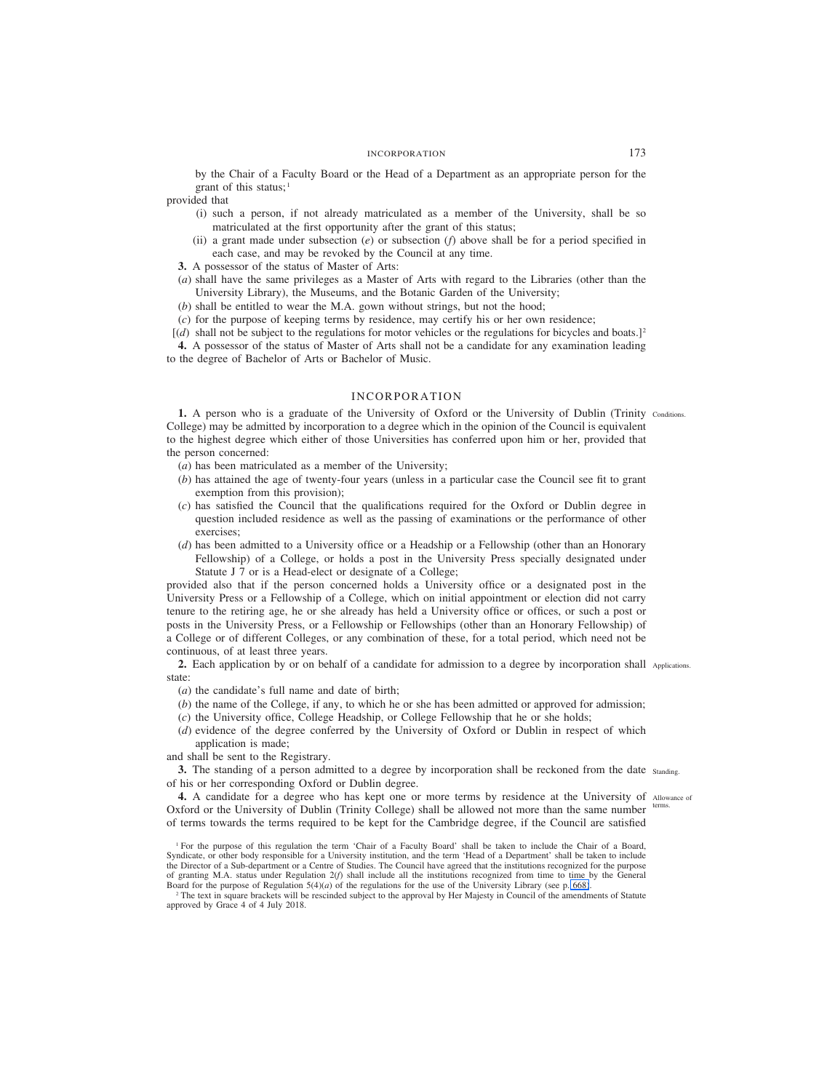by the Chair of a Faculty Board or the Head of a Department as an appropriate person for the grant of this status;<sup>1</sup>

provided that

- (i) such a person, if not already matriculated as a member of the University, shall be so matriculated at the first opportunity after the grant of this status;
- (ii) a grant made under subsection (*e*) or subsection (*f*) above shall be for a period specified in each case, and may be revoked by the Council at any time.

**3.** A possessor of the status of Master of Arts:

- (*a*) shall have the same privileges as a Master of Arts with regard to the Libraries (other than the University Library), the Museums, and the Botanic Garden of the University;
- (*b*) shall be entitled to wear the M.A. gown without strings, but not the hood;
- (*c*) for the purpose of keeping terms by residence, may certify his or her own residence;
- [(*d*) shall not be subject to the regulations for motor vehicles or the regulations for bicycles and boats.]2

**4.** A possessor of the status of Master of Arts shall not be a candidate for any examination leading to the degree of Bachelor of Arts or Bachelor of Music.

# INCORPORATION

1. A person who is a graduate of the University of Oxford or the University of Dublin (Trinity conditions. College) may be admitted by incorporation to a degree which in the opinion of the Council is equivalent to the highest degree which either of those Universities has conferred upon him or her, provided that the person concerned:

- (*a*) has been matriculated as a member of the University;
- (*b*) has attained the age of twenty-four years (unless in a particular case the Council see fit to grant exemption from this provision);
- (*c*) has satisfied the Council that the qualifications required for the Oxford or Dublin degree in question included residence as well as the passing of examinations or the performance of other exercises;
- (*d*) has been admitted to a University office or a Headship or a Fellowship (other than an Honorary Fellowship) of a College, or holds a post in the University Press specially designated under Statute J 7 or is a Head-elect or designate of a College;

provided also that if the person concerned holds a University office or a designated post in the University Press or a Fellowship of a College, which on initial appointment or election did not carry tenure to the retiring age, he or she already has held a University office or offices, or such a post or posts in the University Press, or a Fellowship or Fellowships (other than an Honorary Fellowship) of a College or of different Colleges, or any combination of these, for a total period, which need not be continuous, of at least three years.

2. Each application by or on behalf of a candidate for admission to a degree by incorporation shall Applications. state:

- (*a*) the candidate's full name and date of birth;
- (*b*) the name of the College, if any, to which he or she has been admitted or approved for admission;
- (*c*) the University office, College Headship, or College Fellowship that he or she holds;
- (*d*) evidence of the degree conferred by the University of Oxford or Dublin in respect of which application is made;

and shall be sent to the Registrary.

**3.** The standing of a person admitted to a degree by incorporation shall be reckoned from the date standing. of his or her corresponding Oxford or Dublin degree.

4. A candidate for a degree who has kept one or more terms by residence at the University of Allowance of Oxford or the University of Dublin (Trinity College) shall be allowed not more than the same number terms. of terms towards the terms required to be kept for the Cambridge degree, if the Council are satisfied

<sup>1</sup> For the purpose of this regulation the term 'Chair of a Faculty Board' shall be taken to include the Chair of a Board, Syndicate, or other body responsible for a University institution, and the term 'Head of a Department' shall be taken to include the Director of a Sub-department or a Centre of Studies. The Council have agreed that the institutions recognized for the purpose of granting M.A. status under Regulation 2(*f*) shall include all the institutions recognized from time to time by the General Board for the purpose of Regulation 5(4)(*a*) of the regulations for the use of the University Library (see p. 668).

<sup>&</sup>lt;sup>2</sup> The text in square brackets will be rescinded subject to the approval by Her Majesty in Council of the amendments of Statute approved by Grace 4 of 4 July 2018.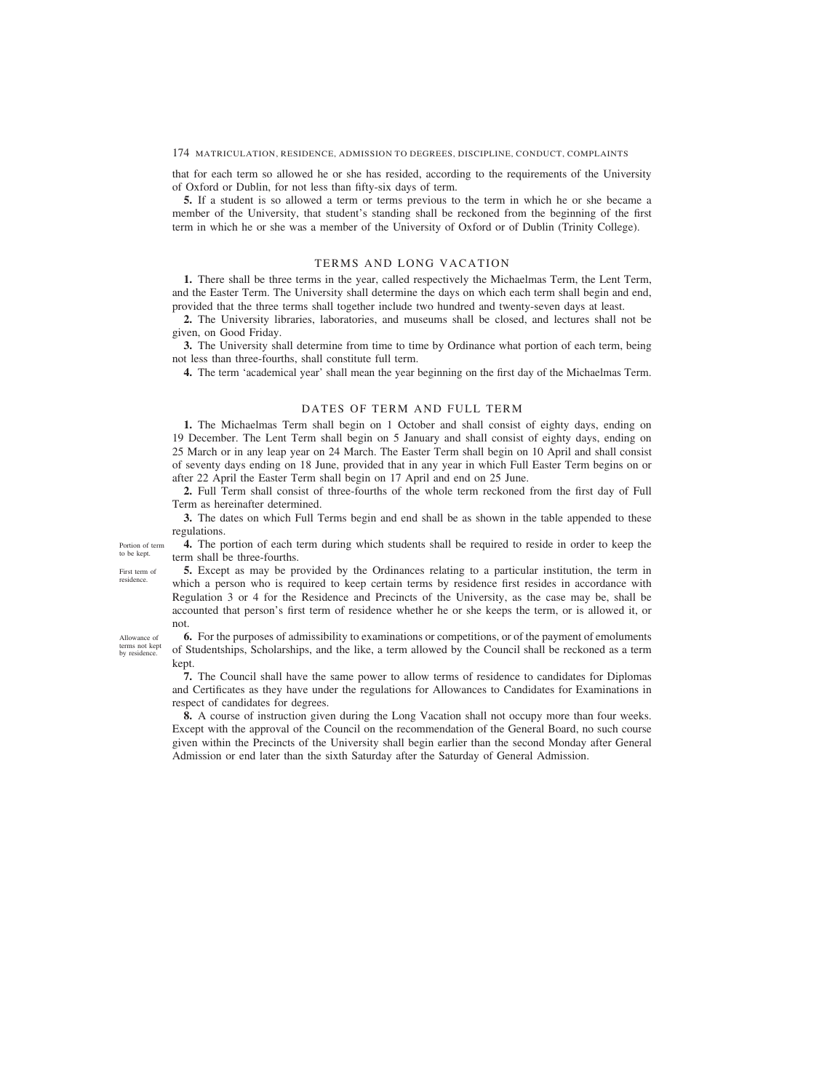that for each term so allowed he or she has resided, according to the requirements of the University of Oxford or Dublin, for not less than fifty-six days of term.

**5.** If a student is so allowed a term or terms previous to the term in which he or she became a member of the University, that student's standing shall be reckoned from the beginning of the first term in which he or she was a member of the University of Oxford or of Dublin (Trinity College).

# TERMS AND LONG VACATION

**1.** There shall be three terms in the year, called respectively the Michaelmas Term, the Lent Term, and the Easter Term. The University shall determine the days on which each term shall begin and end, provided that the three terms shall together include two hundred and twenty-seven days at least.

**2.** The University libraries, laboratories, and museums shall be closed, and lectures shall not be given, on Good Friday.

**3.** The University shall determine from time to time by Ordinance what portion of each term, being not less than three-fourths, shall constitute full term.

**4.** The term 'academical year' shall mean the year beginning on the first day of the Michaelmas Term.

# DATES OF TERM AND FULL TERM

**1.** The Michaelmas Term shall begin on 1 October and shall consist of eighty days, ending on 19 December. The Lent Term shall begin on 5 January and shall consist of eighty days, ending on 25 March or in any leap year on 24 March. The Easter Term shall begin on 10 April and shall consist of seventy days ending on 18 June, provided that in any year in which Full Easter Term begins on or after 22 April the Easter Term shall begin on 17 April and end on 25 June.

**2.** Full Term shall consist of three-fourths of the whole term reckoned from the first day of Full Term as hereinafter determined.

**3.** The dates on which Full Terms begin and end shall be as shown in the table appended to these regulations.

**4.** The portion of each term during which students shall be required to reside in order to keep the Portion of term to be kept.

term shall be three-fourths. **5.** Except as may be provided by the Ordinances relating to a particular institution, the term in First term of

which a person who is required to keep certain terms by residence first resides in accordance with Regulation 3 or 4 for the Residence and Precincts of the University, as the case may be, shall be accounted that person's first term of residence whether he or she keeps the term, or is allowed it, or not.

**6.** For the purposes of admissibility to examinations or competitions, or of the payment of emoluments of Studentships, Scholarships, and the like, a term allowed by the Council shall be reckoned as a term kept.

**7.** The Council shall have the same power to allow terms of residence to candidates for Diplomas and Certificates as they have under the regulations for Allowances to Candidates for Examinations in respect of candidates for degrees.

**8.** A course of instruction given during the Long Vacation shall not occupy more than four weeks. Except with the approval of the Council on the recommendation of the General Board, no such course given within the Precincts of the University shall begin earlier than the second Monday after General Admission or end later than the sixth Saturday after the Saturday of General Admission.

Allowance of terms not kept by residence

residence.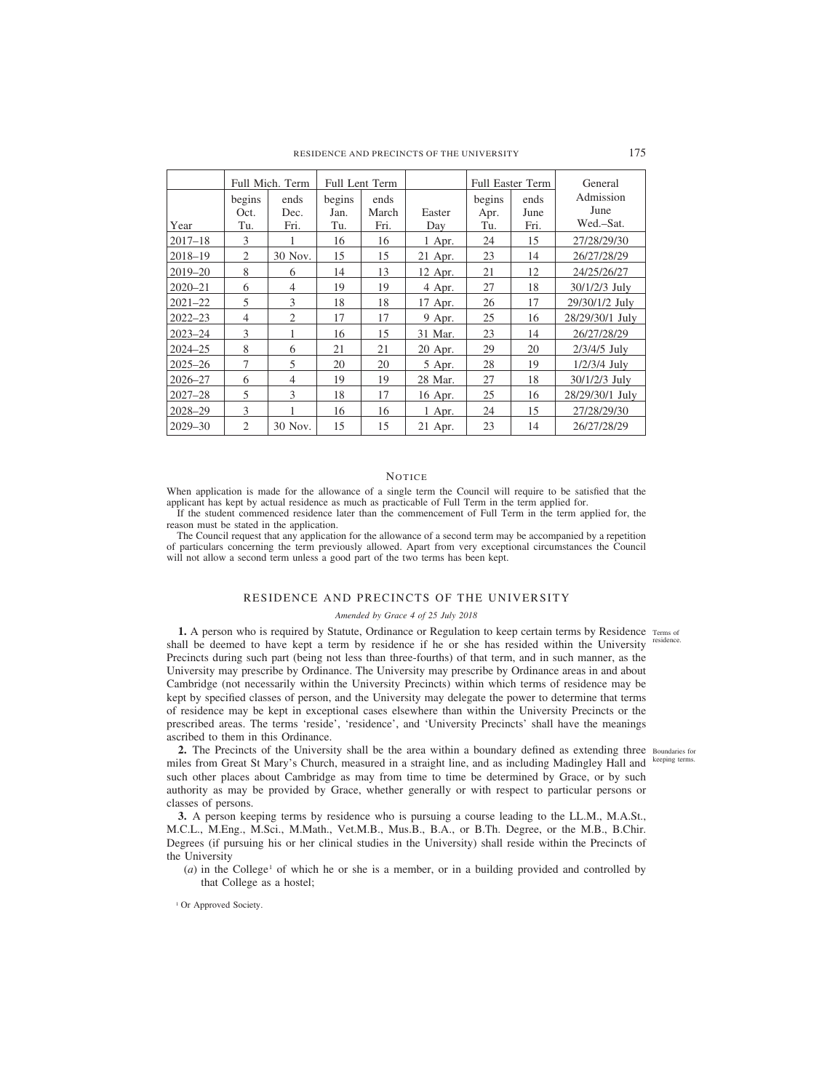|             | begins<br>Oct. | Full Mich. Term<br>ends<br>Dec. | begins<br>Jan. | <b>Full Lent Term</b><br>ends<br>March | Easter  | begins<br>Apr. | <b>Full Easter Term</b><br>ends<br>June | General<br>Admission<br>June |
|-------------|----------------|---------------------------------|----------------|----------------------------------------|---------|----------------|-----------------------------------------|------------------------------|
| Year        | Tu.            | Fri.                            | Tu.            | Fri.                                   | Day     | Tu.            | Fri.                                    | Wed.-Sat.                    |
| $2017 - 18$ | 3              |                                 | 16             | 16                                     | 1 Apr.  | 24             | 15                                      | 27/28/29/30                  |
| $2018 - 19$ | 2              | 30 Nov.                         | 15             | 15                                     | 21 Apr. | 23             | 14                                      | 26/27/28/29                  |
| $2019 - 20$ | 8              | 6                               | 14             | 13                                     | 12 Apr. | 21             | 12                                      | 24/25/26/27                  |
| $2020 - 21$ | 6              | $\overline{4}$                  | 19             | 19                                     | 4 Apr.  | 27             | 18                                      | 30/1/2/3 July                |
| $2021 - 22$ | 5              | 3                               | 18             | 18                                     | 17 Apr. | 26             | 17                                      | 29/30/1/2 July               |
| $2022 - 23$ | $\overline{4}$ | $\overline{2}$                  | 17             | 17                                     | 9 Apr.  | 25             | 16                                      | 28/29/30/1 July              |
| $2023 - 24$ | 3              | 1                               | 16             | 15                                     | 31 Mar. | 23             | 14                                      | 26/27/28/29                  |
| $2024 - 25$ | 8              | 6                               | 21             | 21                                     | 20 Apr. | 29             | 20                                      | $2/3/4/5$ July               |
| $2025 - 26$ | $\overline{7}$ | 5                               | 20             | 20                                     | 5 Apr.  | 28             | 19                                      | 1/2/3/4 July                 |
| $2026 - 27$ | 6              | $\overline{4}$                  | 19             | 19                                     | 28 Mar. | 27             | 18                                      | 30/1/2/3 July                |
| $2027 - 28$ | 5              | 3                               | 18             | 17                                     | 16 Apr. | 25             | 16                                      | 28/29/30/1 July              |
| 2028-29     | 3              | 1                               | 16             | 16                                     | 1 Apr.  | 24             | 15                                      | 27/28/29/30                  |
| $2029 - 30$ | $\overline{2}$ | 30 Nov.                         | 15             | 15                                     | 21 Apr. | 23             | 14                                      | 26/27/28/29                  |

# **NOTICE**

When application is made for the allowance of a single term the Council will require to be satisfied that the applicant has kept by actual residence as much as practicable of Full Term in the term applied for.

If the student commenced residence later than the commencement of Full Term in the term applied for, the reason must be stated in the application.

The Council request that any application for the allowance of a second term may be accompanied by a repetition of particulars concerning the term previously allowed. Apart from very exceptional circumstances the Council will not allow a second term unless a good part of the two terms has been kept.

# RESIDENCE AND PRECINCTS OF THE UNIVERSITY

# *Amended by Grace 4 of 25 July 2018*

**1.** A person who is required by Statute, Ordinance or Regulation to keep certain terms by Residence Terms of shall be deemed to have kept a term by residence if he or she has resided within the University residence. Precincts during such part (being not less than three-fourths) of that term, and in such manner, as the University may prescribe by Ordinance. The University may prescribe by Ordinance areas in and about Cambridge (not necessarily within the University Precincts) within which terms of residence may be kept by specified classes of person, and the University may delegate the power to determine that terms of residence may be kept in exceptional cases elsewhere than within the University Precincts or the prescribed areas. The terms 'reside', 'residence', and 'University Precincts' shall have the meanings ascribed to them in this Ordinance.

2. The Precincts of the University shall be the area within a boundary defined as extending three Boundaries for miles from Great St Mary's Church, measured in a straight line, and as including Madingley Hall and keeping terms. such other places about Cambridge as may from time to time be determined by Grace, or by such authority as may be provided by Grace, whether generally or with respect to particular persons or classes of persons.

**3.** A person keeping terms by residence who is pursuing a course leading to the LL.M., M.A.St., M.C.L., M.Eng., M.Sci., M.Math., Vet.M.B., Mus.B., B.A., or B.Th. Degree, or the M.B., B.Chir. Degrees (if pursuing his or her clinical studies in the University) shall reside within the Precincts of the University

(*a*) in the College<sup>1</sup> of which he or she is a member, or in a building provided and controlled by that College as a hostel;

<sup>1</sup> Or Approved Society.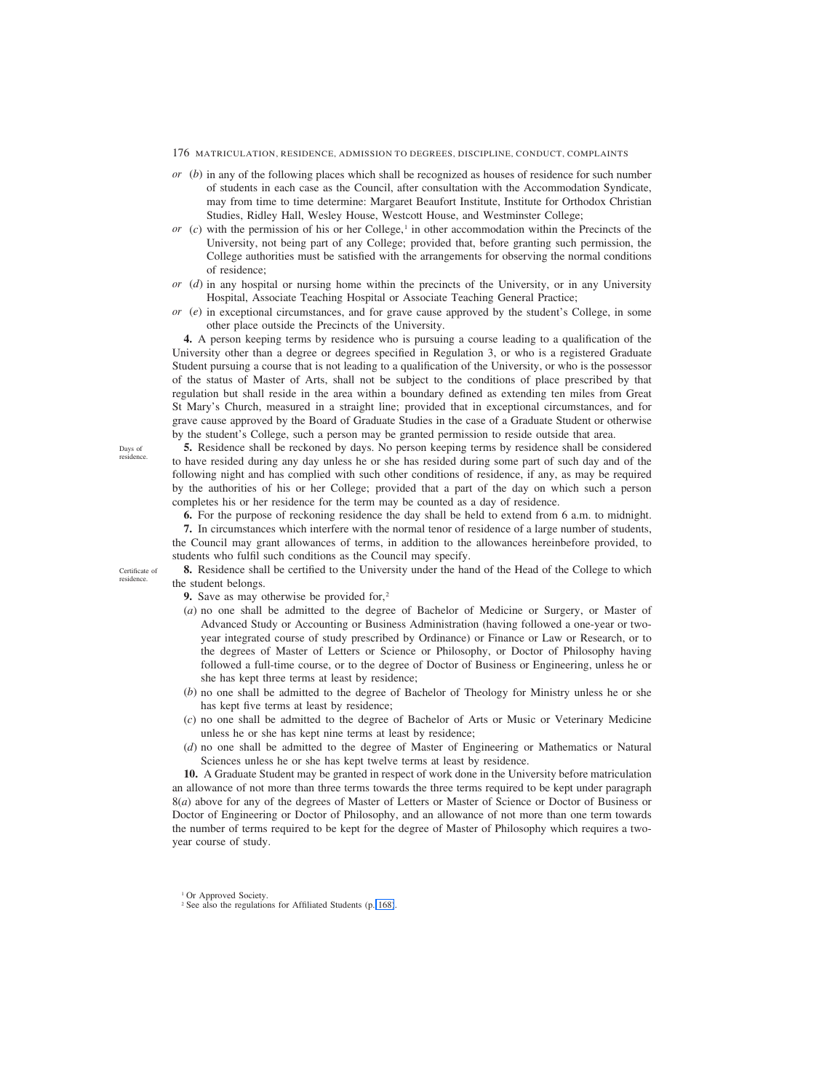- 176 MATRICULATION, RESIDENCE, ADMISSION TO DEGREES, DISCIPLINE, CONDUCT, COMPLAINTS
- *or* (*b*) in any of the following places which shall be recognized as houses of residence for such number of students in each case as the Council, after consultation with the Accommodation Syndicate, may from time to time determine: Margaret Beaufort Institute, Institute for Orthodox Christian Studies, Ridley Hall, Wesley House, Westcott House, and Westminster College;
- $or$  (*c*) with the permission of his or her College,<sup>1</sup> in other accommodation within the Precincts of the University, not being part of any College; provided that, before granting such permission, the College authorities must be satisfied with the arrangements for observing the normal conditions of residence;
- *or* (*d*) in any hospital or nursing home within the precincts of the University, or in any University Hospital, Associate Teaching Hospital or Associate Teaching General Practice;
- *or* (*e*) in exceptional circumstances, and for grave cause approved by the student's College, in some other place outside the Precincts of the University.

**4.** A person keeping terms by residence who is pursuing a course leading to a qualification of the University other than a degree or degrees specified in Regulation 3, or who is a registered Graduate Student pursuing a course that is not leading to a qualification of the University, or who is the possessor of the status of Master of Arts, shall not be subject to the conditions of place prescribed by that regulation but shall reside in the area within a boundary defined as extending ten miles from Great St Mary's Church, measured in a straight line; provided that in exceptional circumstances, and for grave cause approved by the Board of Graduate Studies in the case of a Graduate Student or otherwise by the student's College, such a person may be granted permission to reside outside that area.

**5.** Residence shall be reckoned by days. No person keeping terms by residence shall be considered to have resided during any day unless he or she has resided during some part of such day and of the following night and has complied with such other conditions of residence, if any, as may be required by the authorities of his or her College; provided that a part of the day on which such a person completes his or her residence for the term may be counted as a day of residence.

**6.** For the purpose of reckoning residence the day shall be held to extend from 6 a.m. to midnight.

**7.** In circumstances which interfere with the normal tenor of residence of a large number of students, the Council may grant allowances of terms, in addition to the allowances hereinbefore provided, to students who fulfil such conditions as the Council may specify.

**8.** Residence shall be certified to the University under the hand of the Head of the College to which the student belongs. Certificate of

**9.** Save as may otherwise be provided for,<sup>2</sup>

- (*a*) no one shall be admitted to the degree of Bachelor of Medicine or Surgery, or Master of Advanced Study or Accounting or Business Administration (having followed a one-year or twoyear integrated course of study prescribed by Ordinance) or Finance or Law or Research, or to the degrees of Master of Letters or Science or Philosophy, or Doctor of Philosophy having followed a full-time course, or to the degree of Doctor of Business or Engineering, unless he or she has kept three terms at least by residence;
- (*b*) no one shall be admitted to the degree of Bachelor of Theology for Ministry unless he or she has kept five terms at least by residence;
- (*c*) no one shall be admitted to the degree of Bachelor of Arts or Music or Veterinary Medicine unless he or she has kept nine terms at least by residence;
- (*d*) no one shall be admitted to the degree of Master of Engineering or Mathematics or Natural Sciences unless he or she has kept twelve terms at least by residence.

**10.** A Graduate Student may be granted in respect of work done in the University before matriculation an allowance of not more than three terms towards the three terms required to be kept under paragraph 8(*a*) above for any of the degrees of Master of Letters or Master of Science or Doctor of Business or Doctor of Engineering or Doctor of Philosophy, and an allowance of not more than one term towards the number of terms required to be kept for the degree of Master of Philosophy which requires a twoyear course of study.

Days of residence.

residence.

<sup>&</sup>lt;sup>1</sup> Or Approved Society.

<sup>&</sup>lt;sup>2</sup> See also the regulations for Affiliated Students (p. [168\)](#page-2-0).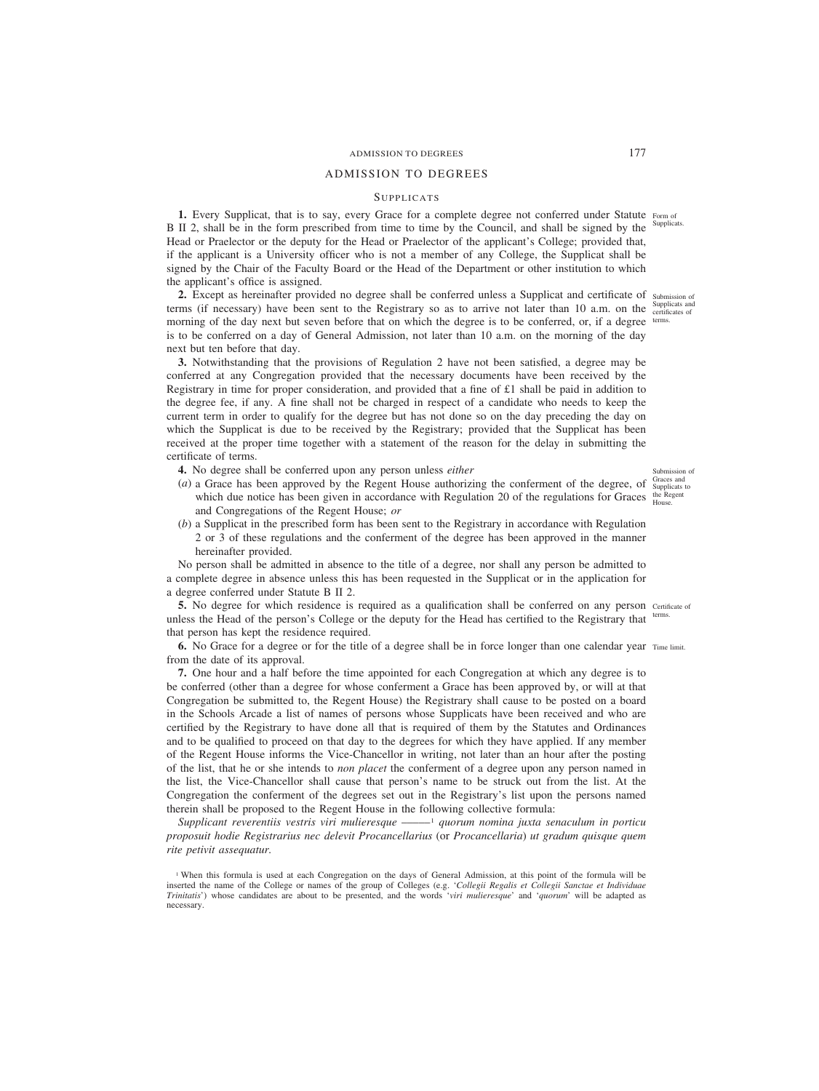# ADMISSION TO DEGREES 177

# ADMISSION TO DEGREES

# **SUPPLICATS**

**1.** Every Supplicat, that is to say, every Grace for a complete degree not conferred under Statute Form of B II 2, shall be in the form prescribed from time to time by the Council, and shall be signed by the <sup>Supplicats.</sup> Head or Praelector or the deputy for the Head or Praelector of the applicant's College; provided that, if the applicant is a University officer who is not a member of any College, the Supplicat shall be signed by the Chair of the Faculty Board or the Head of the Department or other institution to which the applicant's office is assigned.

2. Except as hereinafter provided no degree shall be conferred unless a Supplicat and certificate of submission of terms (if necessary) have been sent to the Registrary so as to arrive not later than 10 a.m. on the  $\frac{\text{Supplicats and}}{\text{certificates of}}$ morning of the day next but seven before that on which the degree is to be conferred, or, if a degree <sup>terms.</sup> is to be conferred on a day of General Admission, not later than 10 a.m. on the morning of the day next but ten before that day.

**3.** Notwithstanding that the provisions of Regulation 2 have not been satisfied, a degree may be conferred at any Congregation provided that the necessary documents have been received by the Registrary in time for proper consideration, and provided that a fine of  $\pounds 1$  shall be paid in addition to the degree fee, if any. A fine shall not be charged in respect of a candidate who needs to keep the current term in order to qualify for the degree but has not done so on the day preceding the day on which the Supplicat is due to be received by the Registrary; provided that the Supplicat has been received at the proper time together with a statement of the reason for the delay in submitting the certificate of terms.

**4.** No degree shall be conferred upon any person unless *either*

- (*a*) a Grace has been approved by the Regent House authorizing the conferment of the degree, of  $\frac{Gr_{\text{arces and}}}{Supplicats \text{ to } s}$ which due notice has been given in accordance with Regulation 20 of the regulations for Graces the Regent and Congregations of the Regent House; *or*
- (*b*) a Supplicat in the prescribed form has been sent to the Registrary in accordance with Regulation 2 or 3 of these regulations and the conferment of the degree has been approved in the manner hereinafter provided.

No person shall be admitted in absence to the title of a degree, nor shall any person be admitted to a complete degree in absence unless this has been requested in the Supplicat or in the application for a degree conferred under Statute B II 2.

**5.** No degree for which residence is required as a qualification shall be conferred on any person certificate of unless the Head of the person's College or the deputy for the Head has certified to the Registrary that that person has kept the residence required. terms.

**6.** No Grace for a degree or for the title of a degree shall be in force longer than one calendar year Time limit. from the date of its approval.

**7.** One hour and a half before the time appointed for each Congregation at which any degree is to be conferred (other than a degree for whose conferment a Grace has been approved by, or will at that Congregation be submitted to, the Regent House) the Registrary shall cause to be posted on a board in the Schools Arcade a list of names of persons whose Supplicats have been received and who are certified by the Registrary to have done all that is required of them by the Statutes and Ordinances and to be qualified to proceed on that day to the degrees for which they have applied. If any member of the Regent House informs the Vice-Chancellor in writing, not later than an hour after the posting of the list, that he or she intends to *non placet* the conferment of a degree upon any person named in the list, the Vice-Chancellor shall cause that person's name to be struck out from the list. At the Congregation the conferment of the degrees set out in the Registrary's list upon the persons named therein shall be proposed to the Regent House in the following collective formula:

*Supplicant reverentiis vestris viri mulieresque* –––––1 *quorum nomina juxta senaculum in porticu proposuit hodie Registrarius nec delevit Procancellarius* (or *Procancellaria*) *ut gradum quisque quem rite petivit assequatur.*

Submission of<br>Graces and

<sup>&</sup>lt;sup>1</sup> When this formula is used at each Congregation on the days of General Admission, at this point of the formula will be inserted the name of the College or names of the group of Colleges (e.g. 'Collegii Regalis et Collegii Sanctae et Individuae *Trinitatis*') whose candidates are about to be presented, and the words '*viri mulieresque*' and '*quorum*' will be adapted as necessary.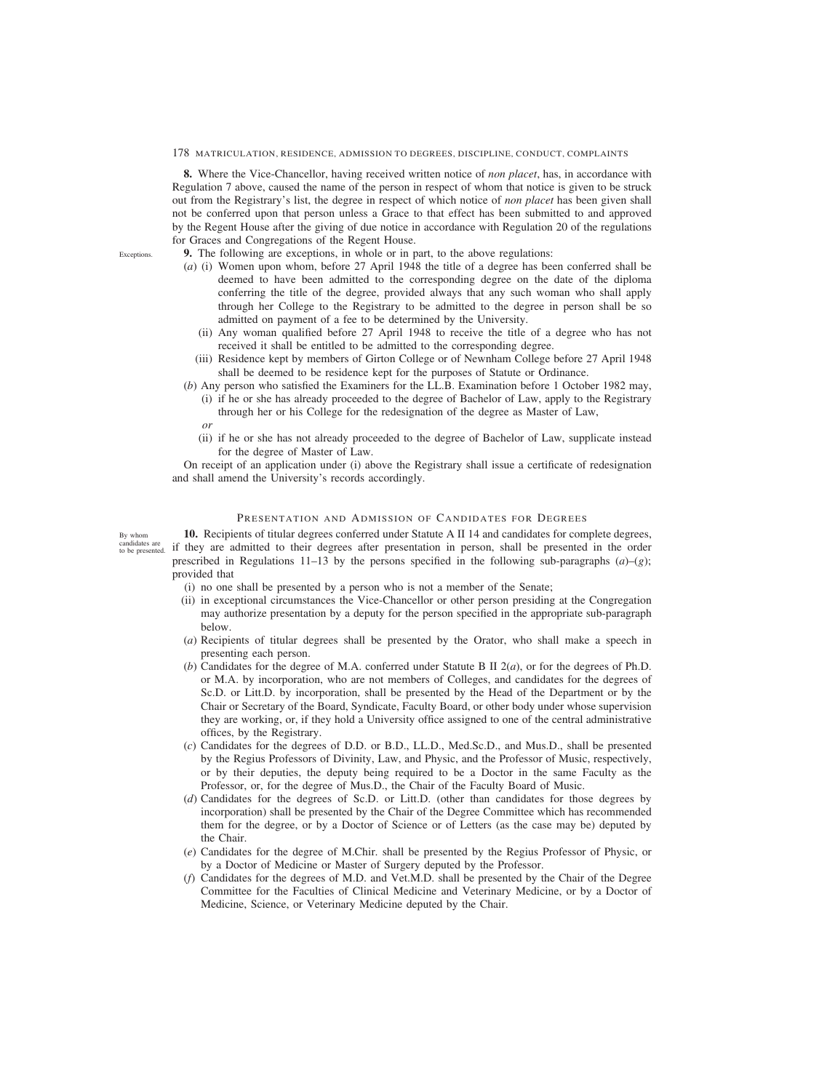**8.** Where the Vice-Chancellor, having received written notice of *non placet*, has, in accordance with Regulation 7 above, caused the name of the person in respect of whom that notice is given to be struck out from the Registrary's list, the degree in respect of which notice of *non placet* has been given shall not be conferred upon that person unless a Grace to that effect has been submitted to and approved by the Regent House after the giving of due notice in accordance with Regulation 20 of the regulations for Graces and Congregations of the Regent House.

**9.** The following are exceptions, in whole or in part, to the above regulations:

- (*a*) (i) Women upon whom, before 27 April 1948 the title of a degree has been conferred shall be deemed to have been admitted to the corresponding degree on the date of the diploma conferring the title of the degree, provided always that any such woman who shall apply through her College to the Registrary to be admitted to the degree in person shall be so admitted on payment of a fee to be determined by the University.
	- (ii) Any woman qualified before 27 April 1948 to receive the title of a degree who has not received it shall be entitled to be admitted to the corresponding degree.
	- (iii) Residence kept by members of Girton College or of Newnham College before 27 April 1948 shall be deemed to be residence kept for the purposes of Statute or Ordinance.
- (*b*) Any person who satisfied the Examiners for the LL.B. Examination before 1 October 1982 may,
	- (i) if he or she has already proceeded to the degree of Bachelor of Law, apply to the Registrary through her or his College for the redesignation of the degree as Master of Law, *or*
	- (ii) if he or she has not already proceeded to the degree of Bachelor of Law, supplicate instead for the degree of Master of Law.

On receipt of an application under (i) above the Registrary shall issue a certificate of redesignation and shall amend the University's records accordingly.

# PRESENTATION AND ADMISSION OF CANDIDATES FOR DEGREES

**10.** Recipients of titular degrees conferred under Statute A II 14 and candidates for complete degrees, if they are admitted to their degrees after presentation in person, shall be presented in the order prescribed in Regulations 11–13 by the persons specified in the following sub-paragraphs  $(a)-(g)$ ; provided that By whom candidates are to be presented.

- (i) no one shall be presented by a person who is not a member of the Senate;
- (ii) in exceptional circumstances the Vice-Chancellor or other person presiding at the Congregation may authorize presentation by a deputy for the person specified in the appropriate sub-paragraph below.
- (*a*) Recipients of titular degrees shall be presented by the Orator, who shall make a speech in presenting each person.
- (*b*) Candidates for the degree of M.A. conferred under Statute B II  $2(a)$ , or for the degrees of Ph.D. or M.A. by incorporation, who are not members of Colleges, and candidates for the degrees of Sc.D. or Litt.D. by incorporation, shall be presented by the Head of the Department or by the Chair or Secretary of the Board, Syndicate, Faculty Board, or other body under whose supervision they are working, or, if they hold a University office assigned to one of the central administrative offices, by the Registrary.
- (*c*) Candidates for the degrees of D.D. or B.D., LL.D., Med.Sc.D., and Mus.D., shall be presented by the Regius Professors of Divinity, Law, and Physic, and the Professor of Music, respectively, or by their deputies, the deputy being required to be a Doctor in the same Faculty as the Professor, or, for the degree of Mus.D., the Chair of the Faculty Board of Music.
- (*d*) Candidates for the degrees of Sc.D. or Litt.D. (other than candidates for those degrees by incorporation) shall be presented by the Chair of the Degree Committee which has recommended them for the degree, or by a Doctor of Science or of Letters (as the case may be) deputed by the Chair.
- (*e*) Candidates for the degree of M.Chir. shall be presented by the Regius Professor of Physic, or by a Doctor of Medicine or Master of Surgery deputed by the Professor.
- (*f*) Candidates for the degrees of M.D. and Vet.M.D. shall be presented by the Chair of the Degree Committee for the Faculties of Clinical Medicine and Veterinary Medicine, or by a Doctor of Medicine, Science, or Veterinary Medicine deputed by the Chair.

Exceptions.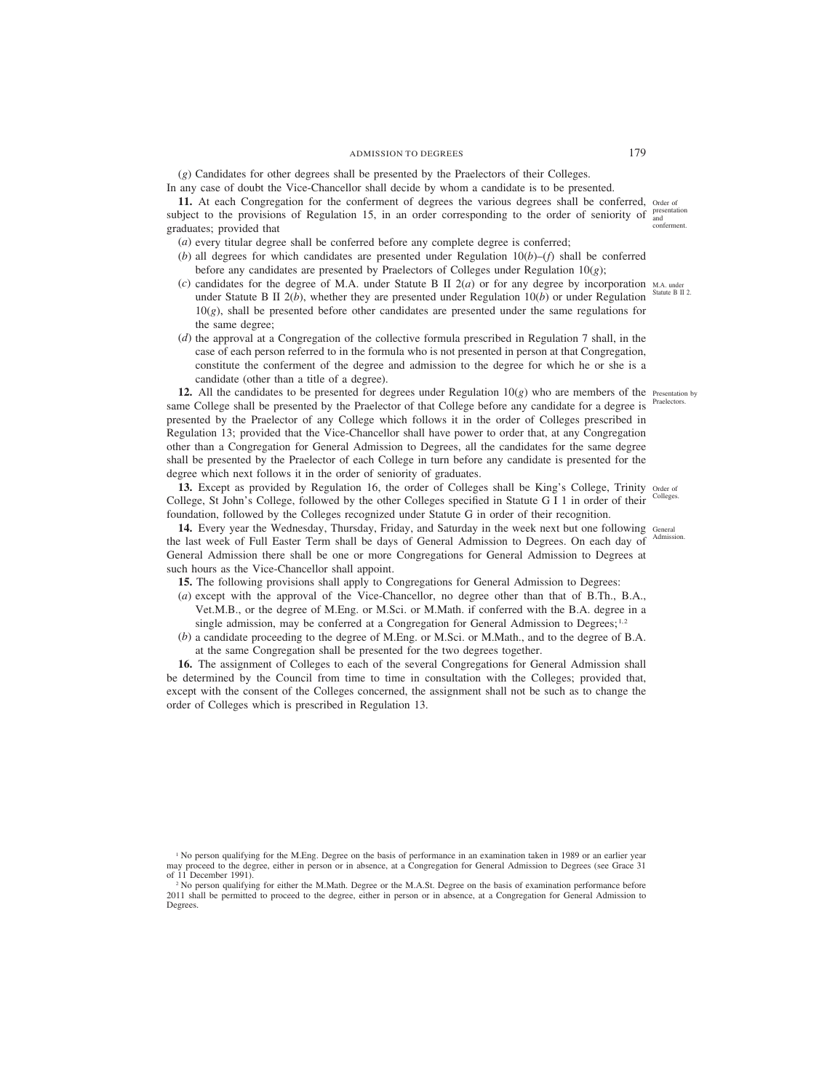(*g*) Candidates for other degrees shall be presented by the Praelectors of their Colleges. In any case of doubt the Vice-Chancellor shall decide by whom a candidate is to be presented.

11. At each Congregation for the conferment of degrees the various degrees shall be conferred, order of subject to the provisions of Regulation 15, in an order corresponding to the order of seniority of  $_{\text{and}}^{\text{presentation}}$ graduates; provided that conferment.

- (*a*) every titular degree shall be conferred before any complete degree is conferred;
- (*b*) all degrees for which candidates are presented under Regulation 10(*b*)–(*f*) shall be conferred before any candidates are presented by Praelectors of Colleges under Regulation  $10(g)$ ;
- (*c*) candidates for the degree of M.A. under Statute B II  $2(a)$  or for any degree by incorporation M.A. under under Statute B II  $2(b)$ , whether they are presented under Regulation  $10(b)$  or under Regulation  $10(g)$ , shall be presented before other candidates are presented under the same regulations for the same degree;
- (*d*) the approval at a Congregation of the collective formula prescribed in Regulation 7 shall, in the case of each person referred to in the formula who is not presented in person at that Congregation, constitute the conferment of the degree and admission to the degree for which he or she is a candidate (other than a title of a degree).

**12.** All the candidates to be presented for degrees under Regulation  $10(g)$  who are members of the Presentation by same College shall be presented by the Praelector of that College before any candidate for a degree is presented by the Praelector of any College which follows it in the order of Colleges prescribed in Regulation 13; provided that the Vice-Chancellor shall have power to order that, at any Congregation other than a Congregation for General Admission to Degrees, all the candidates for the same degree shall be presented by the Praelector of each College in turn before any candidate is presented for the degree which next follows it in the order of seniority of graduates. **Praelectors** 

13. Except as provided by Regulation 16, the order of Colleges shall be King's College, Trinity order of College, St John's College, followed by the other Colleges specified in Statute G I 1 in order of their Colleges. foundation, followed by the Colleges recognized under Statute G in order of their recognition.

14. Every year the Wednesday, Thursday, Friday, and Saturday in the week next but one following General the last week of Full Easter Term shall be days of General Admission to Degrees. On each day of General Admission there shall be one or more Congregations for General Admission to Degrees at such hours as the Vice-Chancellor shall appoint.

- **15.** The following provisions shall apply to Congregations for General Admission to Degrees:
- (*a*) except with the approval of the Vice-Chancellor, no degree other than that of B.Th., B.A., Vet.M.B., or the degree of M.Eng. or M.Sci. or M.Math. if conferred with the B.A. degree in a single admission, may be conferred at a Congregation for General Admission to Degrees;<sup>1,2</sup>
- (*b*) a candidate proceeding to the degree of M.Eng. or M.Sci. or M.Math., and to the degree of B.A. at the same Congregation shall be presented for the two degrees together.

**16.** The assignment of Colleges to each of the several Congregations for General Admission shall be determined by the Council from time to time in consultation with the Colleges; provided that, except with the consent of the Colleges concerned, the assignment shall not be such as to change the order of Colleges which is prescribed in Regulation 13.

Statute B II 2.

Admission.

<sup>&</sup>lt;sup>1</sup> No person qualifying for the M.Eng. Degree on the basis of performance in an examination taken in 1989 or an earlier year may proceed to the degree, either in person or in absence, at a Congregation for General Admission to Degrees (see Grace 31 of 11 December 1991).

<sup>&</sup>lt;sup>2</sup> No person qualifying for either the M.Math. Degree or the M.A.St. Degree on the basis of examination performance before 2011 shall be permitted to proceed to the degree, either in person or in absence, at a Congregation for General Admission to Degrees.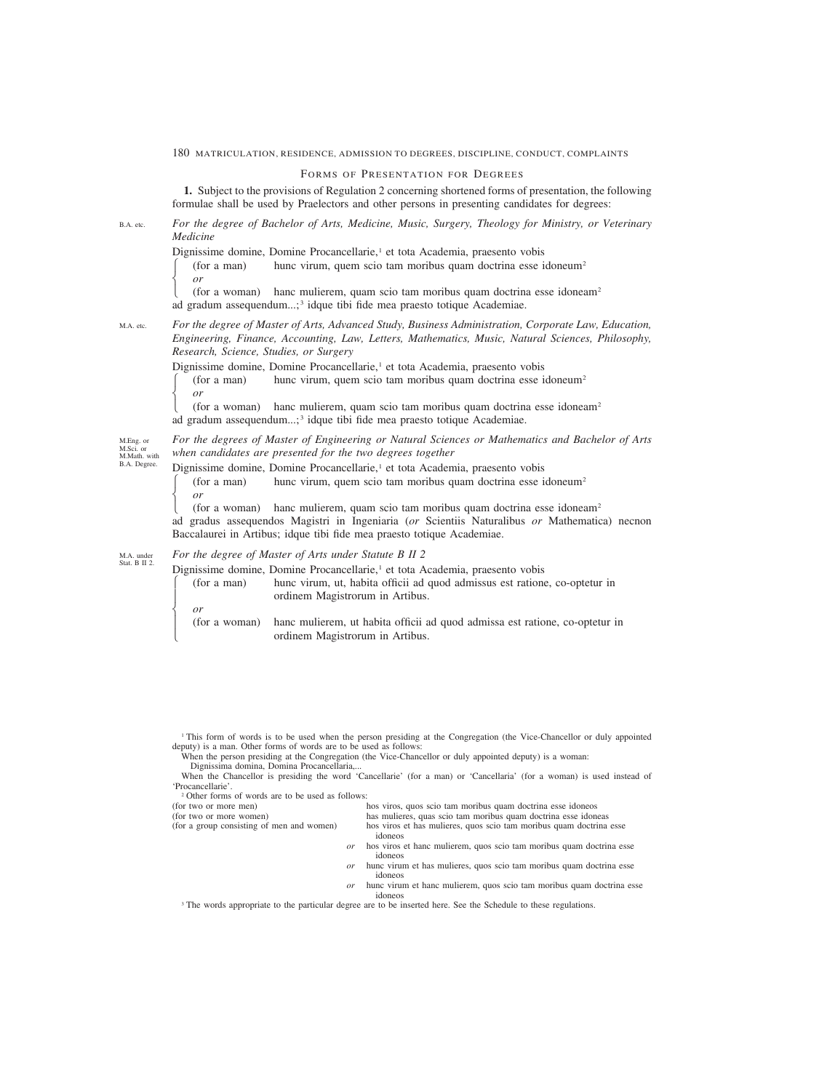# FORMS OF PRESENTATION FOR DEGREES

**1.** Subject to the provisions of Regulation 2 concerning shortened forms of presentation, the following formulae shall be used by Praelectors and other persons in presenting candidates for degrees:

#### *For the degree of Bachelor of Arts, Medicine, Music, Surgery, Theology for Ministry, or Veterinary Medicine* B.A. etc.

Dignissime domine, Domine Procancellarie,<sup>1</sup> et tota Academia, praesento vobis

 $(for a man)$  hunc virum, quem scio tam moribus quam doctrina esse idoneum<sup>2</sup> or<br>(for a woman)

hanc mulierem, quam scio tam moribus quam doctrina esse idoneam<sup>2</sup> ad gradum assequendum...; <sup>3</sup> idque tibi fide mea praesto totique Academiae.

#### *For the degree of Master of Arts, Advanced Study, Business Administration, Corporate Law, Education, Engineering, Finance, Accounting, Law, Letters, Mathematics, Music, Natural Sciences, Philosophy, Research, Science, Studies, or Surgery* M.A. etc.

Dignissime domine, Domine Procancellarie,<sup>1</sup> et tota Academia, praesento vobis

 $(for a man)$  hunc virum, quem scio tam moribus quam doctrina esse idoneum<sup>2</sup> ⎨ *or*

 $($ for a woman) hanc mulierem, quam scio tam moribus quam doctrina esse idoneam<sup>2</sup> ad gradum assequendum...; <sup>3</sup> idque tibi fide mea praesto totique Academiae.

*For the degrees of Master of Engineering or Natural Sciences or Mathematics and Bachelor of Arts when candidates are presented for the two degrees together* M.Eng. or M.Sci. or M.Math. with

Dignissime domine, Domine Procancellarie,<sup>1</sup> et tota Academia, praesento vobis

 $(for a man)$  hunc virum, quem scio tam moribus quam doctrina esse idoneum<sup>2</sup> ⎨ *or*

 $($ for a woman) hanc mulierem, quam scio tam moribus quam doctrina esse idoneam<sup>2</sup> ad gradus assequendos Magistri in Ingeniaria (*or* Scientiis Naturalibus *or* Mathematica) necnon Baccalaurei in Artibus; idque tibi fide mea praesto totique Academiae.

#### *For the degree of Master of Arts under Statute B II 2* M.A. under Stat. B II 2.

Dignissime domine, Domine Procancellarie,<sup>1</sup> et tota Academia, praesento vobis

(for a man) hunc virum, ut, habita officii ad quod admissus est ratione, co-optetur in ordinem Magistrorum in Artibus. or<br>(for a woman)

hanc mulierem, ut habita officii ad quod admissa est ratione, co-optetur in ordinem Magistrorum in Artibus.

<sup>2</sup> Other forms of words are to be used as follows:

 $\begin{bmatrix} \frac{1}{2} & \frac{1}{2} & \frac{1}{2} & \frac{1}{2} & \frac{1}{2} & \frac{1}{2} & \frac{1}{2} & \frac{1}{2} & \frac{1}{2} & \frac{1}{2} & \frac{1}{2} & \frac{1}{2} & \frac{1}{2} & \frac{1}{2} & \frac{1}{2} & \frac{1}{2} & \frac{1}{2} & \frac{1}{2} & \frac{1}{2} & \frac{1}{2} & \frac{1}{2} & \frac{1}{2} & \frac{1}{2} & \frac{1}{2} & \frac{1}{2} & \frac{1}{2} & \frac{1}{2$  $\frac{1}{2}$ 

B.A. Degree.

 $\frac{1}{2}$  $\overline{a}$ 

- *or* hos viros et hanc mulierem, quos scio tam moribus quam doctrina esse idoneos
- *or* hunc virum et has mulieres, quos scio tam moribus quam doctrina esse idoneos
- *or* hunc virum et hanc mulierem, quos scio tam moribus quam doctrina esse idoneos

<sup>3</sup> The words appropriate to the particular degree are to be inserted here. See the Schedule to these regulations.

<sup>1</sup> This form of words is to be used when the person presiding at the Congregation (the Vice-Chancellor or duly appointed deputy) is a man. Other forms of words are to be used as follows:

When the person presiding at the Congregation (the Vice-Chancellor or duly appointed deputy) is a woman: Dignissima domina, Domina Procancellaria,...

When the Chancellor is presiding the word 'Cancellarie' (for a man) or 'Cancellaria' (for a woman) is used instead of 'Procancellarie'.

<sup>(</sup>for two or more men) hos viros, quos scio tam moribus quam doctrina esse idoneos (for two or more women) has mulieres, quas scio tam moribus quam doctrina esse idone has mulieres, quas scio tam moribus quam doctrina esse idoneas (for a group consisting of men and women) hos viros et has mulieres, quos scio tam moribus quam doctrina esse idoneos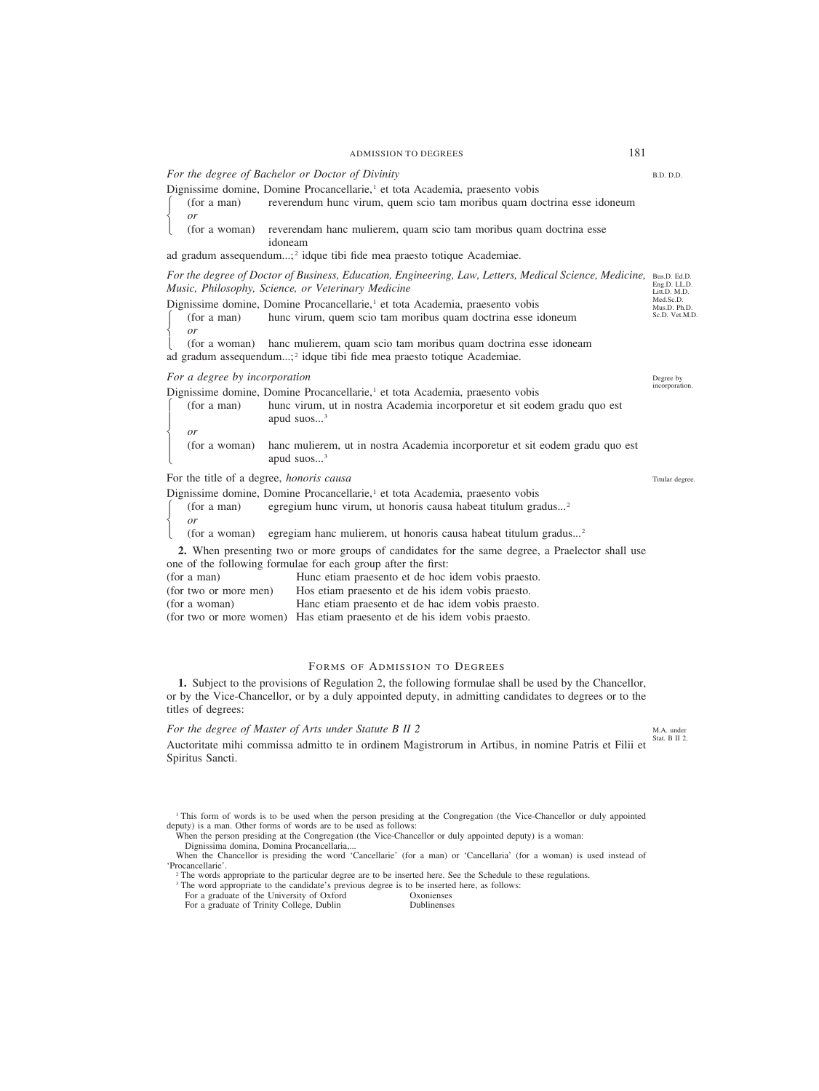*For the degree of Bachelor or Doctor of Divinity*

Dignissime domine, Domine Procancellarie,<sup>1</sup> et tota Academia, praesento vobis ⎧ (for a man) reverendum hunc virum, quem scio tam moribus quam doctrina esse idoneum or<br>(for a woman)

reverendam hanc mulierem, quam scio tam moribus quam doctrina esse idoneam

ad gradum assequendum...; <sup>2</sup> idque tibi fide mea praesto totique Academiae.

|                                                                                          | For the degree of Doctor of Business, Education, Engineering, Law, Letters, Medical Science, Medicine, Bus.D. Ed.D. |                |
|------------------------------------------------------------------------------------------|---------------------------------------------------------------------------------------------------------------------|----------------|
| Music, Philosophy, Science, or Veterinary Medicine                                       |                                                                                                                     |                |
| Dignissime domine, Domine Procancellarie, <sup>1</sup> et tota Academia, praesento vobis |                                                                                                                     |                |
|                                                                                          | hunc virum, quem scio tam moribus quam doctrina esse idoneum<br>(for a man)                                         | Sc.D. Vet.M.D. |

⎩ (for a woman) hanc mulierem, quam scio tam moribus quam doctrina esse idoneam ad gradum assequendum...; <sup>2</sup> idque tibi fide mea praesto totique Academiae.

### *For a degree by incorporation*

⎨ *or*

 $\frac{1}{2}$  $\overline{a}$ 

 $\frac{1}{2}$  $\overline{\mathfrak{c}}$ 

Dignissime domine, Domine Procancellarie,<sup>1</sup> et tota Academia, praesento vobis (for a man) hunc virum, ut in nostra Academia incorporetur et sit eodem gradu quo est incorporation.

| пога шап) | nunc virum, ut in nostra Academia incorporetur et sit eodem gradu quo est                  |
|-----------|--------------------------------------------------------------------------------------------|
|           | apud $s$ uos $\frac{3}{2}$                                                                 |
|           |                                                                                            |
|           | (for a woman) hanc mulierem, ut in nostra Academia incorporetur et sit eodem gradu quo est |

For the title of a degree, *honoris causa*

apud  $s$ uos... $3$ 

Dignissime domine, Domine Procancellarie,<sup>1</sup> et tota Academia, praesento vobis ⎧ (for a man) egregium hunc virum, ut honoris causa habeat titulum gradus...2 ⎨ *or* (for a woman) egregiam hanc mulierem, ut honoris causa habeat titulum gradus...<sup>2</sup>

**2.** When presenting two or more groups of candidates for the same degree, a Praelector shall use one of the following formulae for each group after the first:

| (for a man)           | Hunc etiam praesento et de hoc idem vobis praesto.                        |
|-----------------------|---------------------------------------------------------------------------|
| (for two or more men) | Hos etiam praesento et de his idem vobis praesto.                         |
| (for a woman)         | Hanc etiam praesento et de hac idem vobis praesto.                        |
|                       | (for two or more women) Has etiam praesento et de his idem vobis praesto. |

# FORMS OF ADMISSION TO DEGREES

**1.** Subject to the provisions of Regulation 2, the following formulae shall be used by the Chancellor, or by the Vice-Chancellor, or by a duly appointed deputy, in admitting candidates to degrees or to the titles of degrees:

# *For the degree of Master of Arts under Statute B II 2*

Auctoritate mihi commissa admitto te in ordinem Magistrorum in Artibus, in nomine Patris et Filii et Spiritus Sancti. Stat. B II 2.

<sup>1</sup> This form of words is to be used when the person presiding at the Congregation (the Vice-Chancellor or duly appointed deputy) is a man. Other forms of words are to be used as follows:

When the person presiding at the Congregation (the Vice-Chancellor or duly appointed deputy) is a woman:

Dignissima domina, Domina Procancellaria,...

When the Chancellor is presiding the word 'Cancellarie' (for a man) or 'Cancellaria' (for a woman) is used instead of 'Procancellarie'.

<sup>2</sup> The words appropriate to the particular degree are to be inserted here. See the Schedule to these regulations.

<sup>3</sup> The word appropriate to the candidate's previous degree is to be inserted here, as follows:<br>For a graduate of the University of Oxford Oxonienses

For a graduate of the University of Oxford Oxonienses<br>
For a graduate of Trinity College. Dublin Dublinenses

For a graduate of Trinity College, Dublin

B.D. D.D.

Degree by

Titular degree.

M.A. under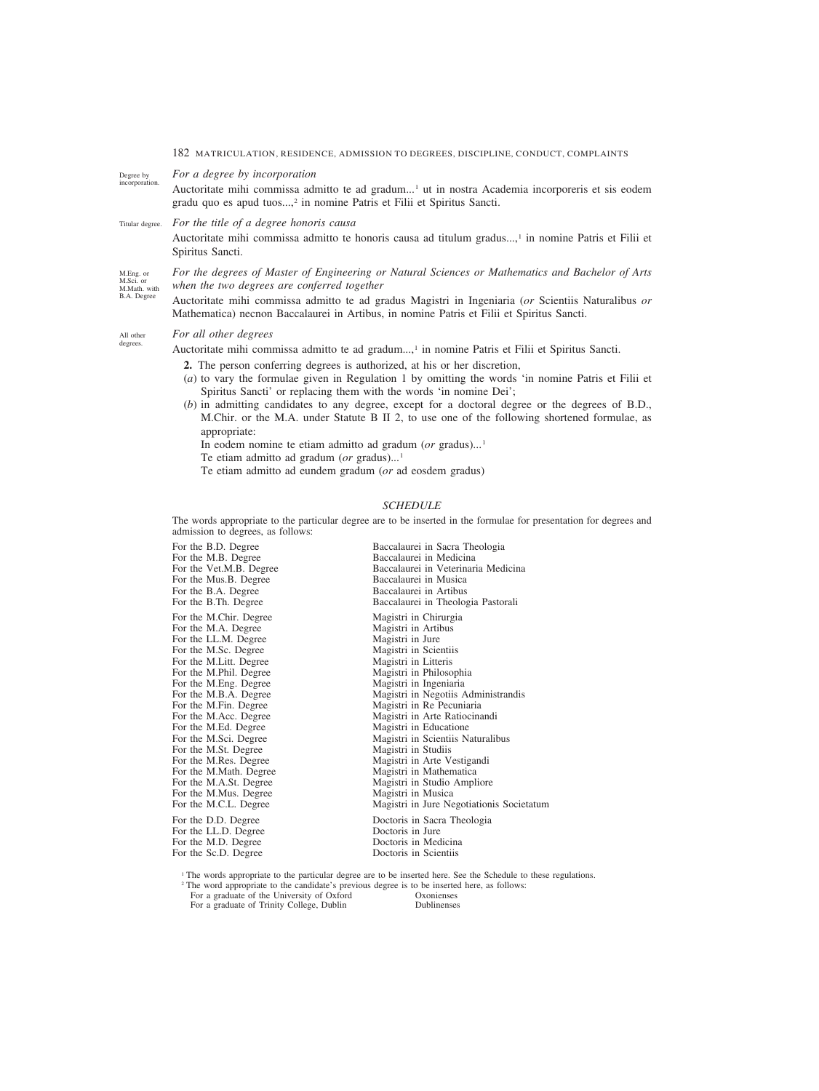*For a degree by incorporation* Degree by

Auctoritate mihi commissa admitto te ad gradum...<sup>1</sup> ut in nostra Academia incorporeris et sis eodem gradu quo es apud tuos...,<sup>2</sup> in nomine Patris et Filii et Spiritus Sancti. incorporation.

#### *For the title of a degree honoris causa* Titular degree.

Auctoritate mihi commissa admitto te honoris causa ad titulum gradus...,<sup>1</sup> in nomine Patris et Filii et Spiritus Sancti.

M.Eng. or M.Sci. or M.Math. with B.A. Degree

*For the degrees of Master of Engineering or Natural Sciences or Mathematics and Bachelor of Arts when the two degrees are conferred together*

Auctoritate mihi commissa admitto te ad gradus Magistri in Ingeniaria (*or* Scientiis Naturalibus *or* Mathematica) necnon Baccalaurei in Artibus, in nomine Patris et Filii et Spiritus Sancti.

#### *For all other degrees* All other degrees.

Auctoritate mihi commissa admitto te ad gradum...,<sup>1</sup> in nomine Patris et Filii et Spiritus Sancti.

- **2.** The person conferring degrees is authorized, at his or her discretion,
- (*a*) to vary the formulae given in Regulation 1 by omitting the words 'in nomine Patris et Filii et Spiritus Sancti' or replacing them with the words 'in nomine Dei';
- (*b*) in admitting candidates to any degree, except for a doctoral degree or the degrees of B.D., M.Chir. or the M.A. under Statute B II 2, to use one of the following shortened formulae, as appropriate:
	- In eodem nomine te etiam admitto ad gradum (*or* gradus)...<sup>1</sup>
	- Te etiam admitto ad gradum (*or* gradus)...<sup>1</sup>
	- Te etiam admitto ad eundem gradum (*or* ad eosdem gradus)

# *SCHEDULE*

The words appropriate to the particular degree are to be inserted in the formulae for presentation for degrees and admission to degrees, as follows:

| For the B.D. Degree     | Baccalaurei in Sacra Theologia            |
|-------------------------|-------------------------------------------|
| For the M.B. Degree     | Baccalaurei in Medicina                   |
| For the Vet.M.B. Degree | Baccalaurei in Veterinaria Medicina       |
| For the Mus.B. Degree   | Baccalaurei in Musica                     |
| For the B.A. Degree     | Baccalaurei in Artibus                    |
| For the B.Th. Degree    | Baccalaurei in Theologia Pastorali        |
| For the M.Chir. Degree  | Magistri in Chirurgia                     |
| For the M.A. Degree     | Magistri in Artibus                       |
| For the LL.M. Degree    | Magistri in Jure                          |
| For the M.Sc. Degree    | Magistri in Scientiis                     |
| For the M.Litt. Degree  | Magistri in Litteris                      |
| For the M.Phil. Degree  | Magistri in Philosophia                   |
| For the M.Eng. Degree   | Magistri in Ingeniaria                    |
| For the M.B.A. Degree   | Magistri in Negotiis Administrandis       |
| For the M.Fin. Degree   | Magistri in Re Pecuniaria                 |
| For the M.Acc. Degree   | Magistri in Arte Ratiocinandi             |
| For the M.Ed. Degree    | Magistri in Educatione                    |
| For the M.Sci. Degree   | Magistri in Scientiis Naturalibus         |
| For the M.St. Degree    | Magistri in Studiis                       |
| For the M.Res. Degree   | Magistri in Arte Vestigandi               |
| For the M.Math. Degree  | Magistri in Mathematica                   |
| For the M.A.St. Degree  | Magistri in Studio Ampliore               |
| For the M.Mus. Degree   | Magistri in Musica                        |
| For the M.C.L. Degree   | Magistri in Jure Negotiationis Societatum |
| For the D.D. Degree     | Doctoris in Sacra Theologia               |
| For the LL.D. Degree    | Doctoris in Jure                          |
| For the M.D. Degree     | Doctoris in Medicina                      |
| For the Sc.D. Degree    | Doctoris in Scientiis                     |
|                         |                                           |

<sup>1</sup> The words appropriate to the particular degree are to be inserted here. See the Schedule to these regulations.

<sup>2</sup> The word appropriate to the candidate's previous degree is to be inserted here, as follows:<br>For a graduate of the University of Oxford Oxonienses

For a graduate of the University of Oxford Oxonienses<br>
For a graduate of Trinity College. Dublin<br>
Dublinenses For a graduate of Trinity College, Dublin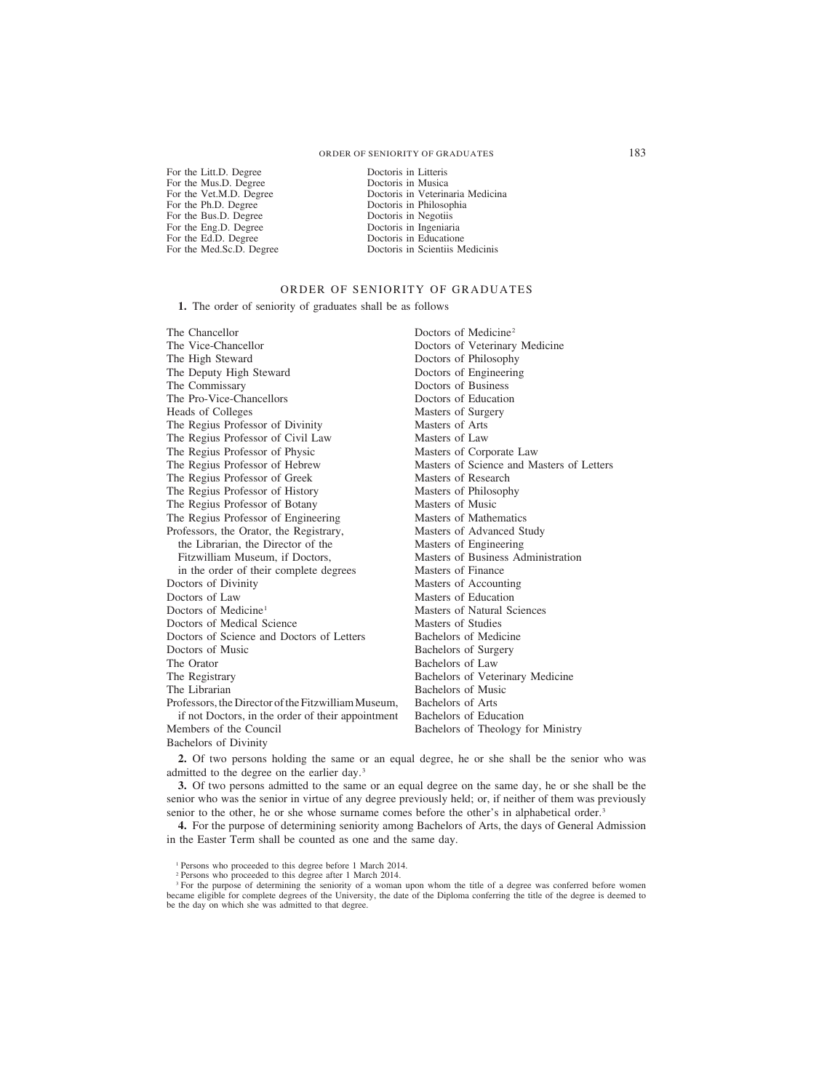For the Litt.D. Degree Doctoris in Litteris<br>For the Mus.D. Degree Doctoris in Musica For the Mus.D. Degree<br>For the Vet.M.D. Degree For the Bus.D. Degree Doctoris in Negotiis<br>For the Eng.D. Degree Doctoris in Ingeniaria For the Eng.D. Degree<br>For the Ed.D. Degree For the Ed.D. Degree Doctoris in Educatione<br>For the Med.Sc.D. Degree Doctoris in Scientiis M

For the Vet.M.D. Degree Doctoris in Veterinaria Medicina<br>For the Ph.D. Degree Doctoris in Philosophia Doctoris in Philosophia<br>Doctoris in Negotiis Doctoris in Scientiis Medicinis

# ORDER OF SENIORITY OF GRADUATES

**1.** The order of seniority of graduates shall be as follows

The Chancellor The Vice-Chancellor The High Steward The Deputy High Steward The Commissary The Pro-Vice-Chancellors Heads of Colleges The Regius Professor of Divinity The Regius Professor of Civil Law The Regius Professor of Physic The Regius Professor of Hebrew The Regius Professor of Greek The Regius Professor of History The Regius Professor of Botany The Regius Professor of Engineering Professors, the Orator, the Registrary, the Librarian, the Director of the Fitzwilliam Museum, if Doctors, in the order of their complete degrees Doctors of Divinity Doctors of Law Doctors of Medicine<sup>1</sup> Doctors of Medical Science Doctors of Science and Doctors of Letters Doctors of Music The Orator The Registrary The Librarian Professors, the Director of the Fitzwilliam Museum, if not Doctors, in the order of their appointment Members of the Council Bachelors of Divinity Doctors of Medicine2 Doctors of Veterinary Medicine Doctors of Philosophy Doctors of Engineering Doctors of Business Doctors of Education Masters of Surgery Masters of Arts Masters of Law Masters of Corporate Law Masters of Science and Masters of Letters Masters of Research Masters of Philosophy Masters of Music Masters of Mathematics Masters of Advanced Study Masters of Engineering Masters of Business Administration Masters of Finance Masters of Accounting Masters of Education Masters of Natural Sciences Masters of Studies Bachelors of Medicine Bachelors of Surgery Bachelors of Law Bachelors of Veterinary Medicine Bachelors of Music Bachelors of Arts Bachelors of Education Bachelors of Theology for Ministry

**2.** Of two persons holding the same or an equal degree, he or she shall be the senior who was admitted to the degree on the earlier day.3

**3.** Of two persons admitted to the same or an equal degree on the same day, he or she shall be the senior who was the senior in virtue of any degree previously held; or, if neither of them was previously senior to the other, he or she whose surname comes before the other's in alphabetical order.<sup>3</sup>

**4.** For the purpose of determining seniority among Bachelors of Arts, the days of General Admission in the Easter Term shall be counted as one and the same day.

<sup>1</sup> Persons who proceeded to this degree before 1 March 2014.

<sup>2</sup> Persons who proceeded to this degree after 1 March 2014.

<sup>3</sup> For the purpose of determining the seniority of a woman upon whom the title of a degree was conferred before women became eligible for complete degrees of the University, the date of the Diploma conferring the title of the degree is deemed to be the day on which she was admitted to that degree.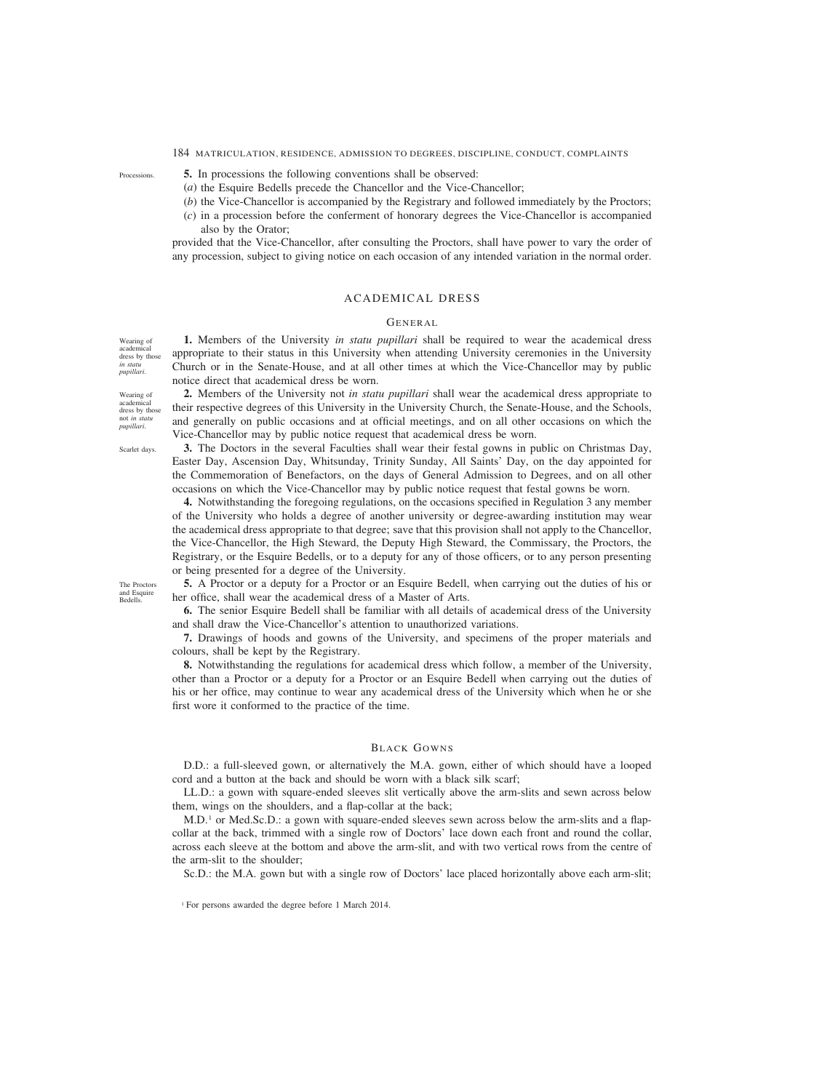**5.** In processions the following conventions shall be observed:

- (*a*) the Esquire Bedells precede the Chancellor and the Vice-Chancellor;
- (*b*) the Vice-Chancellor is accompanied by the Registrary and followed immediately by the Proctors;
- (*c*) in a procession before the conferment of honorary degrees the Vice-Chancellor is accompanied also by the Orator;

provided that the Vice-Chancellor, after consulting the Proctors, shall have power to vary the order of any procession, subject to giving notice on each occasion of any intended variation in the normal order.

# ACADEMICAL DRESS

# GENERAL

**1.** Members of the University *in statu pupillari* shall be required to wear the academical dress appropriate to their status in this University when attending University ceremonies in the University Church or in the Senate-House, and at all other times at which the Vice-Chancellor may by public notice direct that academical dress be worn.

**2.** Members of the University not *in statu pupillari* shall wear the academical dress appropriate to their respective degrees of this University in the University Church, the Senate-House, and the Schools, and generally on public occasions and at official meetings, and on all other occasions on which the Vice-Chancellor may by public notice request that academical dress be worn.

**3.** The Doctors in the several Faculties shall wear their festal gowns in public on Christmas Day, Easter Day, Ascension Day, Whitsunday, Trinity Sunday, All Saints' Day, on the day appointed for the Commemoration of Benefactors, on the days of General Admission to Degrees, and on all other occasions on which the Vice-Chancellor may by public notice request that festal gowns be worn.

**4.** Notwithstanding the foregoing regulations, on the occasions specified in Regulation 3 any member of the University who holds a degree of another university or degree-awarding institution may wear the academical dress appropriate to that degree; save that this provision shall not apply to the Chancellor, the Vice-Chancellor, the High Steward, the Deputy High Steward, the Commissary, the Proctors, the Registrary, or the Esquire Bedells, or to a deputy for any of those officers, or to any person presenting or being presented for a degree of the University.

**5.** A Proctor or a deputy for a Proctor or an Esquire Bedell, when carrying out the duties of his or her office, shall wear the academical dress of a Master of Arts.

**6.** The senior Esquire Bedell shall be familiar with all details of academical dress of the University and shall draw the Vice-Chancellor's attention to unauthorized variations.

**7.** Drawings of hoods and gowns of the University, and specimens of the proper materials and colours, shall be kept by the Registrary.

**8.** Notwithstanding the regulations for academical dress which follow, a member of the University, other than a Proctor or a deputy for a Proctor or an Esquire Bedell when carrying out the duties of his or her office, may continue to wear any academical dress of the University which when he or she first wore it conformed to the practice of the time.

# BLACK GOWNS

D.D.: a full-sleeved gown, or alternatively the M.A. gown, either of which should have a looped cord and a button at the back and should be worn with a black silk scarf;

LL.D.: a gown with square-ended sleeves slit vertically above the arm-slits and sewn across below them, wings on the shoulders, and a flap-collar at the back;

M.D.1 or Med.Sc.D.: a gown with square-ended sleeves sewn across below the arm-slits and a flapcollar at the back, trimmed with a single row of Doctors' lace down each front and round the collar, across each sleeve at the bottom and above the arm-slit, and with two vertical rows from the centre of the arm-slit to the shoulder;

Sc.D.: the M.A. gown but with a single row of Doctors' lace placed horizontally above each arm-slit;

Wearing of academical dress by those *in statu pupillari*.

Wearing of academical dress by those not *in statu pupillari*.

Scarlet days.

The Proctors and Esquire Bedells.

**Processions** 

<sup>1</sup> For persons awarded the degree before 1 March 2014.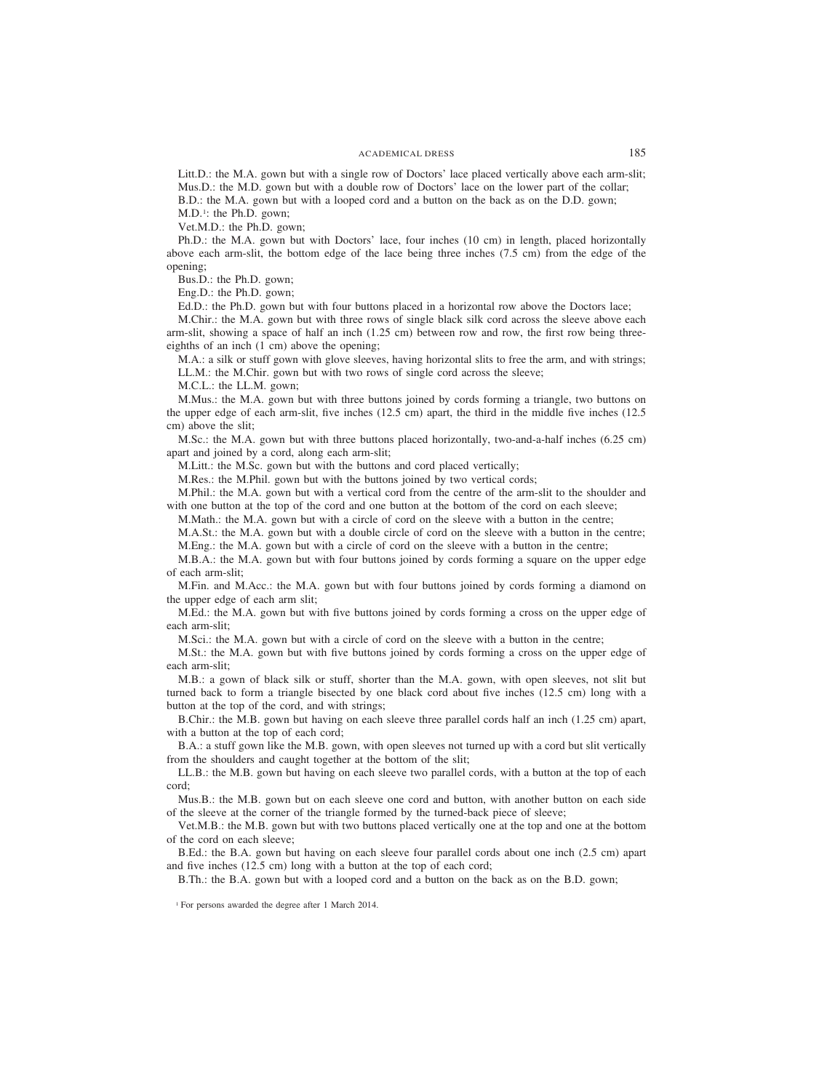Litt.D.: the M.A. gown but with a single row of Doctors' lace placed vertically above each arm-slit; Mus.D.: the M.D. gown but with a double row of Doctors' lace on the lower part of the collar; B.D.: the M.A. gown but with a looped cord and a button on the back as on the D.D. gown;

M.D.<sup>1</sup>: the Ph.D. gown; Vet.M.D.: the Ph.D. gown;

Ph.D.: the M.A. gown but with Doctors' lace, four inches (10 cm) in length, placed horizontally above each arm-slit, the bottom edge of the lace being three inches (7.5 cm) from the edge of the opening;

Bus.D.: the Ph.D. gown;

Eng.D.: the Ph.D. gown;

Ed.D.: the Ph.D. gown but with four buttons placed in a horizontal row above the Doctors lace;

M.Chir.: the M.A. gown but with three rows of single black silk cord across the sleeve above each arm-slit, showing a space of half an inch (1.25 cm) between row and row, the first row being threeeighths of an inch (1 cm) above the opening;

M.A.: a silk or stuff gown with glove sleeves, having horizontal slits to free the arm, and with strings; LL.M.: the M.Chir. gown but with two rows of single cord across the sleeve;

M.C.L.: the LL.M. gown;

M.Mus.: the M.A. gown but with three buttons joined by cords forming a triangle, two buttons on the upper edge of each arm-slit, five inches (12.5 cm) apart, the third in the middle five inches (12.5 cm) above the slit;

M.Sc.: the M.A. gown but with three buttons placed horizontally, two-and-a-half inches (6.25 cm) apart and joined by a cord, along each arm-slit;

M.Litt.: the M.Sc. gown but with the buttons and cord placed vertically;

M.Res.: the M.Phil. gown but with the buttons joined by two vertical cords;

M.Phil.: the M.A. gown but with a vertical cord from the centre of the arm-slit to the shoulder and with one button at the top of the cord and one button at the bottom of the cord on each sleeve;

M.Math.: the M.A. gown but with a circle of cord on the sleeve with a button in the centre;

M.A.St.: the M.A. gown but with a double circle of cord on the sleeve with a button in the centre; M.Eng.: the M.A. gown but with a circle of cord on the sleeve with a button in the centre;

M.B.A.: the M.A. gown but with four buttons joined by cords forming a square on the upper edge of each arm-slit;

M.Fin. and M.Acc.: the M.A. gown but with four buttons joined by cords forming a diamond on the upper edge of each arm slit;

M.Ed.: the M.A. gown but with five buttons joined by cords forming a cross on the upper edge of each arm-slit;

M.Sci.: the M.A. gown but with a circle of cord on the sleeve with a button in the centre;

M.St.: the M.A. gown but with five buttons joined by cords forming a cross on the upper edge of each arm-slit;

M.B.: a gown of black silk or stuff, shorter than the M.A. gown, with open sleeves, not slit but turned back to form a triangle bisected by one black cord about five inches (12.5 cm) long with a button at the top of the cord, and with strings;

B.Chir.: the M.B. gown but having on each sleeve three parallel cords half an inch (1.25 cm) apart, with a button at the top of each cord;

B.A.: a stuff gown like the M.B. gown, with open sleeves not turned up with a cord but slit vertically from the shoulders and caught together at the bottom of the slit;

LL.B.: the M.B. gown but having on each sleeve two parallel cords, with a button at the top of each cord;

Mus.B.: the M.B. gown but on each sleeve one cord and button, with another button on each side of the sleeve at the corner of the triangle formed by the turned-back piece of sleeve;

Vet.M.B.: the M.B. gown but with two buttons placed vertically one at the top and one at the bottom of the cord on each sleeve;

B.Ed.: the B.A. gown but having on each sleeve four parallel cords about one inch (2.5 cm) apart and five inches (12.5 cm) long with a button at the top of each cord;

B.Th.: the B.A. gown but with a looped cord and a button on the back as on the B.D. gown;

<sup>1</sup> For persons awarded the degree after 1 March 2014.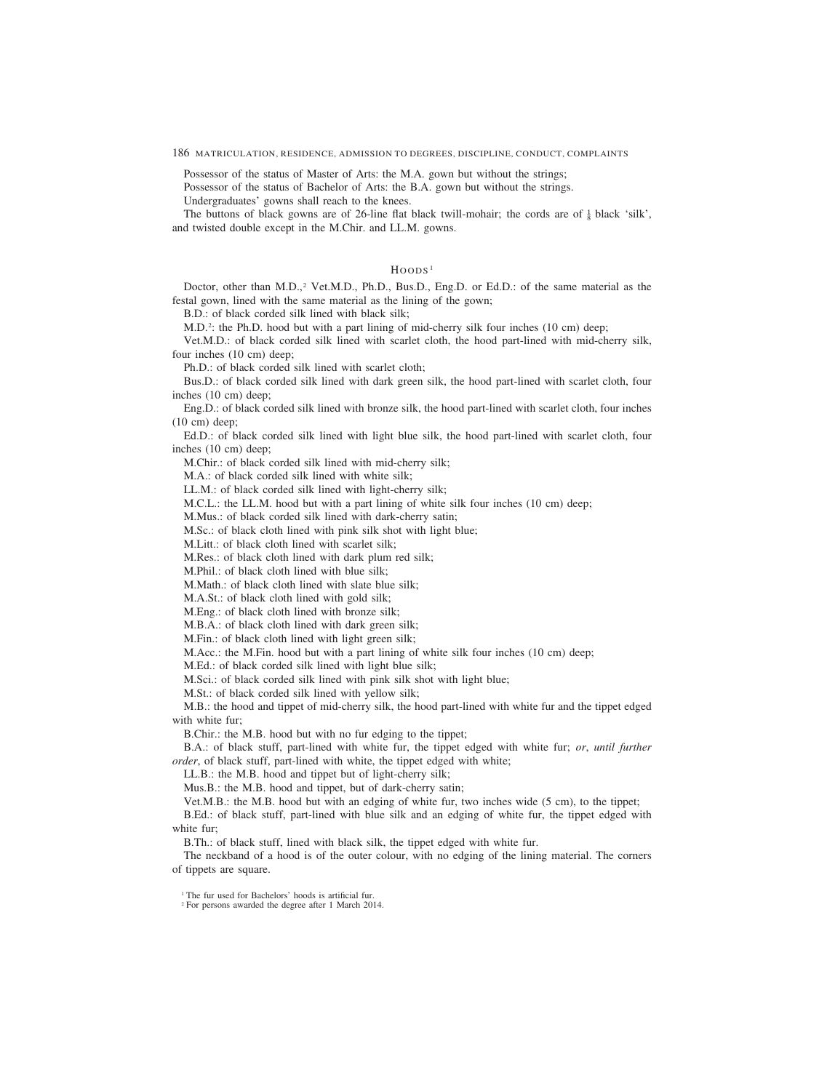Possessor of the status of Master of Arts: the M.A. gown but without the strings;

Possessor of the status of Bachelor of Arts: the B.A. gown but without the strings.

Undergraduates' gowns shall reach to the knees.

The buttons of black gowns are of 26-line flat black twill-mohair; the cords are of  $\frac{1}{8}$  black 'silk', and twisted double except in the M.Chir. and LL.M. gowns.

### $H$ OODS<sup>1</sup>

Doctor, other than M.D.,<sup>2</sup> Vet.M.D., Ph.D., Bus.D., Eng.D. or Ed.D.: of the same material as the festal gown, lined with the same material as the lining of the gown;

B.D.: of black corded silk lined with black silk;

M.D.2 : the Ph.D. hood but with a part lining of mid-cherry silk four inches (10 cm) deep;

Vet.M.D.: of black corded silk lined with scarlet cloth, the hood part-lined with mid-cherry silk, four inches (10 cm) deep;

Ph.D.: of black corded silk lined with scarlet cloth;

Bus.D.: of black corded silk lined with dark green silk, the hood part-lined with scarlet cloth, four inches (10 cm) deep;

Eng.D.: of black corded silk lined with bronze silk, the hood part-lined with scarlet cloth, four inches (10 cm) deep;

Ed.D.: of black corded silk lined with light blue silk, the hood part-lined with scarlet cloth, four inches (10 cm) deep;

M.Chir.: of black corded silk lined with mid-cherry silk;

M.A.: of black corded silk lined with white silk;

LL.M.: of black corded silk lined with light-cherry silk;

M.C.L.: the LL.M. hood but with a part lining of white silk four inches (10 cm) deep;

M.Mus.: of black corded silk lined with dark-cherry satin;

M.Sc.: of black cloth lined with pink silk shot with light blue;

M.Litt.: of black cloth lined with scarlet silk;

M.Res.: of black cloth lined with dark plum red silk;

M.Phil.: of black cloth lined with blue silk;

M.Math.: of black cloth lined with slate blue silk;

M.A.St.: of black cloth lined with gold silk;

M.Eng.: of black cloth lined with bronze silk;

M.B.A.: of black cloth lined with dark green silk;

M.Fin.: of black cloth lined with light green silk;

M.Acc.: the M.Fin. hood but with a part lining of white silk four inches (10 cm) deep;

M.Ed.: of black corded silk lined with light blue silk;

M.Sci.: of black corded silk lined with pink silk shot with light blue;

M.St.: of black corded silk lined with yellow silk;

M.B.: the hood and tippet of mid-cherry silk, the hood part-lined with white fur and the tippet edged with white fur;

B.Chir.: the M.B. hood but with no fur edging to the tippet;

B.A.: of black stuff, part-lined with white fur, the tippet edged with white fur; *or*, *until further order*, of black stuff, part-lined with white, the tippet edged with white;

LL.B.: the M.B. hood and tippet but of light-cherry silk;

Mus.B.: the M.B. hood and tippet, but of dark-cherry satin;

Vet.M.B.: the M.B. hood but with an edging of white fur, two inches wide (5 cm), to the tippet;

B.Ed.: of black stuff, part-lined with blue silk and an edging of white fur, the tippet edged with white fur;

B.Th.: of black stuff, lined with black silk, the tippet edged with white fur.

The neckband of a hood is of the outer colour, with no edging of the lining material. The corners of tippets are square.

<sup>1</sup> The fur used for Bachelors' hoods is artificial fur.

<sup>2</sup> For persons awarded the degree after 1 March 2014.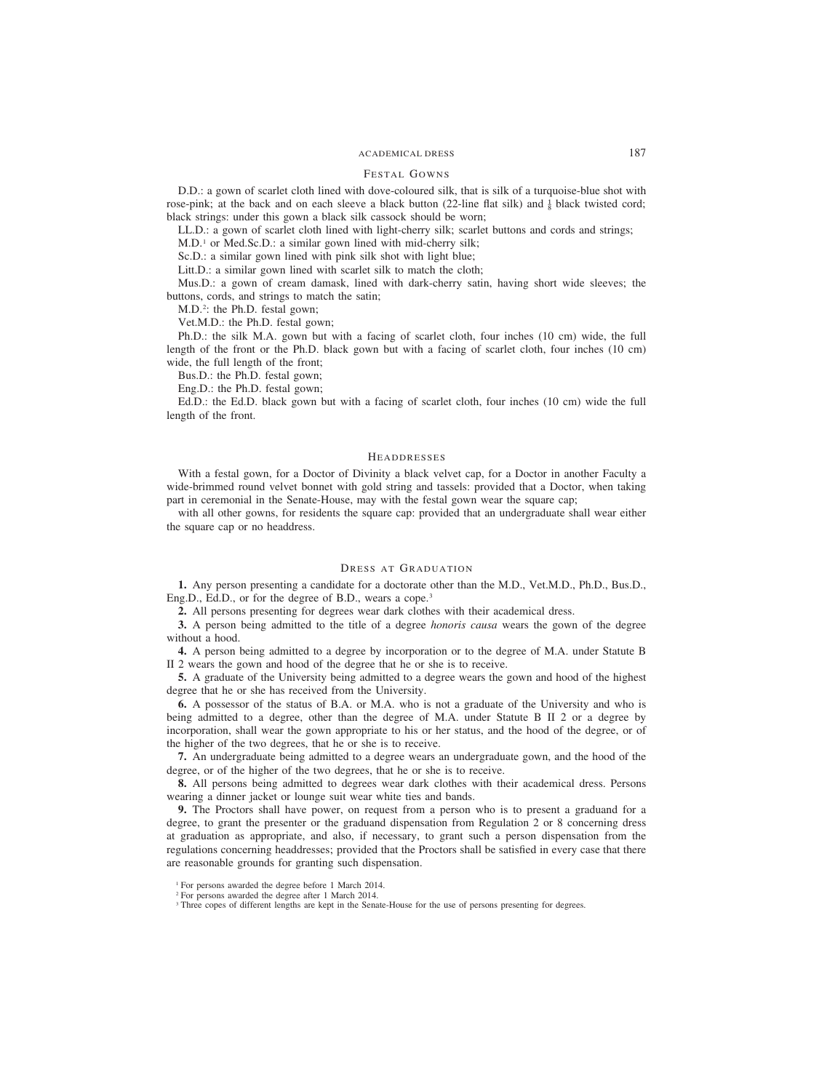# ACADEMICAL DRESS 187

# FESTAL GOWNS

D.D.: a gown of scarlet cloth lined with dove-coloured silk, that is silk of a turquoise-blue shot with rose-pink; at the back and on each sleeve a black button (22-line flat silk) and  $\frac{1}{8}$  black twisted cord; black strings: under this gown a black silk cassock should be worn;

LL.D.: a gown of scarlet cloth lined with light-cherry silk; scarlet buttons and cords and strings;

M.D.1 or Med.Sc.D.: a similar gown lined with mid-cherry silk;

Sc.D.: a similar gown lined with pink silk shot with light blue;

Litt.D.: a similar gown lined with scarlet silk to match the cloth;

Mus.D.: a gown of cream damask, lined with dark-cherry satin, having short wide sleeves; the buttons, cords, and strings to match the satin;

M.D.2 : the Ph.D. festal gown;

Vet.M.D.: the Ph.D. festal gown;

Ph.D.: the silk M.A. gown but with a facing of scarlet cloth, four inches (10 cm) wide, the full length of the front or the Ph.D. black gown but with a facing of scarlet cloth, four inches (10 cm) wide, the full length of the front;

Bus.D.: the Ph.D. festal gown;

Eng.D.: the Ph.D. festal gown;

Ed.D.: the Ed.D. black gown but with a facing of scarlet cloth, four inches (10 cm) wide the full length of the front.

## **HEADDRESSES**

With a festal gown, for a Doctor of Divinity a black velvet cap, for a Doctor in another Faculty a wide-brimmed round velvet bonnet with gold string and tassels: provided that a Doctor, when taking part in ceremonial in the Senate-House, may with the festal gown wear the square cap;

with all other gowns, for residents the square cap: provided that an undergraduate shall wear either the square cap or no headdress.

# DRESS AT GRADUATION

**1.** Any person presenting a candidate for a doctorate other than the M.D., Vet.M.D., Ph.D., Bus.D., Eng.D., Ed.D., or for the degree of B.D., wears a cope.<sup>3</sup>

**2.** All persons presenting for degrees wear dark clothes with their academical dress.

**3.** A person being admitted to the title of a degree *honoris causa* wears the gown of the degree without a hood.

**4.** A person being admitted to a degree by incorporation or to the degree of M.A. under Statute B II 2 wears the gown and hood of the degree that he or she is to receive.

**5.** A graduate of the University being admitted to a degree wears the gown and hood of the highest degree that he or she has received from the University.

**6.** A possessor of the status of B.A. or M.A. who is not a graduate of the University and who is being admitted to a degree, other than the degree of M.A. under Statute B II 2 or a degree by incorporation, shall wear the gown appropriate to his or her status, and the hood of the degree, or of the higher of the two degrees, that he or she is to receive.

**7.** An undergraduate being admitted to a degree wears an undergraduate gown, and the hood of the degree, or of the higher of the two degrees, that he or she is to receive.

**8.** All persons being admitted to degrees wear dark clothes with their academical dress. Persons wearing a dinner jacket or lounge suit wear white ties and bands.

**9.** The Proctors shall have power, on request from a person who is to present a graduand for a degree, to grant the presenter or the graduand dispensation from Regulation 2 or 8 concerning dress at graduation as appropriate, and also, if necessary, to grant such a person dispensation from the regulations concerning headdresses; provided that the Proctors shall be satisfied in every case that there are reasonable grounds for granting such dispensation.

<sup>1</sup> For persons awarded the degree before 1 March 2014.

<sup>2</sup> For persons awarded the degree after 1 March 2014.

<sup>&</sup>lt;sup>3</sup> Three copes of different lengths are kept in the Senate-House for the use of persons presenting for degrees.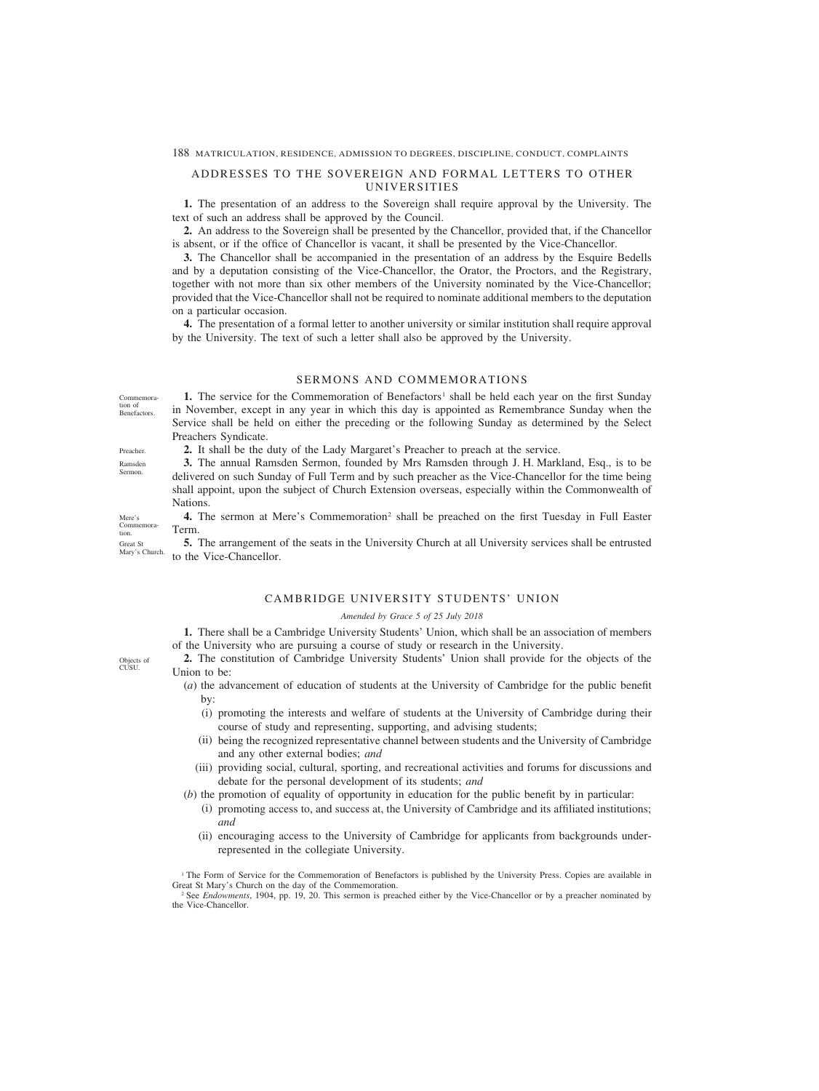# ADDRESSES TO THE SOVEREIGN AND FORMAL LETTERS TO OTHER UNIVERSITIES

**1.** The presentation of an address to the Sovereign shall require approval by the University. The text of such an address shall be approved by the Council.

**2.** An address to the Sovereign shall be presented by the Chancellor, provided that, if the Chancellor is absent, or if the office of Chancellor is vacant, it shall be presented by the Vice-Chancellor.

**3.** The Chancellor shall be accompanied in the presentation of an address by the Esquire Bedells and by a deputation consisting of the Vice-Chancellor, the Orator, the Proctors, and the Registrary, together with not more than six other members of the University nominated by the Vice-Chancellor; provided that the Vice-Chancellor shall not be required to nominate additional members to the deputation on a particular occasion.

**4.** The presentation of a formal letter to another university or similar institution shall require approval by the University. The text of such a letter shall also be approved by the University.

# SERMONS AND COMMEMORATIONS

**1.** The service for the Commemoration of Benefactors<sup>1</sup> shall be held each year on the first Sunday in November, except in any year in which this day is appointed as Remembrance Sunday when the Service shall be held on either the preceding or the following Sunday as determined by the Select Preachers Syndicate.

**2.** It shall be the duty of the Lady Margaret's Preacher to preach at the service.

**3.** The annual Ramsden Sermon, founded by Mrs Ramsden through J. H. Markland, Esq., is to be delivered on such Sunday of Full Term and by such preacher as the Vice-Chancellor for the time being shall appoint, upon the subject of Church Extension overseas, especially within the Commonwealth of Nations.

4. The sermon at Mere's Commemoration<sup>2</sup> shall be preached on the first Tuesday in Full Easter Term.

**5.** The arrangement of the seats in the University Church at all University services shall be entrusted to the Vice-Chancellor. Mary's Church.

### CAMBRIDGE UNIVERSITY STUDENTS' UNION

### *Amended by Grace 5 of 25 July 2018*

**1.** There shall be a Cambridge University Students' Union, which shall be an association of members of the University who are pursuing a course of study or research in the University.

**2.** The constitution of Cambridge University Students' Union shall provide for the objects of the Union to be:

- (*a*) the advancement of education of students at the University of Cambridge for the public benefit by:
	- (i) promoting the interests and welfare of students at the University of Cambridge during their course of study and representing, supporting, and advising students;
	- (ii) being the recognized representative channel between students and the University of Cambridge and any other external bodies; *and*
	- (iii) providing social, cultural, sporting, and recreational activities and forums for discussions and debate for the personal development of its students; *and*
- (*b*) the promotion of equality of opportunity in education for the public benefit by in particular:
	- (i) promoting access to, and success at, the University of Cambridge and its affiliated institutions; *and*
	- (ii) encouraging access to the University of Cambridge for applicants from backgrounds underrepresented in the collegiate University.

<sup>1</sup> The Form of Service for the Commemoration of Benefactors is published by the University Press. Copies are available in Great St Mary's Church on the day of the Commemoration.

<sup>2</sup> See *Endowments*, 1904, pp. 19, 20. This sermon is preached either by the Vice-Chancellor or by a preacher nominated by the Vice-Chancellor.

Objects of **CUSU** 

Benefactors.

Commemoration of

Preacher. Ramsden Sermon.

Mere's Commemoration.

Great St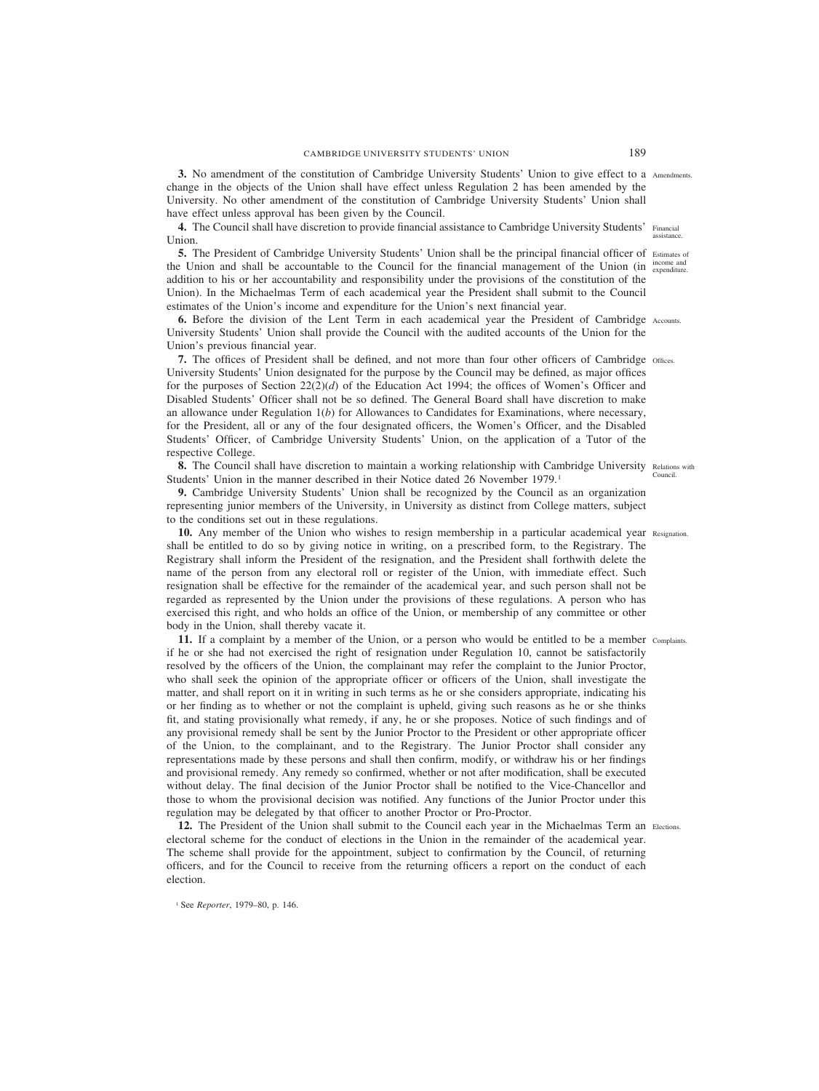**3.** No amendment of the constitution of Cambridge University Students' Union to give effect to a Amendments. change in the objects of the Union shall have effect unless Regulation 2 has been amended by the University. No other amendment of the constitution of Cambridge University Students' Union shall have effect unless approval has been given by the Council.

4. The Council shall have discretion to provide financial assistance to Cambridge University Students' Financial Union. assistance.

**5.** The President of Cambridge University Students' Union shall be the principal financial officer of Estimates of the Union and shall be accountable to the Council for the financial management of the Union (in  $\frac{1}{expenditure}$ addition to his or her accountability and responsibility under the provisions of the constitution of the Union). In the Michaelmas Term of each academical year the President shall submit to the Council estimates of the Union's income and expenditure for the Union's next financial year.

**6.** Before the division of the Lent Term in each academical year the President of Cambridge Accounts. University Students' Union shall provide the Council with the audited accounts of the Union for the Union's previous financial year.

**7.** The offices of President shall be defined, and not more than four other officers of Cambridge Offices. University Students' Union designated for the purpose by the Council may be defined, as major offices for the purposes of Section  $22(2)(d)$  of the Education Act 1994; the offices of Women's Officer and Disabled Students' Officer shall not be so defined. The General Board shall have discretion to make an allowance under Regulation 1(*b*) for Allowances to Candidates for Examinations, where necessary, for the President, all or any of the four designated officers, the Women's Officer, and the Disabled Students' Officer, of Cambridge University Students' Union, on the application of a Tutor of the respective College.

8. The Council shall have discretion to maintain a working relationship with Cambridge University Relations with Students' Union in the manner described in their Notice dated 26 November 1979.<sup>1</sup> Council.

**9.** Cambridge University Students' Union shall be recognized by the Council as an organization representing junior members of the University, in University as distinct from College matters, subject to the conditions set out in these regulations.

10. Any member of the Union who wishes to resign membership in a particular academical year Resignation. shall be entitled to do so by giving notice in writing, on a prescribed form, to the Registrary. The Registrary shall inform the President of the resignation, and the President shall forthwith delete the name of the person from any electoral roll or register of the Union, with immediate effect. Such resignation shall be effective for the remainder of the academical year, and such person shall not be regarded as represented by the Union under the provisions of these regulations. A person who has exercised this right, and who holds an office of the Union, or membership of any committee or other body in the Union, shall thereby vacate it.

**11.** If a complaint by a member of the Union, or a person who would be entitled to be a member Complaints. if he or she had not exercised the right of resignation under Regulation 10, cannot be satisfactorily resolved by the officers of the Union, the complainant may refer the complaint to the Junior Proctor, who shall seek the opinion of the appropriate officer or officers of the Union, shall investigate the matter, and shall report on it in writing in such terms as he or she considers appropriate, indicating his or her finding as to whether or not the complaint is upheld, giving such reasons as he or she thinks fit, and stating provisionally what remedy, if any, he or she proposes. Notice of such findings and of any provisional remedy shall be sent by the Junior Proctor to the President or other appropriate officer of the Union, to the complainant, and to the Registrary. The Junior Proctor shall consider any representations made by these persons and shall then confirm, modify, or withdraw his or her findings and provisional remedy. Any remedy so confirmed, whether or not after modification, shall be executed without delay. The final decision of the Junior Proctor shall be notified to the Vice-Chancellor and those to whom the provisional decision was notified. Any functions of the Junior Proctor under this regulation may be delegated by that officer to another Proctor or Pro-Proctor.

12. The President of the Union shall submit to the Council each year in the Michaelmas Term an Elections. electoral scheme for the conduct of elections in the Union in the remainder of the academical year. The scheme shall provide for the appointment, subject to confirmation by the Council, of returning officers, and for the Council to receive from the returning officers a report on the conduct of each election.

<sup>1</sup> See *Reporter*, 1979–80, p. 146.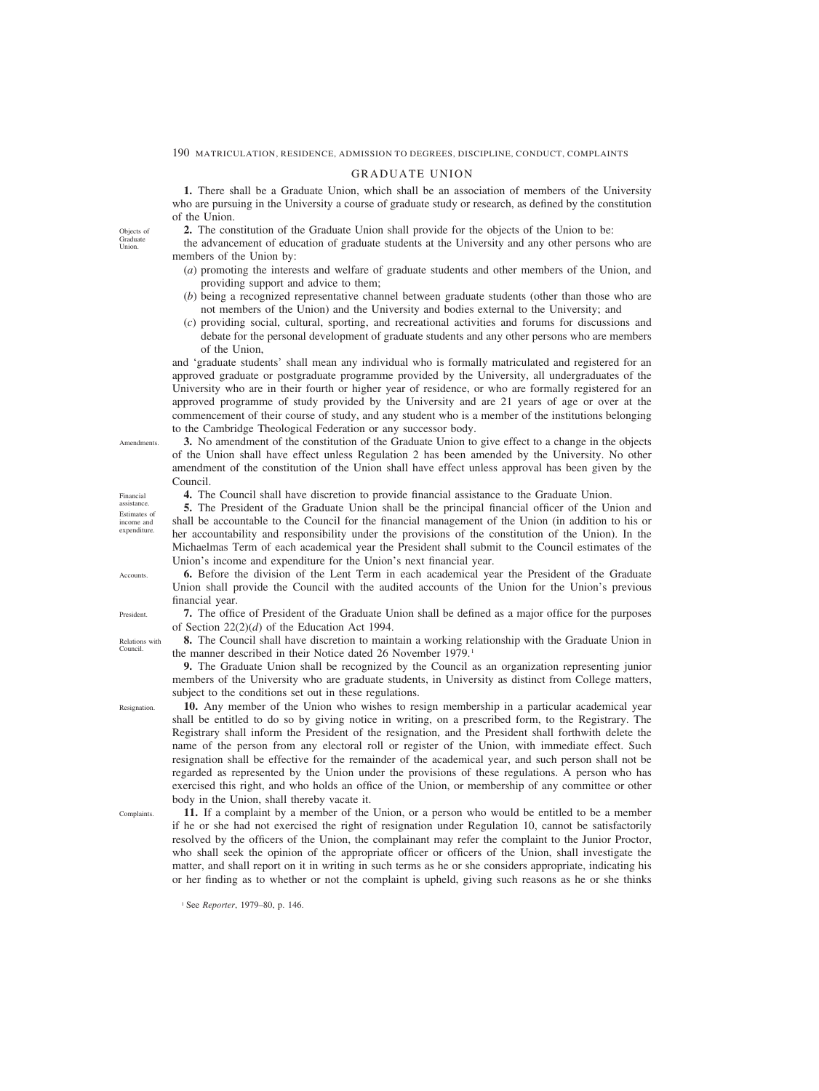# GRADUATE UNION

**1.** There shall be a Graduate Union, which shall be an association of members of the University who are pursuing in the University a course of graduate study or research, as defined by the constitution of the Union.

- **2.** The constitution of the Graduate Union shall provide for the objects of the Union to be:
- the advancement of education of graduate students at the University and any other persons who are members of the Union by:
	- (*a*) promoting the interests and welfare of graduate students and other members of the Union, and providing support and advice to them;
	- (*b*) being a recognized representative channel between graduate students (other than those who are not members of the Union) and the University and bodies external to the University; and
	- (*c*) providing social, cultural, sporting, and recreational activities and forums for discussions and debate for the personal development of graduate students and any other persons who are members of the Union,

and 'graduate students' shall mean any individual who is formally matriculated and registered for an approved graduate or postgraduate programme provided by the University, all undergraduates of the University who are in their fourth or higher year of residence, or who are formally registered for an approved programme of study provided by the University and are 21 years of age or over at the commencement of their course of study, and any student who is a member of the institutions belonging to the Cambridge Theological Federation or any successor body.

**3.** No amendment of the constitution of the Graduate Union to give effect to a change in the objects of the Union shall have effect unless Regulation 2 has been amended by the University. No other amendment of the constitution of the Union shall have effect unless approval has been given by the Council.

**4.** The Council shall have discretion to provide financial assistance to the Graduate Union.

**5.** The President of the Graduate Union shall be the principal financial officer of the Union and shall be accountable to the Council for the financial management of the Union (in addition to his or her accountability and responsibility under the provisions of the constitution of the Union). In the Michaelmas Term of each academical year the President shall submit to the Council estimates of the Union's income and expenditure for the Union's next financial year.

**6.** Before the division of the Lent Term in each academical year the President of the Graduate Union shall provide the Council with the audited accounts of the Union for the Union's previous financial year.

**7.** The office of President of the Graduate Union shall be defined as a major office for the purposes of Section 22(2)(*d*) of the Education Act 1994.

**8.** The Council shall have discretion to maintain a working relationship with the Graduate Union in the manner described in their Notice dated 26 November 1979.<sup>1</sup>

**9.** The Graduate Union shall be recognized by the Council as an organization representing junior members of the University who are graduate students, in University as distinct from College matters, subject to the conditions set out in these regulations.

**10.** Any member of the Union who wishes to resign membership in a particular academical year shall be entitled to do so by giving notice in writing, on a prescribed form, to the Registrary. The Registrary shall inform the President of the resignation, and the President shall forthwith delete the name of the person from any electoral roll or register of the Union, with immediate effect. Such resignation shall be effective for the remainder of the academical year, and such person shall not be regarded as represented by the Union under the provisions of these regulations. A person who has exercised this right, and who holds an office of the Union, or membership of any committee or other body in the Union, shall thereby vacate it.

**Complaints** 

**11.** If a complaint by a member of the Union, or a person who would be entitled to be a member if he or she had not exercised the right of resignation under Regulation 10, cannot be satisfactorily resolved by the officers of the Union, the complainant may refer the complaint to the Junior Proctor, who shall seek the opinion of the appropriate officer or officers of the Union, shall investigate the matter, and shall report on it in writing in such terms as he or she considers appropriate, indicating his or her finding as to whether or not the complaint is upheld, giving such reasons as he or she thinks

<sup>1</sup> See *Reporter*, 1979–80, p. 146.

Objects of Graduate Union.

assistance. Estimates of income and expenditure.

Financial

**Amendments** 

**Accounts** 

President.

Relations with Council.

Resignation.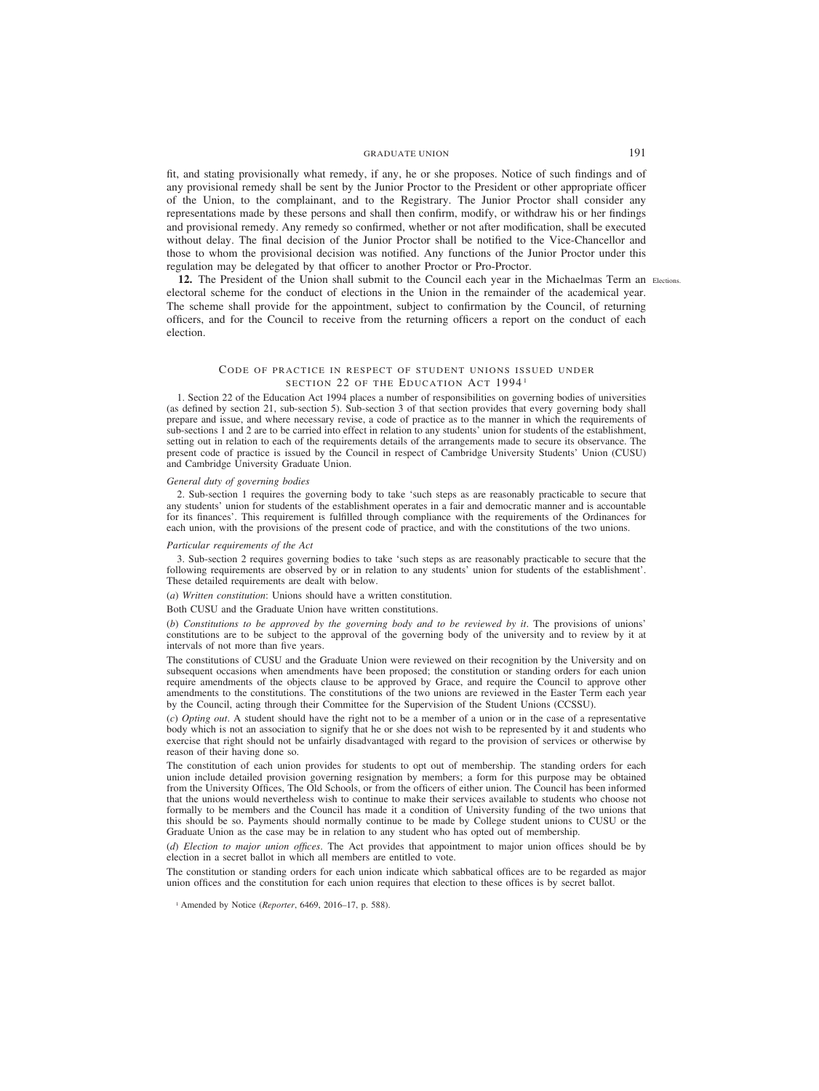# GRADUATE UNION 191

fit, and stating provisionally what remedy, if any, he or she proposes. Notice of such findings and of any provisional remedy shall be sent by the Junior Proctor to the President or other appropriate officer of the Union, to the complainant, and to the Registrary. The Junior Proctor shall consider any representations made by these persons and shall then confirm, modify, or withdraw his or her findings and provisional remedy. Any remedy so confirmed, whether or not after modification, shall be executed without delay. The final decision of the Junior Proctor shall be notified to the Vice-Chancellor and those to whom the provisional decision was notified. Any functions of the Junior Proctor under this regulation may be delegated by that officer to another Proctor or Pro-Proctor.

**12.** The President of the Union shall submit to the Council each year in the Michaelmas Term an Elections.electoral scheme for the conduct of elections in the Union in the remainder of the academical year. The scheme shall provide for the appointment, subject to confirmation by the Council, of returning officers, and for the Council to receive from the returning officers a report on the conduct of each election.

# CODE OF PRACTICE IN RESPECT OF STUDENT UNIONS ISSUED UNDER SECTION 22 OF THE EDUCATION ACT 1994<sup>1</sup>

1. Section 22 of the Education Act 1994 places a number of responsibilities on governing bodies of universities (as defined by section 21, sub-section 5). Sub-section 3 of that section provides that every governing body shall prepare and issue, and where necessary revise, a code of practice as to the manner in which the requirements of sub-sections 1 and 2 are to be carried into effect in relation to any students' union for students of the establishment, setting out in relation to each of the requirements details of the arrangements made to secure its observance. The present code of practice is issued by the Council in respect of Cambridge University Students' Union (CUSU) and Cambridge University Graduate Union.

#### *General duty of governing bodies*

2. Sub-section 1 requires the governing body to take 'such steps as are reasonably practicable to secure that any students' union for students of the establishment operates in a fair and democratic manner and is accountable for its finances'. This requirement is fulfilled through compliance with the requirements of the Ordinances for each union, with the provisions of the present code of practice, and with the constitutions of the two unions.

### *Particular requirements of the Act*

3. Sub-section 2 requires governing bodies to take 'such steps as are reasonably practicable to secure that the following requirements are observed by or in relation to any students' union for students of the establishment'. These detailed requirements are dealt with below.

(*a*) *Written constitution*: Unions should have a written constitution.

Both CUSU and the Graduate Union have written constitutions.

(*b*) *Constitutions to be approved by the governing body and to be reviewed by it*. The provisions of unions' constitutions are to be subject to the approval of the governing body of the university and to review by it at intervals of not more than five years.

The constitutions of CUSU and the Graduate Union were reviewed on their recognition by the University and on subsequent occasions when amendments have been proposed; the constitution or standing orders for each union require amendments of the objects clause to be approved by Grace, and require the Council to approve other amendments to the constitutions. The constitutions of the two unions are reviewed in the Easter Term each year by the Council, acting through their Committee for the Supervision of the Student Unions (CCSSU).

(*c*) *Opting out*. A student should have the right not to be a member of a union or in the case of a representative body which is not an association to signify that he or she does not wish to be represented by it and students who exercise that right should not be unfairly disadvantaged with regard to the provision of services or otherwise by reason of their having done so.

The constitution of each union provides for students to opt out of membership. The standing orders for each union include detailed provision governing resignation by members; a form for this purpose may be obtained from the University Offices, The Old Schools, or from the officers of either union. The Council has been informed that the unions would nevertheless wish to continue to make their services available to students who choose not formally to be members and the Council has made it a condition of University funding of the two unions that this should be so. Payments should normally continue to be made by College student unions to CUSU or the Graduate Union as the case may be in relation to any student who has opted out of membership.

(*d*) *Election to major union offices*. The Act provides that appointment to major union offices should be by election in a secret ballot in which all members are entitled to vote.

The constitution or standing orders for each union indicate which sabbatical offices are to be regarded as major union offices and the constitution for each union requires that election to these offices is by secret ballot.

<sup>1</sup> Amended by Notice (*Reporter*, 6469, 2016–17, p. 588).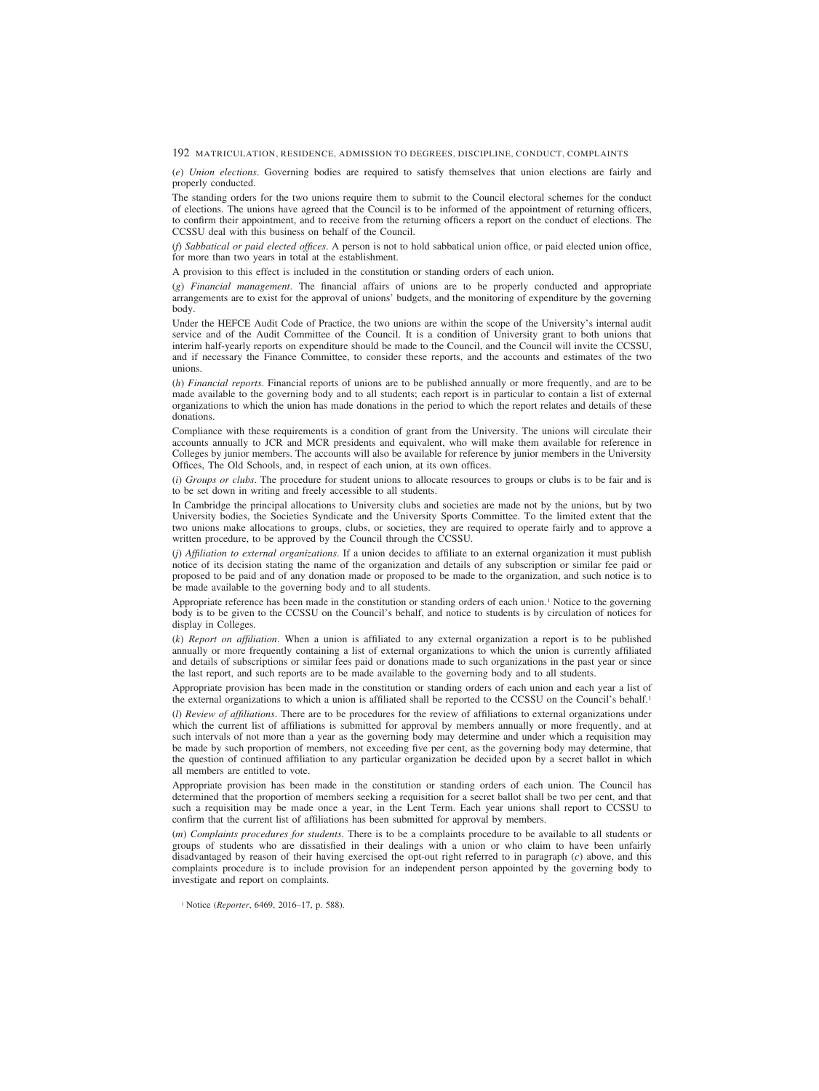(*e*) *Union elections*. Governing bodies are required to satisfy themselves that union elections are fairly and properly conducted.

The standing orders for the two unions require them to submit to the Council electoral schemes for the conduct of elections. The unions have agreed that the Council is to be informed of the appointment of returning officers, to confirm their appointment, and to receive from the returning officers a report on the conduct of elections. The CCSSU deal with this business on behalf of the Council.

(*f*) *Sabbatical or paid elected offices*. A person is not to hold sabbatical union office, or paid elected union office, for more than two years in total at the establishment.

A provision to this effect is included in the constitution or standing orders of each union.

(*g*) *Financial management*. The financial affairs of unions are to be properly conducted and appropriate arrangements are to exist for the approval of unions' budgets, and the monitoring of expenditure by the governing body.

Under the HEFCE Audit Code of Practice, the two unions are within the scope of the University's internal audit service and of the Audit Committee of the Council. It is a condition of University grant to both unions that interim half-yearly reports on expenditure should be made to the Council, and the Council will invite the CCSSU, and if necessary the Finance Committee, to consider these reports, and the accounts and estimates of the two unions.

(*h*) *Financial reports*. Financial reports of unions are to be published annually or more frequently, and are to be made available to the governing body and to all students; each report is in particular to contain a list of external organizations to which the union has made donations in the period to which the report relates and details of these donations.

Compliance with these requirements is a condition of grant from the University. The unions will circulate their accounts annually to JCR and MCR presidents and equivalent, who will make them available for reference in Colleges by junior members. The accounts will also be available for reference by junior members in the University Offices, The Old Schools, and, in respect of each union, at its own offices.

(*i*) *Groups or clubs*. The procedure for student unions to allocate resources to groups or clubs is to be fair and is to be set down in writing and freely accessible to all students.

In Cambridge the principal allocations to University clubs and societies are made not by the unions, but by two University bodies, the Societies Syndicate and the University Sports Committee. To the limited extent that the two unions make allocations to groups, clubs, or societies, they are required to operate fairly and to approve a written procedure, to be approved by the Council through the CCSSU.

(*j*) *Affiliation to external organizations*. If a union decides to affiliate to an external organization it must publish notice of its decision stating the name of the organization and details of any subscription or similar fee paid or proposed to be paid and of any donation made or proposed to be made to the organization, and such notice is to be made available to the governing body and to all students.

Appropriate reference has been made in the constitution or standing orders of each union.<sup>1</sup> Notice to the governing body is to be given to the CCSSU on the Council's behalf, and notice to students is by circulation of notices for display in Colleges.

(*k*) *Report on affiliation*. When a union is affiliated to any external organization a report is to be published annually or more frequently containing a list of external organizations to which the union is currently affiliated and details of subscriptions or similar fees paid or donations made to such organizations in the past year or since the last report, and such reports are to be made available to the governing body and to all students.

Appropriate provision has been made in the constitution or standing orders of each union and each year a list of the external organizations to which a union is affiliated shall be reported to the CCSSU on the Council's behalf.<sup>1</sup>

(*l*) *Review of affiliations*. There are to be procedures for the review of affiliations to external organizations under which the current list of affiliations is submitted for approval by members annually or more frequently, and at such intervals of not more than a year as the governing body may determine and under which a requisition may be made by such proportion of members, not exceeding five per cent, as the governing body may determine, that the question of continued affiliation to any particular organization be decided upon by a secret ballot in which all members are entitled to vote.

Appropriate provision has been made in the constitution or standing orders of each union. The Council has determined that the proportion of members seeking a requisition for a secret ballot shall be two per cent, and that such a requisition may be made once a year, in the Lent Term. Each year unions shall report to CCSSU to confirm that the current list of affiliations has been submitted for approval by members.

(*m*) *Complaints procedures for students*. There is to be a complaints procedure to be available to all students or groups of students who are dissatisfied in their dealings with a union or who claim to have been unfairly disadvantaged by reason of their having exercised the opt-out right referred to in paragraph (*c*) above, and this complaints procedure is to include provision for an independent person appointed by the governing body to investigate and report on complaints.

<sup>1</sup> Notice (*Reporter*, 6469, 2016–17, p. 588).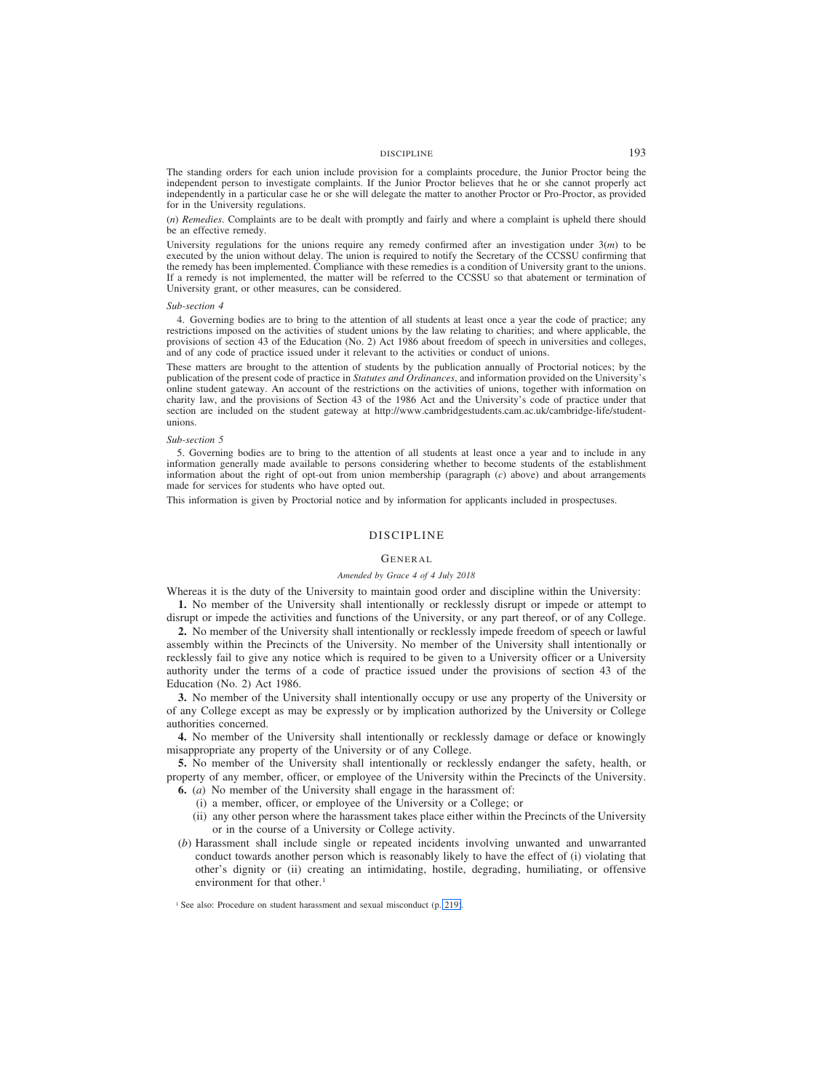# DISCIPLINE 193

The standing orders for each union include provision for a complaints procedure, the Junior Proctor being the independent person to investigate complaints. If the Junior Proctor believes that he or she cannot properly act independently in a particular case he or she will delegate the matter to another Proctor or Pro-Proctor, as provided for in the University regulations.

(*n*) *Remedies*. Complaints are to be dealt with promptly and fairly and where a complaint is upheld there should be an effective remedy.

University regulations for the unions require any remedy confirmed after an investigation under  $3(m)$  to be executed by the union without delay. The union is required to notify the Secretary of the CCSSU confirming that the remedy has been implemented. Compliance with these remedies is a condition of University grant to the unions. If a remedy is not implemented, the matter will be referred to the CCSSU so that abatement or termination of University grant, or other measures, can be considered.

### *Sub-section 4*

4. Governing bodies are to bring to the attention of all students at least once a year the code of practice; any restrictions imposed on the activities of student unions by the law relating to charities; and where applicable, the provisions of section 43 of the Education (No. 2) Act 1986 about freedom of speech in universities and colleges, and of any code of practice issued under it relevant to the activities or conduct of unions.

These matters are brought to the attention of students by the publication annually of Proctorial notices; by the publication of the present code of practice in *Statutes and Ordinances*, and information provided on the University's online student gateway. An account of the restrictions on the activities of unions, together with information on charity law, and the provisions of Section 43 of the 1986 Act and the University's code of practice under that section are included on the student gateway at http://www.cambridgestudents.cam.ac.uk/cambridge-life/studentunions.

### *Sub-section 5*

5. Governing bodies are to bring to the attention of all students at least once a year and to include in any information generally made available to persons considering whether to become students of the establishment information about the right of opt-out from union membership (paragraph (*c*) above) and about arrangements made for services for students who have opted out.

This information is given by Proctorial notice and by information for applicants included in prospectuses.

### DISCIPLINE

### GENERAL

### *Amended by Grace 4 of 4 July 2018*

Whereas it is the duty of the University to maintain good order and discipline within the University: **1.** No member of the University shall intentionally or recklessly disrupt or impede or attempt to

disrupt or impede the activities and functions of the University, or any part thereof, or of any College.

**2.** No member of the University shall intentionally or recklessly impede freedom of speech or lawful assembly within the Precincts of the University. No member of the University shall intentionally or recklessly fail to give any notice which is required to be given to a University officer or a University authority under the terms of a code of practice issued under the provisions of section 43 of the Education (No. 2) Act 1986.

**3.** No member of the University shall intentionally occupy or use any property of the University or of any College except as may be expressly or by implication authorized by the University or College authorities concerned.

**4.** No member of the University shall intentionally or recklessly damage or deface or knowingly misappropriate any property of the University or of any College.

**5.** No member of the University shall intentionally or recklessly endanger the safety, health, or property of any member, officer, or employee of the University within the Precincts of the University. **6.** (*a*) No member of the University shall engage in the harassment of:

- 
- (i) a member, officer, or employee of the University or a College; or
- (ii) any other person where the harassment takes place either within the Precincts of the University or in the course of a University or College activity.
- (*b*) Harassment shall include single or repeated incidents involving unwanted and unwarranted conduct towards another person which is reasonably likely to have the effect of (i) violating that other's dignity or (ii) creating an intimidating, hostile, degrading, humiliating, or offensive environment for that other.<sup>1</sup>

<sup>&</sup>lt;sup>1</sup> See also: Procedure on student harassment and sexual misconduct (p. [219\)](#page-53-0).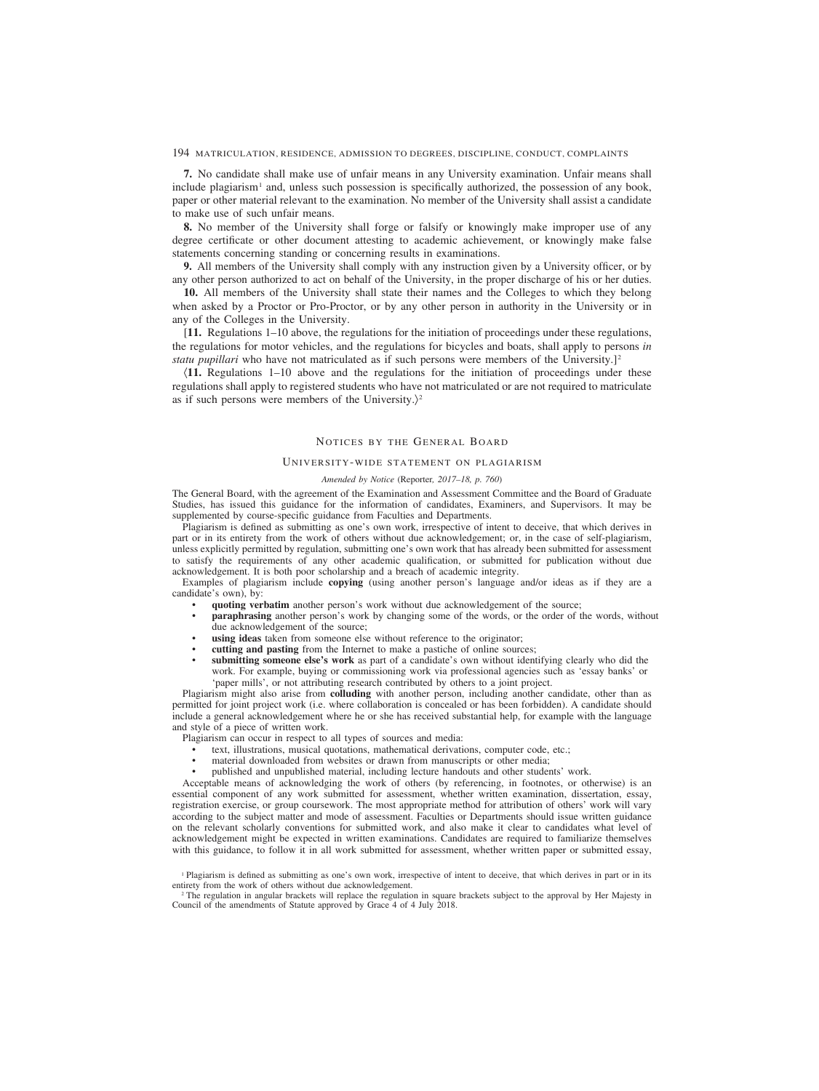**7.** No candidate shall make use of unfair means in any University examination. Unfair means shall include plagiarism<sup>1</sup> and, unless such possession is specifically authorized, the possession of any book, paper or other material relevant to the examination. No member of the University shall assist a candidate to make use of such unfair means.

**8.** No member of the University shall forge or falsify or knowingly make improper use of any degree certificate or other document attesting to academic achievement, or knowingly make false statements concerning standing or concerning results in examinations.

**9.** All members of the University shall comply with any instruction given by a University officer, or by any other person authorized to act on behalf of the University, in the proper discharge of his or her duties.

**10.** All members of the University shall state their names and the Colleges to which they belong when asked by a Proctor or Pro-Proctor, or by any other person in authority in the University or in any of the Colleges in the University.

[**11.** Regulations 1–10 above, the regulations for the initiation of proceedings under these regulations, the regulations for motor vehicles, and the regulations for bicycles and boats, shall apply to persons *in statu pupillari* who have not matriculated as if such persons were members of the University.]<sup>2</sup>

(**11.** Regulations 1–10 above and the regulations for the initiation of proceedings under these regulations shall apply to registered students who have not matriculated or are not required to matriculate as if such persons were members of the University. $\rangle^2$ 

# NOTICES BY THE GENERAL BOARD

### UNIVERSITY-WIDE STATEMENT ON PLAGIARISM

### *Amended by Notice (*Reporter*, 2017–18, p. 760)*

The General Board, with the agreement of the Examination and Assessment Committee and the Board of Graduate Studies, has issued this guidance for the information of candidates, Examiners, and Supervisors. It may be supplemented by course-specific guidance from Faculties and Departments.

Plagiarism is defined as submitting as one's own work, irrespective of intent to deceive, that which derives in part or in its entirety from the work of others without due acknowledgement; or, in the case of self-plagiarism, unless explicitly permitted by regulation, submitting one's own work that has already been submitted for assessment to satisfy the requirements of any other academic qualification, or submitted for publication without due acknowledgement. It is both poor scholarship and a breach of academic integrity.

Examples of plagiarism include **copying** (using another person's language and/or ideas as if they are a candidate's own), by:

- **quoting verbatim** another person's work without due acknowledgement of the source;
- **paraphrasing** another person's work by changing some of the words, or the order of the words, without due acknowledgement of the source;
- using ideas taken from someone else without reference to the originator;
- **cutting and pasting** from the Internet to make a pastiche of online sources;
- **submitting someone else's work** as part of a candidate's own without identifying clearly who did the work. For example, buying or commissioning work via professional agencies such as 'essay banks' or 'paper mills', or not attributing research contributed by others to a joint project.

Plagiarism might also arise from **colluding** with another person, including another candidate, other than as permitted for joint project work (i.e. where collaboration is concealed or has been forbidden). A candidate should include a general acknowledgement where he or she has received substantial help, for example with the language and style of a piece of written work.

Plagiarism can occur in respect to all types of sources and media:

- text, illustrations, musical quotations, mathematical derivations, computer code, etc.;
- material downloaded from websites or drawn from manuscripts or other media;
- published and unpublished material, including lecture handouts and other students' work.

Acceptable means of acknowledging the work of others (by referencing, in footnotes, or otherwise) is an essential component of any work submitted for assessment, whether written examination, dissertation, essay, registration exercise, or group coursework. The most appropriate method for attribution of others' work will vary according to the subject matter and mode of assessment. Faculties or Departments should issue written guidance on the relevant scholarly conventions for submitted work, and also make it clear to candidates what level of acknowledgement might be expected in written examinations. Candidates are required to familiarize themselves with this guidance, to follow it in all work submitted for assessment, whether written paper or submitted essay,

<sup>2</sup> The regulation in angular brackets will replace the regulation in square brackets subject to the approval by Her Majesty in Council of the amendments of Statute approved by Grace 4 of 4 July 2018.

<sup>&</sup>lt;sup>1</sup> Plagiarism is defined as submitting as one's own work, irrespective of intent to deceive, that which derives in part or in its entirety from the work of others without due acknowledgement.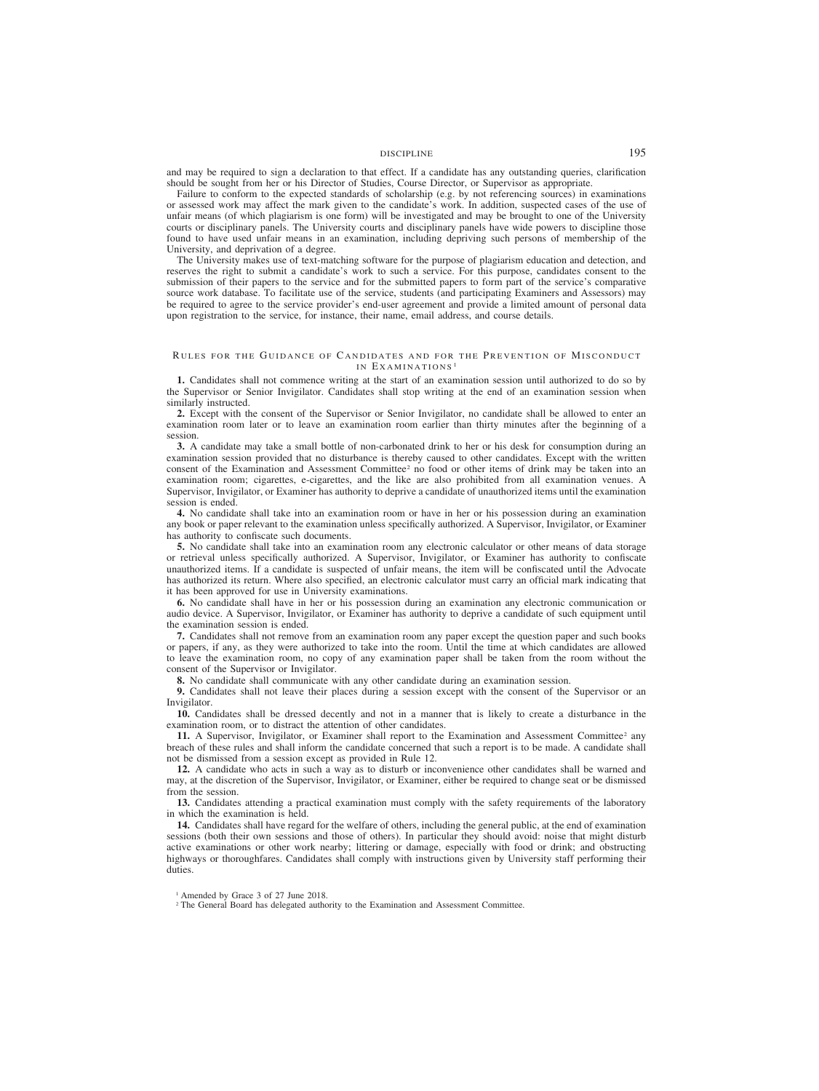# DISCIPLINE 195

and may be required to sign a declaration to that effect. If a candidate has any outstanding queries, clarification should be sought from her or his Director of Studies, Course Director, or Supervisor as appropriate.

Failure to conform to the expected standards of scholarship (e.g. by not referencing sources) in examinations or assessed work may affect the mark given to the candidate's work. In addition, suspected cases of the use of unfair means (of which plagiarism is one form) will be investigated and may be brought to one of the University courts or disciplinary panels. The University courts and disciplinary panels have wide powers to discipline those found to have used unfair means in an examination, including depriving such persons of membership of the University, and deprivation of a degree.

The University makes use of text-matching software for the purpose of plagiarism education and detection, and reserves the right to submit a candidate's work to such a service. For this purpose, candidates consent to the submission of their papers to the service and for the submitted papers to form part of the service's comparative source work database. To facilitate use of the service, students (and participating Examiners and Assessors) may be required to agree to the service provider's end-user agreement and provide a limited amount of personal data upon registration to the service, for instance, their name, email address, and course details.

### RULES FOR THE GUIDANCE OF CANDIDATES AND FOR THE PREVENTION OF MISCONDUCT IN EXAMINATIONS<sup>1</sup>

**1.** Candidates shall not commence writing at the start of an examination session until authorized to do so by the Supervisor or Senior Invigilator. Candidates shall stop writing at the end of an examination session when similarly instructed.

**2.** Except with the consent of the Supervisor or Senior Invigilator, no candidate shall be allowed to enter an examination room later or to leave an examination room earlier than thirty minutes after the beginning of a session.

**3.** A candidate may take a small bottle of non-carbonated drink to her or his desk for consumption during an examination session provided that no disturbance is thereby caused to other candidates. Except with the written consent of the Examination and Assessment Committee<sup>2</sup> no food or other items of drink may be taken into an examination room; cigarettes, e-cigarettes, and the like are also prohibited from all examination venues. A Supervisor, Invigilator, or Examiner has authority to deprive a candidate of unauthorized items until the examination session is ended.

**4.** No candidate shall take into an examination room or have in her or his possession during an examination any book or paper relevant to the examination unless specifically authorized. A Supervisor, Invigilator, or Examiner has authority to confiscate such documents.

**5.** No candidate shall take into an examination room any electronic calculator or other means of data storage or retrieval unless specifically authorized. A Supervisor, Invigilator, or Examiner has authority to confiscate unauthorized items. If a candidate is suspected of unfair means, the item will be confiscated until the Advocate has authorized its return. Where also specified, an electronic calculator must carry an official mark indicating that it has been approved for use in University examinations.

**6.** No candidate shall have in her or his possession during an examination any electronic communication or audio device. A Supervisor, Invigilator, or Examiner has authority to deprive a candidate of such equipment until the examination session is ended.

**7.** Candidates shall not remove from an examination room any paper except the question paper and such books or papers, if any, as they were authorized to take into the room. Until the time at which candidates are allowed to leave the examination room, no copy of any examination paper shall be taken from the room without the consent of the Supervisor or Invigilator.

**8.** No candidate shall communicate with any other candidate during an examination session.

**9.** Candidates shall not leave their places during a session except with the consent of the Supervisor or an Invigilator.

**10.** Candidates shall be dressed decently and not in a manner that is likely to create a disturbance in the examination room, or to distract the attention of other candidates.

11. A Supervisor, Invigilator, or Examiner shall report to the Examination and Assessment Committee<sup>2</sup> any breach of these rules and shall inform the candidate concerned that such a report is to be made. A candidate shall not be dismissed from a session except as provided in Rule 12.

**12.** A candidate who acts in such a way as to disturb or inconvenience other candidates shall be warned and may, at the discretion of the Supervisor, Invigilator, or Examiner, either be required to change seat or be dismissed from the session.

**13.** Candidates attending a practical examination must comply with the safety requirements of the laboratory in which the examination is held.

**14.** Candidates shall have regard for the welfare of others, including the general public, at the end of examination sessions (both their own sessions and those of others). In particular they should avoid: noise that might disturb active examinations or other work nearby; littering or damage, especially with food or drink; and obstructing highways or thoroughfares. Candidates shall comply with instructions given by University staff performing their duties.

<sup>&</sup>lt;sup>1</sup> Amended by Grace 3 of 27 June 2018.

<sup>&</sup>lt;sup>2</sup> The General Board has delegated authority to the Examination and Assessment Committee.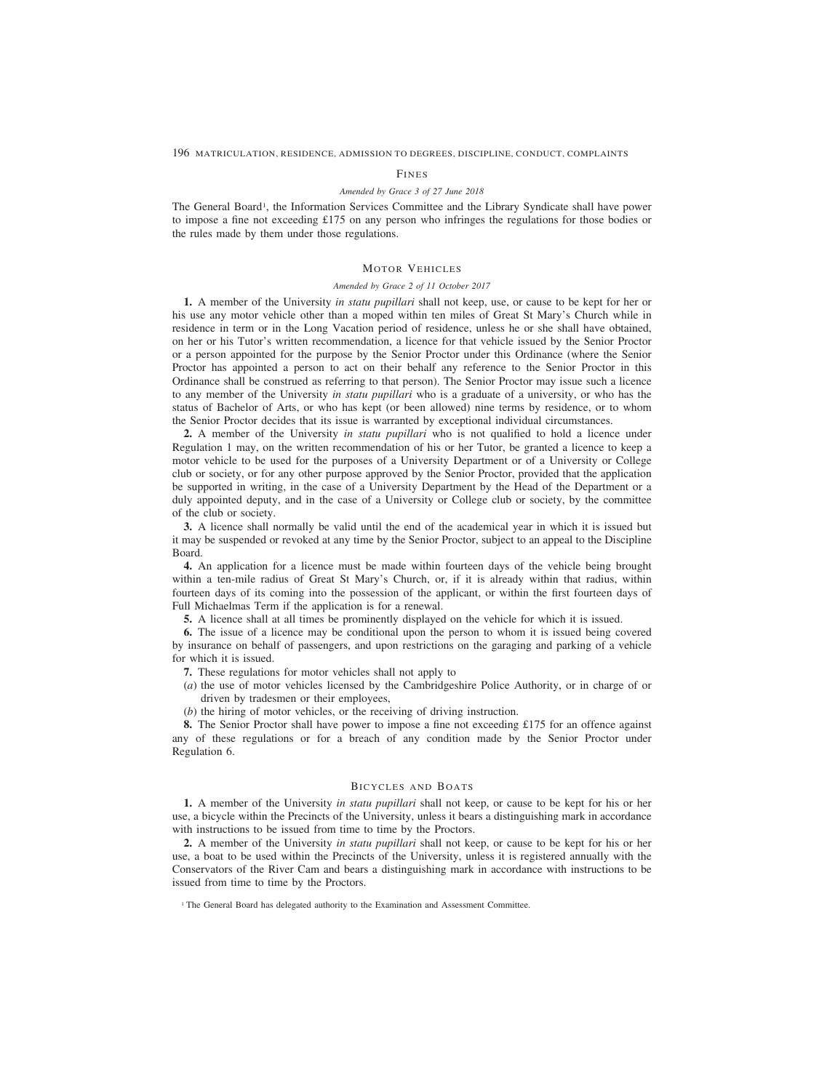### FINES

# *Amended by Grace 3 of 27 June 2018*

The General Board<sup>1</sup>, the Information Services Committee and the Library Syndicate shall have power to impose a fine not exceeding £175 on any person who infringes the regulations for those bodies or the rules made by them under those regulations.

# MOTOR VEHICLES

## *Amended by Grace 2 of 11 October 2017*

**1.** A member of the University *in statu pupillari* shall not keep, use, or cause to be kept for her or his use any motor vehicle other than a moped within ten miles of Great St Mary's Church while in residence in term or in the Long Vacation period of residence, unless he or she shall have obtained, on her or his Tutor's written recommendation, a licence for that vehicle issued by the Senior Proctor or a person appointed for the purpose by the Senior Proctor under this Ordinance (where the Senior Proctor has appointed a person to act on their behalf any reference to the Senior Proctor in this Ordinance shall be construed as referring to that person). The Senior Proctor may issue such a licence to any member of the University *in statu pupillari* who is a graduate of a university, or who has the status of Bachelor of Arts, or who has kept (or been allowed) nine terms by residence, or to whom the Senior Proctor decides that its issue is warranted by exceptional individual circumstances.

**2.** A member of the University *in statu pupillari* who is not qualified to hold a licence under Regulation 1 may, on the written recommendation of his or her Tutor, be granted a licence to keep a motor vehicle to be used for the purposes of a University Department or of a University or College club or society, or for any other purpose approved by the Senior Proctor, provided that the application be supported in writing, in the case of a University Department by the Head of the Department or a duly appointed deputy, and in the case of a University or College club or society, by the committee of the club or society.

**3.** A licence shall normally be valid until the end of the academical year in which it is issued but it may be suspended or revoked at any time by the Senior Proctor, subject to an appeal to the Discipline Board.

**4.** An application for a licence must be made within fourteen days of the vehicle being brought within a ten-mile radius of Great St Mary's Church, or, if it is already within that radius, within fourteen days of its coming into the possession of the applicant, or within the first fourteen days of Full Michaelmas Term if the application is for a renewal.

**5.** A licence shall at all times be prominently displayed on the vehicle for which it is issued.

**6.** The issue of a licence may be conditional upon the person to whom it is issued being covered by insurance on behalf of passengers, and upon restrictions on the garaging and parking of a vehicle for which it is issued.

- **7.** These regulations for motor vehicles shall not apply to
- (*a*) the use of motor vehicles licensed by the Cambridgeshire Police Authority, or in charge of or driven by tradesmen or their employees,
- (*b*) the hiring of motor vehicles, or the receiving of driving instruction.

**8.** The Senior Proctor shall have power to impose a fine not exceeding £175 for an offence against any of these regulations or for a breach of any condition made by the Senior Proctor under Regulation 6.

# BICYCLES AND BOATS

**1.** A member of the University *in statu pupillari* shall not keep, or cause to be kept for his or her use, a bicycle within the Precincts of the University, unless it bears a distinguishing mark in accordance with instructions to be issued from time to time by the Proctors.

**2.** A member of the University *in statu pupillari* shall not keep, or cause to be kept for his or her use, a boat to be used within the Precincts of the University, unless it is registered annually with the Conservators of the River Cam and bears a distinguishing mark in accordance with instructions to be issued from time to time by the Proctors.

<sup>&</sup>lt;sup>1</sup> The General Board has delegated authority to the Examination and Assessment Committee.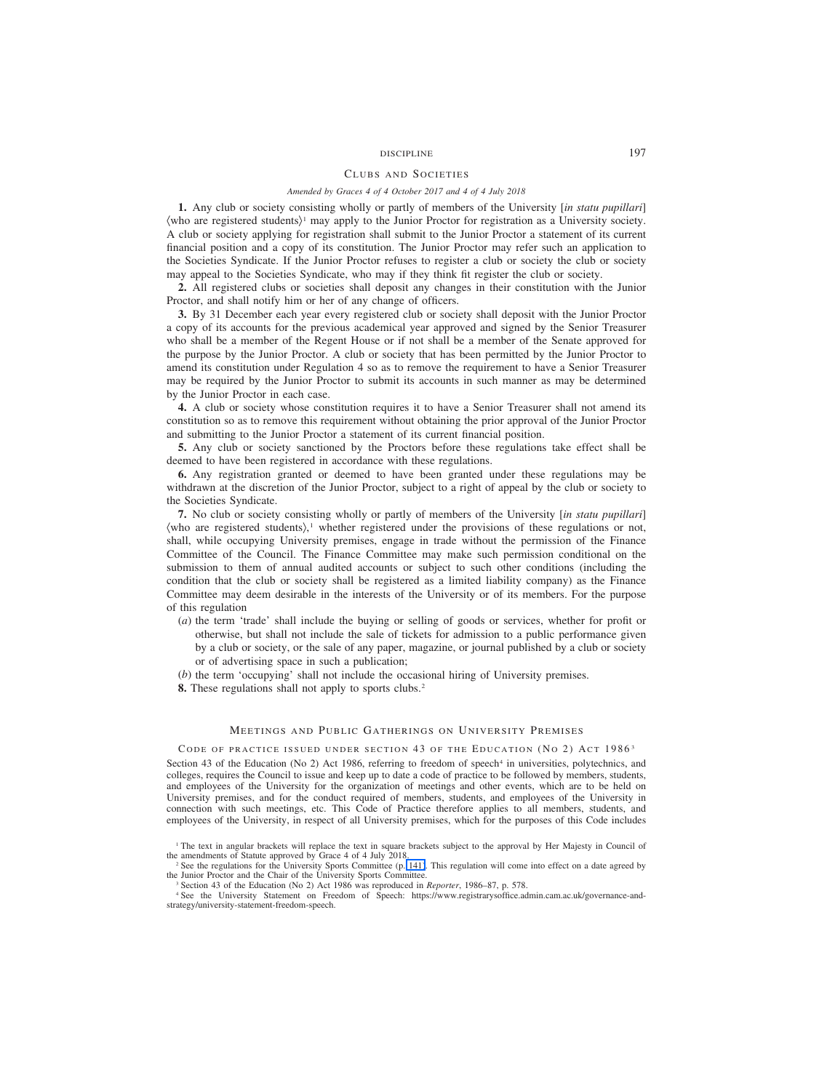# DISCIPLINE 197

# CLUBS AND SOCIETIES

### *Amended by Graces 4 of 4 October 2017 and 4 of 4 July 2018*

**1.** Any club or society consisting wholly or partly of members of the University [*in statu pupillari*]  $\langle$ who are registered students $\rangle$ <sup>1</sup> may apply to the Junior Proctor for registration as a University society. A club or society applying for registration shall submit to the Junior Proctor a statement of its current financial position and a copy of its constitution. The Junior Proctor may refer such an application to the Societies Syndicate. If the Junior Proctor refuses to register a club or society the club or society may appeal to the Societies Syndicate, who may if they think fit register the club or society.

**2.** All registered clubs or societies shall deposit any changes in their constitution with the Junior Proctor, and shall notify him or her of any change of officers.

**3.** By 31 December each year every registered club or society shall deposit with the Junior Proctor a copy of its accounts for the previous academical year approved and signed by the Senior Treasurer who shall be a member of the Regent House or if not shall be a member of the Senate approved for the purpose by the Junior Proctor. A club or society that has been permitted by the Junior Proctor to amend its constitution under Regulation 4 so as to remove the requirement to have a Senior Treasurer may be required by the Junior Proctor to submit its accounts in such manner as may be determined by the Junior Proctor in each case.

**4.** A club or society whose constitution requires it to have a Senior Treasurer shall not amend its constitution so as to remove this requirement without obtaining the prior approval of the Junior Proctor and submitting to the Junior Proctor a statement of its current financial position.

**5.** Any club or society sanctioned by the Proctors before these regulations take effect shall be deemed to have been registered in accordance with these regulations.

**6.** Any registration granted or deemed to have been granted under these regulations may be withdrawn at the discretion of the Junior Proctor, subject to a right of appeal by the club or society to the Societies Syndicate.

**7.** No club or society consisting wholly or partly of members of the University [*in statu pupillari*] (who are registered students), <sup>1</sup> whether registered under the provisions of these regulations or not, shall, while occupying University premises, engage in trade without the permission of the Finance Committee of the Council. The Finance Committee may make such permission conditional on the submission to them of annual audited accounts or subject to such other conditions (including the condition that the club or society shall be registered as a limited liability company) as the Finance Committee may deem desirable in the interests of the University or of its members. For the purpose of this regulation

- (*a*) the term 'trade' shall include the buying or selling of goods or services, whether for profit or otherwise, but shall not include the sale of tickets for admission to a public performance given by a club or society, or the sale of any paper, magazine, or journal published by a club or society or of advertising space in such a publication;
- (*b*) the term 'occupying' shall not include the occasional hiring of University premises.
- **8.** These regulations shall not apply to sports clubs.<sup>2</sup>

### MEETINGS AND PUBLIC GATHERINGS ON UNIVERSITY PREMISES

# CODE OF PRACTICE ISSUED UNDER SECTION 43 OF THE EDUCATION (NO 2) ACT 1986<sup>3</sup>

Section 43 of the Education (No 2) Act 1986, referring to freedom of speech<sup>4</sup> in universities, polytechnics, and colleges, requires the Council to issue and keep up to date a code of practice to be followed by members, students, and employees of the University for the organization of meetings and other events, which are to be held on University premises, and for the conduct required of members, students, and employees of the University in connection with such meetings, etc. This Code of Practice therefore applies to all members, students, and employees of the University, in respect of all University premises, which for the purposes of this Code includes

<sup>4</sup> See the University Statement on Freedom of Speech: https://www.registrarysoffice.admin.cam.ac.uk/governance-andstrategy/university-statement-freedom-speech.

<sup>1</sup> The text in angular brackets will replace the text in square brackets subject to the approval by Her Majesty in Council of the amendments of Statute approved by Grace 4 of 4 July 2018.

<sup>&</sup>lt;sup>2</sup> See the regulations for the University Sports Committee (p. 141). This regulation will come into effect on a date agreed by the Junior Proctor and the Chair of the University Sports Committee.

<sup>3</sup> Section 43 of the Education (No 2) Act 1986 was reproduced in *Reporter*, 1986–87, p. 578.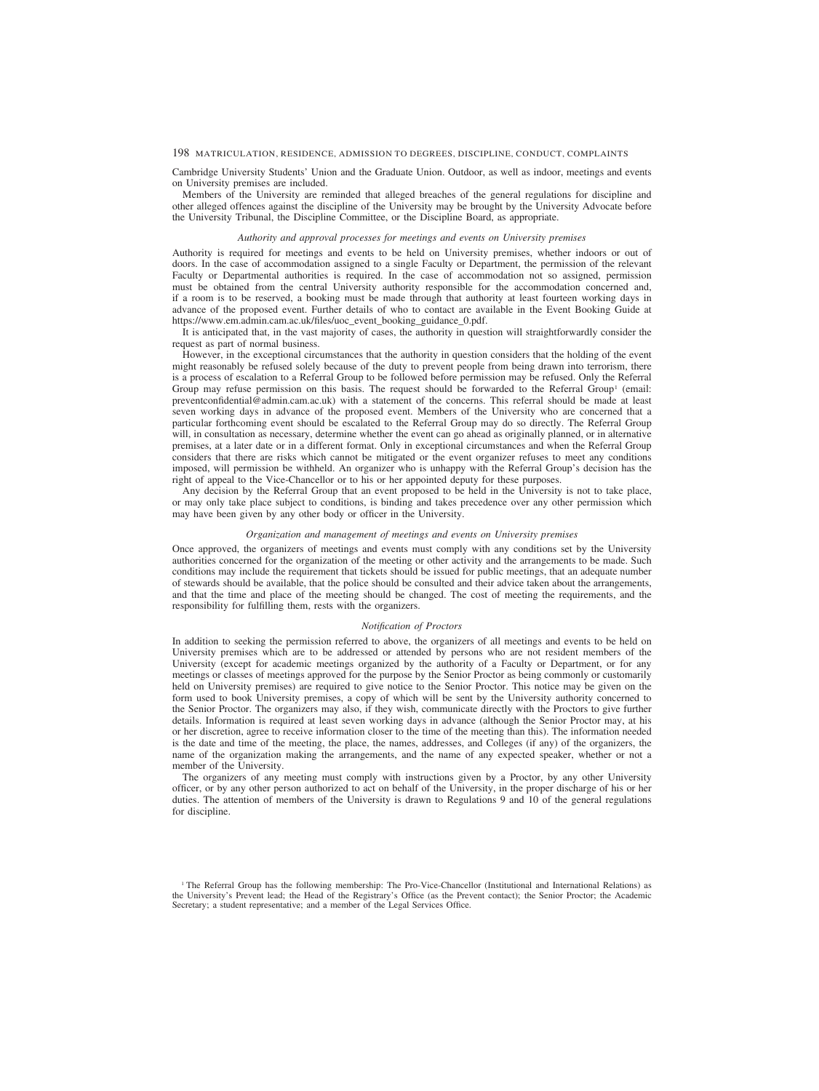Cambridge University Students' Union and the Graduate Union. Outdoor, as well as indoor, meetings and events on University premises are included.

Members of the University are reminded that alleged breaches of the general regulations for discipline and other alleged offences against the discipline of the University may be brought by the University Advocate before the University Tribunal, the Discipline Committee, or the Discipline Board, as appropriate.

### *Authority and approval processes for meetings and events on University premises*

Authority is required for meetings and events to be held on University premises, whether indoors or out of doors. In the case of accommodation assigned to a single Faculty or Department, the permission of the relevant Faculty or Departmental authorities is required. In the case of accommodation not so assigned, permission must be obtained from the central University authority responsible for the accommodation concerned and, if a room is to be reserved, a booking must be made through that authority at least fourteen working days in advance of the proposed event. Further details of who to contact are available in the Event Booking Guide at https://www.em.admin.cam.ac.uk/files/uoc\_event\_booking\_guidance\_0.pdf.

It is anticipated that, in the vast majority of cases, the authority in question will straightforwardly consider the request as part of normal business.

However, in the exceptional circumstances that the authority in question considers that the holding of the event might reasonably be refused solely because of the duty to prevent people from being drawn into terrorism, there is a process of escalation to a Referral Group to be followed before permission may be refused. Only the Referral Group may refuse permission on this basis. The request should be forwarded to the Referral Group<sup>1</sup> (email: preventconfidential@admin.cam.ac.uk) with a statement of the concerns. This referral should be made at least seven working days in advance of the proposed event. Members of the University who are concerned that a particular forthcoming event should be escalated to the Referral Group may do so directly. The Referral Group will, in consultation as necessary, determine whether the event can go ahead as originally planned, or in alternative premises, at a later date or in a different format. Only in exceptional circumstances and when the Referral Group considers that there are risks which cannot be mitigated or the event organizer refuses to meet any conditions imposed, will permission be withheld. An organizer who is unhappy with the Referral Group's decision has the right of appeal to the Vice-Chancellor or to his or her appointed deputy for these purposes.

Any decision by the Referral Group that an event proposed to be held in the University is not to take place, or may only take place subject to conditions, is binding and takes precedence over any other permission which may have been given by any other body or officer in the University.

### *Organization and management of meetings and events on University premises*

Once approved, the organizers of meetings and events must comply with any conditions set by the University authorities concerned for the organization of the meeting or other activity and the arrangements to be made. Such conditions may include the requirement that tickets should be issued for public meetings, that an adequate number of stewards should be available, that the police should be consulted and their advice taken about the arrangements, and that the time and place of the meeting should be changed. The cost of meeting the requirements, and the responsibility for fulfilling them, rests with the organizers.

### *Notification of Proctors*

In addition to seeking the permission referred to above, the organizers of all meetings and events to be held on University premises which are to be addressed or attended by persons who are not resident members of the University (except for academic meetings organized by the authority of a Faculty or Department, or for any meetings or classes of meetings approved for the purpose by the Senior Proctor as being commonly or customarily held on University premises) are required to give notice to the Senior Proctor. This notice may be given on the form used to book University premises, a copy of which will be sent by the University authority concerned to the Senior Proctor. The organizers may also, if they wish, communicate directly with the Proctors to give further details. Information is required at least seven working days in advance (although the Senior Proctor may, at his or her discretion, agree to receive information closer to the time of the meeting than this). The information needed is the date and time of the meeting, the place, the names, addresses, and Colleges (if any) of the organizers, the name of the organization making the arrangements, and the name of any expected speaker, whether or not a member of the University.

The organizers of any meeting must comply with instructions given by a Proctor, by any other University officer, or by any other person authorized to act on behalf of the University, in the proper discharge of his or her duties. The attention of members of the University is drawn to Regulations 9 and 10 of the general regulations for discipline.

<sup>&</sup>lt;sup>1</sup> The Referral Group has the following membership: The Pro-Vice-Chancellor (Institutional and International Relations) as the University's Prevent lead; the Head of the Registrary's Office (as the Prevent contact); the Senior Proctor; the Academic Secretary; a student representative; and a member of the Legal Services Office.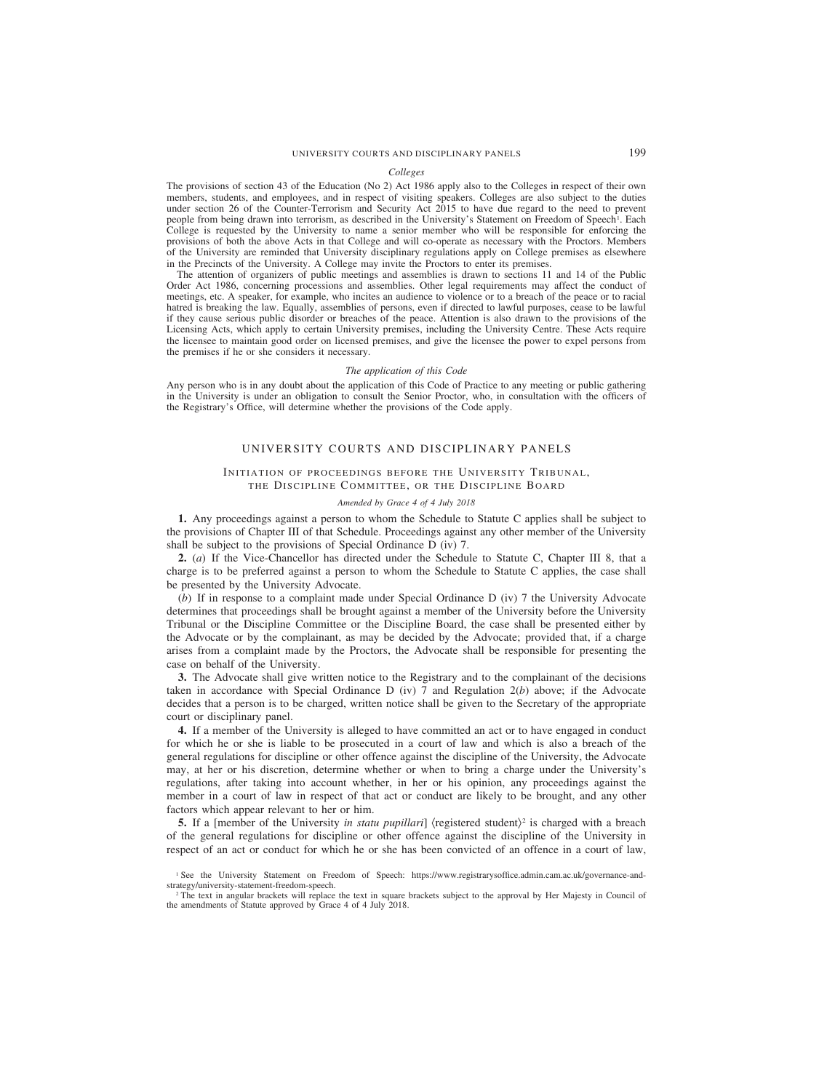### *Colleges*

The provisions of section 43 of the Education (No 2) Act 1986 apply also to the Colleges in respect of their own members, students, and employees, and in respect of visiting speakers. Colleges are also subject to the duties under section 26 of the Counter-Terrorism and Security Act 2015 to have due regard to the need to prevent people from being drawn into terrorism, as described in the University's Statement on Freedom of Speech<sup>1</sup>. Each College is requested by the University to name a senior member who will be responsible for enforcing the provisions of both the above Acts in that College and will co-operate as necessary with the Proctors. Members of the University are reminded that University disciplinary regulations apply on College premises as elsewhere in the Precincts of the University. A College may invite the Proctors to enter its premises.

The attention of organizers of public meetings and assemblies is drawn to sections 11 and 14 of the Public Order Act 1986, concerning processions and assemblies. Other legal requirements may affect the conduct of meetings, etc. A speaker, for example, who incites an audience to violence or to a breach of the peace or to racial hatred is breaking the law. Equally, assemblies of persons, even if directed to lawful purposes, cease to be lawful if they cause serious public disorder or breaches of the peace. Attention is also drawn to the provisions of the Licensing Acts, which apply to certain University premises, including the University Centre. These Acts require the licensee to maintain good order on licensed premises, and give the licensee the power to expel persons from the premises if he or she considers it necessary.

#### *The application of this Code*

Any person who is in any doubt about the application of this Code of Practice to any meeting or public gathering in the University is under an obligation to consult the Senior Proctor, who, in consultation with the officers of the Registrary's Office, will determine whether the provisions of the Code apply.

### UNIVERSITY COURTS AND DISCIPLINARY PANELS

# INITIATION OF PROCEEDINGS BEFORE THE UNIVERSITY TRIBUNAL, THE DISCIPLINE COMMITTEE, OR THE DISCIPLINE BOARD

### *Amended by Grace 4 of 4 July 2018*

**1.** Any proceedings against a person to whom the Schedule to Statute C applies shall be subject to the provisions of Chapter III of that Schedule. Proceedings against any other member of the University shall be subject to the provisions of Special Ordinance D (iv) 7.

**2.** (*a*) If the Vice-Chancellor has directed under the Schedule to Statute C, Chapter III 8, that a charge is to be preferred against a person to whom the Schedule to Statute C applies, the case shall be presented by the University Advocate.

(*b*) If in response to a complaint made under Special Ordinance D (iv) 7 the University Advocate determines that proceedings shall be brought against a member of the University before the University Tribunal or the Discipline Committee or the Discipline Board, the case shall be presented either by the Advocate or by the complainant, as may be decided by the Advocate; provided that, if a charge arises from a complaint made by the Proctors, the Advocate shall be responsible for presenting the case on behalf of the University.

**3.** The Advocate shall give written notice to the Registrary and to the complainant of the decisions taken in accordance with Special Ordinance D (iv) 7 and Regulation 2(*b*) above; if the Advocate decides that a person is to be charged, written notice shall be given to the Secretary of the appropriate court or disciplinary panel.

**4.** If a member of the University is alleged to have committed an act or to have engaged in conduct for which he or she is liable to be prosecuted in a court of law and which is also a breach of the general regulations for discipline or other offence against the discipline of the University, the Advocate may, at her or his discretion, determine whether or when to bring a charge under the University's regulations, after taking into account whether, in her or his opinion, any proceedings against the member in a court of law in respect of that act or conduct are likely to be brought, and any other factors which appear relevant to her or him.

**5.** If a [member of the University *in statu pupillari*] (registered student)<sup>2</sup> is charged with a breach of the general regulations for discipline or other offence against the discipline of the University in respect of an act or conduct for which he or she has been convicted of an offence in a court of law,

<sup>1</sup> See the University Statement on Freedom of Speech: https://www.registrarysoffice.admin.cam.ac.uk/governance-andstrategy/university-statement-freedom-speech.

<sup>&</sup>lt;sup>2</sup> The text in angular brackets will replace the text in square brackets subject to the approval by Her Majesty in Council of the amendments of Statute approved by Grace 4 of 4 July 2018.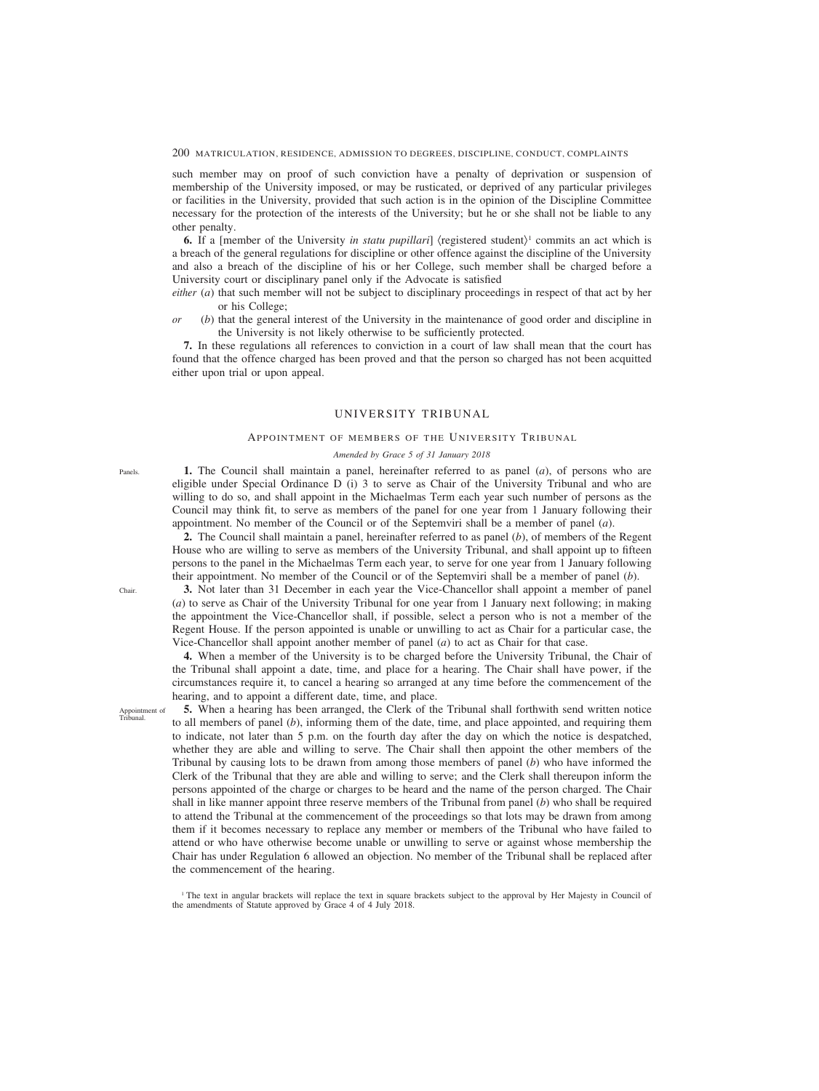such member may on proof of such conviction have a penalty of deprivation or suspension of membership of the University imposed, or may be rusticated, or deprived of any particular privileges or facilities in the University, provided that such action is in the opinion of the Discipline Committee necessary for the protection of the interests of the University; but he or she shall not be liable to any other penalty.

**6.** If a [member of the University *in statu pupillari*] (registered student)<sup>1</sup> commits an act which is a breach of the general regulations for discipline or other offence against the discipline of the University and also a breach of the discipline of his or her College, such member shall be charged before a University court or disciplinary panel only if the Advocate is satisfied

- *either* (*a*) that such member will not be subject to disciplinary proceedings in respect of that act by her or his College;
- *or* (*b*) that the general interest of the University in the maintenance of good order and discipline in the University is not likely otherwise to be sufficiently protected.

**7.** In these regulations all references to conviction in a court of law shall mean that the court has found that the offence charged has been proved and that the person so charged has not been acquitted either upon trial or upon appeal.

# UNIVERSITY TRIBUNAL

### APPOINTMENT OF MEMBERS OF THE UNIVERSITY TRIBUNAL

# *Amended by Grace 5 of 31 January 2018*

**1.** The Council shall maintain a panel, hereinafter referred to as panel (*a*), of persons who are eligible under Special Ordinance D (i) 3 to serve as Chair of the University Tribunal and who are willing to do so, and shall appoint in the Michaelmas Term each year such number of persons as the Council may think fit, to serve as members of the panel for one year from 1 January following their appointment. No member of the Council or of the Septemviri shall be a member of panel (*a*).

**2.** The Council shall maintain a panel, hereinafter referred to as panel (*b*), of members of the Regent House who are willing to serve as members of the University Tribunal, and shall appoint up to fifteen persons to the panel in the Michaelmas Term each year, to serve for one year from 1 January following their appointment. No member of the Council or of the Septemviri shall be a member of panel (*b*).

**3.** Not later than 31 December in each year the Vice-Chancellor shall appoint a member of panel (*a*) to serve as Chair of the University Tribunal for one year from 1 January next following; in making the appointment the Vice-Chancellor shall, if possible, select a person who is not a member of the Regent House. If the person appointed is unable or unwilling to act as Chair for a particular case, the Vice-Chancellor shall appoint another member of panel (*a*) to act as Chair for that case.

**4.** When a member of the University is to be charged before the University Tribunal, the Chair of the Tribunal shall appoint a date, time, and place for a hearing. The Chair shall have power, if the circumstances require it, to cancel a hearing so arranged at any time before the commencement of the hearing, and to appoint a different date, time, and place.

Appointment of Tribunal.

**5.** When a hearing has been arranged, the Clerk of the Tribunal shall forthwith send written notice to all members of panel (*b*), informing them of the date, time, and place appointed, and requiring them to indicate, not later than 5 p.m. on the fourth day after the day on which the notice is despatched, whether they are able and willing to serve. The Chair shall then appoint the other members of the Tribunal by causing lots to be drawn from among those members of panel (*b*) who have informed the Clerk of the Tribunal that they are able and willing to serve; and the Clerk shall thereupon inform the persons appointed of the charge or charges to be heard and the name of the person charged. The Chair shall in like manner appoint three reserve members of the Tribunal from panel (*b*) who shall be required to attend the Tribunal at the commencement of the proceedings so that lots may be drawn from among them if it becomes necessary to replace any member or members of the Tribunal who have failed to attend or who have otherwise become unable or unwilling to serve or against whose membership the Chair has under Regulation 6 allowed an objection. No member of the Tribunal shall be replaced after the commencement of the hearing.

Panels.

Chair.

<sup>&</sup>lt;sup>1</sup> The text in angular brackets will replace the text in square brackets subject to the approval by Her Majesty in Council of the amendments of Statute approved by Grace 4 of 4 July 2018.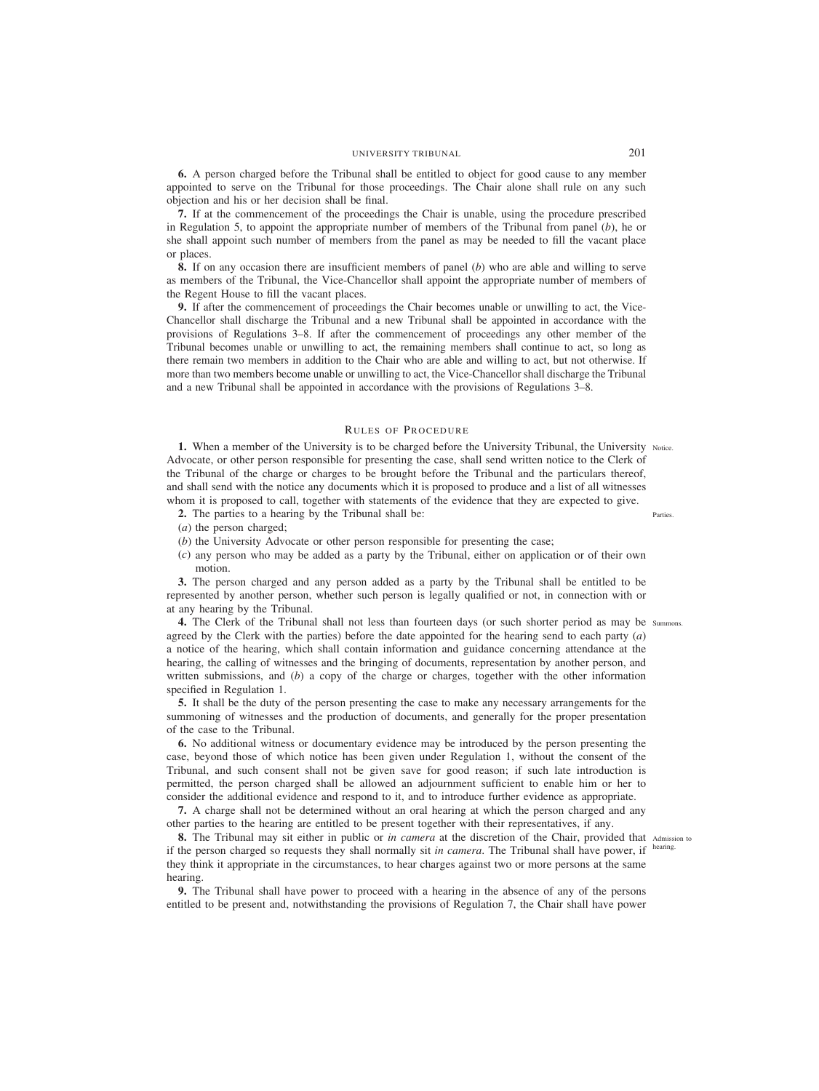**6.** A person charged before the Tribunal shall be entitled to object for good cause to any member appointed to serve on the Tribunal for those proceedings. The Chair alone shall rule on any such objection and his or her decision shall be final.

**7.** If at the commencement of the proceedings the Chair is unable, using the procedure prescribed in Regulation 5, to appoint the appropriate number of members of the Tribunal from panel (*b*), he or she shall appoint such number of members from the panel as may be needed to fill the vacant place or places.

**8.** If on any occasion there are insufficient members of panel (*b*) who are able and willing to serve as members of the Tribunal, the Vice-Chancellor shall appoint the appropriate number of members of the Regent House to fill the vacant places.

**9.** If after the commencement of proceedings the Chair becomes unable or unwilling to act, the Vice-Chancellor shall discharge the Tribunal and a new Tribunal shall be appointed in accordance with the provisions of Regulations 3–8. If after the commencement of proceedings any other member of the Tribunal becomes unable or unwilling to act, the remaining members shall continue to act, so long as there remain two members in addition to the Chair who are able and willing to act, but not otherwise. If more than two members become unable or unwilling to act, the Vice-Chancellor shall discharge the Tribunal and a new Tribunal shall be appointed in accordance with the provisions of Regulations 3–8.

## RULES OF PROCEDURE

**1.** When a member of the University is to be charged before the University Tribunal, the University Notice. Advocate, or other person responsible for presenting the case, shall send written notice to the Clerk of the Tribunal of the charge or charges to be brought before the Tribunal and the particulars thereof, and shall send with the notice any documents which it is proposed to produce and a list of all witnesses whom it is proposed to call, together with statements of the evidence that they are expected to give.

**2.** The parties to a hearing by the Tribunal shall be:

Parties.

- (*a*) the person charged;
- (*b*) the University Advocate or other person responsible for presenting the case;
- (*c*) any person who may be added as a party by the Tribunal, either on application or of their own motion.

**3.** The person charged and any person added as a party by the Tribunal shall be entitled to be represented by another person, whether such person is legally qualified or not, in connection with or at any hearing by the Tribunal.

4. The Clerk of the Tribunal shall not less than fourteen days (or such shorter period as may be summons. agreed by the Clerk with the parties) before the date appointed for the hearing send to each party (*a*) a notice of the hearing, which shall contain information and guidance concerning attendance at the hearing, the calling of witnesses and the bringing of documents, representation by another person, and written submissions, and (*b*) a copy of the charge or charges, together with the other information specified in Regulation 1.

**5.** It shall be the duty of the person presenting the case to make any necessary arrangements for the summoning of witnesses and the production of documents, and generally for the proper presentation of the case to the Tribunal.

**6.** No additional witness or documentary evidence may be introduced by the person presenting the case, beyond those of which notice has been given under Regulation 1, without the consent of the Tribunal, and such consent shall not be given save for good reason; if such late introduction is permitted, the person charged shall be allowed an adjournment sufficient to enable him or her to consider the additional evidence and respond to it, and to introduce further evidence as appropriate.

**7.** A charge shall not be determined without an oral hearing at which the person charged and any other parties to the hearing are entitled to be present together with their representatives, if any.

**8.** The Tribunal may sit either in public or *in camera* at the discretion of the Chair, provided that Admission to if the person charged so requests they shall normally sit *in camera*. The Tribunal shall have power, if they think it appropriate in the circumstances, to hear charges against two or more persons at the same hearing.

**9.** The Tribunal shall have power to proceed with a hearing in the absence of any of the persons entitled to be present and, notwithstanding the provisions of Regulation 7, the Chair shall have power

hearing.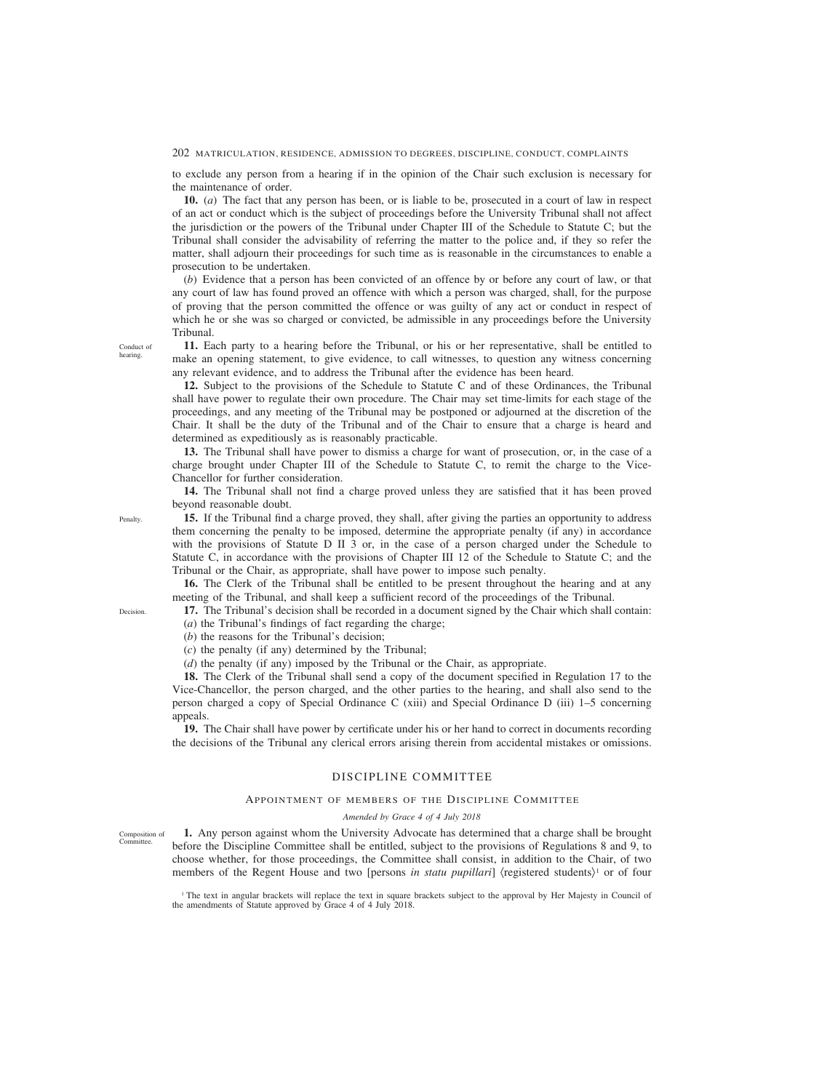to exclude any person from a hearing if in the opinion of the Chair such exclusion is necessary for the maintenance of order.

**10.** (*a*) The fact that any person has been, or is liable to be, prosecuted in a court of law in respect of an act or conduct which is the subject of proceedings before the University Tribunal shall not affect the jurisdiction or the powers of the Tribunal under Chapter III of the Schedule to Statute C; but the Tribunal shall consider the advisability of referring the matter to the police and, if they so refer the matter, shall adjourn their proceedings for such time as is reasonable in the circumstances to enable a prosecution to be undertaken.

(*b*) Evidence that a person has been convicted of an offence by or before any court of law, or that any court of law has found proved an offence with which a person was charged, shall, for the purpose of proving that the person committed the offence or was guilty of any act or conduct in respect of which he or she was so charged or convicted, be admissible in any proceedings before the University Tribunal.

**11.** Each party to a hearing before the Tribunal, or his or her representative, shall be entitled to make an opening statement, to give evidence, to call witnesses, to question any witness concerning any relevant evidence, and to address the Tribunal after the evidence has been heard.

**12.** Subject to the provisions of the Schedule to Statute C and of these Ordinances, the Tribunal shall have power to regulate their own procedure. The Chair may set time-limits for each stage of the proceedings, and any meeting of the Tribunal may be postponed or adjourned at the discretion of the Chair. It shall be the duty of the Tribunal and of the Chair to ensure that a charge is heard and determined as expeditiously as is reasonably practicable.

**13.** The Tribunal shall have power to dismiss a charge for want of prosecution, or, in the case of a charge brought under Chapter III of the Schedule to Statute C, to remit the charge to the Vice-Chancellor for further consideration.

**14.** The Tribunal shall not find a charge proved unless they are satisfied that it has been proved beyond reasonable doubt.

**15.** If the Tribunal find a charge proved, they shall, after giving the parties an opportunity to address them concerning the penalty to be imposed, determine the appropriate penalty (if any) in accordance with the provisions of Statute D II 3 or, in the case of a person charged under the Schedule to Statute C, in accordance with the provisions of Chapter III 12 of the Schedule to Statute C; and the Tribunal or the Chair, as appropriate, shall have power to impose such penalty.

**16.** The Clerk of the Tribunal shall be entitled to be present throughout the hearing and at any meeting of the Tribunal, and shall keep a sufficient record of the proceedings of the Tribunal.

**17.** The Tribunal's decision shall be recorded in a document signed by the Chair which shall contain: (*a*) the Tribunal's findings of fact regarding the charge;

(*b*) the reasons for the Tribunal's decision;

(*c*) the penalty (if any) determined by the Tribunal;

(*d*) the penalty (if any) imposed by the Tribunal or the Chair, as appropriate.

**18.** The Clerk of the Tribunal shall send a copy of the document specified in Regulation 17 to the Vice-Chancellor, the person charged, and the other parties to the hearing, and shall also send to the person charged a copy of Special Ordinance C (xiii) and Special Ordinance D (iii) 1–5 concerning appeals.

**19.** The Chair shall have power by certificate under his or her hand to correct in documents recording the decisions of the Tribunal any clerical errors arising therein from accidental mistakes or omissions.

# DISCIPLINE COMMITTEE

### APPOINTMENT OF MEMBERS OF THE DISCIPLINE COMMITTEE

#### *Amended by Grace 4 of 4 July 2018*

**1.** Any person against whom the University Advocate has determined that a charge shall be brought before the Discipline Committee shall be entitled, subject to the provisions of Regulations 8 and 9, to choose whether, for those proceedings, the Committee shall consist, in addition to the Chair, of two members of the Regent House and two [persons *in statu pupillari*] (registered students)<sup>1</sup> or of four Composition of

<sup>1</sup> The text in angular brackets will replace the text in square brackets subject to the approval by Her Majesty in Council of the amendments of Statute approved by Grace 4 of 4 July 2018.

Conduct of hearing.

**Decision** 

**Committee** 

Penalty.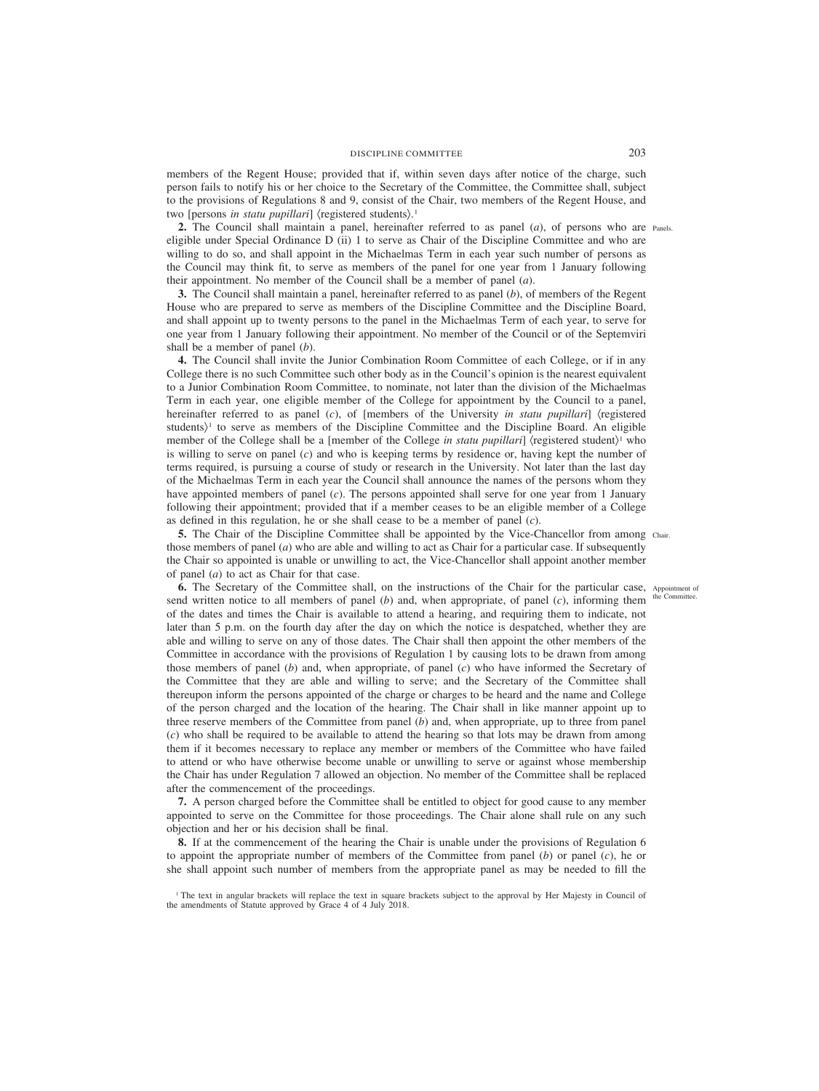members of the Regent House; provided that if, within seven days after notice of the charge, such person fails to notify his or her choice to the Secretary of the Committee, the Committee shall, subject to the provisions of Regulations 8 and 9, consist of the Chair, two members of the Regent House, and two [persons *in statu pupillari*]  $\langle$  registered students $\rangle$ .<sup>1</sup>

**2.** The Council shall maintain a panel, hereinafter referred to as panel (*a*), of persons who are Panels. eligible under Special Ordinance D (ii) 1 to serve as Chair of the Discipline Committee and who are willing to do so, and shall appoint in the Michaelmas Term in each year such number of persons as the Council may think fit, to serve as members of the panel for one year from 1 January following their appointment. No member of the Council shall be a member of panel (*a*).

**3.** The Council shall maintain a panel, hereinafter referred to as panel (*b*), of members of the Regent House who are prepared to serve as members of the Discipline Committee and the Discipline Board, and shall appoint up to twenty persons to the panel in the Michaelmas Term of each year, to serve for one year from 1 January following their appointment. No member of the Council or of the Septemviri shall be a member of panel (*b*).

**4.** The Council shall invite the Junior Combination Room Committee of each College, or if in any College there is no such Committee such other body as in the Council's opinion is the nearest equivalent to a Junior Combination Room Committee, to nominate, not later than the division of the Michaelmas Term in each year, one eligible member of the College for appointment by the Council to a panel, hereinafter referred to as panel (*c*), of [members of the University *in statu pupillari*] (registered students)<sup>1</sup> to serve as members of the Discipline Committee and the Discipline Board. An eligible member of the College shall be a [member of the College *in statu pupillari*] (registered student)<sup>1</sup> who is willing to serve on panel (*c*) and who is keeping terms by residence or, having kept the number of terms required, is pursuing a course of study or research in the University. Not later than the last day of the Michaelmas Term in each year the Council shall announce the names of the persons whom they have appointed members of panel (*c*). The persons appointed shall serve for one year from 1 January following their appointment; provided that if a member ceases to be an eligible member of a College as defined in this regulation, he or she shall cease to be a member of panel (*c*).

**5.** The Chair of the Discipline Committee shall be appointed by the Vice-Chancellor from among chair. those members of panel (*a*) who are able and willing to act as Chair for a particular case. If subsequently the Chair so appointed is unable or unwilling to act, the Vice-Chancellor shall appoint another member of panel (*a*) to act as Chair for that case.

**6.** The Secretary of the Committee shall, on the instructions of the Chair for the particular case, Appointment of send written notice to all members of panel (*b*) and, when appropriate, of panel (*c*), informing them of the dates and times the Chair is available to attend a hearing, and requiring them to indicate, not later than 5 p.m. on the fourth day after the day on which the notice is despatched, whether they are able and willing to serve on any of those dates. The Chair shall then appoint the other members of the Committee in accordance with the provisions of Regulation 1 by causing lots to be drawn from among those members of panel (*b*) and, when appropriate, of panel (*c*) who have informed the Secretary of the Committee that they are able and willing to serve; and the Secretary of the Committee shall thereupon inform the persons appointed of the charge or charges to be heard and the name and College of the person charged and the location of the hearing. The Chair shall in like manner appoint up to three reserve members of the Committee from panel (*b*) and, when appropriate, up to three from panel (*c*) who shall be required to be available to attend the hearing so that lots may be drawn from among them if it becomes necessary to replace any member or members of the Committee who have failed to attend or who have otherwise become unable or unwilling to serve or against whose membership the Chair has under Regulation 7 allowed an objection. No member of the Committee shall be replaced after the commencement of the proceedings.

**7.** A person charged before the Committee shall be entitled to object for good cause to any member appointed to serve on the Committee for those proceedings. The Chair alone shall rule on any such objection and her or his decision shall be final.

**8.** If at the commencement of the hearing the Chair is unable under the provisions of Regulation 6 to appoint the appropriate number of members of the Committee from panel (*b*) or panel (*c*), he or she shall appoint such number of members from the appropriate panel as may be needed to fill the

the Committee.

<sup>&</sup>lt;sup>1</sup> The text in angular brackets will replace the text in square brackets subject to the approval by Her Majesty in Council of the amendments of Statute approved by Grace 4 of 4 July 2018.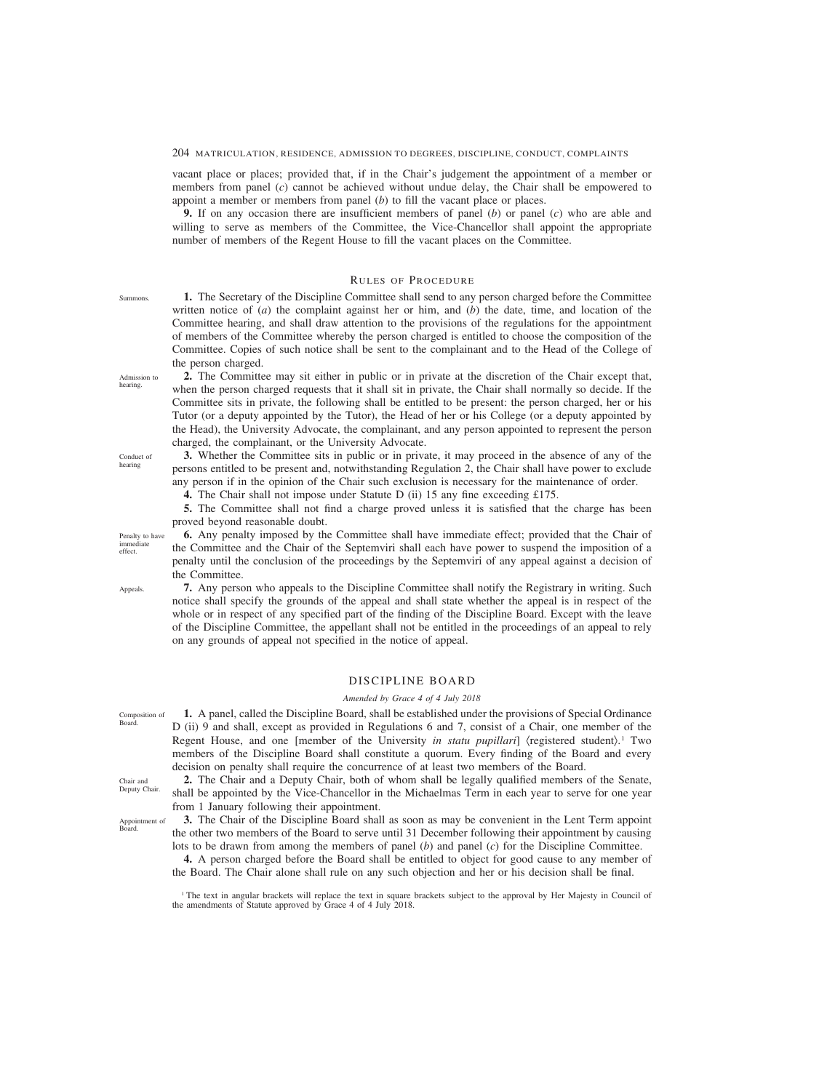vacant place or places; provided that, if in the Chair's judgement the appointment of a member or members from panel (*c*) cannot be achieved without undue delay, the Chair shall be empowered to appoint a member or members from panel (*b*) to fill the vacant place or places.

**9.** If on any occasion there are insufficient members of panel (*b*) or panel (*c*) who are able and willing to serve as members of the Committee, the Vice-Chancellor shall appoint the appropriate number of members of the Regent House to fill the vacant places on the Committee.

## RULES OF PROCEDURE

**1.** The Secretary of the Discipline Committee shall send to any person charged before the Committee written notice of (*a*) the complaint against her or him, and (*b*) the date, time, and location of the Committee hearing, and shall draw attention to the provisions of the regulations for the appointment of members of the Committee whereby the person charged is entitled to choose the composition of the Committee. Copies of such notice shall be sent to the complainant and to the Head of the College of the person charged.

**2.** The Committee may sit either in public or in private at the discretion of the Chair except that, when the person charged requests that it shall sit in private, the Chair shall normally so decide. If the Committee sits in private, the following shall be entitled to be present: the person charged, her or his Tutor (or a deputy appointed by the Tutor), the Head of her or his College (or a deputy appointed by the Head), the University Advocate, the complainant, and any person appointed to represent the person charged, the complainant, or the University Advocate.

**3.** Whether the Committee sits in public or in private, it may proceed in the absence of any of the persons entitled to be present and, notwithstanding Regulation 2, the Chair shall have power to exclude any person if in the opinion of the Chair such exclusion is necessary for the maintenance of order.

**4.** The Chair shall not impose under Statute D (ii) 15 any fine exceeding £175.

**5.** The Committee shall not find a charge proved unless it is satisfied that the charge has been proved beyond reasonable doubt.

**6.** Any penalty imposed by the Committee shall have immediate effect; provided that the Chair of the Committee and the Chair of the Septemviri shall each have power to suspend the imposition of a penalty until the conclusion of the proceedings by the Septemviri of any appeal against a decision of the Committee.

**7.** Any person who appeals to the Discipline Committee shall notify the Registrary in writing. Such notice shall specify the grounds of the appeal and shall state whether the appeal is in respect of the whole or in respect of any specified part of the finding of the Discipline Board. Except with the leave of the Discipline Committee, the appellant shall not be entitled in the proceedings of an appeal to rely on any grounds of appeal not specified in the notice of appeal.

# DISCIPLINE BOARD

### *Amended by Grace 4 of 4 July 2018*

**1.** A panel, called the Discipline Board, shall be established under the provisions of Special Ordinance D (ii) 9 and shall, except as provided in Regulations 6 and 7, consist of a Chair, one member of the Regent House, and one [member of the University *in statu pupillari*] (registered student).1 Two members of the Discipline Board shall constitute a quorum. Every finding of the Board and every decision on penalty shall require the concurrence of at least two members of the Board.

**2.** The Chair and a Deputy Chair, both of whom shall be legally qualified members of the Senate, shall be appointed by the Vice-Chancellor in the Michaelmas Term in each year to serve for one year from 1 January following their appointment.

**3.** The Chair of the Discipline Board shall as soon as may be convenient in the Lent Term appoint the other two members of the Board to serve until 31 December following their appointment by causing lots to be drawn from among the members of panel (*b*) and panel (*c*) for the Discipline Committee.

**4.** A person charged before the Board shall be entitled to object for good cause to any member of the Board. The Chair alone shall rule on any such objection and her or his decision shall be final.

<sup>1</sup> The text in angular brackets will replace the text in square brackets subject to the approval by Her Majesty in Council of the amendments of Statute approved by Grace 4 of 4 July 2018.

Admission to hearing.

Summons.

Conduct of hearing

Penalty to have immediate effect.

Appeals.

Composition of Board.

Chair and Deputy Chair.

Appointment of Board.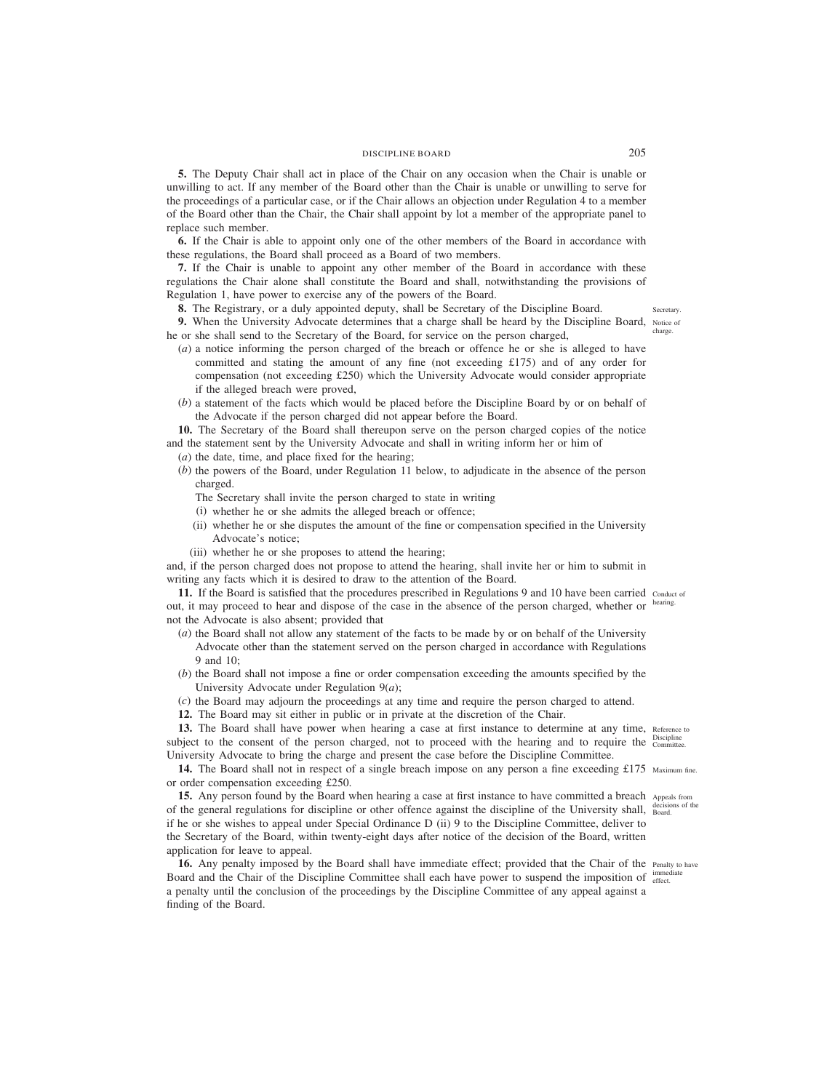**5.** The Deputy Chair shall act in place of the Chair on any occasion when the Chair is unable or unwilling to act. If any member of the Board other than the Chair is unable or unwilling to serve for the proceedings of a particular case, or if the Chair allows an objection under Regulation 4 to a member of the Board other than the Chair, the Chair shall appoint by lot a member of the appropriate panel to replace such member.

**6.** If the Chair is able to appoint only one of the other members of the Board in accordance with these regulations, the Board shall proceed as a Board of two members.

**7.** If the Chair is unable to appoint any other member of the Board in accordance with these regulations the Chair alone shall constitute the Board and shall, notwithstanding the provisions of Regulation 1, have power to exercise any of the powers of the Board.

**8.** The Registrary, or a duly appointed deputy, shall be Secretary of the Discipline Board.

**9.** When the University Advocate determines that a charge shall be heard by the Discipline Board, Notice of he or she shall send to the Secretary of the Board, for service on the person charged,

- (*a*) a notice informing the person charged of the breach or offence he or she is alleged to have committed and stating the amount of any fine (not exceeding £175) and of any order for compensation (not exceeding £250) which the University Advocate would consider appropriate if the alleged breach were proved,
- (*b*) a statement of the facts which would be placed before the Discipline Board by or on behalf of the Advocate if the person charged did not appear before the Board.

**10.** The Secretary of the Board shall thereupon serve on the person charged copies of the notice and the statement sent by the University Advocate and shall in writing inform her or him of

- (*a*) the date, time, and place fixed for the hearing;
- (*b*) the powers of the Board, under Regulation 11 below, to adjudicate in the absence of the person charged.

The Secretary shall invite the person charged to state in writing

- (i) whether he or she admits the alleged breach or offence;
- (ii) whether he or she disputes the amount of the fine or compensation specified in the University Advocate's notice;
- (iii) whether he or she proposes to attend the hearing;

and, if the person charged does not propose to attend the hearing, shall invite her or him to submit in writing any facts which it is desired to draw to the attention of the Board.

**11.** If the Board is satisfied that the procedures prescribed in Regulations 9 and 10 have been carried conduct of out, it may proceed to hear and dispose of the case in the absence of the person charged, whether or not the Advocate is also absent; provided that hearing.

- (*a*) the Board shall not allow any statement of the facts to be made by or on behalf of the University Advocate other than the statement served on the person charged in accordance with Regulations 9 and 10;
- (*b*) the Board shall not impose a fine or order compensation exceeding the amounts specified by the University Advocate under Regulation 9(*a*);
- (*c*) the Board may adjourn the proceedings at any time and require the person charged to attend.

**12.** The Board may sit either in public or in private at the discretion of the Chair.

13. The Board shall have power when hearing a case at first instance to determine at any time, Reference to subject to the consent of the person charged, not to proceed with the hearing and to require the Committee. University Advocate to bring the charge and present the case before the Discipline Committee.

14. The Board shall not in respect of a single breach impose on any person a fine exceeding £175 Maximum fine. or order compensation exceeding £250.

**15.** Any person found by the Board when hearing a case at first instance to have committed a breach Appeals from of the general regulations for discipline or other offence against the discipline of the University shall, a decision if he or she wishes to appeal under Special Ordinance D (ii) 9 to the Discipline Committee, deliver to the Secretary of the Board, within twenty-eight days after notice of the decision of the Board, written application for leave to appeal.

**16.** Any penalty imposed by the Board shall have immediate effect; provided that the Chair of the Penalty to have Board and the Chair of the Discipline Committee shall each have power to suspend the imposition of inmediate a penalty until the conclusion of the proceedings by the Discipline Committee of any appeal against a finding of the Board.

cisions of the

Secretary. charge.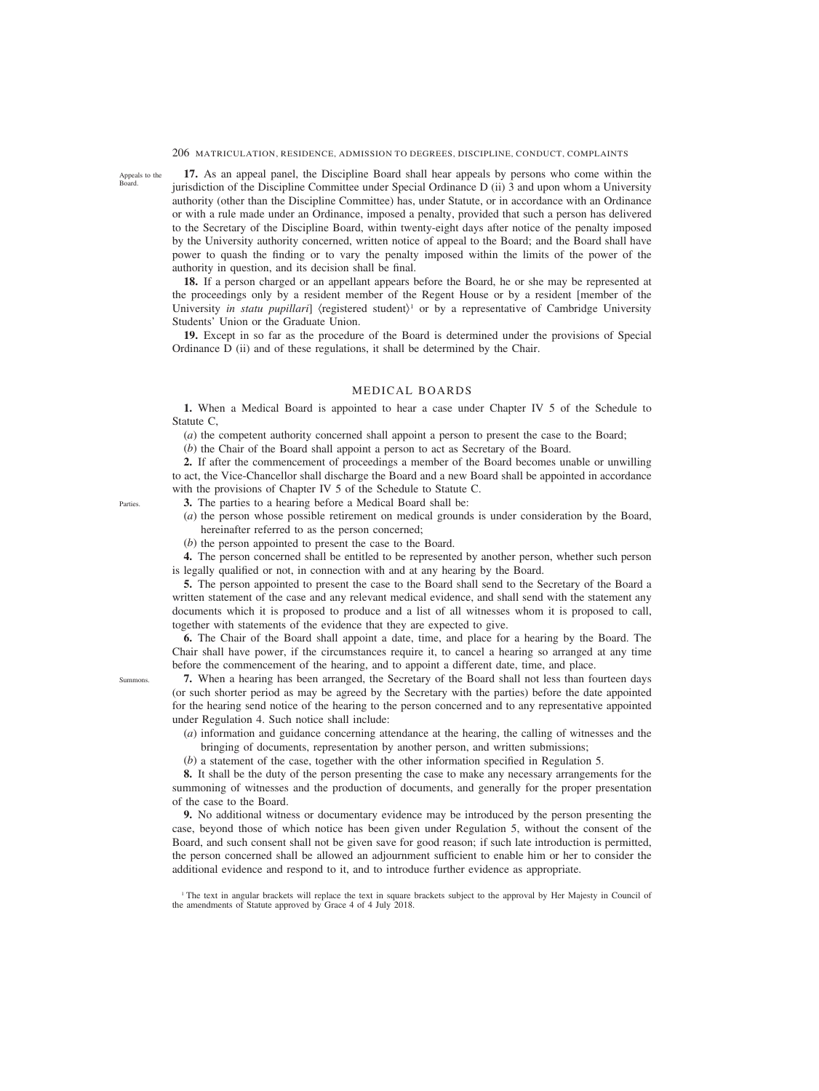Appeals to the Board.

**17.** As an appeal panel, the Discipline Board shall hear appeals by persons who come within the jurisdiction of the Discipline Committee under Special Ordinance D (ii) 3 and upon whom a University authority (other than the Discipline Committee) has, under Statute, or in accordance with an Ordinance or with a rule made under an Ordinance, imposed a penalty, provided that such a person has delivered to the Secretary of the Discipline Board, within twenty-eight days after notice of the penalty imposed by the University authority concerned, written notice of appeal to the Board; and the Board shall have power to quash the finding or to vary the penalty imposed within the limits of the power of the authority in question, and its decision shall be final.

**18.** If a person charged or an appellant appears before the Board, he or she may be represented at the proceedings only by a resident member of the Regent House or by a resident [member of the University *in statu pupillari*] (registered student)<sup>1</sup> or by a representative of Cambridge University Students' Union or the Graduate Union.

**19.** Except in so far as the procedure of the Board is determined under the provisions of Special Ordinance D (ii) and of these regulations, it shall be determined by the Chair.

# MEDICAL BOARDS

**1.** When a Medical Board is appointed to hear a case under Chapter IV 5 of the Schedule to Statute C,

(*a*) the competent authority concerned shall appoint a person to present the case to the Board;

(*b*) the Chair of the Board shall appoint a person to act as Secretary of the Board.

**2.** If after the commencement of proceedings a member of the Board becomes unable or unwilling to act, the Vice-Chancellor shall discharge the Board and a new Board shall be appointed in accordance with the provisions of Chapter IV 5 of the Schedule to Statute C.

**3.** The parties to a hearing before a Medical Board shall be:

(*a*) the person whose possible retirement on medical grounds is under consideration by the Board, hereinafter referred to as the person concerned;

(*b*) the person appointed to present the case to the Board.

**4.** The person concerned shall be entitled to be represented by another person, whether such person is legally qualified or not, in connection with and at any hearing by the Board.

**5.** The person appointed to present the case to the Board shall send to the Secretary of the Board a written statement of the case and any relevant medical evidence, and shall send with the statement any documents which it is proposed to produce and a list of all witnesses whom it is proposed to call, together with statements of the evidence that they are expected to give.

**6.** The Chair of the Board shall appoint a date, time, and place for a hearing by the Board. The Chair shall have power, if the circumstances require it, to cancel a hearing so arranged at any time before the commencement of the hearing, and to appoint a different date, time, and place.

**7.** When a hearing has been arranged, the Secretary of the Board shall not less than fourteen days (or such shorter period as may be agreed by the Secretary with the parties) before the date appointed for the hearing send notice of the hearing to the person concerned and to any representative appointed under Regulation 4. Such notice shall include:

(*a*) information and guidance concerning attendance at the hearing, the calling of witnesses and the bringing of documents, representation by another person, and written submissions;

(*b*) a statement of the case, together with the other information specified in Regulation 5.

**8.** It shall be the duty of the person presenting the case to make any necessary arrangements for the summoning of witnesses and the production of documents, and generally for the proper presentation of the case to the Board.

**9.** No additional witness or documentary evidence may be introduced by the person presenting the case, beyond those of which notice has been given under Regulation 5, without the consent of the Board, and such consent shall not be given save for good reason; if such late introduction is permitted, the person concerned shall be allowed an adjournment sufficient to enable him or her to consider the additional evidence and respond to it, and to introduce further evidence as appropriate.

<sup>1</sup> The text in angular brackets will replace the text in square brackets subject to the approval by Her Majesty in Council of the amendments of Statute approved by Grace 4 of 4 July 2018.

Parties.

Summons.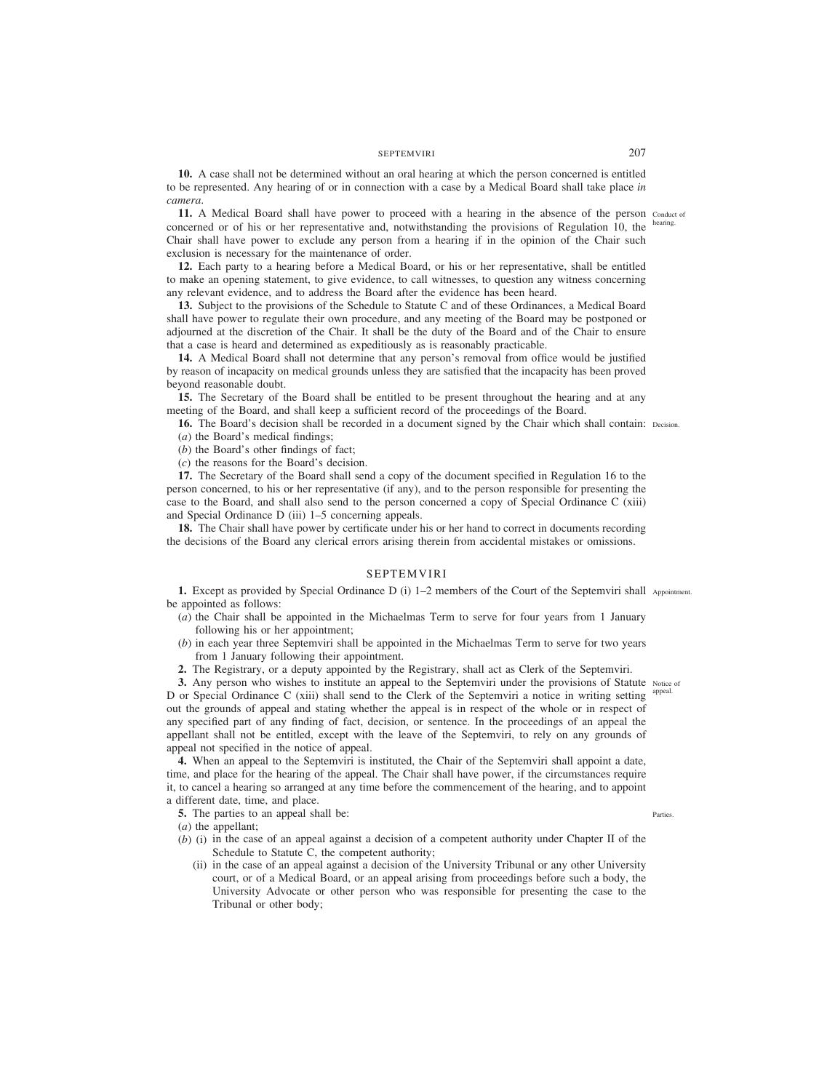# SEPTEMVIRI 2007

**10.** A case shall not be determined without an oral hearing at which the person concerned is entitled to be represented. Any hearing of or in connection with a case by a Medical Board shall take place *in camera*.

**11.** A Medical Board shall have power to proceed with a hearing in the absence of the person conduct of concerned or of his or her representative and, notwithstanding the provisions of Regulation 10, the Chair shall have power to exclude any person from a hearing if in the opinion of the Chair such exclusion is necessary for the maintenance of order.

**12.** Each party to a hearing before a Medical Board, or his or her representative, shall be entitled to make an opening statement, to give evidence, to call witnesses, to question any witness concerning any relevant evidence, and to address the Board after the evidence has been heard.

**13.** Subject to the provisions of the Schedule to Statute C and of these Ordinances, a Medical Board shall have power to regulate their own procedure, and any meeting of the Board may be postponed or adjourned at the discretion of the Chair. It shall be the duty of the Board and of the Chair to ensure that a case is heard and determined as expeditiously as is reasonably practicable.

**14.** A Medical Board shall not determine that any person's removal from office would be justified by reason of incapacity on medical grounds unless they are satisfied that the incapacity has been proved beyond reasonable doubt.

**15.** The Secretary of the Board shall be entitled to be present throughout the hearing and at any meeting of the Board, and shall keep a sufficient record of the proceedings of the Board.

**16.** The Board's decision shall be recorded in a document signed by the Chair which shall contain: Decision. (*a*) the Board's medical findings;

(*b*) the Board's other findings of fact;

(*c*) the reasons for the Board's decision.

**17.** The Secretary of the Board shall send a copy of the document specified in Regulation 16 to the person concerned, to his or her representative (if any), and to the person responsible for presenting the case to the Board, and shall also send to the person concerned a copy of Special Ordinance C (xiii) and Special Ordinance D (iii) 1–5 concerning appeals.

**18.** The Chair shall have power by certificate under his or her hand to correct in documents recording the decisions of the Board any clerical errors arising therein from accidental mistakes or omissions.

# SEPTEMVIRI

**1.** Except as provided by Special Ordinance D (i) 1–2 members of the Court of the Septemviri shall Appointment. be appointed as follows:

- (*a*) the Chair shall be appointed in the Michaelmas Term to serve for four years from 1 January following his or her appointment;
- (*b*) in each year three Septemviri shall be appointed in the Michaelmas Term to serve for two years from 1 January following their appointment.

**2.** The Registrary, or a deputy appointed by the Registrary, shall act as Clerk of the Septemviri.

**3.** Any person who wishes to institute an appeal to the Septemviri under the provisions of Statute Notice of D or Special Ordinance C (xiii) shall send to the Clerk of the Septemviri a notice in writing setting <sup>appeal.</sup> out the grounds of appeal and stating whether the appeal is in respect of the whole or in respect of any specified part of any finding of fact, decision, or sentence. In the proceedings of an appeal the appellant shall not be entitled, except with the leave of the Septemviri, to rely on any grounds of appeal not specified in the notice of appeal.

**4.** When an appeal to the Septemviri is instituted, the Chair of the Septemviri shall appoint a date, time, and place for the hearing of the appeal. The Chair shall have power, if the circumstances require it, to cancel a hearing so arranged at any time before the commencement of the hearing, and to appoint a different date, time, and place.

**5.** The parties to an appeal shall be:

(*a*) the appellant;

- (*b*) (i) in the case of an appeal against a decision of a competent authority under Chapter II of the Schedule to Statute C, the competent authority;
	- (ii) in the case of an appeal against a decision of the University Tribunal or any other University court, or of a Medical Board, or an appeal arising from proceedings before such a body, the University Advocate or other person who was responsible for presenting the case to the Tribunal or other body;

Parties.

hearing.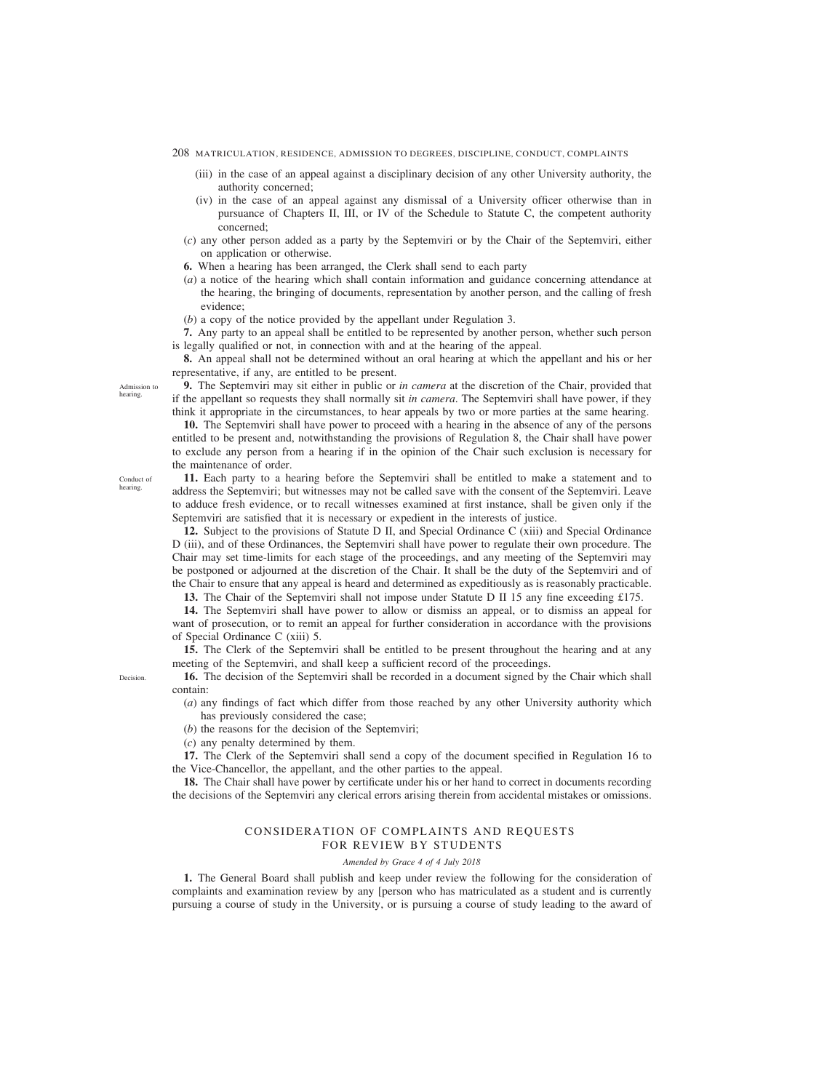- 208 MATRICULATION, RESIDENCE, ADMISSION TO DEGREES, DISCIPLINE, CONDUCT, COMPLAINTS
	- (iii) in the case of an appeal against a disciplinary decision of any other University authority, the authority concerned;
	- (iv) in the case of an appeal against any dismissal of a University officer otherwise than in pursuance of Chapters II, III, or IV of the Schedule to Statute C, the competent authority concerned;
	- (*c*) any other person added as a party by the Septemviri or by the Chair of the Septemviri, either on application or otherwise.
	- **6.** When a hearing has been arranged, the Clerk shall send to each party
	- (*a*) a notice of the hearing which shall contain information and guidance concerning attendance at the hearing, the bringing of documents, representation by another person, and the calling of fresh evidence;
	- (*b*) a copy of the notice provided by the appellant under Regulation 3.

**7.** Any party to an appeal shall be entitled to be represented by another person, whether such person is legally qualified or not, in connection with and at the hearing of the appeal.

**8.** An appeal shall not be determined without an oral hearing at which the appellant and his or her representative, if any, are entitled to be present.

**9.** The Septemviri may sit either in public or *in camera* at the discretion of the Chair, provided that if the appellant so requests they shall normally sit *in camera*. The Septemviri shall have power, if they think it appropriate in the circumstances, to hear appeals by two or more parties at the same hearing.

**10.** The Septemviri shall have power to proceed with a hearing in the absence of any of the persons entitled to be present and, notwithstanding the provisions of Regulation 8, the Chair shall have power to exclude any person from a hearing if in the opinion of the Chair such exclusion is necessary for the maintenance of order.

**11.** Each party to a hearing before the Septemviri shall be entitled to make a statement and to address the Septemviri; but witnesses may not be called save with the consent of the Septemviri. Leave to adduce fresh evidence, or to recall witnesses examined at first instance, shall be given only if the Septemviri are satisfied that it is necessary or expedient in the interests of justice.

**12.** Subject to the provisions of Statute D II, and Special Ordinance C (xiii) and Special Ordinance D (iii), and of these Ordinances, the Septemviri shall have power to regulate their own procedure. The Chair may set time-limits for each stage of the proceedings, and any meeting of the Septemviri may be postponed or adjourned at the discretion of the Chair. It shall be the duty of the Septemviri and of the Chair to ensure that any appeal is heard and determined as expeditiously as is reasonably practicable.

**13.** The Chair of the Septemviri shall not impose under Statute D II 15 any fine exceeding £175.

**14.** The Septemviri shall have power to allow or dismiss an appeal, or to dismiss an appeal for want of prosecution, or to remit an appeal for further consideration in accordance with the provisions of Special Ordinance C (xiii) 5.

**15.** The Clerk of the Septemviri shall be entitled to be present throughout the hearing and at any meeting of the Septemviri, and shall keep a sufficient record of the proceedings.

**16.** The decision of the Septemviri shall be recorded in a document signed by the Chair which shall contain:

(*a*) any findings of fact which differ from those reached by any other University authority which has previously considered the case;

(*b*) the reasons for the decision of the Septemviri;

(*c*) any penalty determined by them.

**17.** The Clerk of the Septemviri shall send a copy of the document specified in Regulation 16 to the Vice-Chancellor, the appellant, and the other parties to the appeal.

**18.** The Chair shall have power by certificate under his or her hand to correct in documents recording the decisions of the Septemviri any clerical errors arising therein from accidental mistakes or omissions.

# CONSIDERATION OF COMPLAINTS AND REQUESTS FOR REVIEW BY STUDENTS

## *Amended by Grace 4 of 4 July 2018*

**1.** The General Board shall publish and keep under review the following for the consideration of complaints and examination review by any [person who has matriculated as a student and is currently pursuing a course of study in the University, or is pursuing a course of study leading to the award of

Admission to hearing.

Conduct of hearing.

Decision.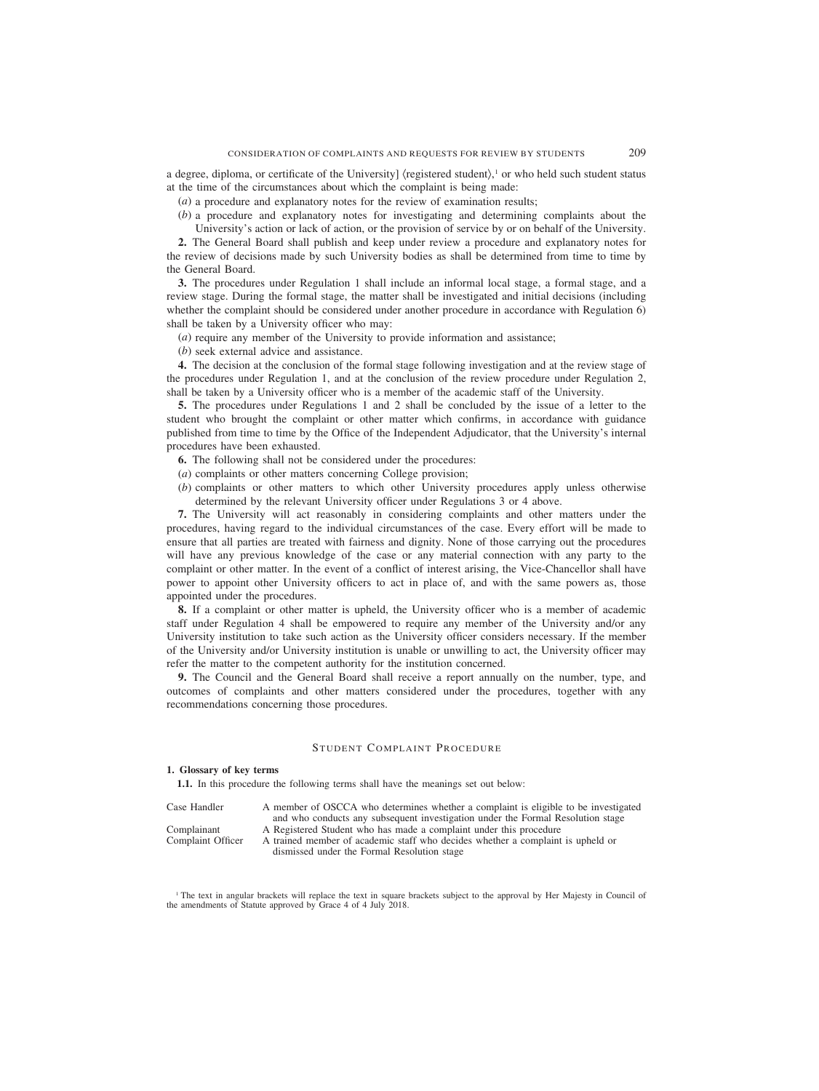a degree, diploma, or certificate of the University] (registered student),<sup>1</sup> or who held such student status at the time of the circumstances about which the complaint is being made:

(*a*) a procedure and explanatory notes for the review of examination results;

(*b*) a procedure and explanatory notes for investigating and determining complaints about the University's action or lack of action, or the provision of service by or on behalf of the University.

**2.** The General Board shall publish and keep under review a procedure and explanatory notes for the review of decisions made by such University bodies as shall be determined from time to time by the General Board.

**3.** The procedures under Regulation 1 shall include an informal local stage, a formal stage, and a review stage. During the formal stage, the matter shall be investigated and initial decisions (including whether the complaint should be considered under another procedure in accordance with Regulation 6) shall be taken by a University officer who may:

(*a*) require any member of the University to provide information and assistance;

(*b*) seek external advice and assistance.

**4.** The decision at the conclusion of the formal stage following investigation and at the review stage of the procedures under Regulation 1, and at the conclusion of the review procedure under Regulation 2, shall be taken by a University officer who is a member of the academic staff of the University.

**5.** The procedures under Regulations 1 and 2 shall be concluded by the issue of a letter to the student who brought the complaint or other matter which confirms, in accordance with guidance published from time to time by the Office of the Independent Adjudicator, that the University's internal procedures have been exhausted.

- **6.** The following shall not be considered under the procedures:
- (*a*) complaints or other matters concerning College provision;
- (*b*) complaints or other matters to which other University procedures apply unless otherwise determined by the relevant University officer under Regulations 3 or 4 above.

**7.** The University will act reasonably in considering complaints and other matters under the procedures, having regard to the individual circumstances of the case. Every effort will be made to ensure that all parties are treated with fairness and dignity. None of those carrying out the procedures will have any previous knowledge of the case or any material connection with any party to the complaint or other matter. In the event of a conflict of interest arising, the Vice-Chancellor shall have power to appoint other University officers to act in place of, and with the same powers as, those appointed under the procedures.

**8.** If a complaint or other matter is upheld, the University officer who is a member of academic staff under Regulation 4 shall be empowered to require any member of the University and/or any University institution to take such action as the University officer considers necessary. If the member of the University and/or University institution is unable or unwilling to act, the University officer may refer the matter to the competent authority for the institution concerned.

**9.** The Council and the General Board shall receive a report annually on the number, type, and outcomes of complaints and other matters considered under the procedures, together with any recommendations concerning those procedures.

# STUDENT COMPLAINT PROCEDURE

#### **1. Glossary of key terms**

**1.1.** In this procedure the following terms shall have the meanings set out below:

| Case Handler      | A member of OSCCA who determines whether a complaint is eligible to be investigated |
|-------------------|-------------------------------------------------------------------------------------|
|                   | and who conducts any subsequent investigation under the Formal Resolution stage     |
| Complainant       | A Registered Student who has made a complaint under this procedure                  |
| Complaint Officer | A trained member of academic staff who decides whether a complaint is upheld or     |
|                   | dismissed under the Formal Resolution stage                                         |

<sup>1</sup> The text in angular brackets will replace the text in square brackets subject to the approval by Her Majesty in Council of the amendments of Statute approved by Grace 4 of 4 July 2018.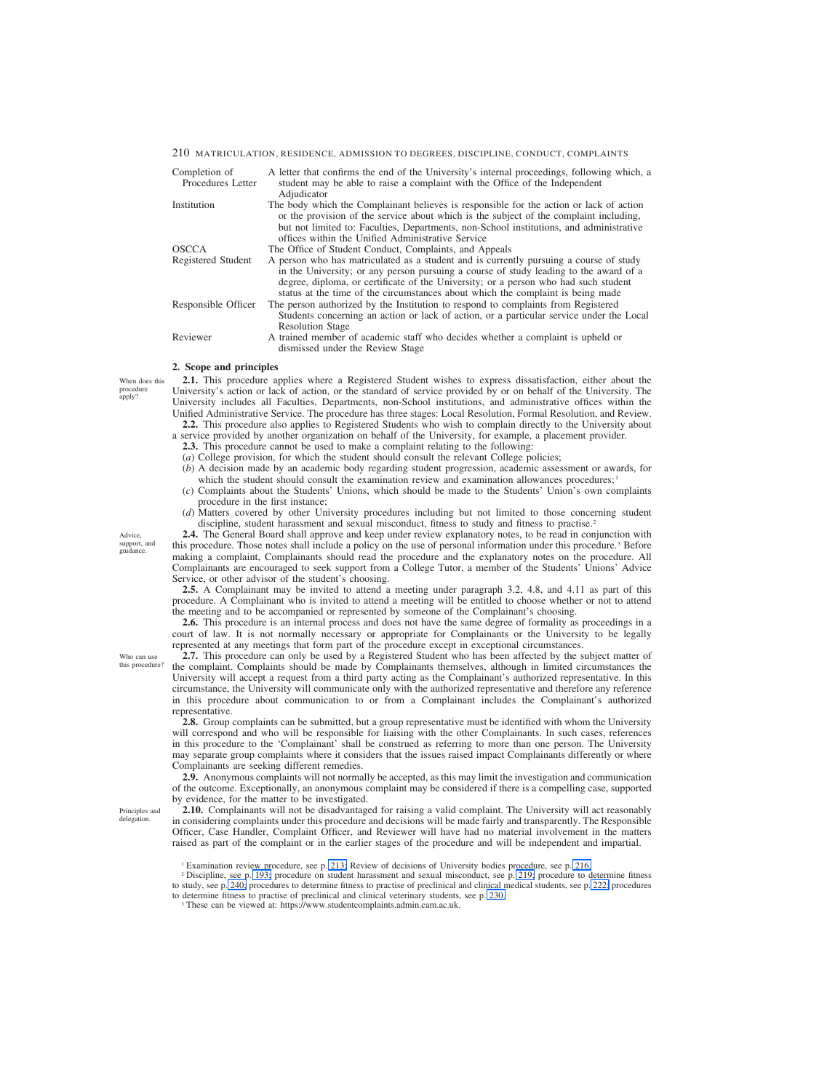| Completion of<br>Procedures Letter | A letter that confirms the end of the University's internal proceedings, following which, a<br>student may be able to raise a complaint with the Office of the Independent<br>Adjudicator                                                                                                                                                                 |
|------------------------------------|-----------------------------------------------------------------------------------------------------------------------------------------------------------------------------------------------------------------------------------------------------------------------------------------------------------------------------------------------------------|
| Institution                        | The body which the Complainant believes is responsible for the action or lack of action<br>or the provision of the service about which is the subject of the complaint including,<br>but not limited to: Faculties, Departments, non-School institutions, and administrative<br>offices within the Unified Administrative Service                         |
| OSCCA                              | The Office of Student Conduct, Complaints, and Appeals                                                                                                                                                                                                                                                                                                    |
| Registered Student                 | A person who has matriculated as a student and is currently pursuing a course of study<br>in the University; or any person pursuing a course of study leading to the award of a<br>degree, diploma, or certificate of the University; or a person who had such student<br>status at the time of the circumstances about which the complaint is being made |
| Responsible Officer                | The person authorized by the Institution to respond to complaints from Registered<br>Students concerning an action or lack of action, or a particular service under the Local<br><b>Resolution Stage</b>                                                                                                                                                  |
| Reviewer                           | A trained member of academic staff who decides whether a complaint is upheld or<br>dismissed under the Review Stage                                                                                                                                                                                                                                       |

#### **2. Scope and principles**

When does this procedure apply?

**2.1.** This procedure applies where a Registered Student wishes to express dissatisfaction, either about the University's action or lack of action, or the standard of service provided by or on behalf of the University. The University includes all Faculties, Departments, non-School institutions, and administrative offices within the Unified Administrative Service. The procedure has three stages: Local Resolution, Formal Resolution, and Review. **2.2.** This procedure also applies to Registered Students who wish to complain directly to the University about

a service provided by another organization on behalf of the University, for example, a placement provider.

**2.3.** This procedure cannot be used to make a complaint relating to the following:

(*a*) College provision, for which the student should consult the relevant College policies;

- (*b*) A decision made by an academic body regarding student progression, academic assessment or awards, for which the student should consult the examination review and examination allowances procedures;<sup>1</sup>
- (*c*) Complaints about the Students' Unions, which should be made to the Students' Union's own complaints procedure in the first instance;
- (*d*) Matters covered by other University procedures including but not limited to those concerning student discipline, student harassment and sexual misconduct, fitness to study and fitness to practise.<sup>2</sup>

**2.4.** The General Board shall approve and keep under review explanatory notes, to be read in conjunction with this procedure. Those notes shall include a policy on the use of personal information under this procedure.3 Before making a complaint, Complainants should read the procedure and the explanatory notes on the procedure. All Complainants are encouraged to seek support from a College Tutor, a member of the Students' Unions' Advice Service, or other advisor of the student's choosing.

**2.5.** A Complainant may be invited to attend a meeting under paragraph 3.2, 4.8, and 4.11 as part of this procedure. A Complainant who is invited to attend a meeting will be entitled to choose whether or not to attend the meeting and to be accompanied or represented by someone of the Complainant's choosing.

**2.6.** This procedure is an internal process and does not have the same degree of formality as proceedings in a court of law. It is not normally necessary or appropriate for Complainants or the University to be legally represented at any meetings that form part of the procedure except in exceptional circumstances.

**2.7.** This procedure can only be used by a Registered Student who has been affected by the subject matter of the complaint. Complaints should be made by Complainants themselves, although in limited circumstances the University will accept a request from a third party acting as the Complainant's authorized representative. In this circumstance, the University will communicate only with the authorized representative and therefore any reference in this procedure about communication to or from a Complainant includes the Complainant's authorized representative.

**2.8.** Group complaints can be submitted, but a group representative must be identified with whom the University will correspond and who will be responsible for liaising with the other Complainants. In such cases, references in this procedure to the 'Complainant' shall be construed as referring to more than one person. The University may separate group complaints where it considers that the issues raised impact Complainants differently or where Complainants are seeking different remedies.

**2.9.** Anonymous complaints will not normally be accepted, as this may limit the investigation and communication of the outcome. Exceptionally, an anonymous complaint may be considered if there is a compelling case, supported by evidence, for the matter to be investigated.

**2.10.** Complainants will not be disadvantaged for raising a valid complaint. The University will act reasonably in considering complaints under this procedure and decisions will be made fairly and transparently. The Responsible Officer, Case Handler, Complaint Officer, and Reviewer will have had no material involvement in the matters raised as part of the complaint or in the earlier stages of the procedure and will be independent and impartial.

<sup>2</sup> Discipline, see p. [193;](#page-27-0) procedure on student harassment and sexual misconduct, see p. [219;](#page-53-0) procedure to determine fitness to study, see p. [240;](#page-74-0) procedures to determine fitness to practise of preclinical and clinical medical students, see p[. 222;](#page-56-0) procedures to determine fitness to practise of preclinical and clinical veterinary students, see p. [230.](#page-64-0)

<sup>3</sup> These can be viewed at: https://www.studentcomplaints.admin.cam.ac.uk.

Advice, support, and guidance.

Who can use this procedure?

Principles and delegation.

<sup>1</sup> Examination review procedure, see p. [213;](#page-47-0) Review of decisions of University bodies procedure, see p. [216.](#page-50-0)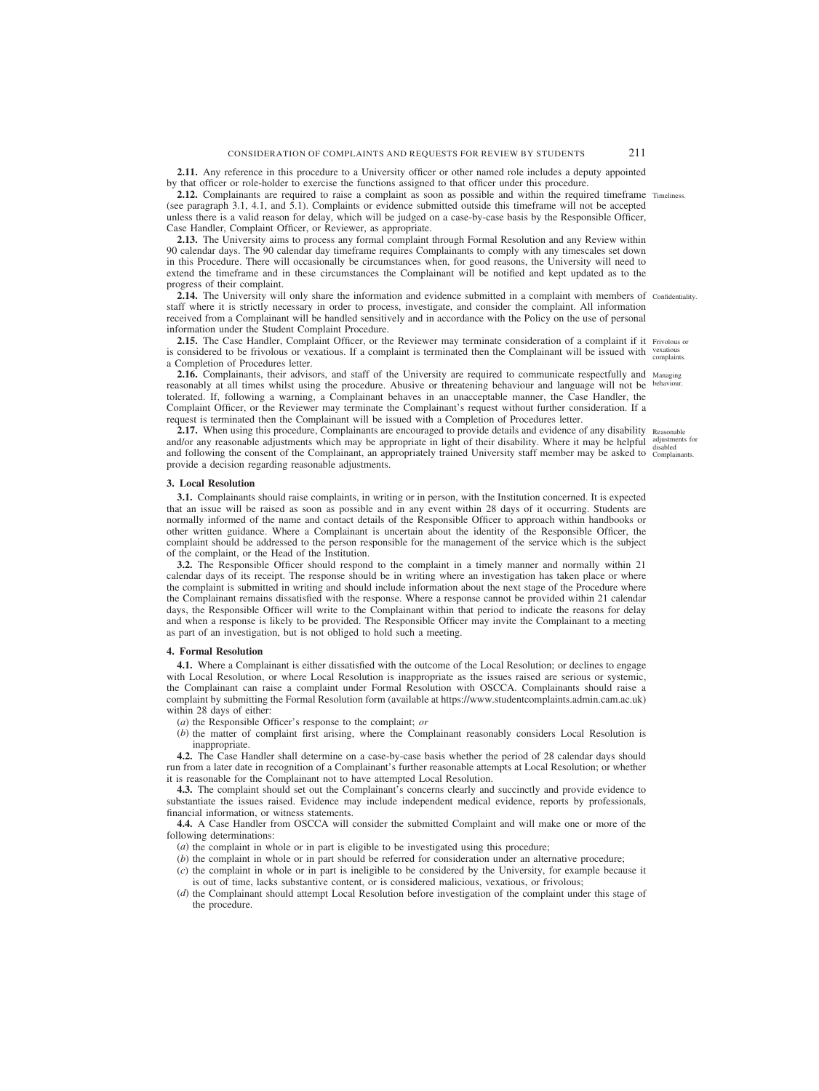**2.11.** Any reference in this procedure to a University officer or other named role includes a deputy appointed by that officer or role-holder to exercise the functions assigned to that officer under this procedure.

**2.12.** Complainants are required to raise a complaint as soon as possible and within the required timeframe Timeliness. (see paragraph 3.1, 4.1, and 5.1). Complaints or evidence submitted outside this timeframe will not be accepted unless there is a valid reason for delay, which will be judged on a case-by-case basis by the Responsible Officer, Case Handler, Complaint Officer, or Reviewer, as appropriate.

**2.13.** The University aims to process any formal complaint through Formal Resolution and any Review within 90 calendar days. The 90 calendar day timeframe requires Complainants to comply with any timescales set down in this Procedure. There will occasionally be circumstances when, for good reasons, the University will need to extend the timeframe and in these circumstances the Complainant will be notified and kept updated as to the progress of their complaint.

**2.14.** The University will only share the information and evidence submitted in a complaint with members of confidentiality. staff where it is strictly necessary in order to process, investigate, and consider the complaint. All information received from a Complainant will be handled sensitively and in accordance with the Policy on the use of personal information under the Student Complaint Procedure.

2.15. The Case Handler, Complaint Officer, or the Reviewer may terminate consideration of a complaint if it Frivolous or is considered to be frivolous or vexatious. If a complaint is terminated then the Complainant will be issued with <sup>vexatious</sup> complaints. a Completion of Procedures letter.

**2.16.** Complainants, their advisors, and staff of the University are required to communicate respectfully and Managing reasonably at all times whilst using the procedure. Abusive or threatening behaviour and language will not be behaviour. tolerated. If, following a warning, a Complainant behaves in an unacceptable manner, the Case Handler, the Complaint Officer, or the Reviewer may terminate the Complainant's request without further consideration. If a request is terminated then the Complainant will be issued with a Completion of Procedures letter.

2.17. When using this procedure, Complainants are encouraged to provide details and evidence of any disability Reasonable and/or any reasonable adjustments which may be appropriate in light of their disability. Where it may be helpful adjustments for and following the consent of the Complainant, an appropriately trained University staff member may be asked to *complainants*. provide a decision regarding reasonable adjustments.

#### **3. Local Resolution**

**3.1.** Complainants should raise complaints, in writing or in person, with the Institution concerned. It is expected that an issue will be raised as soon as possible and in any event within 28 days of it occurring. Students are normally informed of the name and contact details of the Responsible Officer to approach within handbooks or other written guidance. Where a Complainant is uncertain about the identity of the Responsible Officer, the complaint should be addressed to the person responsible for the management of the service which is the subject of the complaint, or the Head of the Institution.

**3.2.** The Responsible Officer should respond to the complaint in a timely manner and normally within 21 calendar days of its receipt. The response should be in writing where an investigation has taken place or where the complaint is submitted in writing and should include information about the next stage of the Procedure where the Complainant remains dissatisfied with the response. Where a response cannot be provided within 21 calendar days, the Responsible Officer will write to the Complainant within that period to indicate the reasons for delay and when a response is likely to be provided. The Responsible Officer may invite the Complainant to a meeting as part of an investigation, but is not obliged to hold such a meeting.

#### **4. Formal Resolution**

**4.1.** Where a Complainant is either dissatisfied with the outcome of the Local Resolution; or declines to engage with Local Resolution, or where Local Resolution is inappropriate as the issues raised are serious or systemic, the Complainant can raise a complaint under Formal Resolution with OSCCA. Complainants should raise a complaint by submitting the Formal Resolution form (available at https://www.studentcomplaints.admin.cam.ac.uk) within 28 days of either:

- (*a*) the Responsible Officer's response to the complaint; *or*
- (*b*) the matter of complaint first arising, where the Complainant reasonably considers Local Resolution is inappropriate.

**4.2.** The Case Handler shall determine on a case-by-case basis whether the period of 28 calendar days should run from a later date in recognition of a Complainant's further reasonable attempts at Local Resolution; or whether it is reasonable for the Complainant not to have attempted Local Resolution.

**4.3.** The complaint should set out the Complainant's concerns clearly and succinctly and provide evidence to substantiate the issues raised. Evidence may include independent medical evidence, reports by professionals, financial information, or witness statements.

**4.4.** A Case Handler from OSCCA will consider the submitted Complaint and will make one or more of the following determinations:

- (*a*) the complaint in whole or in part is eligible to be investigated using this procedure;
- (*b*) the complaint in whole or in part should be referred for consideration under an alternative procedure;
- (*c*) the complaint in whole or in part is ineligible to be considered by the University, for example because it is out of time, lacks substantive content, or is considered malicious, vexatious, or frivolous;
- (*d*) the Complainant should attempt Local Resolution before investigation of the complaint under this stage of the procedure.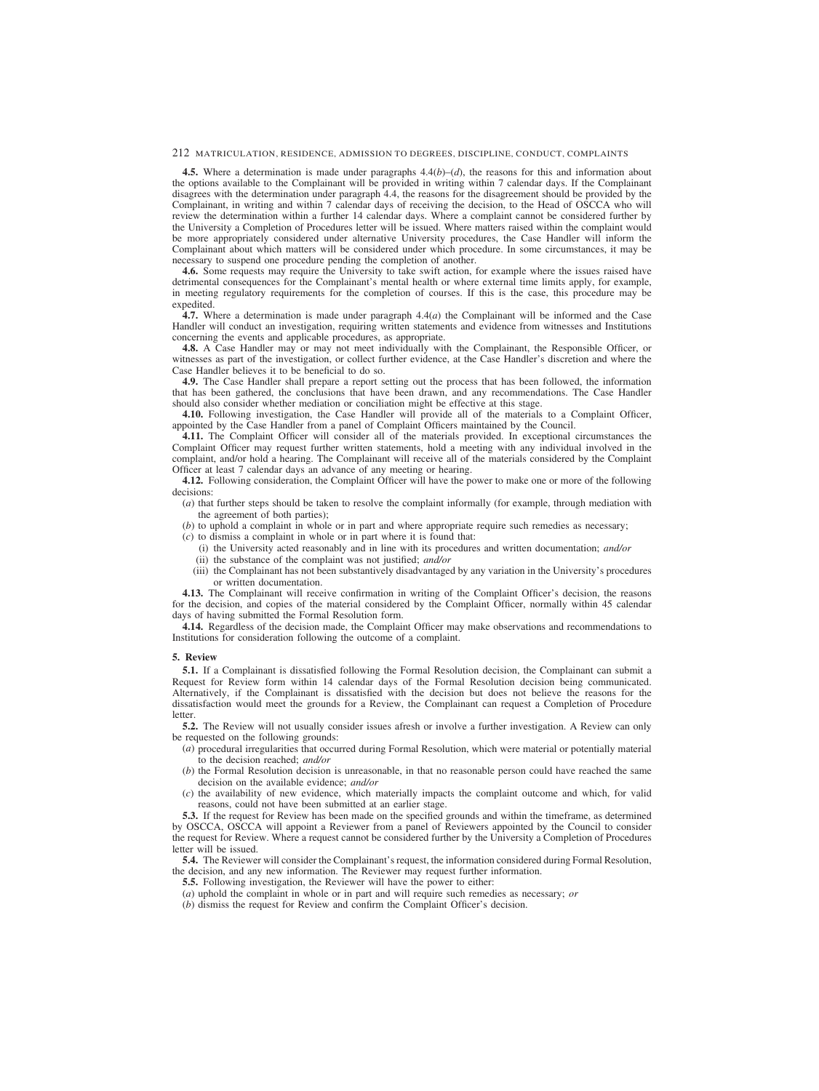**4.5.** Where a determination is made under paragraphs  $4.4(b)$ –(*d*), the reasons for this and information about the options available to the Complainant will be provided in writing within 7 calendar days. If the Complainant disagrees with the determination under paragraph 4.4, the reasons for the disagreement should be provided by the Complainant, in writing and within 7 calendar days of receiving the decision, to the Head of OSCCA who will review the determination within a further 14 calendar days. Where a complaint cannot be considered further by the University a Completion of Procedures letter will be issued. Where matters raised within the complaint would be more appropriately considered under alternative University procedures, the Case Handler will inform the Complainant about which matters will be considered under which procedure. In some circumstances, it may be necessary to suspend one procedure pending the completion of another.

**4.6.** Some requests may require the University to take swift action, for example where the issues raised have detrimental consequences for the Complainant's mental health or where external time limits apply, for example, in meeting regulatory requirements for the completion of courses. If this is the case, this procedure may be expedited.

**4.7.** Where a determination is made under paragraph 4.4(*a*) the Complainant will be informed and the Case Handler will conduct an investigation, requiring written statements and evidence from witnesses and Institutions concerning the events and applicable procedures, as appropriate.

**4.8.** A Case Handler may or may not meet individually with the Complainant, the Responsible Officer, or witnesses as part of the investigation, or collect further evidence, at the Case Handler's discretion and where the Case Handler believes it to be beneficial to do so.

**4.9.** The Case Handler shall prepare a report setting out the process that has been followed, the information that has been gathered, the conclusions that have been drawn, and any recommendations. The Case Handler should also consider whether mediation or conciliation might be effective at this stage.

**4.10.** Following investigation, the Case Handler will provide all of the materials to a Complaint Officer, appointed by the Case Handler from a panel of Complaint Officers maintained by the Council.

**4.11.** The Complaint Officer will consider all of the materials provided. In exceptional circumstances the Complaint Officer may request further written statements, hold a meeting with any individual involved in the complaint, and/or hold a hearing. The Complainant will receive all of the materials considered by the Complaint Officer at least 7 calendar days an advance of any meeting or hearing.

**4.12.** Following consideration, the Complaint Officer will have the power to make one or more of the following decisions:

- (*a*) that further steps should be taken to resolve the complaint informally (for example, through mediation with the agreement of both parties);
- (*b*) to uphold a complaint in whole or in part and where appropriate require such remedies as necessary;
- (*c*) to dismiss a complaint in whole or in part where it is found that:
	- (i) the University acted reasonably and in line with its procedures and written documentation; *and/or*
	- (ii) the substance of the complaint was not justified; *and/or*
	- (iii) the Complainant has not been substantively disadvantaged by any variation in the University's procedures or written documentation.

**4.13.** The Complainant will receive confirmation in writing of the Complaint Officer's decision, the reasons for the decision, and copies of the material considered by the Complaint Officer, normally within 45 calendar days of having submitted the Formal Resolution form.

**4.14.** Regardless of the decision made, the Complaint Officer may make observations and recommendations to Institutions for consideration following the outcome of a complaint.

#### **5. Review**

**5.1.** If a Complainant is dissatisfied following the Formal Resolution decision, the Complainant can submit a Request for Review form within 14 calendar days of the Formal Resolution decision being communicated. Alternatively, if the Complainant is dissatisfied with the decision but does not believe the reasons for the dissatisfaction would meet the grounds for a Review, the Complainant can request a Completion of Procedure letter.

**5.2.** The Review will not usually consider issues afresh or involve a further investigation. A Review can only be requested on the following grounds:

- (*a*) procedural irregularities that occurred during Formal Resolution, which were material or potentially material to the decision reached; *and/or*
- (*b*) the Formal Resolution decision is unreasonable, in that no reasonable person could have reached the same decision on the available evidence; *and/or*
- (*c*) the availability of new evidence, which materially impacts the complaint outcome and which, for valid reasons, could not have been submitted at an earlier stage.

**5.3.** If the request for Review has been made on the specified grounds and within the timeframe, as determined by OSCCA, OSCCA will appoint a Reviewer from a panel of Reviewers appointed by the Council to consider the request for Review. Where a request cannot be considered further by the University a Completion of Procedures letter will be issued.

**5.4.** The Reviewer will consider the Complainant's request, the information considered during Formal Resolution, the decision, and any new information. The Reviewer may request further information.

**5.5.** Following investigation, the Reviewer will have the power to either:

- (*a*) uphold the complaint in whole or in part and will require such remedies as necessary; *or*
- (*b*) dismiss the request for Review and confirm the Complaint Officer's decision.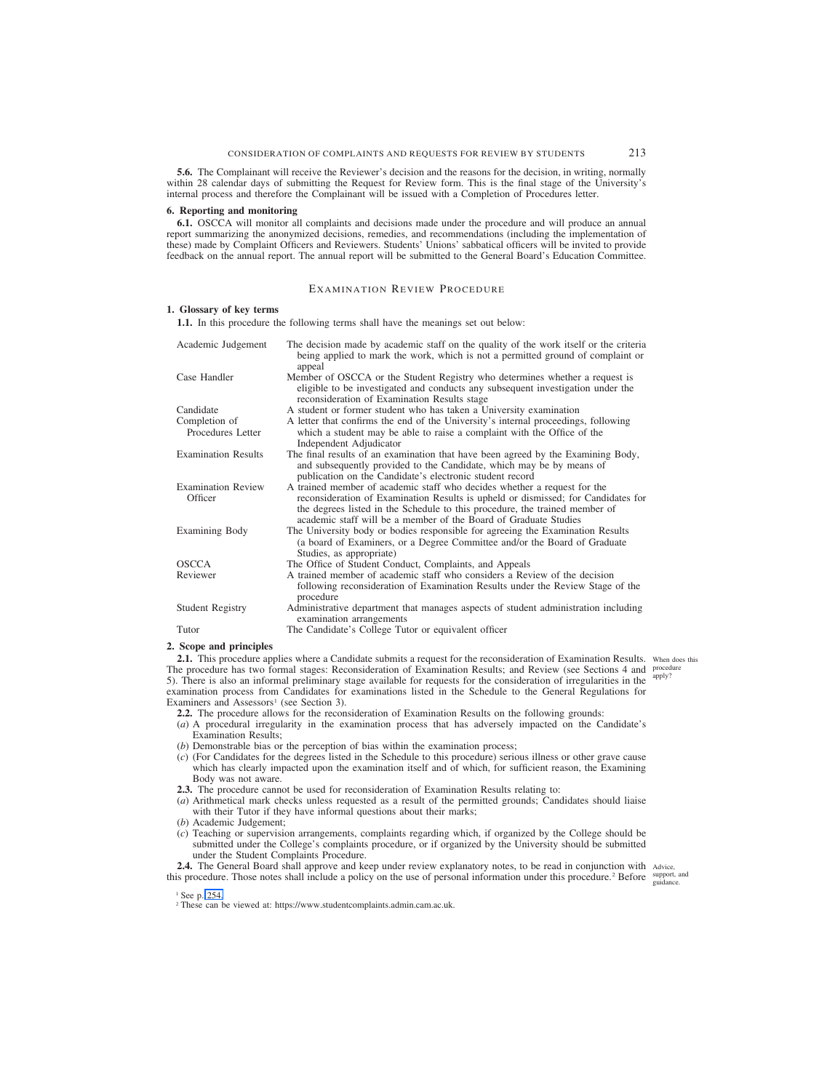<span id="page-47-0"></span>**5.6.** The Complainant will receive the Reviewer's decision and the reasons for the decision, in writing, normally within 28 calendar days of submitting the Request for Review form. This is the final stage of the University's internal process and therefore the Complainant will be issued with a Completion of Procedures letter.

#### **6. Reporting and monitoring**

**6.1.** OSCCA will monitor all complaints and decisions made under the procedure and will produce an annual report summarizing the anonymized decisions, remedies, and recommendations (including the implementation of these) made by Complaint Officers and Reviewers. Students' Unions' sabbatical officers will be invited to provide feedback on the annual report. The annual report will be submitted to the General Board's Education Committee.

# EXAMINATION REVIEW PROCEDURE

#### **1. Glossary of key terms**

**1.1.** In this procedure the following terms shall have the meanings set out below:

| Academic Judgement                   | The decision made by academic staff on the quality of the work itself or the criteria<br>being applied to mark the work, which is not a permitted ground of complaint or<br>appeal                                                                                                                               |
|--------------------------------------|------------------------------------------------------------------------------------------------------------------------------------------------------------------------------------------------------------------------------------------------------------------------------------------------------------------|
| Case Handler                         | Member of OSCCA or the Student Registry who determines whether a request is<br>eligible to be investigated and conducts any subsequent investigation under the<br>reconsideration of Examination Results stage                                                                                                   |
| Candidate                            | A student or former student who has taken a University examination                                                                                                                                                                                                                                               |
| Completion of<br>Procedures Letter   | A letter that confirms the end of the University's internal proceedings, following<br>which a student may be able to raise a complaint with the Office of the<br>Independent Adjudicator                                                                                                                         |
| <b>Examination Results</b>           | The final results of an examination that have been agreed by the Examining Body,<br>and subsequently provided to the Candidate, which may be by means of<br>publication on the Candidate's electronic student record                                                                                             |
| <b>Examination Review</b><br>Officer | A trained member of academic staff who decides whether a request for the<br>reconsideration of Examination Results is upheld or dismissed; for Candidates for<br>the degrees listed in the Schedule to this procedure, the trained member of<br>academic staff will be a member of the Board of Graduate Studies |
| Examining Body                       | The University body or bodies responsible for agreeing the Examination Results<br>(a board of Examiners, or a Degree Committee and/or the Board of Graduate<br>Studies, as appropriate)                                                                                                                          |
| <b>OSCCA</b>                         | The Office of Student Conduct, Complaints, and Appeals                                                                                                                                                                                                                                                           |
| Reviewer                             | A trained member of academic staff who considers a Review of the decision<br>following reconsideration of Examination Results under the Review Stage of the<br>procedure                                                                                                                                         |
| <b>Student Registry</b>              | Administrative department that manages aspects of student administration including<br>examination arrangements                                                                                                                                                                                                   |
| Tutor                                | The Candidate's College Tutor or equivalent officer                                                                                                                                                                                                                                                              |
| $\sim$<br>.                          |                                                                                                                                                                                                                                                                                                                  |

#### **2. Scope and principles**

2.1. This procedure applies where a Candidate submits a request for the reconsideration of Examination Results. When does this The procedure has two formal stages: Reconsideration of Examination Results; and Review (see Sections 4 and procedure 5). There is also an informal preliminary stage available for requests for the consideration of irregularities in the examination process from Candidates for examinations listed in the Schedule to the General Regulations for Examiners and Assessors<sup>1</sup> (see Section 3). apply?

**2.2.** The procedure allows for the reconsideration of Examination Results on the following grounds:

- (*a*) A procedural irregularity in the examination process that has adversely impacted on the Candidate's Examination Results;
- (*b*) Demonstrable bias or the perception of bias within the examination process;
- (*c*) (For Candidates for the degrees listed in the Schedule to this procedure) serious illness or other grave cause which has clearly impacted upon the examination itself and of which, for sufficient reason, the Examining Body was not aware.
- **2.3.** The procedure cannot be used for reconsideration of Examination Results relating to:
- (*a*) Arithmetical mark checks unless requested as a result of the permitted grounds; Candidates should liaise with their Tutor if they have informal questions about their marks;
- (*b*) Academic Judgement;
- (*c*) Teaching or supervision arrangements, complaints regarding which, if organized by the College should be submitted under the College's complaints procedure, or if organized by the University should be submitted under the Student Complaints Procedure.

**2.4.** The General Board shall approve and keep under review explanatory notes, to be read in conjunction with Advice, this procedure. Those notes shall include a policy on the use of personal information under this procedure.<sup>2</sup> Before  $\frac{\text{support}}{\text{midmost}}$ 

guidance.

<sup>2</sup> These can be viewed at: https://www.studentcomplaints.admin.cam.ac.uk.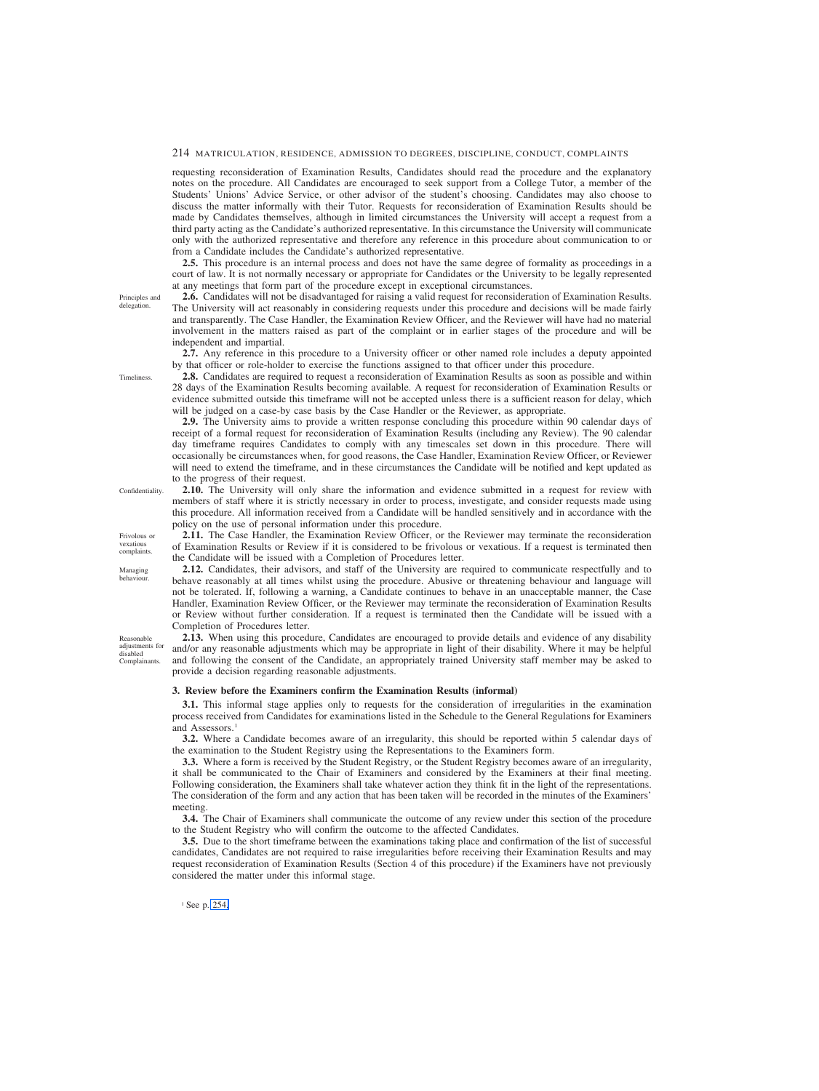requesting reconsideration of Examination Results, Candidates should read the procedure and the explanatory notes on the procedure. All Candidates are encouraged to seek support from a College Tutor, a member of the Students' Unions' Advice Service, or other advisor of the student's choosing. Candidates may also choose to discuss the matter informally with their Tutor. Requests for reconsideration of Examination Results should be made by Candidates themselves, although in limited circumstances the University will accept a request from a third party acting as the Candidate's authorized representative. In this circumstance the University will communicate only with the authorized representative and therefore any reference in this procedure about communication to or from a Candidate includes the Candidate's authorized representative.

**2.5.** This procedure is an internal process and does not have the same degree of formality as proceedings in a court of law. It is not normally necessary or appropriate for Candidates or the University to be legally represented at any meetings that form part of the procedure except in exceptional circumstances.

**2.6.** Candidates will not be disadvantaged for raising a valid request for reconsideration of Examination Results. The University will act reasonably in considering requests under this procedure and decisions will be made fairly and transparently. The Case Handler, the Examination Review Officer, and the Reviewer will have had no material involvement in the matters raised as part of the complaint or in earlier stages of the procedure and will be independent and impartial.

**2.7.** Any reference in this procedure to a University officer or other named role includes a deputy appointed by that officer or role-holder to exercise the functions assigned to that officer under this procedure.

**2.8.** Candidates are required to request a reconsideration of Examination Results as soon as possible and within 28 days of the Examination Results becoming available. A request for reconsideration of Examination Results or evidence submitted outside this timeframe will not be accepted unless there is a sufficient reason for delay, which will be judged on a case-by case basis by the Case Handler or the Reviewer, as appropriate.

**2.9.** The University aims to provide a written response concluding this procedure within 90 calendar days of receipt of a formal request for reconsideration of Examination Results (including any Review). The 90 calendar day timeframe requires Candidates to comply with any timescales set down in this procedure. There will occasionally be circumstances when, for good reasons, the Case Handler, Examination Review Officer, or Reviewer will need to extend the timeframe, and in these circumstances the Candidate will be notified and kept updated as to the progress of their request.

**2.10.** The University will only share the information and evidence submitted in a request for review with members of staff where it is strictly necessary in order to process, investigate, and consider requests made using this procedure. All information received from a Candidate will be handled sensitively and in accordance with the policy on the use of personal information under this procedure.

**2.11.** The Case Handler, the Examination Review Officer, or the Reviewer may terminate the reconsideration of Examination Results or Review if it is considered to be frivolous or vexatious. If a request is terminated then the Candidate will be issued with a Completion of Procedures letter.

**2.12.** Candidates, their advisors, and staff of the University are required to communicate respectfully and to behave reasonably at all times whilst using the procedure. Abusive or threatening behaviour and language will not be tolerated. If, following a warning, a Candidate continues to behave in an unacceptable manner, the Case Handler, Examination Review Officer, or the Reviewer may terminate the reconsideration of Examination Results or Review without further consideration. If a request is terminated then the Candidate will be issued with a Completion of Procedures letter.

**2.13.** When using this procedure, Candidates are encouraged to provide details and evidence of any disability and/or any reasonable adjustments which may be appropriate in light of their disability. Where it may be helpful and following the consent of the Candidate, an appropriately trained University staff member may be asked to provide a decision regarding reasonable adjustments.

#### **3. Review before the Examiners confirm the Examination Results (informal)**

**3.1.** This informal stage applies only to requests for the consideration of irregularities in the examination process received from Candidates for examinations listed in the Schedule to the General Regulations for Examiners and Assessors.<sup>1</sup>

**3.2.** Where a Candidate becomes aware of an irregularity, this should be reported within 5 calendar days of the examination to the Student Registry using the Representations to the Examiners form.

**3.3.** Where a form is received by the Student Registry, or the Student Registry becomes aware of an irregularity, it shall be communicated to the Chair of Examiners and considered by the Examiners at their final meeting. Following consideration, the Examiners shall take whatever action they think fit in the light of the representations. The consideration of the form and any action that has been taken will be recorded in the minutes of the Examiners' meeting.

**3.4.** The Chair of Examiners shall communicate the outcome of any review under this section of the procedure to the Student Registry who will confirm the outcome to the affected Candidates.

**3.5.** Due to the short timeframe between the examinations taking place and confirmation of the list of successful candidates, Candidates are not required to raise irregularities before receiving their Examination Results and may request reconsideration of Examination Results (Section 4 of this procedure) if the Examiners have not previously considered the matter under this informal stage.

<sup>1</sup> See p. 254.

Principles and delegation.

**Timeliness** 

Confidentiality.

Frivolous or vexatious complaints.

behaviour.

Managing

Reasonable adjustments for disabled Complainants.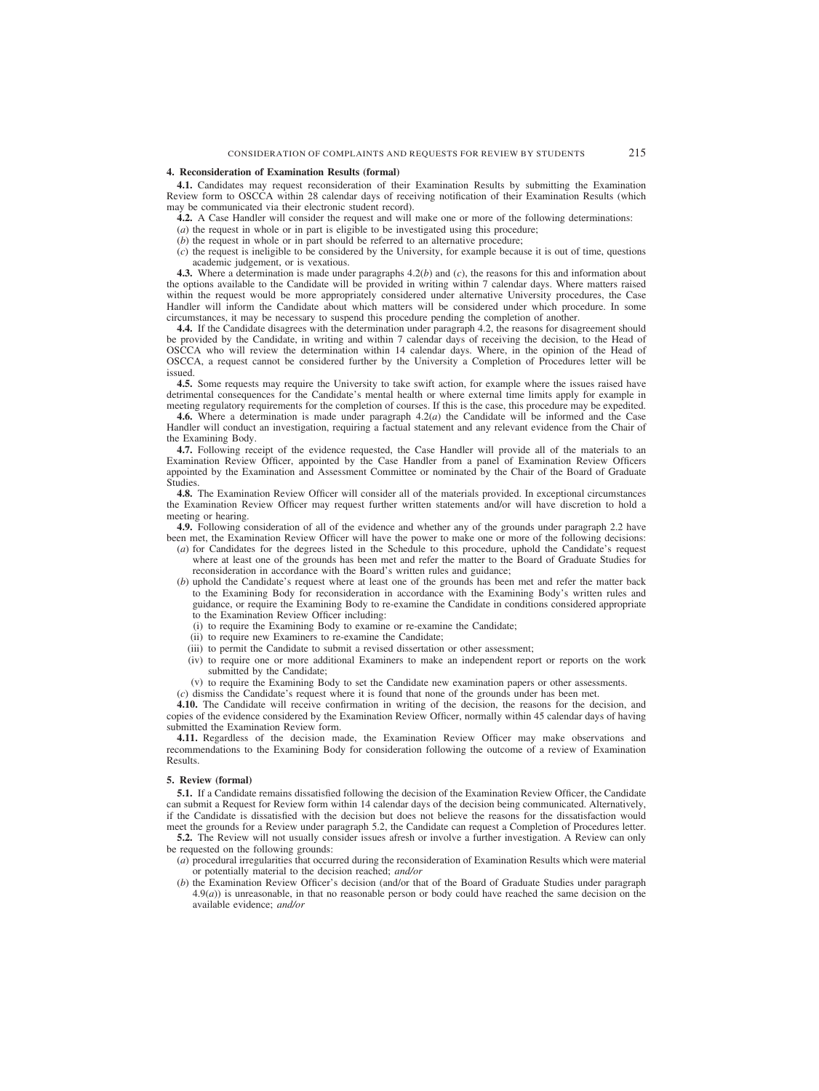#### **4. Reconsideration of Examination Results (formal)**

**4.1.** Candidates may request reconsideration of their Examination Results by submitting the Examination Review form to OSCCA within 28 calendar days of receiving notification of their Examination Results (which may be communicated via their electronic student record).

**4.2.** A Case Handler will consider the request and will make one or more of the following determinations:

(*a*) the request in whole or in part is eligible to be investigated using this procedure;

(*b*) the request in whole or in part should be referred to an alternative procedure;

 $(c)$  the request is ineligible to be considered by the University, for example because it is out of time, questions academic judgement, or is vexatious.

**4.3.** Where a determination is made under paragraphs 4.2(*b*) and (*c*), the reasons for this and information about the options available to the Candidate will be provided in writing within 7 calendar days. Where matters raised within the request would be more appropriately considered under alternative University procedures, the Case Handler will inform the Candidate about which matters will be considered under which procedure. In some circumstances, it may be necessary to suspend this procedure pending the completion of another.

**4.4.** If the Candidate disagrees with the determination under paragraph 4.2, the reasons for disagreement should be provided by the Candidate, in writing and within 7 calendar days of receiving the decision, to the Head of OSCCA who will review the determination within 14 calendar days. Where, in the opinion of the Head of OSCCA, a request cannot be considered further by the University a Completion of Procedures letter will be issued.

**4.5.** Some requests may require the University to take swift action, for example where the issues raised have detrimental consequences for the Candidate's mental health or where external time limits apply for example in meeting regulatory requirements for the completion of courses. If this is the case, this procedure may be expedited.

**4.6.** Where a determination is made under paragraph 4.2(*a*) the Candidate will be informed and the Case Handler will conduct an investigation, requiring a factual statement and any relevant evidence from the Chair of the Examining Body.

**4.7.** Following receipt of the evidence requested, the Case Handler will provide all of the materials to an Examination Review Officer, appointed by the Case Handler from a panel of Examination Review Officers appointed by the Examination and Assessment Committee or nominated by the Chair of the Board of Graduate Studies.

**4.8.** The Examination Review Officer will consider all of the materials provided. In exceptional circumstances the Examination Review Officer may request further written statements and/or will have discretion to hold a meeting or hearing.

**4.9.** Following consideration of all of the evidence and whether any of the grounds under paragraph 2.2 have been met, the Examination Review Officer will have the power to make one or more of the following decisions:

- (*a*) for Candidates for the degrees listed in the Schedule to this procedure, uphold the Candidate's request where at least one of the grounds has been met and refer the matter to the Board of Graduate Studies for reconsideration in accordance with the Board's written rules and guidance;
- (*b*) uphold the Candidate's request where at least one of the grounds has been met and refer the matter back to the Examining Body for reconsideration in accordance with the Examining Body's written rules and guidance, or require the Examining Body to re-examine the Candidate in conditions considered appropriate to the Examination Review Officer including:
	- (i) to require the Examining Body to examine or re-examine the Candidate;
	- (ii) to require new Examiners to re-examine the Candidate;
	- (iii) to permit the Candidate to submit a revised dissertation or other assessment;
	- (iv) to require one or more additional Examiners to make an independent report or reports on the work submitted by the Candidate;
	- (v) to require the Examining Body to set the Candidate new examination papers or other assessments.

(*c*) dismiss the Candidate's request where it is found that none of the grounds under has been met.

**4.10.** The Candidate will receive confirmation in writing of the decision, the reasons for the decision, and copies of the evidence considered by the Examination Review Officer, normally within 45 calendar days of having submitted the Examination Review form.

**4.11.** Regardless of the decision made, the Examination Review Officer may make observations and recommendations to the Examining Body for consideration following the outcome of a review of Examination Results.

#### **5. Review (formal)**

**5.1.** If a Candidate remains dissatisfied following the decision of the Examination Review Officer, the Candidate can submit a Request for Review form within 14 calendar days of the decision being communicated. Alternatively, if the Candidate is dissatisfied with the decision but does not believe the reasons for the dissatisfaction would meet the grounds for a Review under paragraph 5.2, the Candidate can request a Completion of Procedures letter.

**5.2.** The Review will not usually consider issues afresh or involve a further investigation. A Review can only be requested on the following grounds:

- (*a*) procedural irregularities that occurred during the reconsideration of Examination Results which were material or potentially material to the decision reached; *and/or*
- (*b*) the Examination Review Officer's decision (and/or that of the Board of Graduate Studies under paragraph  $4.9(a)$ ) is unreasonable, in that no reasonable person or body could have reached the same decision on the available evidence; *and/or*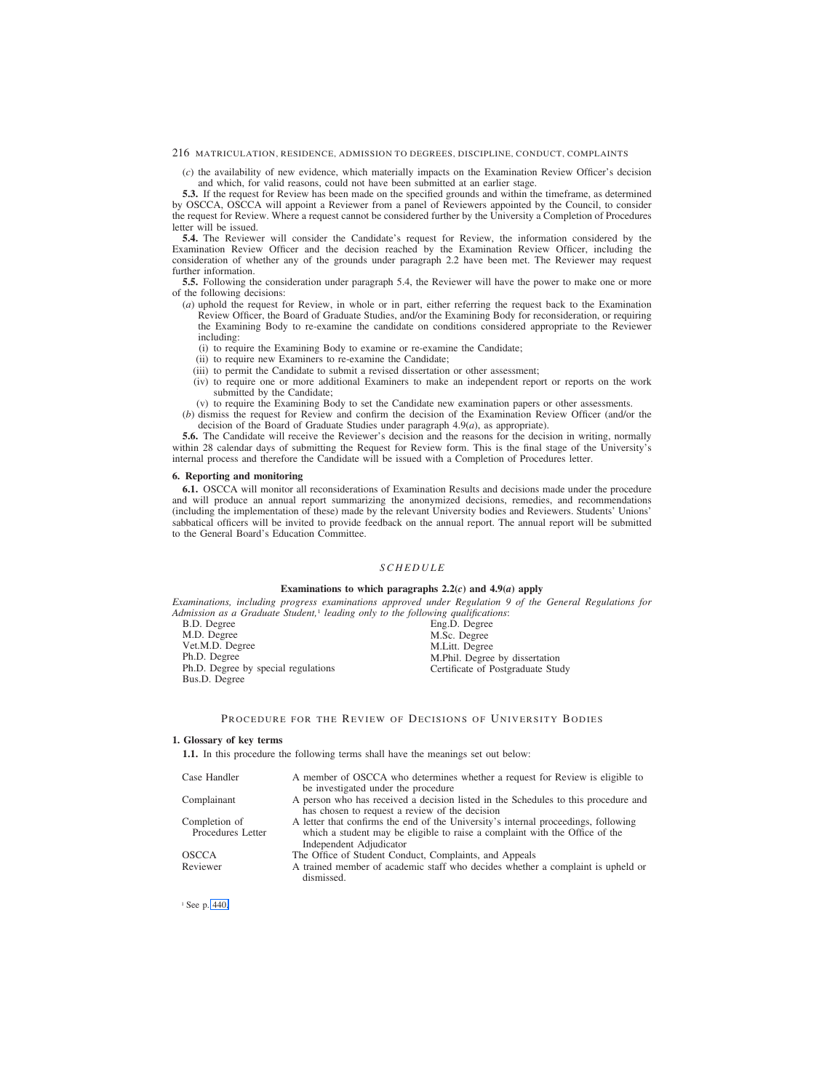<span id="page-50-0"></span>(*c*) the availability of new evidence, which materially impacts on the Examination Review Officer's decision and which, for valid reasons, could not have been submitted at an earlier stage.

**5.3.** If the request for Review has been made on the specified grounds and within the timeframe, as determined by OSCCA, OSCCA will appoint a Reviewer from a panel of Reviewers appointed by the Council, to consider the request for Review. Where a request cannot be considered further by the University a Completion of Procedures letter will be issued.

**5.4.** The Reviewer will consider the Candidate's request for Review, the information considered by the Examination Review Officer and the decision reached by the Examination Review Officer, including the consideration of whether any of the grounds under paragraph 2.2 have been met. The Reviewer may request further information.

**5.5.** Following the consideration under paragraph 5.4, the Reviewer will have the power to make one or more of the following decisions:

- (*a*) uphold the request for Review, in whole or in part, either referring the request back to the Examination Review Officer, the Board of Graduate Studies, and/or the Examining Body for reconsideration, or requiring the Examining Body to re-examine the candidate on conditions considered appropriate to the Reviewer including:
	- (i) to require the Examining Body to examine or re-examine the Candidate;
	- (ii) to require new Examiners to re-examine the Candidate;
	- (iii) to permit the Candidate to submit a revised dissertation or other assessment;
	- (iv) to require one or more additional Examiners to make an independent report or reports on the work submitted by the Candidate;
	- (v) to require the Examining Body to set the Candidate new examination papers or other assessments.
- (*b*) dismiss the request for Review and confirm the decision of the Examination Review Officer (and/or the decision of the Board of Graduate Studies under paragraph 4.9(*a*), as appropriate).

**5.6.** The Candidate will receive the Reviewer's decision and the reasons for the decision in writing, normally within 28 calendar days of submitting the Request for Review form. This is the final stage of the University's internal process and therefore the Candidate will be issued with a Completion of Procedures letter.

### **6. Reporting and monitoring**

**6.1.** OSCCA will monitor all reconsiderations of Examination Results and decisions made under the procedure and will produce an annual report summarizing the anonymized decisions, remedies, and recommendations (including the implementation of these) made by the relevant University bodies and Reviewers. Students' Unions' sabbatical officers will be invited to provide feedback on the annual report. The annual report will be submitted to the General Board's Education Committee.

### *SCHEDULE*

### **Examinations to which paragraphs 2.2(***c***) and 4.9(***a***) apply**

*Examinations, including progress examinations approved under Regulation 9 of the General Regulations for Admission as a Graduate Student,*<sup>1</sup> *leading only to the following qualifications*:

B.D. Degree M.D. Degree Vet.M.D. Degree Ph.D. Degree Ph.D. Degree by special regulations Bus.D. Degree

Eng.D. Degree M.Sc. Degree M.Litt. Degree M.Phil. Degree by dissertation Certificate of Postgraduate Study

### PROCEDURE FOR THE REVIEW OF DECISIONS OF UNIVERSITY BODIES

#### **1. Glossary of key terms**

**1.1.** In this procedure the following terms shall have the meanings set out below:

| Case Handler                       | A member of OSCCA who determines whether a request for Review is eligible to<br>be investigated under the procedure                                                                          |
|------------------------------------|----------------------------------------------------------------------------------------------------------------------------------------------------------------------------------------------|
| Complainant                        | A person who has received a decision listed in the Schedules to this procedure and<br>has chosen to request a review of the decision                                                         |
| Completion of<br>Procedures Letter | A letter that confirms the end of the University's internal proceedings, following<br>which a student may be eligible to raise a complaint with the Office of the<br>Independent Adjudicator |
| <b>OSCCA</b>                       | The Office of Student Conduct, Complaints, and Appeals                                                                                                                                       |
| Reviewer                           | A trained member of academic staff who decides whether a complaint is upheld or<br>dismissed.                                                                                                |

<sup>1</sup> See p. 440.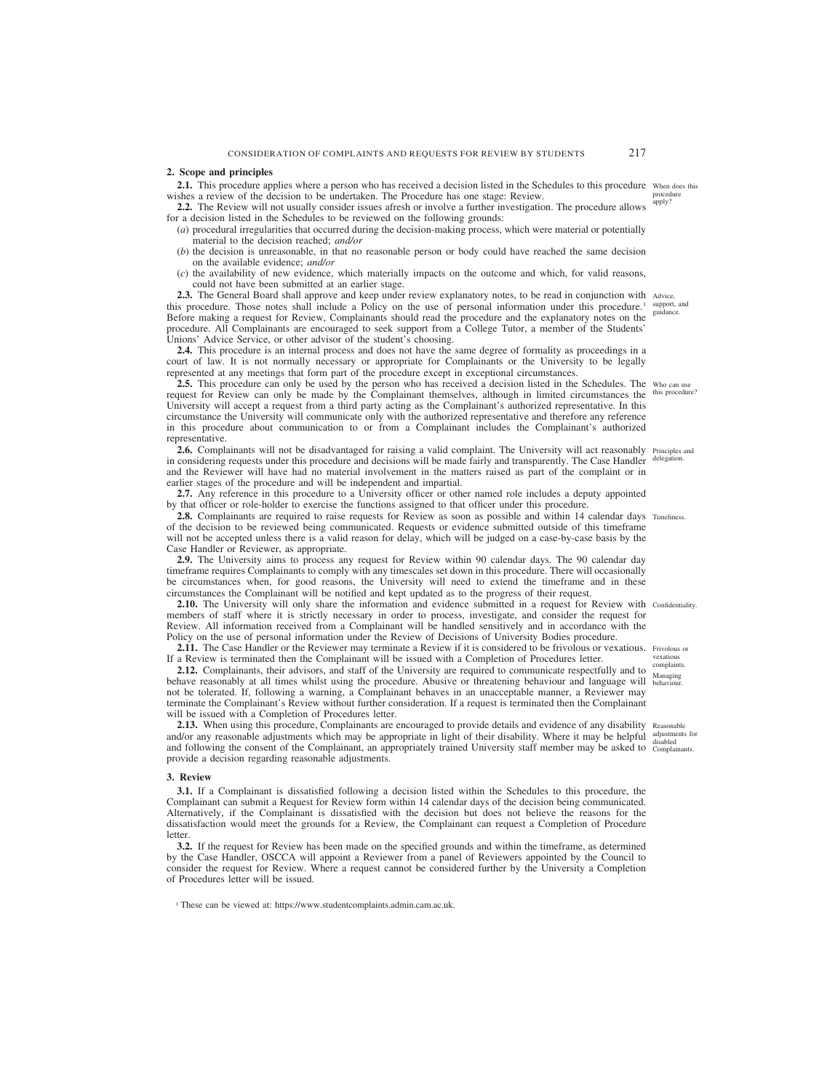### **2. Scope and principles**

**2.1.** This procedure applies where a person who has received a decision listed in the Schedules to this procedure When does this wishes a review of the decision to be undertaken. The Procedure has one stage: Review. procedure apply?

**2.2.** The Review will not usually consider issues afresh or involve a further investigation. The procedure allows for a decision listed in the Schedules to be reviewed on the following grounds:

(*a*) procedural irregularities that occurred during the decision-making process, which were material or potentially material to the decision reached; *and/or*

- (*b*) the decision is unreasonable, in that no reasonable person or body could have reached the same decision on the available evidence; *and/or*
- (*c*) the availability of new evidence, which materially impacts on the outcome and which, for valid reasons, could not have been submitted at an earlier stage.

2.3. The General Board shall approve and keep under review explanatory notes, to be read in conjunction with Advice, this procedure. Those notes shall include a Policy on the use of personal information under this procedure.1 Before making a request for Review, Complainants should read the procedure and the explanatory notes on the procedure. All Complainants are encouraged to seek support from a College Tutor, a member of the Students' Unions' Advice Service, or other advisor of the student's choosing. support, and guidance.

**2.4.** This procedure is an internal process and does not have the same degree of formality as proceedings in a court of law. It is not normally necessary or appropriate for Complainants or the University to be legally represented at any meetings that form part of the procedure except in exceptional circumstances.

**2.5.** This procedure can only be used by the person who has received a decision listed in the Schedules. The who can use request for Review can only be made by the Complainant themselves, although in limited circumstances the this procedure? University will accept a request from a third party acting as the Complainant's authorized representative. In this circumstance the University will communicate only with the authorized representative and therefore any reference in this procedure about communication to or from a Complainant includes the Complainant's authorized representative.

2.6. Complainants will not be disadvantaged for raising a valid complaint. The University will act reasonably Principles and in considering requests under this procedure and decisions will be made fairly and transparently. The Case Handler delegation. and the Reviewer will have had no material involvement in the matters raised as part of the complaint or in earlier stages of the procedure and will be independent and impartial.

**2.7.** Any reference in this procedure to a University officer or other named role includes a deputy appointed by that officer or role-holder to exercise the functions assigned to that officer under this procedure.

**2.8.** Complainants are required to raise requests for Review as soon as possible and within 14 calendar days Timeliness. of the decision to be reviewed being communicated. Requests or evidence submitted outside of this timeframe will not be accepted unless there is a valid reason for delay, which will be judged on a case-by-case basis by the Case Handler or Reviewer, as appropriate.

**2.9.** The University aims to process any request for Review within 90 calendar days. The 90 calendar day timeframe requires Complainants to comply with any timescales set down in this procedure. There will occasionally be circumstances when, for good reasons, the University will need to extend the timeframe and in these circumstances the Complainant will be notified and kept updated as to the progress of their request.

**2.10.** The University will only share the information and evidence submitted in a request for Review with Confidentiality. members of staff where it is strictly necessary in order to process, investigate, and consider the request for Review. All information received from a Complainant will be handled sensitively and in accordance with the Policy on the use of personal information under the Review of Decisions of University Bodies procedure.

**2.11.** The Case Handler or the Reviewer may terminate a Review if it is considered to be frivolous or vexatious. Frivolous or If a Review is terminated then the Complainant will be issued with a Completion of Procedures letter.

**2.12.** Complainants, their advisors, and staff of the University are required to communicate respectfully and to behave reasonably at all times whilst using the procedure. Abusive or threatening behaviour and language will behaviour. not be tolerated. If, following a warning, a Complainant behaves in an unacceptable manner, a Reviewer may terminate the Complainant's Review without further consideration. If a request is terminated then the Complainant will be issued with a Completion of Procedures letter.

2.13. When using this procedure, Complainants are encouraged to provide details and evidence of any disability Reasonable and/or any reasonable adjustments which may be appropriate in light of their disability. Where it may be helpful  $\frac{\text{adjusiments}}{\text{disphled}}$ and following the consent of the Complainant, an appropriately trained University staff member may be asked to Complainants. provide a decision regarding reasonable adjustments.

#### **3. Review**

**3.1.** If a Complainant is dissatisfied following a decision listed within the Schedules to this procedure, the Complainant can submit a Request for Review form within 14 calendar days of the decision being communicated. Alternatively, if the Complainant is dissatisfied with the decision but does not believe the reasons for the dissatisfaction would meet the grounds for a Review, the Complainant can request a Completion of Procedure letter.

**3.2.** If the request for Review has been made on the specified grounds and within the timeframe, as determined by the Case Handler, OSCCA will appoint a Reviewer from a panel of Reviewers appointed by the Council to consider the request for Review. Where a request cannot be considered further by the University a Completion of Procedures letter will be issued.

<sup>1</sup> These can be viewed at: https://www.studentcomplaints.admin.cam.ac.uk.

vexatious complaints. Managing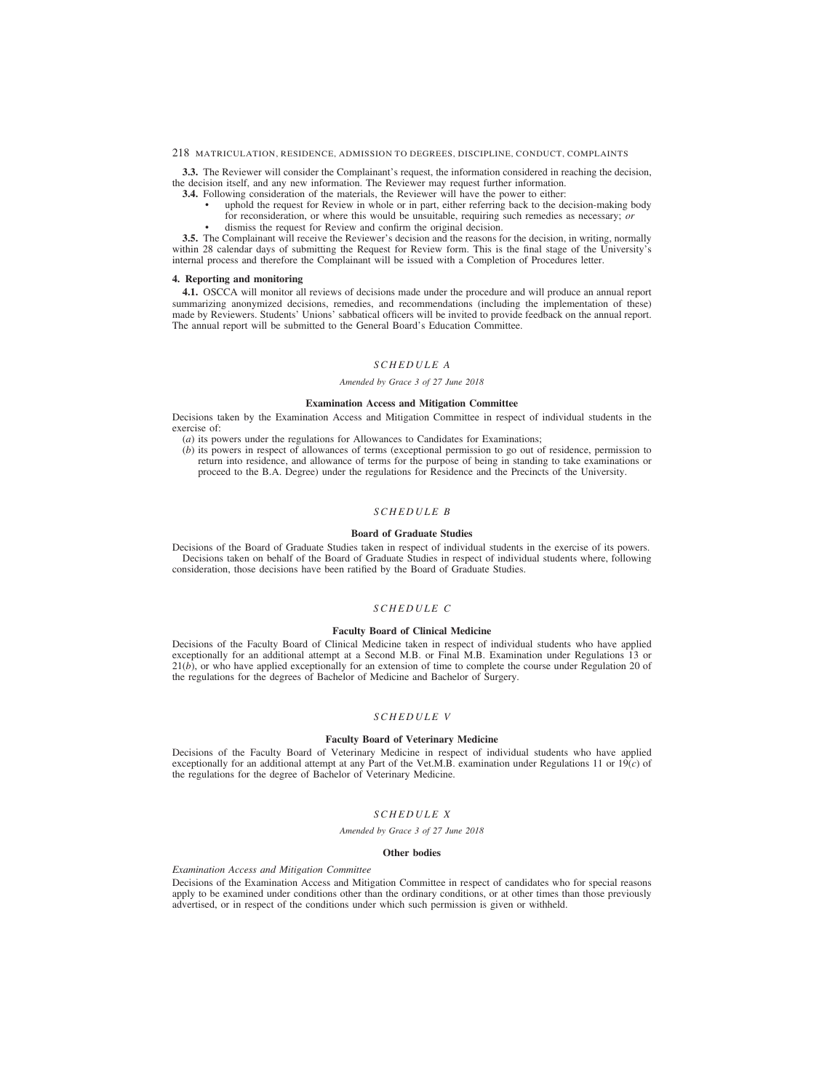**3.3.** The Reviewer will consider the Complainant's request, the information considered in reaching the decision, the decision itself, and any new information. The Reviewer may request further information.

- **3.4.** Following consideration of the materials, the Reviewer will have the power to either:
	- uphold the request for Review in whole or in part, either referring back to the decision-making body
	- for reconsideration, or where this would be unsuitable, requiring such remedies as necessary; *or*
	- dismiss the request for Review and confirm the original decision.

**3.5.** The Complainant will receive the Reviewer's decision and the reasons for the decision, in writing, normally within 28 calendar days of submitting the Request for Review form. This is the final stage of the University's internal process and therefore the Complainant will be issued with a Completion of Procedures letter.

### **4. Reporting and monitoring**

**4.1.** OSCCA will monitor all reviews of decisions made under the procedure and will produce an annual report summarizing anonymized decisions, remedies, and recommendations (including the implementation of these) made by Reviewers. Students' Unions' sabbatical officers will be invited to provide feedback on the annual report. The annual report will be submitted to the General Board's Education Committee.

# *SCHEDULE A*

### *Amended by Grace 3 of 27 June 2018*

### **Examination Access and Mitigation Committee**

Decisions taken by the Examination Access and Mitigation Committee in respect of individual students in the exercise of:

(*a*) its powers under the regulations for Allowances to Candidates for Examinations;

(*b*) its powers in respect of allowances of terms (exceptional permission to go out of residence, permission to return into residence, and allowance of terms for the purpose of being in standing to take examinations or proceed to the B.A. Degree) under the regulations for Residence and the Precincts of the University.

## *SCHEDULE B*

### **Board of Graduate Studies**

Decisions of the Board of Graduate Studies taken in respect of individual students in the exercise of its powers. Decisions taken on behalf of the Board of Graduate Studies in respect of individual students where, following consideration, those decisions have been ratified by the Board of Graduate Studies.

# *SCHEDULE C*

### **Faculty Board of Clinical Medicine**

Decisions of the Faculty Board of Clinical Medicine taken in respect of individual students who have applied exceptionally for an additional attempt at a Second M.B. or Final M.B. Examination under Regulations 13 or  $21(b)$ , or who have applied exceptionally for an extension of time to complete the course under Regulation 20 of the regulations for the degrees of Bachelor of Medicine and Bachelor of Surgery.

# *SCHEDULE V*

### **Faculty Board of Veterinary Medicine**

Decisions of the Faculty Board of Veterinary Medicine in respect of individual students who have applied exceptionally for an additional attempt at any Part of the Vet.M.B. examination under Regulations 11 or 19(*c*) of the regulations for the degree of Bachelor of Veterinary Medicine.

# *SCHEDULE X*

#### *Amended by Grace 3 of 27 June 2018*

#### **Other bodies**

### *Examination Access and Mitigation Committee*

Decisions of the Examination Access and Mitigation Committee in respect of candidates who for special reasons apply to be examined under conditions other than the ordinary conditions, or at other times than those previously advertised, or in respect of the conditions under which such permission is given or withheld.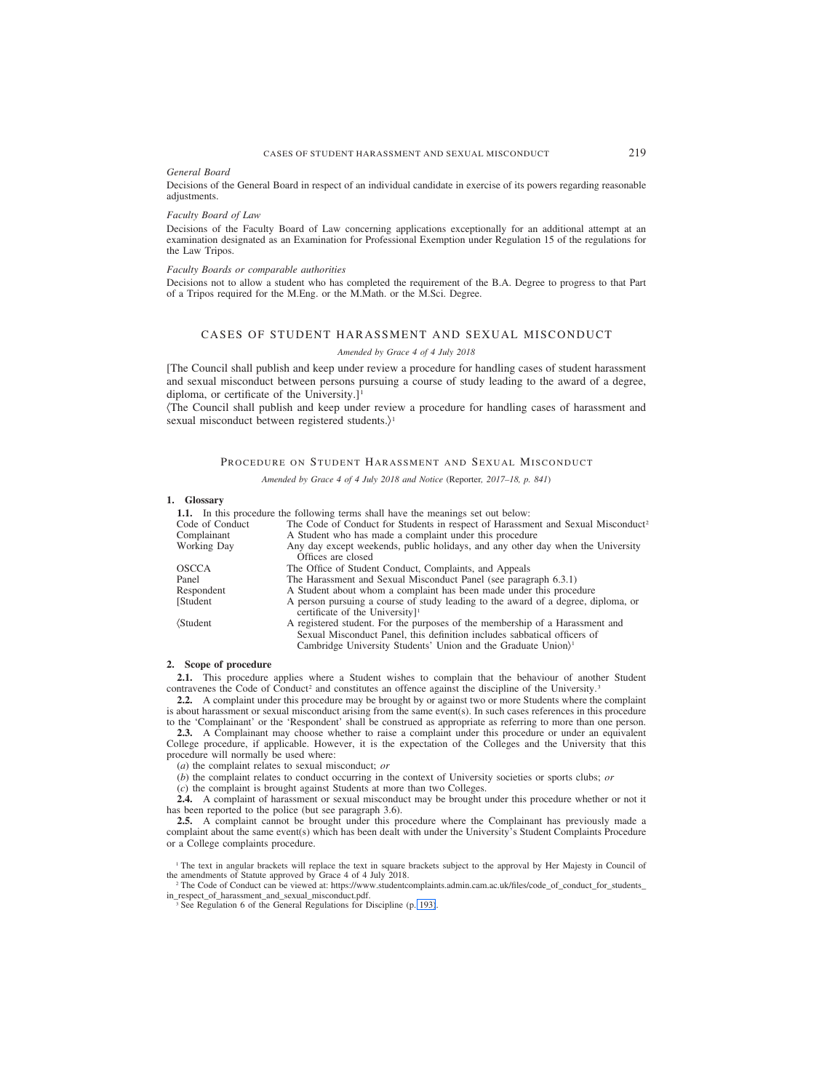### <span id="page-53-0"></span>*General Board*

Decisions of the General Board in respect of an individual candidate in exercise of its powers regarding reasonable adjustments.

#### *Faculty Board of Law*

Decisions of the Faculty Board of Law concerning applications exceptionally for an additional attempt at an examination designated as an Examination for Professional Exemption under Regulation 15 of the regulations for the Law Tripos.

### *Faculty Boards or comparable authorities*

Decisions not to allow a student who has completed the requirement of the B.A. Degree to progress to that Part of a Tripos required for the M.Eng. or the M.Math. or the M.Sci. Degree.

# CASES OF STUDENT HARASSMENT AND SEXUAL MISCONDUCT

#### *Amended by Grace 4 of 4 July 2018*

[The Council shall publish and keep under review a procedure for handling cases of student harassment and sexual misconduct between persons pursuing a course of study leading to the award of a degree, diploma, or certificate of the University.]<sup>1</sup>

(The Council shall publish and keep under review a procedure for handling cases of harassment and sexual misconduct between registered students. $\rangle$ <sup>1</sup>

### PROCEDURE ON STUDENT HARASSMENT AND SEXUAL MISCONDUCT

*Amended by Grace 4 of 4 July 2018 and Notice (*Reporter*, 2017–18, p. 841)*

#### **1. Glossary**

**1.1.** In this procedure the following terms shall have the meanings set out below:

| Code of Conduct    | The Code of Conduct for Students in respect of Harassment and Sexual Misconduct <sup>2</sup>                                                                                                                                                   |
|--------------------|------------------------------------------------------------------------------------------------------------------------------------------------------------------------------------------------------------------------------------------------|
| Complainant        | A Student who has made a complaint under this procedure                                                                                                                                                                                        |
| <b>Working Day</b> | Any day except weekends, public holidays, and any other day when the University<br>Offices are closed                                                                                                                                          |
| <b>OSCCA</b>       | The Office of Student Conduct, Complaints, and Appeals                                                                                                                                                                                         |
| Panel              | The Harassment and Sexual Misconduct Panel (see paragraph 6.3.1)                                                                                                                                                                               |
| Respondent         | A Student about whom a complaint has been made under this procedure                                                                                                                                                                            |
| [Student]          | A person pursuing a course of study leading to the award of a degree, diploma, or<br>certificate of the University <sup>11</sup>                                                                                                               |
| <b>Student</b>     | A registered student. For the purposes of the membership of a Harassment and<br>Sexual Misconduct Panel, this definition includes sabbatical officers of<br>Cambridge University Students' Union and the Graduate Union $\rangle$ <sup>1</sup> |

# **2. Scope of procedure**

**2.1.** This procedure applies where a Student wishes to complain that the behaviour of another Student contravenes the Code of Conduct<sup>2</sup> and constitutes an offence against the discipline of the University.<sup>3</sup>

**2.2.** A complaint under this procedure may be brought by or against two or more Students where the complaint is about harassment or sexual misconduct arising from the same event(s). In such cases references in this procedure to the 'Complainant' or the 'Respondent' shall be construed as appropriate as referring to more than one person.

**2.3.** A Complainant may choose whether to raise a complaint under this procedure or under an equivalent College procedure, if applicable. However, it is the expectation of the Colleges and the University that this

procedure will normally be used where:

(*a*) the complaint relates to sexual misconduct; *or*

(*b*) the complaint relates to conduct occurring in the context of University societies or sports clubs; *or*

(*c*) the complaint is brought against Students at more than two Colleges.

**2.4.** A complaint of harassment or sexual misconduct may be brought under this procedure whether or not it has been reported to the police (but see paragraph 3.6).

**2.5.** A complaint cannot be brought under this procedure where the Complainant has previously made a complaint about the same event(s) which has been dealt with under the University's Student Complaints Procedure or a College complaints procedure.

<sup>1</sup> The text in angular brackets will replace the text in square brackets subject to the approval by Her Majesty in Council of the amendments of Statute approved by Grace 4 of 4 July 2018.

<sup>2</sup> [The Code of Conduct can be viewed at: https://www.studentcomplaints.admin.cam.ac.uk/files/code\\_of\\_conduct\\_for\\_students\\_](https://www.studentcomplaints.admin.cam.ac.uk/files/code_of_conduct_for_students_in_respect_of_harassment_and_sexual_misconduct.pdf) in\_respect\_of\_harassment\_and\_sexual\_misconduct.pdf.

<sup>3</sup> See Regulation 6 of the General Regulations for Discipline (p. [193\)](#page-27-0).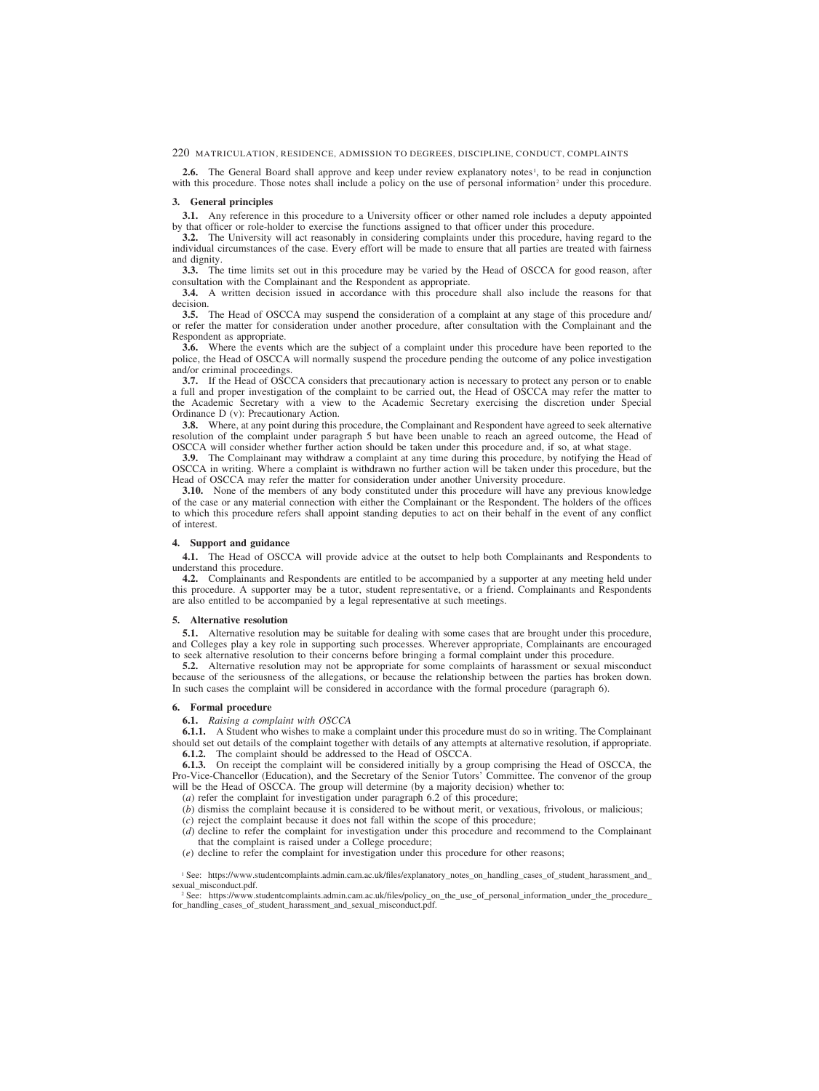**2.6.** The General Board shall approve and keep under review explanatory notes<sup>1</sup>, to be read in conjunction with this procedure. Those notes shall include a policy on the use of personal information<sup>2</sup> under this procedure.

#### **3. General principles**

**3.1.** Any reference in this procedure to a University officer or other named role includes a deputy appointed by that officer or role-holder to exercise the functions assigned to that officer under this procedure.

**3.2.** The University will act reasonably in considering complaints under this procedure, having regard to the individual circumstances of the case. Every effort will be made to ensure that all parties are treated with fairness and dignity.

**3.3.** The time limits set out in this procedure may be varied by the Head of OSCCA for good reason, after consultation with the Complainant and the Respondent as appropriate.

**3.4.** A written decision issued in accordance with this procedure shall also include the reasons for that decision.

**3.5.** The Head of OSCCA may suspend the consideration of a complaint at any stage of this procedure and/ or refer the matter for consideration under another procedure, after consultation with the Complainant and the Respondent as appropriate.

**3.6.** Where the events which are the subject of a complaint under this procedure have been reported to the police, the Head of OSCCA will normally suspend the procedure pending the outcome of any police investigation and/or criminal proceedings.

**3.7.** If the Head of OSCCA considers that precautionary action is necessary to protect any person or to enable a full and proper investigation of the complaint to be carried out, the Head of OSCCA may refer the matter to the Academic Secretary with a view to the Academic Secretary exercising the discretion under Special Ordinance D (v): Precautionary Action.

**3.8.** Where, at any point during this procedure, the Complainant and Respondent have agreed to seek alternative resolution of the complaint under paragraph 5 but have been unable to reach an agreed outcome, the Head of OSCCA will consider whether further action should be taken under this procedure and, if so, at what stage.

**3.9.** The Complainant may withdraw a complaint at any time during this procedure, by notifying the Head of OSCCA in writing. Where a complaint is withdrawn no further action will be taken under this procedure, but the Head of OSCCA may refer the matter for consideration under another University procedure.

**3.10.** None of the members of any body constituted under this procedure will have any previous knowledge of the case or any material connection with either the Complainant or the Respondent. The holders of the offices to which this procedure refers shall appoint standing deputies to act on their behalf in the event of any conflict of interest.

#### **4. Support and guidance**

**4.1.** The Head of OSCCA will provide advice at the outset to help both Complainants and Respondents to understand this procedure.

**4.2.** Complainants and Respondents are entitled to be accompanied by a supporter at any meeting held under this procedure. A supporter may be a tutor, student representative, or a friend. Complainants and Respondents are also entitled to be accompanied by a legal representative at such meetings.

#### **5. Alternative resolution**

**5.1.** Alternative resolution may be suitable for dealing with some cases that are brought under this procedure, and Colleges play a key role in supporting such processes. Wherever appropriate, Complainants are encouraged to seek alternative resolution to their concerns before bringing a formal complaint under this procedure.

**5.2.** Alternative resolution may not be appropriate for some complaints of harassment or sexual misconduct because of the seriousness of the allegations, or because the relationship between the parties has broken down. In such cases the complaint will be considered in accordance with the formal procedure (paragraph 6).

### **6. Formal procedure**

**6.1.** *Raising a complaint with OSCCA*

**6.1.1.** A Student who wishes to make a complaint under this procedure must do so in writing. The Complainant should set out details of the complaint together with details of any attempts at alternative resolution, if appropriate. **6.1.2.** The complaint should be addressed to the Head of OSCCA.

**6.1.3.** On receipt the complaint will be considered initially by a group comprising the Head of OSCCA, the Pro-Vice-Chancellor (Education), and the Secretary of the Senior Tutors' Committee. The convenor of the group will be the Head of OSCCA. The group will determine (by a majority decision) whether to:

(*a*) refer the complaint for investigation under paragraph 6.2 of this procedure;

(*b*) dismiss the complaint because it is considered to be without merit, or vexatious, frivolous, or malicious;

- (*c*) reject the complaint because it does not fall within the scope of this procedure;
- (*d*) decline to refer the complaint for investigation under this procedure and recommend to the Complainant that the complaint is raised under a College procedure;
- (*e*) decline to refer the complaint for investigation under this procedure for other reasons;

<sup>1</sup> [See: https://www.studentcomplaints.admin.cam.ac.uk/files/explanatory\\_notes\\_on\\_handling\\_cases\\_of\\_student\\_harassment\\_and\\_](https://www.studentcomplaints.admin.cam.ac.uk/files/explanatory_notes_on_handling_cases_of_student_harassment_and_sexual_misconduct.pdf) sexual\_misconduct.pdf.

<sup>2</sup> [See: https://www.studentcomplaints.admin.cam.ac.uk/files/policy\\_on\\_the\\_use\\_of\\_personal\\_information\\_under\\_the\\_procedure\\_](https://www.studentcomplaints.admin.cam.ac.uk/files/policy_on_the_use_of_personal_information_under_the_procedure_for_handling_cases_of_student_harassment_and_sexual_misconduct.pdf) for\_handling\_cases\_of\_student\_harassment\_and\_sexual\_misconduct.pdf.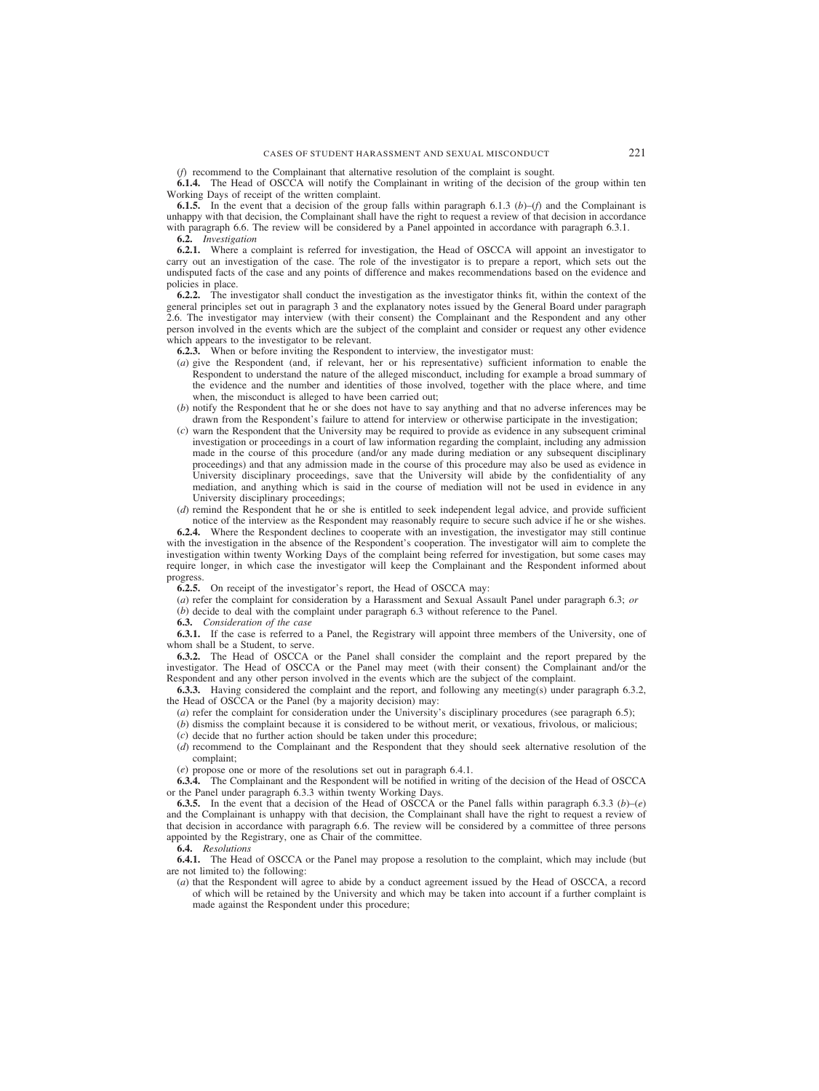### (*f*) recommend to the Complainant that alternative resolution of the complaint is sought.

**6.1.4.** The Head of OSCCA will notify the Complainant in writing of the decision of the group within ten Working Days of receipt of the written complaint.

**6.1.5.** In the event that a decision of the group falls within paragraph 6.1.3 (*b*)–(*f*) and the Complainant is unhappy with that decision, the Complainant shall have the right to request a review of that decision in accordance with paragraph 6.6. The review will be considered by a Panel appointed in accordance with paragraph 6.3.1.

**6.2.** *Investigation*

**6.2.1.** Where a complaint is referred for investigation, the Head of OSCCA will appoint an investigator to carry out an investigation of the case. The role of the investigator is to prepare a report, which sets out the undisputed facts of the case and any points of difference and makes recommendations based on the evidence and policies in place.

**6.2.2.** The investigator shall conduct the investigation as the investigator thinks fit, within the context of the general principles set out in paragraph 3 and the explanatory notes issued by the General Board under paragraph 2.6. The investigator may interview (with their consent) the Complainant and the Respondent and any other person involved in the events which are the subject of the complaint and consider or request any other evidence which appears to the investigator to be relevant.

**6.2.3.** When or before inviting the Respondent to interview, the investigator must:

- (*a*) give the Respondent (and, if relevant, her or his representative) sufficient information to enable the Respondent to understand the nature of the alleged misconduct, including for example a broad summary of the evidence and the number and identities of those involved, together with the place where, and time when, the misconduct is alleged to have been carried out;
- (*b*) notify the Respondent that he or she does not have to say anything and that no adverse inferences may be drawn from the Respondent's failure to attend for interview or otherwise participate in the investigation;
- (*c*) warn the Respondent that the University may be required to provide as evidence in any subsequent criminal investigation or proceedings in a court of law information regarding the complaint, including any admission made in the course of this procedure (and/or any made during mediation or any subsequent disciplinary proceedings) and that any admission made in the course of this procedure may also be used as evidence in University disciplinary proceedings, save that the University will abide by the confidentiality of any mediation, and anything which is said in the course of mediation will not be used in evidence in any University disciplinary proceedings;
- (*d*) remind the Respondent that he or she is entitled to seek independent legal advice, and provide sufficient notice of the interview as the Respondent may reasonably require to secure such advice if he or she wishes.

**6.2.4.** Where the Respondent declines to cooperate with an investigation, the investigator may still continue with the investigation in the absence of the Respondent's cooperation. The investigator will aim to complete the investigation within twenty Working Days of the complaint being referred for investigation, but some cases may require longer, in which case the investigator will keep the Complainant and the Respondent informed about progress.

**6.2.5.** On receipt of the investigator's report, the Head of OSCCA may:

(*a*) refer the complaint for consideration by a Harassment and Sexual Assault Panel under paragraph 6.3; *or*

(*b*) decide to deal with the complaint under paragraph 6.3 without reference to the Panel.

**6.3.** *Consideration of the case*

**6.3.1.** If the case is referred to a Panel, the Registrary will appoint three members of the University, one of whom shall be a Student, to serve.

**6.3.2.** The Head of OSCCA or the Panel shall consider the complaint and the report prepared by the investigator. The Head of OSCCA or the Panel may meet (with their consent) the Complainant and/or the Respondent and any other person involved in the events which are the subject of the complaint.

**6.3.3.** Having considered the complaint and the report, and following any meeting(s) under paragraph 6.3.2, the Head of OSCCA or the Panel (by a majority decision) may:

- (*a*) refer the complaint for consideration under the University's disciplinary procedures (see paragraph 6.5);
- (*b*) dismiss the complaint because it is considered to be without merit, or vexatious, frivolous, or malicious;
- (*c*) decide that no further action should be taken under this procedure;
- (*d*) recommend to the Complainant and the Respondent that they should seek alternative resolution of the complaint;

(*e*) propose one or more of the resolutions set out in paragraph 6.4.1.

**6.3.4.** The Complainant and the Respondent will be notified in writing of the decision of the Head of OSCCA or the Panel under paragraph 6.3.3 within twenty Working Days.

**6.3.5.** In the event that a decision of the Head of OSCCA or the Panel falls within paragraph 6.3.3 (*b*)–(*e*) and the Complainant is unhappy with that decision, the Complainant shall have the right to request a review of that decision in accordance with paragraph 6.6. The review will be considered by a committee of three persons appointed by the Registrary, one as Chair of the committee.

**6.4.** *Resolutions*

**6.4.1.** The Head of OSCCA or the Panel may propose a resolution to the complaint, which may include (but are not limited to) the following:

(*a*) that the Respondent will agree to abide by a conduct agreement issued by the Head of OSCCA, a record of which will be retained by the University and which may be taken into account if a further complaint is made against the Respondent under this procedure;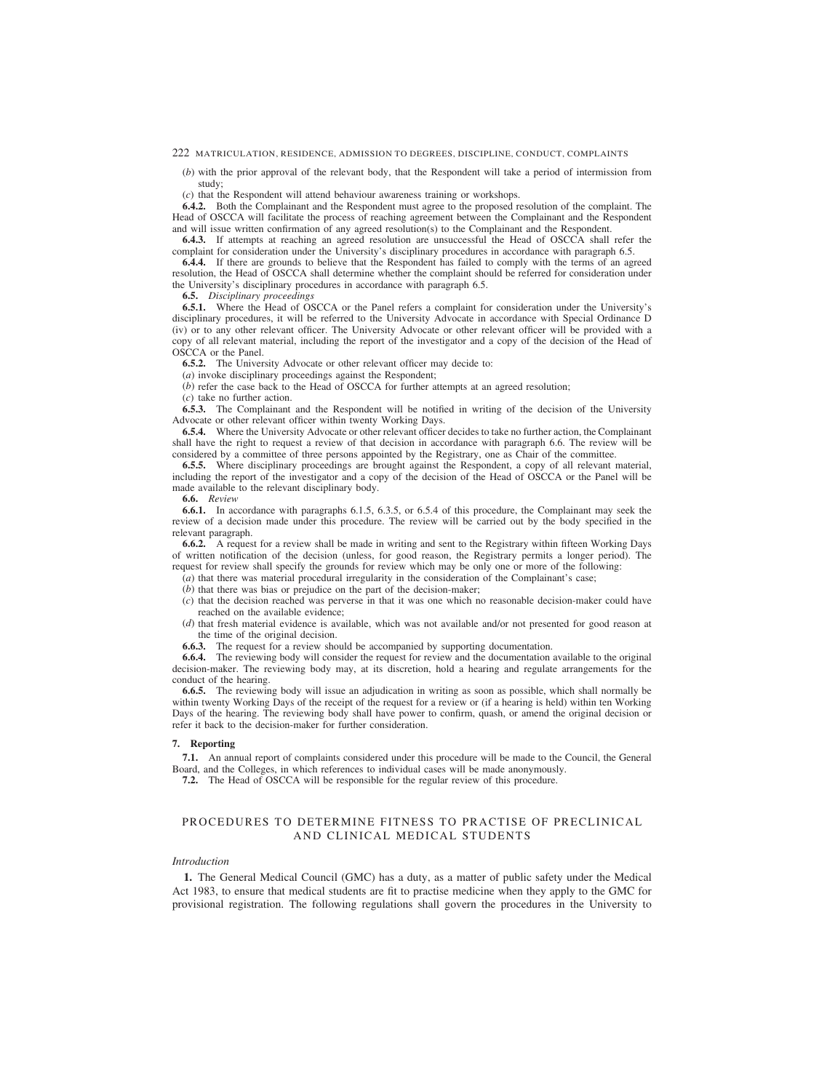<span id="page-56-0"></span>(*b*) with the prior approval of the relevant body, that the Respondent will take a period of intermission from study;

(*c*) that the Respondent will attend behaviour awareness training or workshops.

**6.4.2.** Both the Complainant and the Respondent must agree to the proposed resolution of the complaint. The Head of OSCCA will facilitate the process of reaching agreement between the Complainant and the Respondent and will issue written confirmation of any agreed resolution(s) to the Complainant and the Respondent.

**6.4.3.** If attempts at reaching an agreed resolution are unsuccessful the Head of OSCCA shall refer the complaint for consideration under the University's disciplinary procedures in accordance with paragraph 6.5.

**6.4.4.** If there are grounds to believe that the Respondent has failed to comply with the terms of an agreed resolution, the Head of OSCCA shall determine whether the complaint should be referred for consideration under the University's disciplinary procedures in accordance with paragraph 6.5.

**6.5.** *Disciplinary proceedings*

**6.5.1.** Where the Head of OSCCA or the Panel refers a complaint for consideration under the University's disciplinary procedures, it will be referred to the University Advocate in accordance with Special Ordinance D (iv) or to any other relevant officer. The University Advocate or other relevant officer will be provided with a copy of all relevant material, including the report of the investigator and a copy of the decision of the Head of OSCCA or the Panel.

**6.5.2.** The University Advocate or other relevant officer may decide to:

(*a*) invoke disciplinary proceedings against the Respondent;

(*b*) refer the case back to the Head of OSCCA for further attempts at an agreed resolution;

(*c*) take no further action.

**6.5.3.** The Complainant and the Respondent will be notified in writing of the decision of the University Advocate or other relevant officer within twenty Working Days.

**6.5.4.** Where the University Advocate or other relevant officer decides to take no further action, the Complainant shall have the right to request a review of that decision in accordance with paragraph 6.6. The review will be considered by a committee of three persons appointed by the Registrary, one as Chair of the committee.

**6.5.5.** Where disciplinary proceedings are brought against the Respondent, a copy of all relevant material, including the report of the investigator and a copy of the decision of the Head of OSCCA or the Panel will be made available to the relevant disciplinary body.

**6.6.** *Review*

**6.6.1.** In accordance with paragraphs 6.1.5, 6.3.5, or 6.5.4 of this procedure, the Complainant may seek the review of a decision made under this procedure. The review will be carried out by the body specified in the relevant paragraph.

**6.6.2.** A request for a review shall be made in writing and sent to the Registrary within fifteen Working Days of written notification of the decision (unless, for good reason, the Registrary permits a longer period). The request for review shall specify the grounds for review which may be only one or more of the following:

- (*a*) that there was material procedural irregularity in the consideration of the Complainant's case;
- (*b*) that there was bias or prejudice on the part of the decision-maker;
- (*c*) that the decision reached was perverse in that it was one which no reasonable decision-maker could have reached on the available evidence;
- (*d*) that fresh material evidence is available, which was not available and/or not presented for good reason at the time of the original decision.
- **6.6.3.** The request for a review should be accompanied by supporting documentation.

**6.6.4.** The reviewing body will consider the request for review and the documentation available to the original decision-maker. The reviewing body may, at its discretion, hold a hearing and regulate arrangements for the conduct of the hearing.

**6.6.5.** The reviewing body will issue an adjudication in writing as soon as possible, which shall normally be within twenty Working Days of the receipt of the request for a review or (if a hearing is held) within ten Working Days of the hearing. The reviewing body shall have power to confirm, quash, or amend the original decision or refer it back to the decision-maker for further consideration.

### **7. Reporting**

**7.1.** An annual report of complaints considered under this procedure will be made to the Council, the General Board, and the Colleges, in which references to individual cases will be made anonymously.

**7.2.** The Head of OSCCA will be responsible for the regular review of this procedure.

# PROCEDURES TO DETERMINE FITNESS TO PRACTISE OF PRECLINICAL AND CLINICAL MEDICAL STUDENTS

## *Introduction*

**1.** The General Medical Council (GMC) has a duty, as a matter of public safety under the Medical Act 1983, to ensure that medical students are fit to practise medicine when they apply to the GMC for provisional registration. The following regulations shall govern the procedures in the University to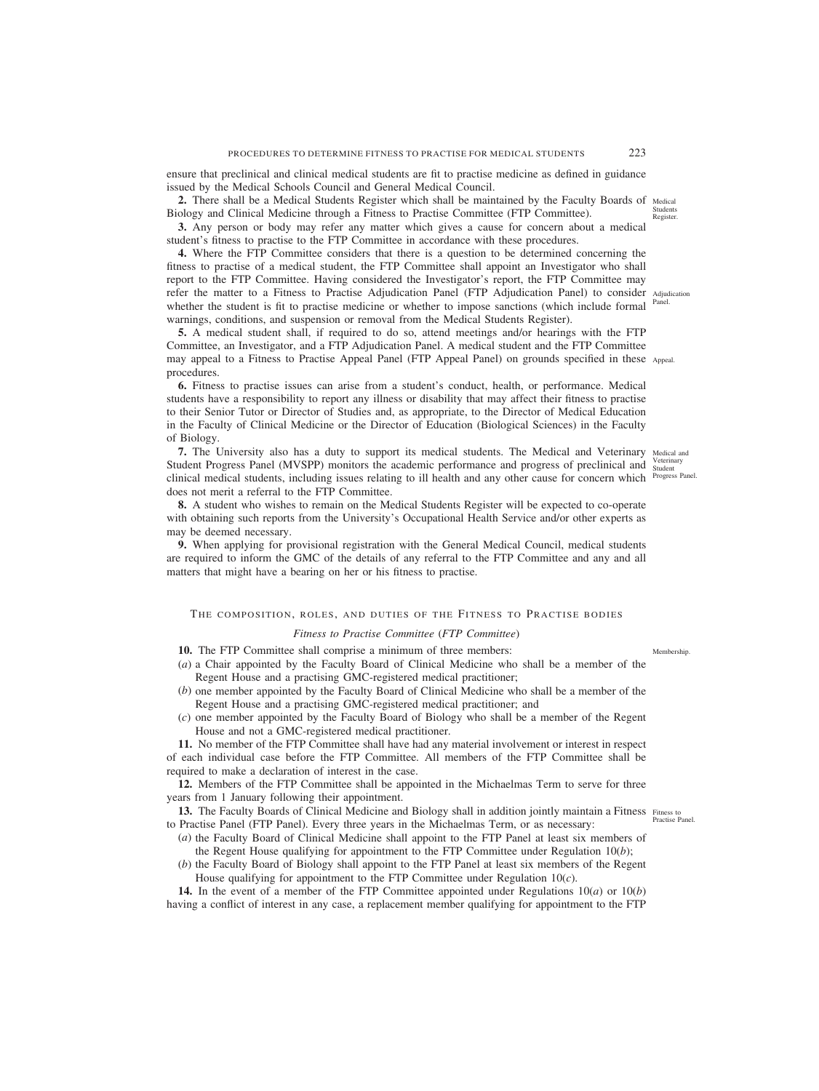ensure that preclinical and clinical medical students are fit to practise medicine as defined in guidance issued by the Medical Schools Council and General Medical Council.

**2.** There shall be a Medical Students Register which shall be maintained by the Faculty Boards of Medical Biology and Clinical Medicine through a Fitness to Practise Committee (FTP Committee).

**3.** Any person or body may refer any matter which gives a cause for concern about a medical student's fitness to practise to the FTP Committee in accordance with these procedures.

**4.** Where the FTP Committee considers that there is a question to be determined concerning the fitness to practise of a medical student, the FTP Committee shall appoint an Investigator who shall report to the FTP Committee. Having considered the Investigator's report, the FTP Committee may refer the matter to a Fitness to Practise Adjudication Panel (FTP Adjudication Panel) to consider Adjudication whether the student is fit to practise medicine or whether to impose sanctions (which include formal <sup>Panel.</sup> warnings, conditions, and suspension or removal from the Medical Students Register).

**5.** A medical student shall, if required to do so, attend meetings and/or hearings with the FTP Committee, an Investigator, and a FTP Adjudication Panel. A medical student and the FTP Committee may appeal to a Fitness to Practise Appeal Panel (FTP Appeal Panel) on grounds specified in these Appeal. procedures.

**6.** Fitness to practise issues can arise from a student's conduct, health, or performance. Medical students have a responsibility to report any illness or disability that may affect their fitness to practise to their Senior Tutor or Director of Studies and, as appropriate, to the Director of Medical Education in the Faculty of Clinical Medicine or the Director of Education (Biological Sciences) in the Faculty of Biology.

**7.** The University also has a duty to support its medical students. The Medical and Veterinary Medical and Student Progress Panel (MVSPP) monitors the academic performance and progress of preclinical and Veterinary clinical medical students, including issues relating to ill health and any other cause for concern which <sup>Progress Panel.</sup> does not merit a referral to the FTP Committee.

**8.** A student who wishes to remain on the Medical Students Register will be expected to co-operate with obtaining such reports from the University's Occupational Health Service and/or other experts as may be deemed necessary.

**9.** When applying for provisional registration with the General Medical Council, medical students are required to inform the GMC of the details of any referral to the FTP Committee and any and all matters that might have a bearing on her or his fitness to practise.

# THE COMPOSITION, ROLES, AND DUTIES OF THE FITNESS TO PRACTISE BODIES

### *Fitness to Practise Committee* (*FTP Committee*)

- **10.** The FTP Committee shall comprise a minimum of three members:
- (*a*) a Chair appointed by the Faculty Board of Clinical Medicine who shall be a member of the Regent House and a practising GMC-registered medical practitioner;
- (*b*) one member appointed by the Faculty Board of Clinical Medicine who shall be a member of the Regent House and a practising GMC-registered medical practitioner; and
- (*c*) one member appointed by the Faculty Board of Biology who shall be a member of the Regent House and not a GMC-registered medical practitioner.

**11.** No member of the FTP Committee shall have had any material involvement or interest in respect of each individual case before the FTP Committee. All members of the FTP Committee shall be required to make a declaration of interest in the case.

**12.** Members of the FTP Committee shall be appointed in the Michaelmas Term to serve for three years from 1 January following their appointment.

13. The Faculty Boards of Clinical Medicine and Biology shall in addition jointly maintain a Fitness Fitness to to Practise Panel (FTP Panel). Every three years in the Michaelmas Term, or as necessary:

- (*a*) the Faculty Board of Clinical Medicine shall appoint to the FTP Panel at least six members of the Regent House qualifying for appointment to the FTP Committee under Regulation 10(*b*);
- (*b*) the Faculty Board of Biology shall appoint to the FTP Panel at least six members of the Regent House qualifying for appointment to the FTP Committee under Regulation 10(*c*).

**14.** In the event of a member of the FTP Committee appointed under Regulations 10(*a*) or 10(*b*) having a conflict of interest in any case, a replacement member qualifying for appointment to the FTP

Students Register.

Membership.

Practise Panel.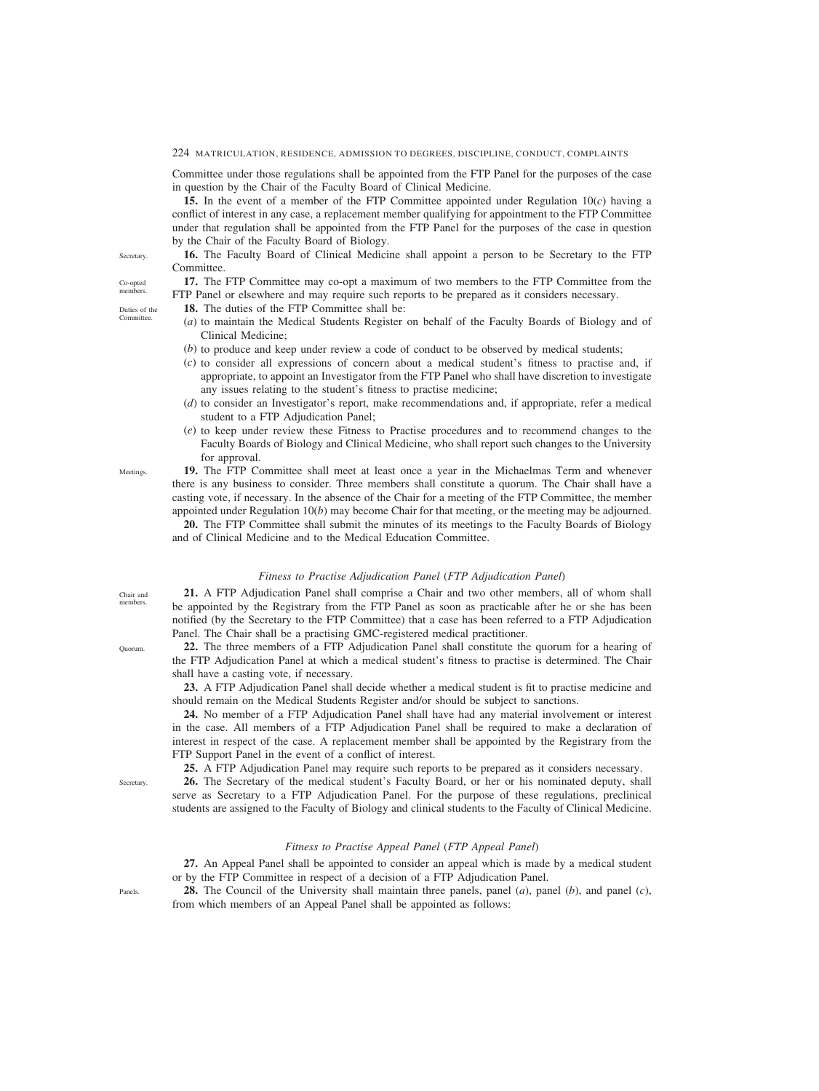Committee under those regulations shall be appointed from the FTP Panel for the purposes of the case in question by the Chair of the Faculty Board of Clinical Medicine.

**15.** In the event of a member of the FTP Committee appointed under Regulation 10(*c*) having a conflict of interest in any case, a replacement member qualifying for appointment to the FTP Committee under that regulation shall be appointed from the FTP Panel for the purposes of the case in question by the Chair of the Faculty Board of Biology.

**16.** The Faculty Board of Clinical Medicine shall appoint a person to be Secretary to the FTP Committee.

**17.** The FTP Committee may co-opt a maximum of two members to the FTP Committee from the FTP Panel or elsewhere and may require such reports to be prepared as it considers necessary.

**18.** The duties of the FTP Committee shall be:

- (*a*) to maintain the Medical Students Register on behalf of the Faculty Boards of Biology and of Clinical Medicine;
- (*b*) to produce and keep under review a code of conduct to be observed by medical students;
- (*c*) to consider all expressions of concern about a medical student's fitness to practise and, if appropriate, to appoint an Investigator from the FTP Panel who shall have discretion to investigate any issues relating to the student's fitness to practise medicine;
- (*d*) to consider an Investigator's report, make recommendations and, if appropriate, refer a medical student to a FTP Adjudication Panel;
- (*e*) to keep under review these Fitness to Practise procedures and to recommend changes to the Faculty Boards of Biology and Clinical Medicine, who shall report such changes to the University for approval.

**19.** The FTP Committee shall meet at least once a year in the Michaelmas Term and whenever there is any business to consider. Three members shall constitute a quorum. The Chair shall have a casting vote, if necessary. In the absence of the Chair for a meeting of the FTP Committee, the member appointed under Regulation 10(*b*) may become Chair for that meeting, or the meeting may be adjourned.

**20.** The FTP Committee shall submit the minutes of its meetings to the Faculty Boards of Biology and of Clinical Medicine and to the Medical Education Committee.

# *Fitness to Practise Adjudication Panel* (*FTP Adjudication Panel*)

**21.** A FTP Adjudication Panel shall comprise a Chair and two other members, all of whom shall be appointed by the Registrary from the FTP Panel as soon as practicable after he or she has been notified (by the Secretary to the FTP Committee) that a case has been referred to a FTP Adjudication Panel. The Chair shall be a practising GMC-registered medical practitioner.

**22.** The three members of a FTP Adjudication Panel shall constitute the quorum for a hearing of the FTP Adjudication Panel at which a medical student's fitness to practise is determined. The Chair shall have a casting vote, if necessary.

**23.** A FTP Adjudication Panel shall decide whether a medical student is fit to practise medicine and should remain on the Medical Students Register and/or should be subject to sanctions.

**24.** No member of a FTP Adjudication Panel shall have had any material involvement or interest in the case. All members of a FTP Adjudication Panel shall be required to make a declaration of interest in respect of the case. A replacement member shall be appointed by the Registrary from the FTP Support Panel in the event of a conflict of interest.

**25.** A FTP Adjudication Panel may require such reports to be prepared as it considers necessary.

**26.** The Secretary of the medical student's Faculty Board, or her or his nominated deputy, shall serve as Secretary to a FTP Adjudication Panel. For the purpose of these regulations, preclinical students are assigned to the Faculty of Biology and clinical students to the Faculty of Clinical Medicine.

# *Fitness to Practise Appeal Panel* (*FTP Appeal Panel*)

**27.** An Appeal Panel shall be appointed to consider an appeal which is made by a medical student or by the FTP Committee in respect of a decision of a FTP Adjudication Panel.

**28.** The Council of the University shall maintain three panels, panel (*a*), panel (*b*), and panel (*c*), from which members of an Appeal Panel shall be appointed as follows:

**Secretary** Co-opted members.

Duties of the Committee.

Chair and members.

**Meetings** 

Quorum.

Panels.

Secretary.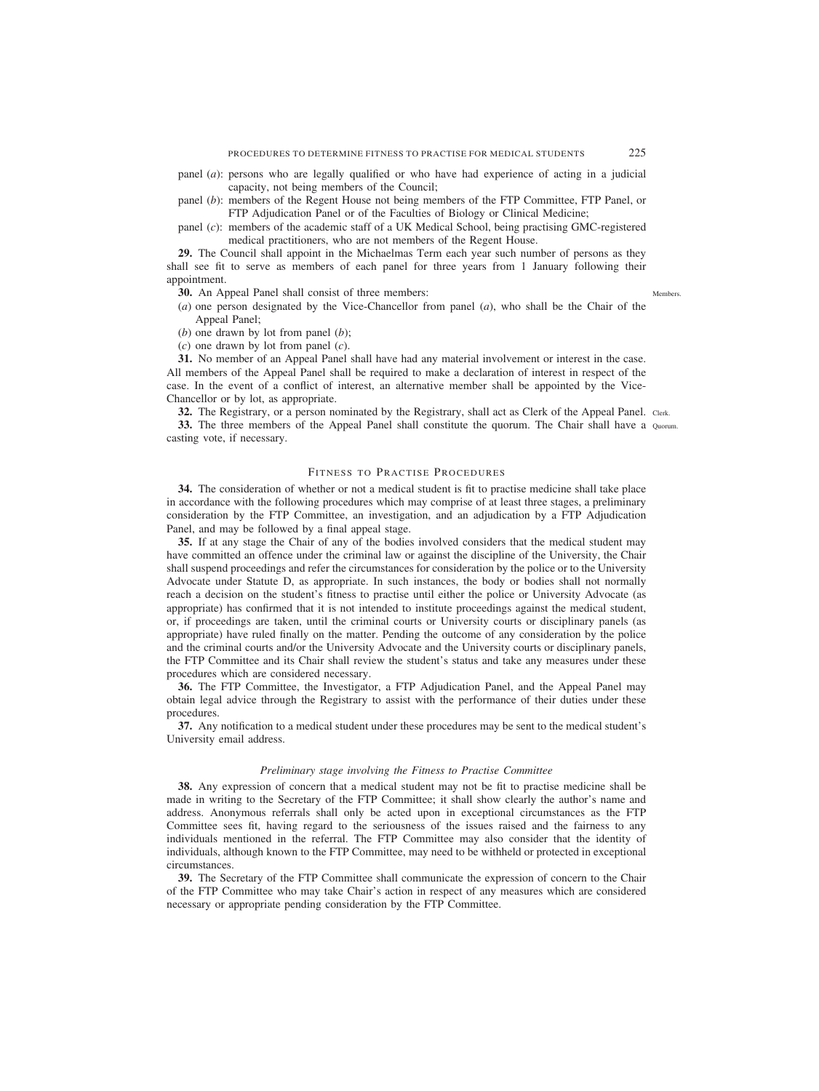- panel (*a*): persons who are legally qualified or who have had experience of acting in a judicial capacity, not being members of the Council;
- panel (*b*): members of the Regent House not being members of the FTP Committee, FTP Panel, or FTP Adjudication Panel or of the Faculties of Biology or Clinical Medicine;

panel (*c*): members of the academic staff of a UK Medical School, being practising GMC-registered medical practitioners, who are not members of the Regent House.

**29.** The Council shall appoint in the Michaelmas Term each year such number of persons as they shall see fit to serve as members of each panel for three years from 1 January following their appointment.

**30.** An Appeal Panel shall consist of three members:

Members.

- (*a*) one person designated by the Vice-Chancellor from panel (*a*), who shall be the Chair of the Appeal Panel;
- (*b*) one drawn by lot from panel (*b*);
- (*c*) one drawn by lot from panel (*c*).

**31.** No member of an Appeal Panel shall have had any material involvement or interest in the case. All members of the Appeal Panel shall be required to make a declaration of interest in respect of the case. In the event of a conflict of interest, an alternative member shall be appointed by the Vice-Chancellor or by lot, as appropriate.

**32.** The Registrary, or a person nominated by the Registrary, shall act as Clerk of the Appeal Panel. Clerk.

**33.** The three members of the Appeal Panel shall constitute the quorum. The Chair shall have a Quorum. casting vote, if necessary.

# FITNESS TO PRACTISE PROCEDURES

**34.** The consideration of whether or not a medical student is fit to practise medicine shall take place in accordance with the following procedures which may comprise of at least three stages, a preliminary consideration by the FTP Committee, an investigation, and an adjudication by a FTP Adjudication Panel, and may be followed by a final appeal stage.

**35.** If at any stage the Chair of any of the bodies involved considers that the medical student may have committed an offence under the criminal law or against the discipline of the University, the Chair shall suspend proceedings and refer the circumstances for consideration by the police or to the University Advocate under Statute D, as appropriate. In such instances, the body or bodies shall not normally reach a decision on the student's fitness to practise until either the police or University Advocate (as appropriate) has confirmed that it is not intended to institute proceedings against the medical student, or, if proceedings are taken, until the criminal courts or University courts or disciplinary panels (as appropriate) have ruled finally on the matter. Pending the outcome of any consideration by the police and the criminal courts and/or the University Advocate and the University courts or disciplinary panels, the FTP Committee and its Chair shall review the student's status and take any measures under these procedures which are considered necessary.

**36.** The FTP Committee, the Investigator, a FTP Adjudication Panel, and the Appeal Panel may obtain legal advice through the Registrary to assist with the performance of their duties under these procedures.

**37.** Any notification to a medical student under these procedures may be sent to the medical student's University email address.

### *Preliminary stage involving the Fitness to Practise Committee*

**38.** Any expression of concern that a medical student may not be fit to practise medicine shall be made in writing to the Secretary of the FTP Committee; it shall show clearly the author's name and address. Anonymous referrals shall only be acted upon in exceptional circumstances as the FTP Committee sees fit, having regard to the seriousness of the issues raised and the fairness to any individuals mentioned in the referral. The FTP Committee may also consider that the identity of individuals, although known to the FTP Committee, may need to be withheld or protected in exceptional circumstances.

**39.** The Secretary of the FTP Committee shall communicate the expression of concern to the Chair of the FTP Committee who may take Chair's action in respect of any measures which are considered necessary or appropriate pending consideration by the FTP Committee.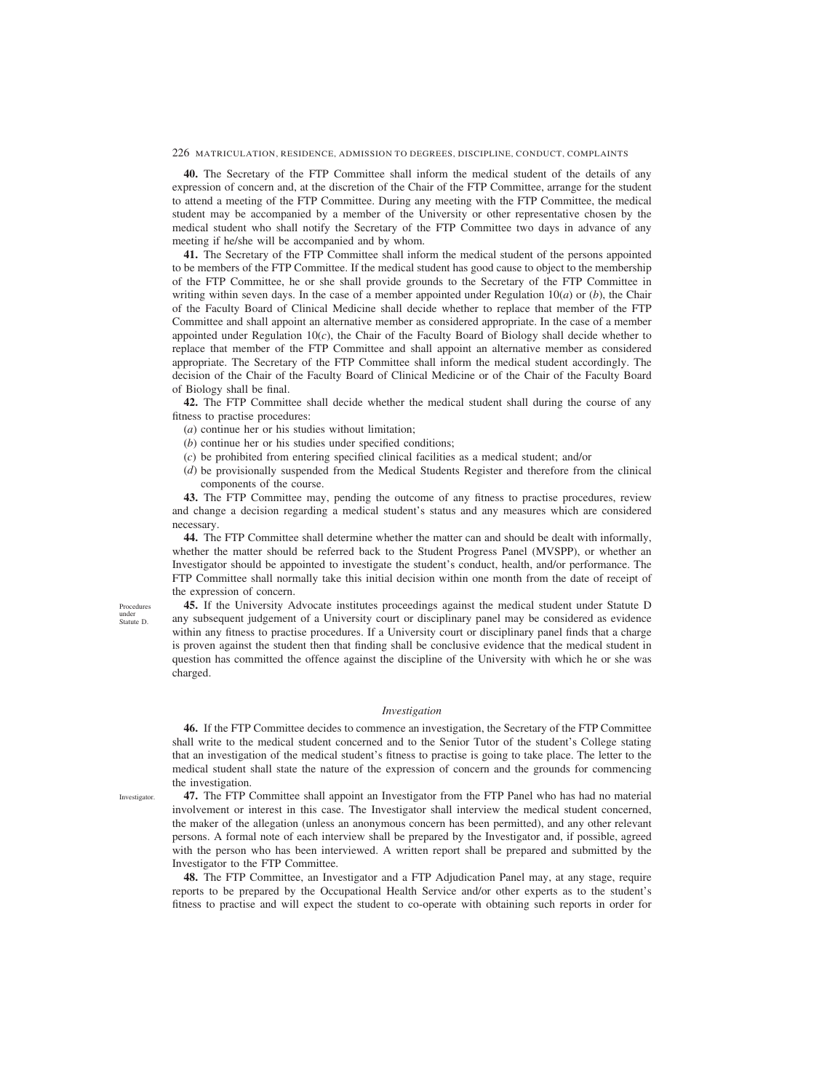**40.** The Secretary of the FTP Committee shall inform the medical student of the details of any expression of concern and, at the discretion of the Chair of the FTP Committee, arrange for the student to attend a meeting of the FTP Committee. During any meeting with the FTP Committee, the medical student may be accompanied by a member of the University or other representative chosen by the medical student who shall notify the Secretary of the FTP Committee two days in advance of any meeting if he/she will be accompanied and by whom.

**41.** The Secretary of the FTP Committee shall inform the medical student of the persons appointed to be members of the FTP Committee. If the medical student has good cause to object to the membership of the FTP Committee, he or she shall provide grounds to the Secretary of the FTP Committee in writing within seven days. In the case of a member appointed under Regulation  $10(a)$  or (*b*), the Chair of the Faculty Board of Clinical Medicine shall decide whether to replace that member of the FTP Committee and shall appoint an alternative member as considered appropriate. In the case of a member appointed under Regulation 10(*c*), the Chair of the Faculty Board of Biology shall decide whether to replace that member of the FTP Committee and shall appoint an alternative member as considered appropriate. The Secretary of the FTP Committee shall inform the medical student accordingly. The decision of the Chair of the Faculty Board of Clinical Medicine or of the Chair of the Faculty Board of Biology shall be final.

**42.** The FTP Committee shall decide whether the medical student shall during the course of any fitness to practise procedures:

- (*a*) continue her or his studies without limitation;
- (*b*) continue her or his studies under specified conditions;
- (*c*) be prohibited from entering specified clinical facilities as a medical student; and/or
- (*d*) be provisionally suspended from the Medical Students Register and therefore from the clinical components of the course.

**43.** The FTP Committee may, pending the outcome of any fitness to practise procedures, review and change a decision regarding a medical student's status and any measures which are considered necessary.

**44.** The FTP Committee shall determine whether the matter can and should be dealt with informally, whether the matter should be referred back to the Student Progress Panel (MVSPP), or whether an Investigator should be appointed to investigate the student's conduct, health, and/or performance. The FTP Committee shall normally take this initial decision within one month from the date of receipt of the expression of concern.

**45.** If the University Advocate institutes proceedings against the medical student under Statute D any subsequent judgement of a University court or disciplinary panel may be considered as evidence within any fitness to practise procedures. If a University court or disciplinary panel finds that a charge is proven against the student then that finding shall be conclusive evidence that the medical student in question has committed the offence against the discipline of the University with which he or she was charged.

# *Investigation*

**46.** If the FTP Committee decides to commence an investigation, the Secretary of the FTP Committee shall write to the medical student concerned and to the Senior Tutor of the student's College stating that an investigation of the medical student's fitness to practise is going to take place. The letter to the medical student shall state the nature of the expression of concern and the grounds for commencing the investigation.

Investigator.

Procedures under Statute D.

> **47.** The FTP Committee shall appoint an Investigator from the FTP Panel who has had no material involvement or interest in this case. The Investigator shall interview the medical student concerned, the maker of the allegation (unless an anonymous concern has been permitted), and any other relevant persons. A formal note of each interview shall be prepared by the Investigator and, if possible, agreed with the person who has been interviewed. A written report shall be prepared and submitted by the Investigator to the FTP Committee.

> **48.** The FTP Committee, an Investigator and a FTP Adjudication Panel may, at any stage, require reports to be prepared by the Occupational Health Service and/or other experts as to the student's fitness to practise and will expect the student to co-operate with obtaining such reports in order for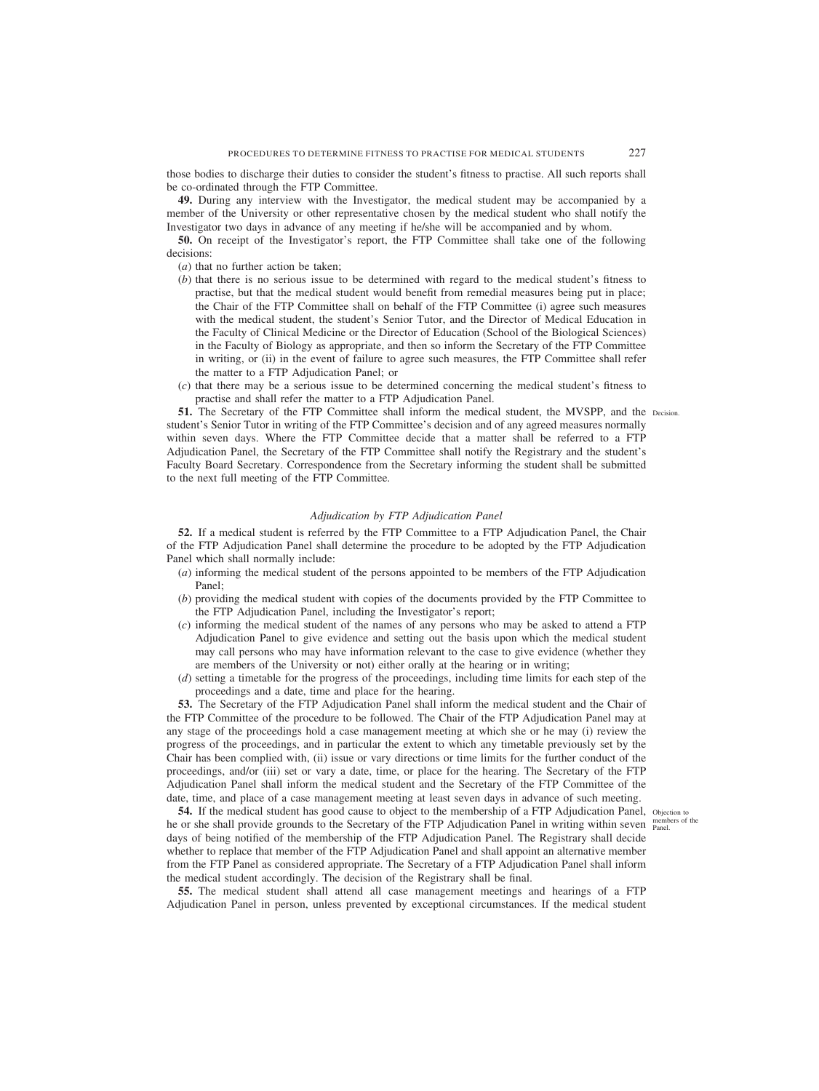those bodies to discharge their duties to consider the student's fitness to practise. All such reports shall be co-ordinated through the FTP Committee.

**49.** During any interview with the Investigator, the medical student may be accompanied by a member of the University or other representative chosen by the medical student who shall notify the Investigator two days in advance of any meeting if he/she will be accompanied and by whom.

**50.** On receipt of the Investigator's report, the FTP Committee shall take one of the following decisions:

(*a*) that no further action be taken;

- (*b*) that there is no serious issue to be determined with regard to the medical student's fitness to practise, but that the medical student would benefit from remedial measures being put in place; the Chair of the FTP Committee shall on behalf of the FTP Committee (i) agree such measures with the medical student, the student's Senior Tutor, and the Director of Medical Education in the Faculty of Clinical Medicine or the Director of Education (School of the Biological Sciences) in the Faculty of Biology as appropriate, and then so inform the Secretary of the FTP Committee in writing, or (ii) in the event of failure to agree such measures, the FTP Committee shall refer the matter to a FTP Adjudication Panel; or
- (*c*) that there may be a serious issue to be determined concerning the medical student's fitness to practise and shall refer the matter to a FTP Adjudication Panel.

**51.** The Secretary of the FTP Committee shall inform the medical student, the MVSPP, and the Decision. student's Senior Tutor in writing of the FTP Committee's decision and of any agreed measures normally within seven days. Where the FTP Committee decide that a matter shall be referred to a FTP Adjudication Panel, the Secretary of the FTP Committee shall notify the Registrary and the student's Faculty Board Secretary. Correspondence from the Secretary informing the student shall be submitted to the next full meeting of the FTP Committee.

# *Adjudication by FTP Adjudication Panel*

**52.** If a medical student is referred by the FTP Committee to a FTP Adjudication Panel, the Chair of the FTP Adjudication Panel shall determine the procedure to be adopted by the FTP Adjudication Panel which shall normally include:

- (*a*) informing the medical student of the persons appointed to be members of the FTP Adjudication Panel;
- (*b*) providing the medical student with copies of the documents provided by the FTP Committee to the FTP Adjudication Panel, including the Investigator's report;
- (*c*) informing the medical student of the names of any persons who may be asked to attend a FTP Adjudication Panel to give evidence and setting out the basis upon which the medical student may call persons who may have information relevant to the case to give evidence (whether they are members of the University or not) either orally at the hearing or in writing;
- (*d*) setting a timetable for the progress of the proceedings, including time limits for each step of the proceedings and a date, time and place for the hearing.

**53.** The Secretary of the FTP Adjudication Panel shall inform the medical student and the Chair of the FTP Committee of the procedure to be followed. The Chair of the FTP Adjudication Panel may at any stage of the proceedings hold a case management meeting at which she or he may (i) review the progress of the proceedings, and in particular the extent to which any timetable previously set by the Chair has been complied with, (ii) issue or vary directions or time limits for the further conduct of the proceedings, and/or (iii) set or vary a date, time, or place for the hearing. The Secretary of the FTP Adjudication Panel shall inform the medical student and the Secretary of the FTP Committee of the date, time, and place of a case management meeting at least seven days in advance of such meeting.

**54.** If the medical student has good cause to object to the membership of a FTP Adjudication Panel, objection to he or she shall provide grounds to the Secretary of the FTP Adjudication Panel in writing within seven  $P_{\text{rand}}$ days of being notified of the membership of the FTP Adjudication Panel. The Registrary shall decide whether to replace that member of the FTP Adjudication Panel and shall appoint an alternative member from the FTP Panel as considered appropriate. The Secretary of a FTP Adjudication Panel shall inform the medical student accordingly. The decision of the Registrary shall be final.

**55.** The medical student shall attend all case management meetings and hearings of a FTP Adjudication Panel in person, unless prevented by exceptional circumstances. If the medical student

members of the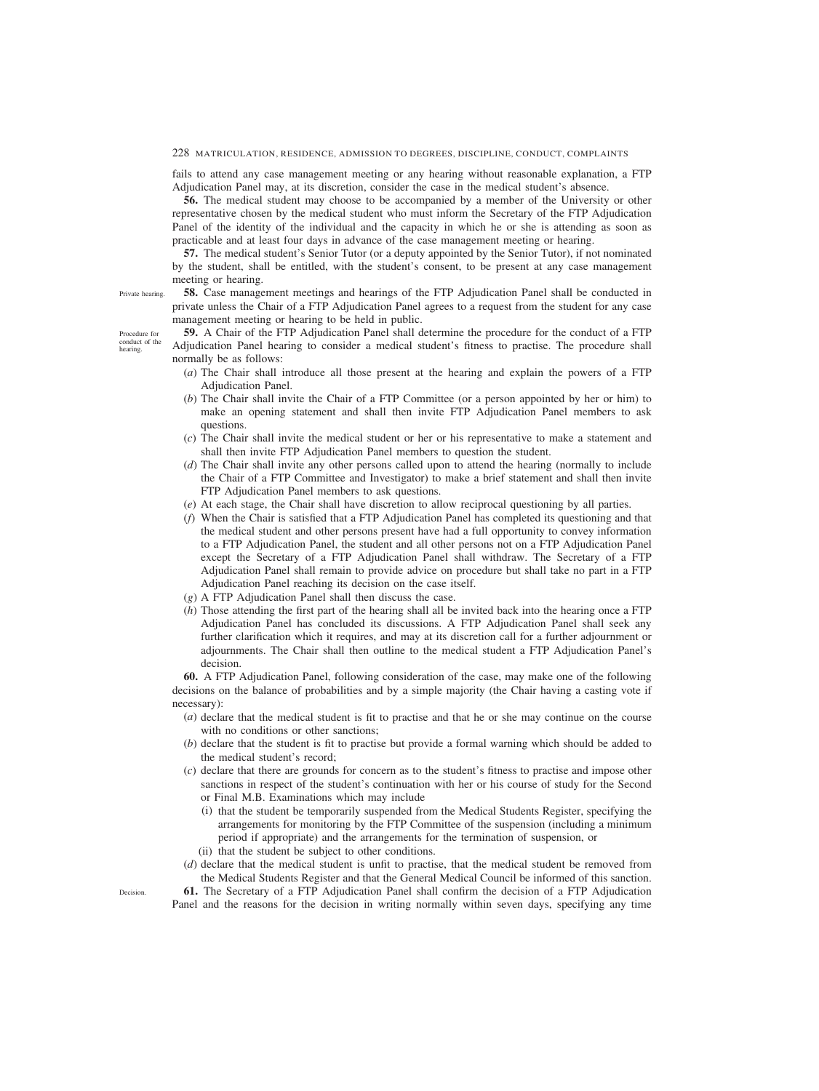fails to attend any case management meeting or any hearing without reasonable explanation, a FTP Adjudication Panel may, at its discretion, consider the case in the medical student's absence.

**56.** The medical student may choose to be accompanied by a member of the University or other representative chosen by the medical student who must inform the Secretary of the FTP Adjudication Panel of the identity of the individual and the capacity in which he or she is attending as soon as practicable and at least four days in advance of the case management meeting or hearing.

**57.** The medical student's Senior Tutor (or a deputy appointed by the Senior Tutor), if not nominated by the student, shall be entitled, with the student's consent, to be present at any case management meeting or hearing.

Private hearing.

Procedure for conduct of the hearing.

**58.** Case management meetings and hearings of the FTP Adjudication Panel shall be conducted in private unless the Chair of a FTP Adjudication Panel agrees to a request from the student for any case management meeting or hearing to be held in public.

**59.** A Chair of the FTP Adjudication Panel shall determine the procedure for the conduct of a FTP Adjudication Panel hearing to consider a medical student's fitness to practise. The procedure shall normally be as follows:

- (*a*) The Chair shall introduce all those present at the hearing and explain the powers of a FTP Adjudication Panel.
- (*b*) The Chair shall invite the Chair of a FTP Committee (or a person appointed by her or him) to make an opening statement and shall then invite FTP Adjudication Panel members to ask questions.
- (*c*) The Chair shall invite the medical student or her or his representative to make a statement and shall then invite FTP Adjudication Panel members to question the student.
- (*d*) The Chair shall invite any other persons called upon to attend the hearing (normally to include the Chair of a FTP Committee and Investigator) to make a brief statement and shall then invite FTP Adjudication Panel members to ask questions.
- (*e*) At each stage, the Chair shall have discretion to allow reciprocal questioning by all parties.
- (*f*) When the Chair is satisfied that a FTP Adjudication Panel has completed its questioning and that the medical student and other persons present have had a full opportunity to convey information to a FTP Adjudication Panel, the student and all other persons not on a FTP Adjudication Panel except the Secretary of a FTP Adjudication Panel shall withdraw. The Secretary of a FTP Adjudication Panel shall remain to provide advice on procedure but shall take no part in a FTP Adjudication Panel reaching its decision on the case itself.
- (*g*) A FTP Adjudication Panel shall then discuss the case.
- (*h*) Those attending the first part of the hearing shall all be invited back into the hearing once a FTP Adjudication Panel has concluded its discussions. A FTP Adjudication Panel shall seek any further clarification which it requires, and may at its discretion call for a further adjournment or adjournments. The Chair shall then outline to the medical student a FTP Adjudication Panel's decision.

**60.** A FTP Adjudication Panel, following consideration of the case, may make one of the following decisions on the balance of probabilities and by a simple majority (the Chair having a casting vote if necessary):

- (*a*) declare that the medical student is fit to practise and that he or she may continue on the course with no conditions or other sanctions;
- (*b*) declare that the student is fit to practise but provide a formal warning which should be added to the medical student's record;
- (*c*) declare that there are grounds for concern as to the student's fitness to practise and impose other sanctions in respect of the student's continuation with her or his course of study for the Second or Final M.B. Examinations which may include
	- (i) that the student be temporarily suspended from the Medical Students Register, specifying the arrangements for monitoring by the FTP Committee of the suspension (including a minimum period if appropriate) and the arrangements for the termination of suspension, or
	- (ii) that the student be subject to other conditions.
- (*d*) declare that the medical student is unfit to practise, that the medical student be removed from the Medical Students Register and that the General Medical Council be informed of this sanction.

**61.** The Secretary of a FTP Adjudication Panel shall confirm the decision of a FTP Adjudication Panel and the reasons for the decision in writing normally within seven days, specifying any time

Decision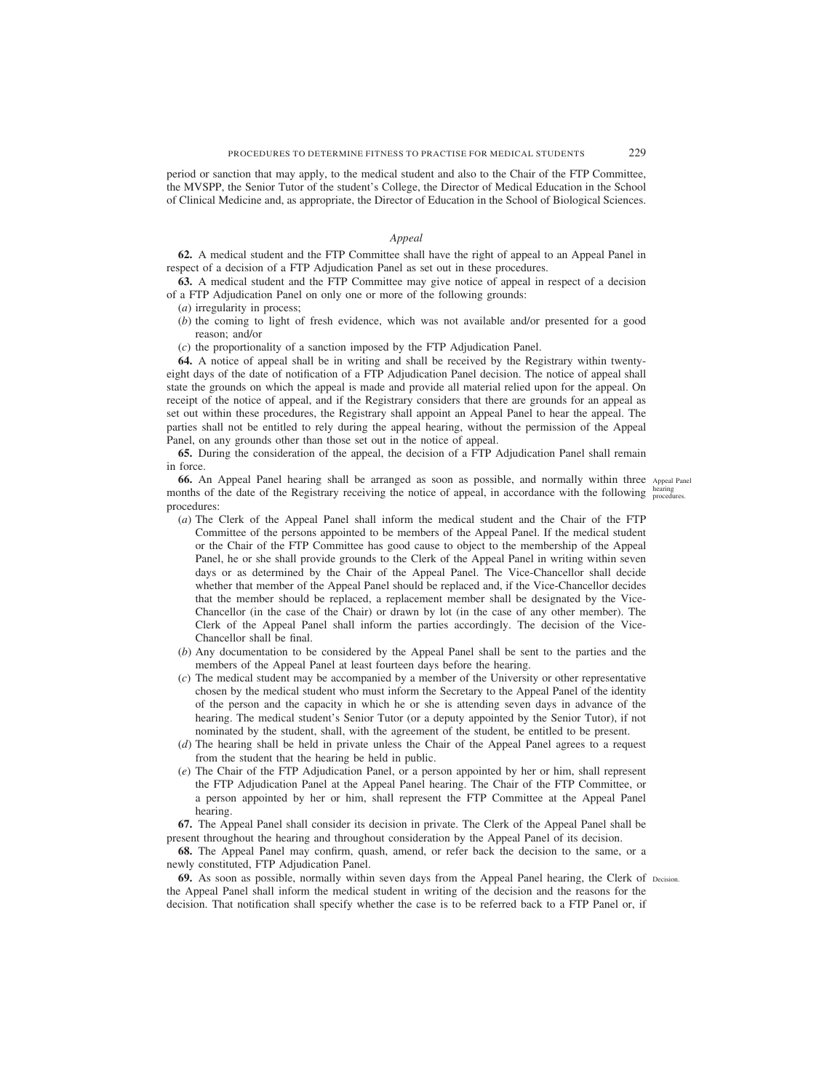period or sanction that may apply, to the medical student and also to the Chair of the FTP Committee, the MVSPP, the Senior Tutor of the student's College, the Director of Medical Education in the School of Clinical Medicine and, as appropriate, the Director of Education in the School of Biological Sciences.

# *Appeal*

**62.** A medical student and the FTP Committee shall have the right of appeal to an Appeal Panel in respect of a decision of a FTP Adjudication Panel as set out in these procedures.

**63.** A medical student and the FTP Committee may give notice of appeal in respect of a decision of a FTP Adjudication Panel on only one or more of the following grounds:

- (*a*) irregularity in process;
- (*b*) the coming to light of fresh evidence, which was not available and/or presented for a good reason; and/or
- (*c*) the proportionality of a sanction imposed by the FTP Adjudication Panel.

**64.** A notice of appeal shall be in writing and shall be received by the Registrary within twentyeight days of the date of notification of a FTP Adjudication Panel decision. The notice of appeal shall state the grounds on which the appeal is made and provide all material relied upon for the appeal. On receipt of the notice of appeal, and if the Registrary considers that there are grounds for an appeal as set out within these procedures, the Registrary shall appoint an Appeal Panel to hear the appeal. The parties shall not be entitled to rely during the appeal hearing, without the permission of the Appeal Panel, on any grounds other than those set out in the notice of appeal.

**65.** During the consideration of the appeal, the decision of a FTP Adjudication Panel shall remain in force.

**66.** An Appeal Panel hearing shall be arranged as soon as possible, and normally within three Appeal Panel months of the date of the Registrary receiving the notice of appeal, in accordance with the following bearing procedures:

- 
- (*a*) The Clerk of the Appeal Panel shall inform the medical student and the Chair of the FTP Committee of the persons appointed to be members of the Appeal Panel. If the medical student or the Chair of the FTP Committee has good cause to object to the membership of the Appeal Panel, he or she shall provide grounds to the Clerk of the Appeal Panel in writing within seven days or as determined by the Chair of the Appeal Panel. The Vice-Chancellor shall decide whether that member of the Appeal Panel should be replaced and, if the Vice-Chancellor decides that the member should be replaced, a replacement member shall be designated by the Vice-Chancellor (in the case of the Chair) or drawn by lot (in the case of any other member). The Clerk of the Appeal Panel shall inform the parties accordingly. The decision of the Vice-Chancellor shall be final.
- (*b*) Any documentation to be considered by the Appeal Panel shall be sent to the parties and the members of the Appeal Panel at least fourteen days before the hearing.
- (*c*) The medical student may be accompanied by a member of the University or other representative chosen by the medical student who must inform the Secretary to the Appeal Panel of the identity of the person and the capacity in which he or she is attending seven days in advance of the hearing. The medical student's Senior Tutor (or a deputy appointed by the Senior Tutor), if not nominated by the student, shall, with the agreement of the student, be entitled to be present.
- (*d*) The hearing shall be held in private unless the Chair of the Appeal Panel agrees to a request from the student that the hearing be held in public.
- (*e*) The Chair of the FTP Adjudication Panel, or a person appointed by her or him, shall represent the FTP Adjudication Panel at the Appeal Panel hearing. The Chair of the FTP Committee, or a person appointed by her or him, shall represent the FTP Committee at the Appeal Panel hearing.

**67.** The Appeal Panel shall consider its decision in private. The Clerk of the Appeal Panel shall be present throughout the hearing and throughout consideration by the Appeal Panel of its decision.

**68.** The Appeal Panel may confirm, quash, amend, or refer back the decision to the same, or a newly constituted, FTP Adjudication Panel.

**69.** As soon as possible, normally within seven days from the Appeal Panel hearing, the Clerk of Decision. the Appeal Panel shall inform the medical student in writing of the decision and the reasons for the decision. That notification shall specify whether the case is to be referred back to a FTP Panel or, if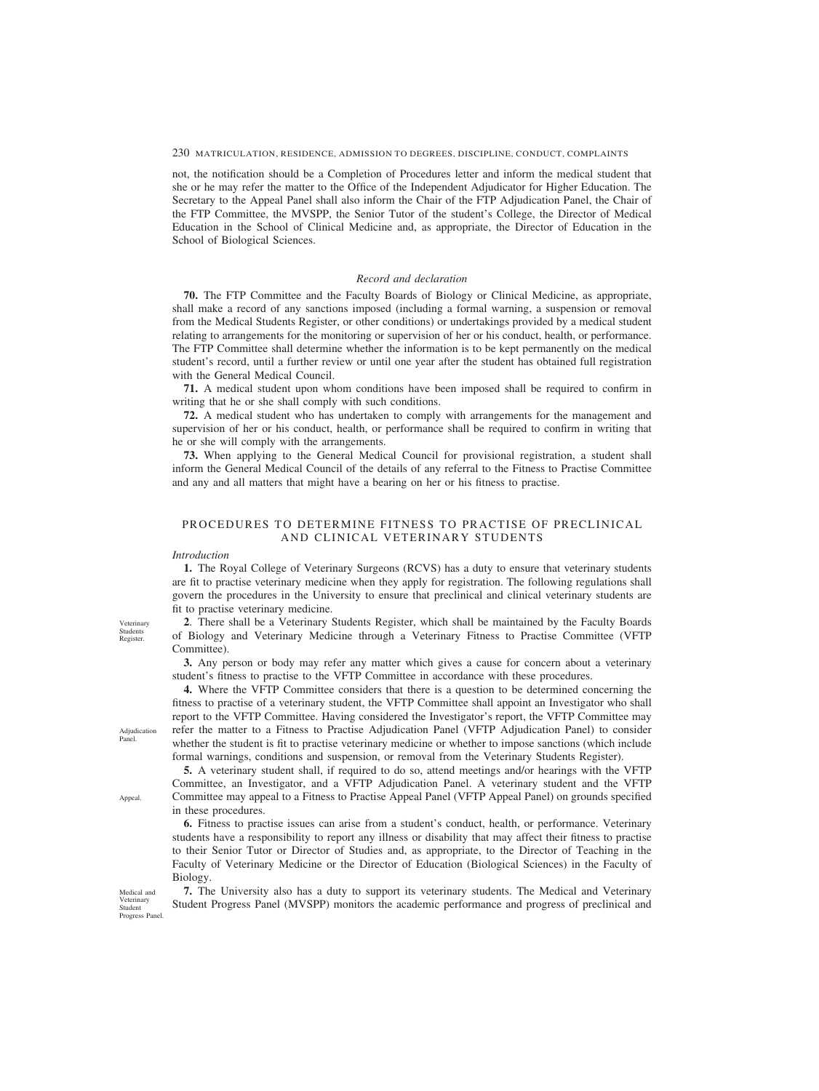<span id="page-64-0"></span>not, the notification should be a Completion of Procedures letter and inform the medical student that she or he may refer the matter to the Office of the Independent Adjudicator for Higher Education. The Secretary to the Appeal Panel shall also inform the Chair of the FTP Adjudication Panel, the Chair of the FTP Committee, the MVSPP, the Senior Tutor of the student's College, the Director of Medical Education in the School of Clinical Medicine and, as appropriate, the Director of Education in the School of Biological Sciences.

## *Record and declaration*

**70.** The FTP Committee and the Faculty Boards of Biology or Clinical Medicine, as appropriate, shall make a record of any sanctions imposed (including a formal warning, a suspension or removal from the Medical Students Register, or other conditions) or undertakings provided by a medical student relating to arrangements for the monitoring or supervision of her or his conduct, health, or performance. The FTP Committee shall determine whether the information is to be kept permanently on the medical student's record, until a further review or until one year after the student has obtained full registration with the General Medical Council.

**71.** A medical student upon whom conditions have been imposed shall be required to confirm in writing that he or she shall comply with such conditions.

**72.** A medical student who has undertaken to comply with arrangements for the management and supervision of her or his conduct, health, or performance shall be required to confirm in writing that he or she will comply with the arrangements.

**73.** When applying to the General Medical Council for provisional registration, a student shall inform the General Medical Council of the details of any referral to the Fitness to Practise Committee and any and all matters that might have a bearing on her or his fitness to practise.

# PROCEDURES TO DETERMINE FITNESS TO PRACTISE OF PRECLINICAL AND CLINICAL VETERINARY STUDENTS

### *Introduction*

**1.** The Royal College of Veterinary Surgeons (RCVS) has a duty to ensure that veterinary students are fit to practise veterinary medicine when they apply for registration. The following regulations shall govern the procedures in the University to ensure that preclinical and clinical veterinary students are fit to practise veterinary medicine.

**2**. There shall be a Veterinary Students Register, which shall be maintained by the Faculty Boards of Biology and Veterinary Medicine through a Veterinary Fitness to Practise Committee (VFTP Committee).

**3.** Any person or body may refer any matter which gives a cause for concern about a veterinary student's fitness to practise to the VFTP Committee in accordance with these procedures.

**4.** Where the VFTP Committee considers that there is a question to be determined concerning the fitness to practise of a veterinary student, the VFTP Committee shall appoint an Investigator who shall report to the VFTP Committee. Having considered the Investigator's report, the VFTP Committee may refer the matter to a Fitness to Practise Adjudication Panel (VFTP Adjudication Panel) to consider whether the student is fit to practise veterinary medicine or whether to impose sanctions (which include formal warnings, conditions and suspension, or removal from the Veterinary Students Register).

**5.** A veterinary student shall, if required to do so, attend meetings and/or hearings with the VFTP Committee, an Investigator, and a VFTP Adjudication Panel. A veterinary student and the VFTP Committee may appeal to a Fitness to Practise Appeal Panel (VFTP Appeal Panel) on grounds specified in these procedures.

**6.** Fitness to practise issues can arise from a student's conduct, health, or performance. Veterinary students have a responsibility to report any illness or disability that may affect their fitness to practise to their Senior Tutor or Director of Studies and, as appropriate, to the Director of Teaching in the Faculty of Veterinary Medicine or the Director of Education (Biological Sciences) in the Faculty of Biology.

**7.** The University also has a duty to support its veterinary students. The Medical and Veterinary Student Progress Panel (MVSPP) monitors the academic performance and progress of preclinical and

Veterinary Students Register

Adjudication Panel.

Appeal.

Medical and Veterinary Student Progress Panel.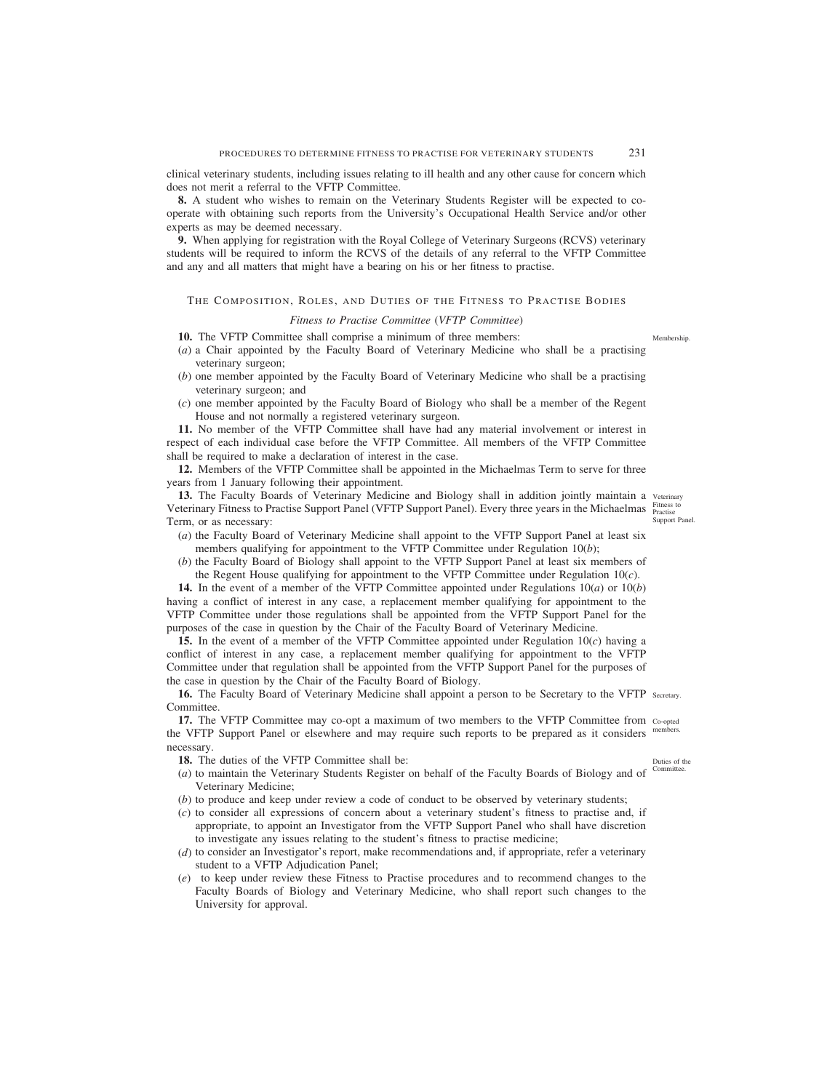clinical veterinary students, including issues relating to ill health and any other cause for concern which does not merit a referral to the VFTP Committee.

**8.** A student who wishes to remain on the Veterinary Students Register will be expected to cooperate with obtaining such reports from the University's Occupational Health Service and/or other experts as may be deemed necessary.

**9.** When applying for registration with the Royal College of Veterinary Surgeons (RCVS) veterinary students will be required to inform the RCVS of the details of any referral to the VFTP Committee and any and all matters that might have a bearing on his or her fitness to practise.

# THE COMPOSITION, ROLES, AND DUTIES OF THE FITNESS TO PRACTISE BODIES

# *Fitness to Practise Committee* (*VFTP Committee*)

**10.** The VFTP Committee shall comprise a minimum of three members:

- (*a*) a Chair appointed by the Faculty Board of Veterinary Medicine who shall be a practising veterinary surgeon;
- (*b*) one member appointed by the Faculty Board of Veterinary Medicine who shall be a practising veterinary surgeon; and
- (*c*) one member appointed by the Faculty Board of Biology who shall be a member of the Regent House and not normally a registered veterinary surgeon.

**11.** No member of the VFTP Committee shall have had any material involvement or interest in respect of each individual case before the VFTP Committee. All members of the VFTP Committee shall be required to make a declaration of interest in the case.

**12.** Members of the VFTP Committee shall be appointed in the Michaelmas Term to serve for three years from 1 January following their appointment.

13. The Faculty Boards of Veterinary Medicine and Biology shall in addition jointly maintain a veterinary Veterinary Fitness to Practise Support Panel (VFTP Support Panel). Every three years in the Michaelmas Fitness to Term, or as necessary:

- Support Panel.
- (*a*) the Faculty Board of Veterinary Medicine shall appoint to the VFTP Support Panel at least six members qualifying for appointment to the VFTP Committee under Regulation 10(*b*);
- (*b*) the Faculty Board of Biology shall appoint to the VFTP Support Panel at least six members of the Regent House qualifying for appointment to the VFTP Committee under Regulation 10(*c*).

**14.** In the event of a member of the VFTP Committee appointed under Regulations 10(*a*) or 10(*b*) having a conflict of interest in any case, a replacement member qualifying for appointment to the VFTP Committee under those regulations shall be appointed from the VFTP Support Panel for the purposes of the case in question by the Chair of the Faculty Board of Veterinary Medicine.

**15.** In the event of a member of the VFTP Committee appointed under Regulation 10(*c*) having a conflict of interest in any case, a replacement member qualifying for appointment to the VFTP Committee under that regulation shall be appointed from the VFTP Support Panel for the purposes of the case in question by the Chair of the Faculty Board of Biology.

16. The Faculty Board of Veterinary Medicine shall appoint a person to be Secretary to the VFTP secretary. Committee.

**17.** The VFTP Committee may co-opt a maximum of two members to the VFTP Committee from co-opted the VFTP Support Panel or elsewhere and may require such reports to be prepared as it considers members. necessary.

18. The duties of the VFTP Committee shall be:

- Duties of the
- (a) to maintain the Veterinary Students Register on behalf of the Faculty Boards of Biology and of Committee. Veterinary Medicine;
- (*b*) to produce and keep under review a code of conduct to be observed by veterinary students;
- (*c*) to consider all expressions of concern about a veterinary student's fitness to practise and, if appropriate, to appoint an Investigator from the VFTP Support Panel who shall have discretion to investigate any issues relating to the student's fitness to practise medicine;
- (*d*) to consider an Investigator's report, make recommendations and, if appropriate, refer a veterinary student to a VFTP Adjudication Panel;
- (*e*) to keep under review these Fitness to Practise procedures and to recommend changes to the Faculty Boards of Biology and Veterinary Medicine, who shall report such changes to the University for approval.

Membership.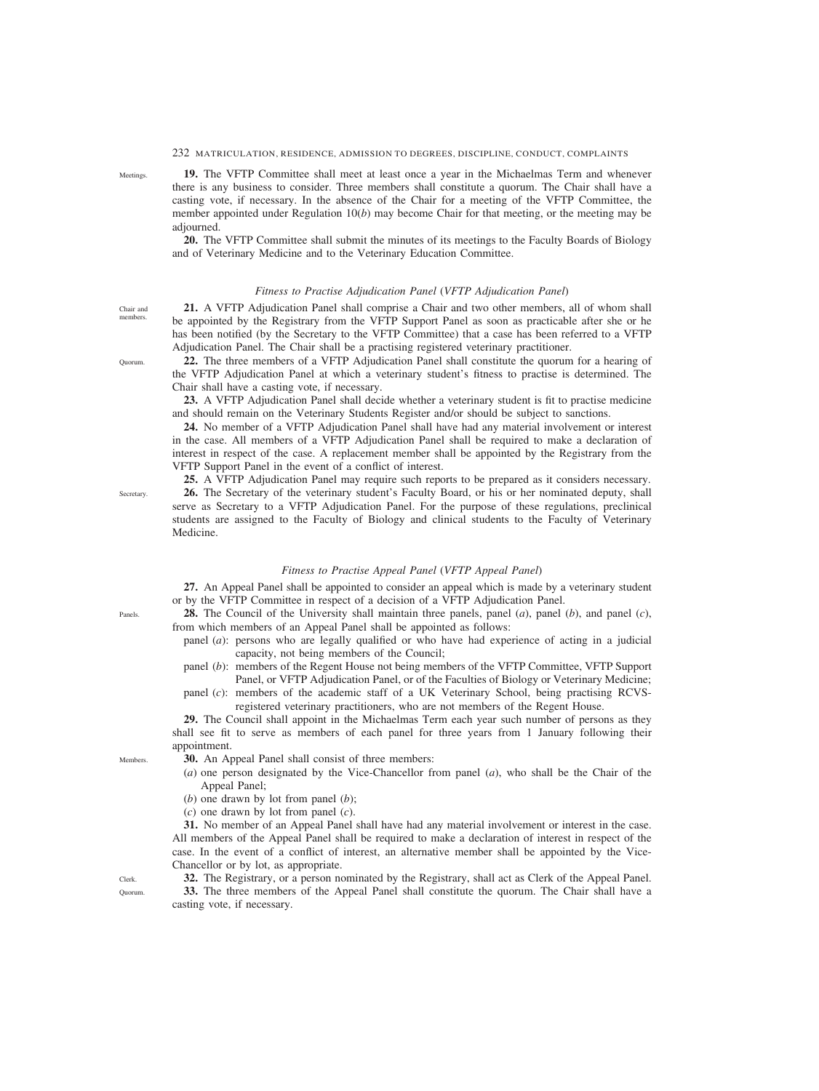**19.** The VFTP Committee shall meet at least once a year in the Michaelmas Term and whenever there is any business to consider. Three members shall constitute a quorum. The Chair shall have a casting vote, if necessary. In the absence of the Chair for a meeting of the VFTP Committee, the member appointed under Regulation 10(*b*) may become Chair for that meeting, or the meeting may be adjourned.

**20.** The VFTP Committee shall submit the minutes of its meetings to the Faculty Boards of Biology and of Veterinary Medicine and to the Veterinary Education Committee.

## *Fitness to Practise Adjudication Panel* (*VFTP Adjudication Panel*)

**21.** A VFTP Adjudication Panel shall comprise a Chair and two other members, all of whom shall be appointed by the Registrary from the VFTP Support Panel as soon as practicable after she or he has been notified (by the Secretary to the VFTP Committee) that a case has been referred to a VFTP Adjudication Panel. The Chair shall be a practising registered veterinary practitioner.

**22.** The three members of a VFTP Adjudication Panel shall constitute the quorum for a hearing of the VFTP Adjudication Panel at which a veterinary student's fitness to practise is determined. The Chair shall have a casting vote, if necessary.

**23.** A VFTP Adjudication Panel shall decide whether a veterinary student is fit to practise medicine and should remain on the Veterinary Students Register and/or should be subject to sanctions.

**24.** No member of a VFTP Adjudication Panel shall have had any material involvement or interest in the case. All members of a VFTP Adjudication Panel shall be required to make a declaration of interest in respect of the case. A replacement member shall be appointed by the Registrary from the VFTP Support Panel in the event of a conflict of interest.

**25.** A VFTP Adjudication Panel may require such reports to be prepared as it considers necessary. **26.** The Secretary of the veterinary student's Faculty Board, or his or her nominated deputy, shall serve as Secretary to a VFTP Adjudication Panel. For the purpose of these regulations, preclinical students are assigned to the Faculty of Biology and clinical students to the Faculty of Veterinary Medicine.

### *Fitness to Practise Appeal Panel* (*VFTP Appeal Panel*)

**27.** An Appeal Panel shall be appointed to consider an appeal which is made by a veterinary student or by the VFTP Committee in respect of a decision of a VFTP Adjudication Panel.

**28.** The Council of the University shall maintain three panels, panel (*a*), panel (*b*), and panel (*c*), from which members of an Appeal Panel shall be appointed as follows:

- panel (*a*): persons who are legally qualified or who have had experience of acting in a judicial capacity, not being members of the Council;
- panel (*b*): members of the Regent House not being members of the VFTP Committee, VFTP Support Panel, or VFTP Adjudication Panel, or of the Faculties of Biology or Veterinary Medicine;

panel (*c*): members of the academic staff of a UK Veterinary School, being practising RCVSregistered veterinary practitioners, who are not members of the Regent House.

**29.** The Council shall appoint in the Michaelmas Term each year such number of persons as they shall see fit to serve as members of each panel for three years from 1 January following their appointment.

**30.** An Appeal Panel shall consist of three members:

(*a*) one person designated by the Vice-Chancellor from panel (*a*), who shall be the Chair of the Appeal Panel;

(*b*) one drawn by lot from panel (*b*);

(*c*) one drawn by lot from panel (*c*).

**31.** No member of an Appeal Panel shall have had any material involvement or interest in the case. All members of the Appeal Panel shall be required to make a declaration of interest in respect of the case. In the event of a conflict of interest, an alternative member shall be appointed by the Vice-Chancellor or by lot, as appropriate.

**32.** The Registrary, or a person nominated by the Registrary, shall act as Clerk of the Appeal Panel.

**33.** The three members of the Appeal Panel shall constitute the quorum. The Chair shall have a casting vote, if necessary.

**Meetings** 

Chair and members.

Quorum.

Secretary.

Panels.

Clerk. Quorum.

Members.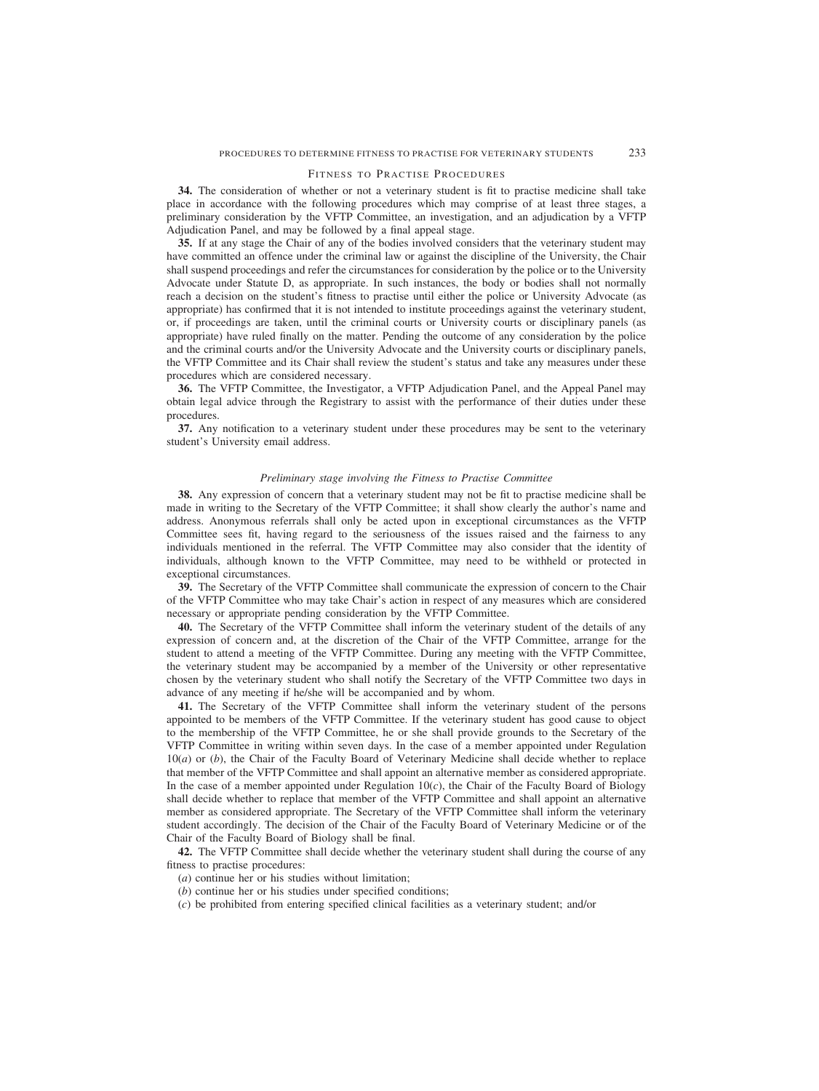### FITNESS TO PRACTISE PROCEDURES

**34.** The consideration of whether or not a veterinary student is fit to practise medicine shall take place in accordance with the following procedures which may comprise of at least three stages, a preliminary consideration by the VFTP Committee, an investigation, and an adjudication by a VFTP Adjudication Panel, and may be followed by a final appeal stage.

**35.** If at any stage the Chair of any of the bodies involved considers that the veterinary student may have committed an offence under the criminal law or against the discipline of the University, the Chair shall suspend proceedings and refer the circumstances for consideration by the police or to the University Advocate under Statute D, as appropriate. In such instances, the body or bodies shall not normally reach a decision on the student's fitness to practise until either the police or University Advocate (as appropriate) has confirmed that it is not intended to institute proceedings against the veterinary student, or, if proceedings are taken, until the criminal courts or University courts or disciplinary panels (as appropriate) have ruled finally on the matter. Pending the outcome of any consideration by the police and the criminal courts and/or the University Advocate and the University courts or disciplinary panels, the VFTP Committee and its Chair shall review the student's status and take any measures under these procedures which are considered necessary.

**36.** The VFTP Committee, the Investigator, a VFTP Adjudication Panel, and the Appeal Panel may obtain legal advice through the Registrary to assist with the performance of their duties under these procedures.

**37.** Any notification to a veterinary student under these procedures may be sent to the veterinary student's University email address.

## *Preliminary stage involving the Fitness to Practise Committee*

**38.** Any expression of concern that a veterinary student may not be fit to practise medicine shall be made in writing to the Secretary of the VFTP Committee; it shall show clearly the author's name and address. Anonymous referrals shall only be acted upon in exceptional circumstances as the VFTP Committee sees fit, having regard to the seriousness of the issues raised and the fairness to any individuals mentioned in the referral. The VFTP Committee may also consider that the identity of individuals, although known to the VFTP Committee, may need to be withheld or protected in exceptional circumstances.

**39.** The Secretary of the VFTP Committee shall communicate the expression of concern to the Chair of the VFTP Committee who may take Chair's action in respect of any measures which are considered necessary or appropriate pending consideration by the VFTP Committee.

**40.** The Secretary of the VFTP Committee shall inform the veterinary student of the details of any expression of concern and, at the discretion of the Chair of the VFTP Committee, arrange for the student to attend a meeting of the VFTP Committee. During any meeting with the VFTP Committee, the veterinary student may be accompanied by a member of the University or other representative chosen by the veterinary student who shall notify the Secretary of the VFTP Committee two days in advance of any meeting if he/she will be accompanied and by whom.

**41.** The Secretary of the VFTP Committee shall inform the veterinary student of the persons appointed to be members of the VFTP Committee. If the veterinary student has good cause to object to the membership of the VFTP Committee, he or she shall provide grounds to the Secretary of the VFTP Committee in writing within seven days. In the case of a member appointed under Regulation 10(*a*) or (*b*), the Chair of the Faculty Board of Veterinary Medicine shall decide whether to replace that member of the VFTP Committee and shall appoint an alternative member as considered appropriate. In the case of a member appointed under Regulation  $10(c)$ , the Chair of the Faculty Board of Biology shall decide whether to replace that member of the VFTP Committee and shall appoint an alternative member as considered appropriate. The Secretary of the VFTP Committee shall inform the veterinary student accordingly. The decision of the Chair of the Faculty Board of Veterinary Medicine or of the Chair of the Faculty Board of Biology shall be final.

**42.** The VFTP Committee shall decide whether the veterinary student shall during the course of any fitness to practise procedures:

(*a*) continue her or his studies without limitation;

(*b*) continue her or his studies under specified conditions;

(*c*) be prohibited from entering specified clinical facilities as a veterinary student; and/or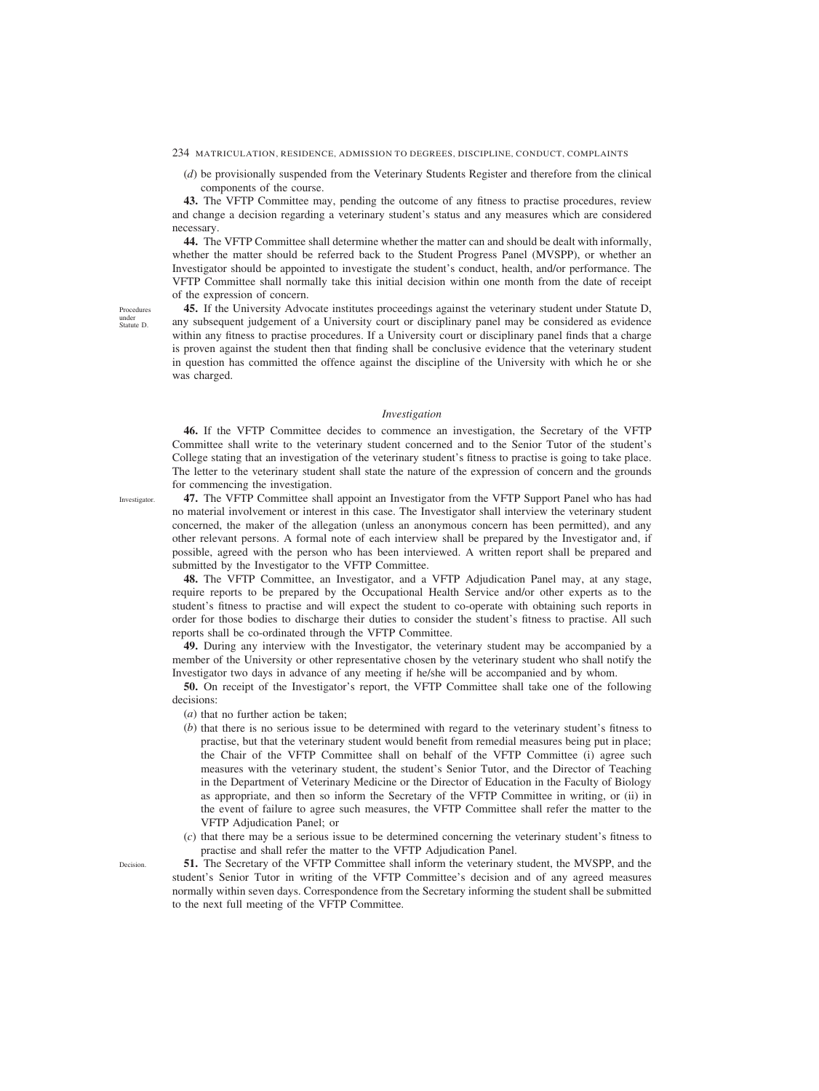(*d*) be provisionally suspended from the Veterinary Students Register and therefore from the clinical components of the course.

**43.** The VFTP Committee may, pending the outcome of any fitness to practise procedures, review and change a decision regarding a veterinary student's status and any measures which are considered necessary.

**44.** The VFTP Committee shall determine whether the matter can and should be dealt with informally, whether the matter should be referred back to the Student Progress Panel (MVSPP), or whether an Investigator should be appointed to investigate the student's conduct, health, and/or performance. The VFTP Committee shall normally take this initial decision within one month from the date of receipt of the expression of concern.

**45.** If the University Advocate institutes proceedings against the veterinary student under Statute D, any subsequent judgement of a University court or disciplinary panel may be considered as evidence within any fitness to practise procedures. If a University court or disciplinary panel finds that a charge is proven against the student then that finding shall be conclusive evidence that the veterinary student in question has committed the offence against the discipline of the University with which he or she was charged.

### *Investigation*

**46.** If the VFTP Committee decides to commence an investigation, the Secretary of the VFTP Committee shall write to the veterinary student concerned and to the Senior Tutor of the student's College stating that an investigation of the veterinary student's fitness to practise is going to take place. The letter to the veterinary student shall state the nature of the expression of concern and the grounds for commencing the investigation.

**47.** The VFTP Committee shall appoint an Investigator from the VFTP Support Panel who has had no material involvement or interest in this case. The Investigator shall interview the veterinary student concerned, the maker of the allegation (unless an anonymous concern has been permitted), and any other relevant persons. A formal note of each interview shall be prepared by the Investigator and, if possible, agreed with the person who has been interviewed. A written report shall be prepared and submitted by the Investigator to the VFTP Committee.

**48.** The VFTP Committee, an Investigator, and a VFTP Adjudication Panel may, at any stage, require reports to be prepared by the Occupational Health Service and/or other experts as to the student's fitness to practise and will expect the student to co-operate with obtaining such reports in order for those bodies to discharge their duties to consider the student's fitness to practise. All such reports shall be co-ordinated through the VFTP Committee.

**49.** During any interview with the Investigator, the veterinary student may be accompanied by a member of the University or other representative chosen by the veterinary student who shall notify the Investigator two days in advance of any meeting if he/she will be accompanied and by whom.

**50.** On receipt of the Investigator's report, the VFTP Committee shall take one of the following decisions:

(*a*) that no further action be taken;

- (*b*) that there is no serious issue to be determined with regard to the veterinary student's fitness to practise, but that the veterinary student would benefit from remedial measures being put in place; the Chair of the VFTP Committee shall on behalf of the VFTP Committee (i) agree such measures with the veterinary student, the student's Senior Tutor, and the Director of Teaching in the Department of Veterinary Medicine or the Director of Education in the Faculty of Biology as appropriate, and then so inform the Secretary of the VFTP Committee in writing, or (ii) in the event of failure to agree such measures, the VFTP Committee shall refer the matter to the VFTP Adjudication Panel; or
- (*c*) that there may be a serious issue to be determined concerning the veterinary student's fitness to practise and shall refer the matter to the VFTP Adjudication Panel.

**51.** The Secretary of the VFTP Committee shall inform the veterinary student, the MVSPP, and the student's Senior Tutor in writing of the VFTP Committee's decision and of any agreed measures normally within seven days. Correspondence from the Secretary informing the student shall be submitted to the next full meeting of the VFTP Committee.

Procedures under Statute D.

Investigator.

**Decision**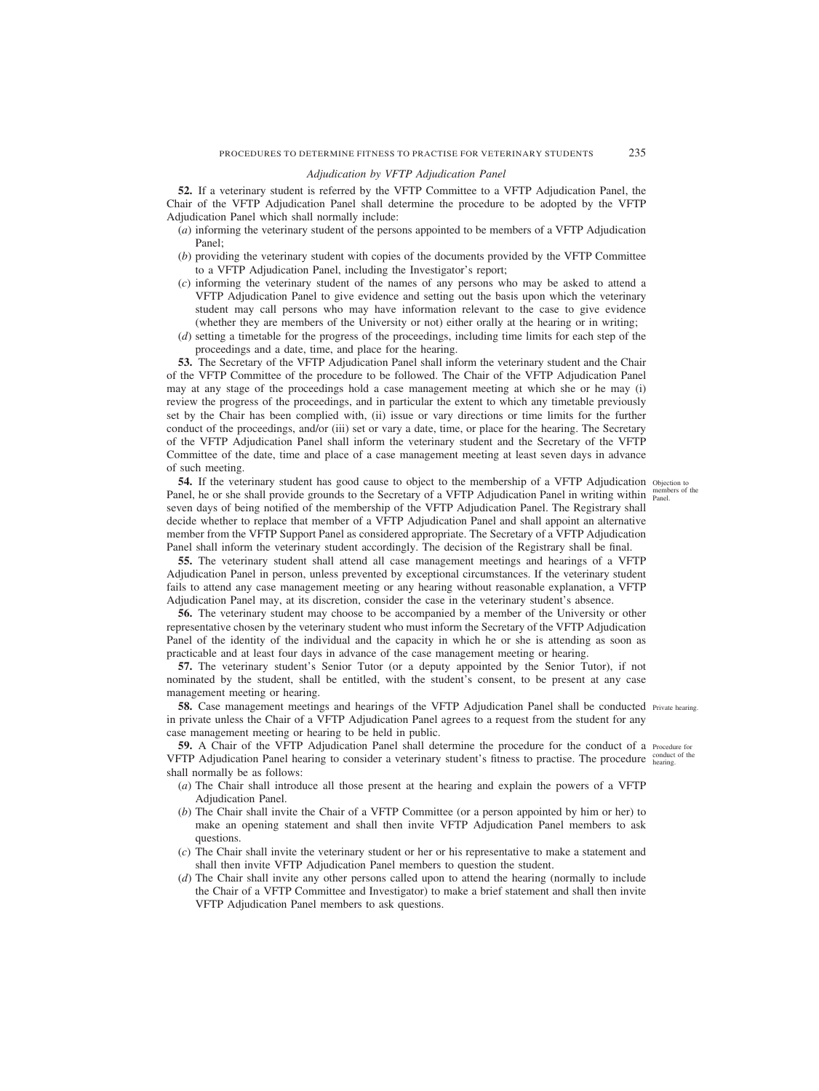# *Adjudication by VFTP Adjudication Panel*

**52.** If a veterinary student is referred by the VFTP Committee to a VFTP Adjudication Panel, the Chair of the VFTP Adjudication Panel shall determine the procedure to be adopted by the VFTP Adjudication Panel which shall normally include:

- (*a*) informing the veterinary student of the persons appointed to be members of a VFTP Adjudication Panel;
- (*b*) providing the veterinary student with copies of the documents provided by the VFTP Committee to a VFTP Adjudication Panel, including the Investigator's report;
- (*c*) informing the veterinary student of the names of any persons who may be asked to attend a VFTP Adjudication Panel to give evidence and setting out the basis upon which the veterinary student may call persons who may have information relevant to the case to give evidence (whether they are members of the University or not) either orally at the hearing or in writing;
- (*d*) setting a timetable for the progress of the proceedings, including time limits for each step of the proceedings and a date, time, and place for the hearing.

**53.** The Secretary of the VFTP Adjudication Panel shall inform the veterinary student and the Chair of the VFTP Committee of the procedure to be followed. The Chair of the VFTP Adjudication Panel may at any stage of the proceedings hold a case management meeting at which she or he may (i) review the progress of the proceedings, and in particular the extent to which any timetable previously set by the Chair has been complied with, (ii) issue or vary directions or time limits for the further conduct of the proceedings, and/or (iii) set or vary a date, time, or place for the hearing. The Secretary of the VFTP Adjudication Panel shall inform the veterinary student and the Secretary of the VFTP Committee of the date, time and place of a case management meeting at least seven days in advance of such meeting.

**54.** If the veterinary student has good cause to object to the membership of a VFTP Adjudication objection to Panel, he or she shall provide grounds to the Secretary of a VFTP Adjudication Panel in writing within  $_{\text{panel}}^{\text{mem}}$ seven days of being notified of the membership of the VFTP Adjudication Panel. The Registrary shall decide whether to replace that member of a VFTP Adjudication Panel and shall appoint an alternative member from the VFTP Support Panel as considered appropriate. The Secretary of a VFTP Adjudication Panel shall inform the veterinary student accordingly. The decision of the Registrary shall be final.

**55.** The veterinary student shall attend all case management meetings and hearings of a VFTP Adjudication Panel in person, unless prevented by exceptional circumstances. If the veterinary student fails to attend any case management meeting or any hearing without reasonable explanation, a VFTP Adjudication Panel may, at its discretion, consider the case in the veterinary student's absence.

**56.** The veterinary student may choose to be accompanied by a member of the University or other representative chosen by the veterinary student who must inform the Secretary of the VFTP Adjudication Panel of the identity of the individual and the capacity in which he or she is attending as soon as practicable and at least four days in advance of the case management meeting or hearing.

**57.** The veterinary student's Senior Tutor (or a deputy appointed by the Senior Tutor), if not nominated by the student, shall be entitled, with the student's consent, to be present at any case management meeting or hearing.

**58.** Case management meetings and hearings of the VFTP Adjudication Panel shall be conducted Private hearing. in private unless the Chair of a VFTP Adjudication Panel agrees to a request from the student for any case management meeting or hearing to be held in public.

**59.** A Chair of the VFTP Adjudication Panel shall determine the procedure for the conduct of a Procedure for VFTP Adjudication Panel hearing to consider a veterinary student's fitness to practise. The procedure conduct of the shall normally be as follows:

- (*a*) The Chair shall introduce all those present at the hearing and explain the powers of a VFTP Adjudication Panel.
- (*b*) The Chair shall invite the Chair of a VFTP Committee (or a person appointed by him or her) to make an opening statement and shall then invite VFTP Adjudication Panel members to ask questions.
- (*c*) The Chair shall invite the veterinary student or her or his representative to make a statement and shall then invite VFTP Adjudication Panel members to question the student.
- (*d*) The Chair shall invite any other persons called upon to attend the hearing (normally to include the Chair of a VFTP Committee and Investigator) to make a brief statement and shall then invite VFTP Adjudication Panel members to ask questions.

members of the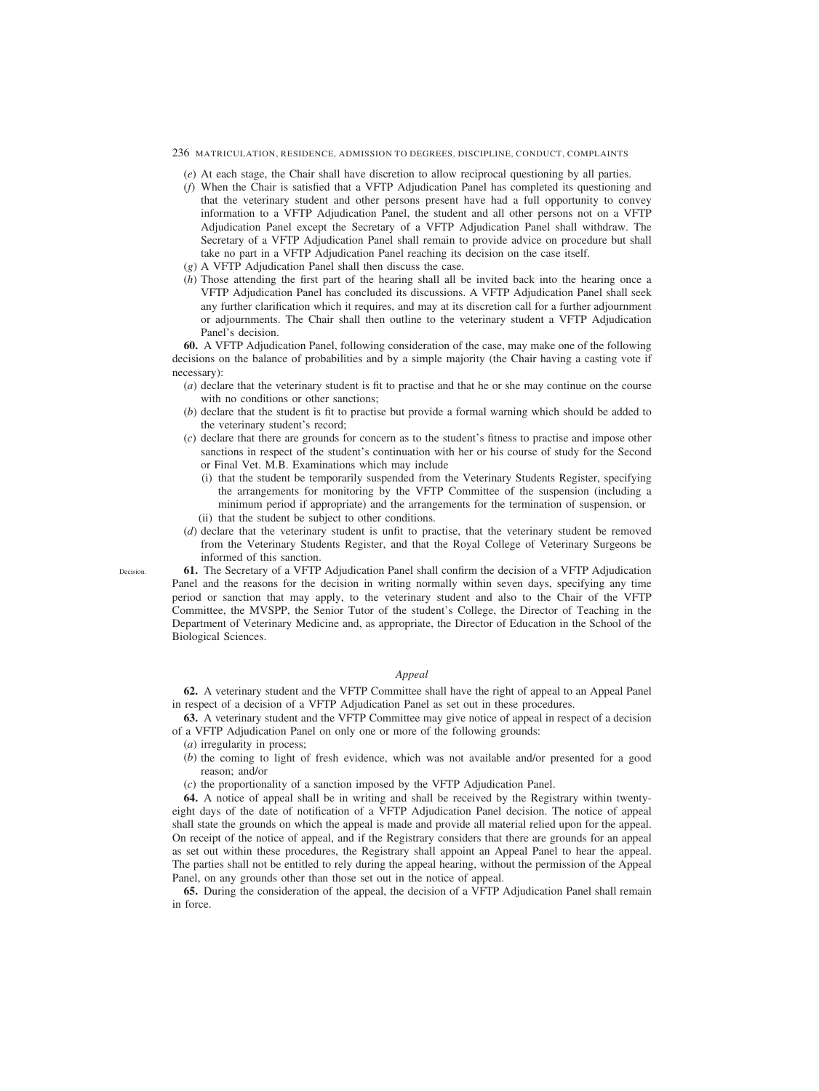- (*e*) At each stage, the Chair shall have discretion to allow reciprocal questioning by all parties.
- (*f*) When the Chair is satisfied that a VFTP Adjudication Panel has completed its questioning and that the veterinary student and other persons present have had a full opportunity to convey information to a VFTP Adjudication Panel, the student and all other persons not on a VFTP Adjudication Panel except the Secretary of a VFTP Adjudication Panel shall withdraw. The Secretary of a VFTP Adjudication Panel shall remain to provide advice on procedure but shall take no part in a VFTP Adjudication Panel reaching its decision on the case itself.
- (*g*) A VFTP Adjudication Panel shall then discuss the case.
- (*h*) Those attending the first part of the hearing shall all be invited back into the hearing once a VFTP Adjudication Panel has concluded its discussions. A VFTP Adjudication Panel shall seek any further clarification which it requires, and may at its discretion call for a further adjournment or adjournments. The Chair shall then outline to the veterinary student a VFTP Adjudication Panel's decision.

**60.** A VFTP Adjudication Panel, following consideration of the case, may make one of the following decisions on the balance of probabilities and by a simple majority (the Chair having a casting vote if necessary):

- (*a*) declare that the veterinary student is fit to practise and that he or she may continue on the course with no conditions or other sanctions;
- (*b*) declare that the student is fit to practise but provide a formal warning which should be added to the veterinary student's record;
- (*c*) declare that there are grounds for concern as to the student's fitness to practise and impose other sanctions in respect of the student's continuation with her or his course of study for the Second or Final Vet. M.B. Examinations which may include
	- (i) that the student be temporarily suspended from the Veterinary Students Register, specifying the arrangements for monitoring by the VFTP Committee of the suspension (including a minimum period if appropriate) and the arrangements for the termination of suspension, or
	- (ii) that the student be subject to other conditions.
- (*d*) declare that the veterinary student is unfit to practise, that the veterinary student be removed from the Veterinary Students Register, and that the Royal College of Veterinary Surgeons be informed of this sanction.

**61.** The Secretary of a VFTP Adjudication Panel shall confirm the decision of a VFTP Adjudication Panel and the reasons for the decision in writing normally within seven days, specifying any time period or sanction that may apply, to the veterinary student and also to the Chair of the VFTP Committee, the MVSPP, the Senior Tutor of the student's College, the Director of Teaching in the Department of Veterinary Medicine and, as appropriate, the Director of Education in the School of the Biological Sciences.

## *Appeal*

**62.** A veterinary student and the VFTP Committee shall have the right of appeal to an Appeal Panel in respect of a decision of a VFTP Adjudication Panel as set out in these procedures.

**63.** A veterinary student and the VFTP Committee may give notice of appeal in respect of a decision of a VFTP Adjudication Panel on only one or more of the following grounds:

- (*a*) irregularity in process;
- (*b*) the coming to light of fresh evidence, which was not available and/or presented for a good reason; and/or
- (*c*) the proportionality of a sanction imposed by the VFTP Adjudication Panel.

**64.** A notice of appeal shall be in writing and shall be received by the Registrary within twentyeight days of the date of notification of a VFTP Adjudication Panel decision. The notice of appeal shall state the grounds on which the appeal is made and provide all material relied upon for the appeal. On receipt of the notice of appeal, and if the Registrary considers that there are grounds for an appeal as set out within these procedures, the Registrary shall appoint an Appeal Panel to hear the appeal. The parties shall not be entitled to rely during the appeal hearing, without the permission of the Appeal Panel, on any grounds other than those set out in the notice of appeal.

**65.** During the consideration of the appeal, the decision of a VFTP Adjudication Panel shall remain in force.

Decision.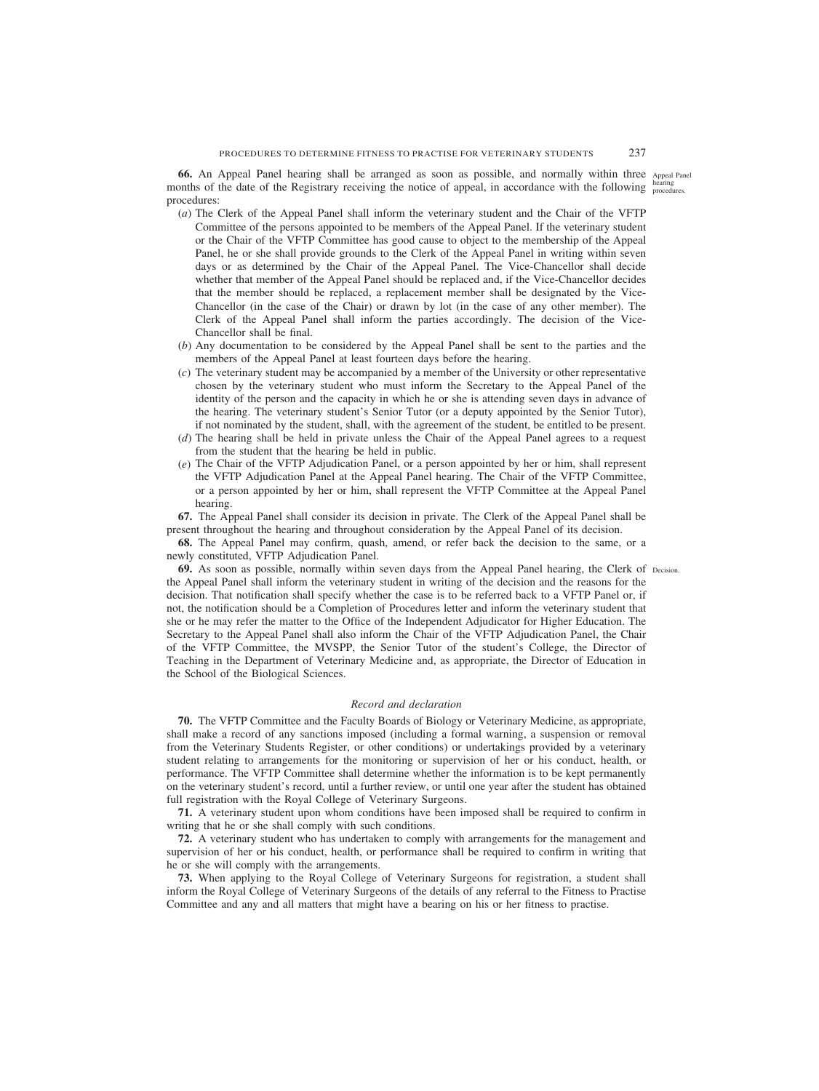**66.** An Appeal Panel hearing shall be arranged as soon as possible, and normally within three Appeal Panel months of the date of the Registrary receiving the notice of appeal, in accordance with the following **hearing** procedures. procedures:

- (*a*) The Clerk of the Appeal Panel shall inform the veterinary student and the Chair of the VFTP Committee of the persons appointed to be members of the Appeal Panel. If the veterinary student or the Chair of the VFTP Committee has good cause to object to the membership of the Appeal Panel, he or she shall provide grounds to the Clerk of the Appeal Panel in writing within seven days or as determined by the Chair of the Appeal Panel. The Vice-Chancellor shall decide whether that member of the Appeal Panel should be replaced and, if the Vice-Chancellor decides that the member should be replaced, a replacement member shall be designated by the Vice-Chancellor (in the case of the Chair) or drawn by lot (in the case of any other member). The Clerk of the Appeal Panel shall inform the parties accordingly. The decision of the Vice-Chancellor shall be final.
- (*b*) Any documentation to be considered by the Appeal Panel shall be sent to the parties and the members of the Appeal Panel at least fourteen days before the hearing.
- (*c*) The veterinary student may be accompanied by a member of the University or other representative chosen by the veterinary student who must inform the Secretary to the Appeal Panel of the identity of the person and the capacity in which he or she is attending seven days in advance of the hearing. The veterinary student's Senior Tutor (or a deputy appointed by the Senior Tutor), if not nominated by the student, shall, with the agreement of the student, be entitled to be present.
- (*d*) The hearing shall be held in private unless the Chair of the Appeal Panel agrees to a request from the student that the hearing be held in public.
- (*e*) The Chair of the VFTP Adjudication Panel, or a person appointed by her or him, shall represent the VFTP Adjudication Panel at the Appeal Panel hearing. The Chair of the VFTP Committee, or a person appointed by her or him, shall represent the VFTP Committee at the Appeal Panel hearing.

**67.** The Appeal Panel shall consider its decision in private. The Clerk of the Appeal Panel shall be present throughout the hearing and throughout consideration by the Appeal Panel of its decision.

**68.** The Appeal Panel may confirm, quash, amend, or refer back the decision to the same, or a newly constituted, VFTP Adjudication Panel.

**69.** As soon as possible, normally within seven days from the Appeal Panel hearing, the Clerk of Decision. the Appeal Panel shall inform the veterinary student in writing of the decision and the reasons for the decision. That notification shall specify whether the case is to be referred back to a VFTP Panel or, if not, the notification should be a Completion of Procedures letter and inform the veterinary student that she or he may refer the matter to the Office of the Independent Adjudicator for Higher Education. The Secretary to the Appeal Panel shall also inform the Chair of the VFTP Adjudication Panel, the Chair of the VFTP Committee, the MVSPP, the Senior Tutor of the student's College, the Director of Teaching in the Department of Veterinary Medicine and, as appropriate, the Director of Education in the School of the Biological Sciences.

## *Record and declaration*

**70.** The VFTP Committee and the Faculty Boards of Biology or Veterinary Medicine, as appropriate, shall make a record of any sanctions imposed (including a formal warning, a suspension or removal from the Veterinary Students Register, or other conditions) or undertakings provided by a veterinary student relating to arrangements for the monitoring or supervision of her or his conduct, health, or performance. The VFTP Committee shall determine whether the information is to be kept permanently on the veterinary student's record, until a further review, or until one year after the student has obtained full registration with the Royal College of Veterinary Surgeons.

**71.** A veterinary student upon whom conditions have been imposed shall be required to confirm in writing that he or she shall comply with such conditions.

**72.** A veterinary student who has undertaken to comply with arrangements for the management and supervision of her or his conduct, health, or performance shall be required to confirm in writing that he or she will comply with the arrangements.

**73.** When applying to the Royal College of Veterinary Surgeons for registration, a student shall inform the Royal College of Veterinary Surgeons of the details of any referral to the Fitness to Practise Committee and any and all matters that might have a bearing on his or her fitness to practise.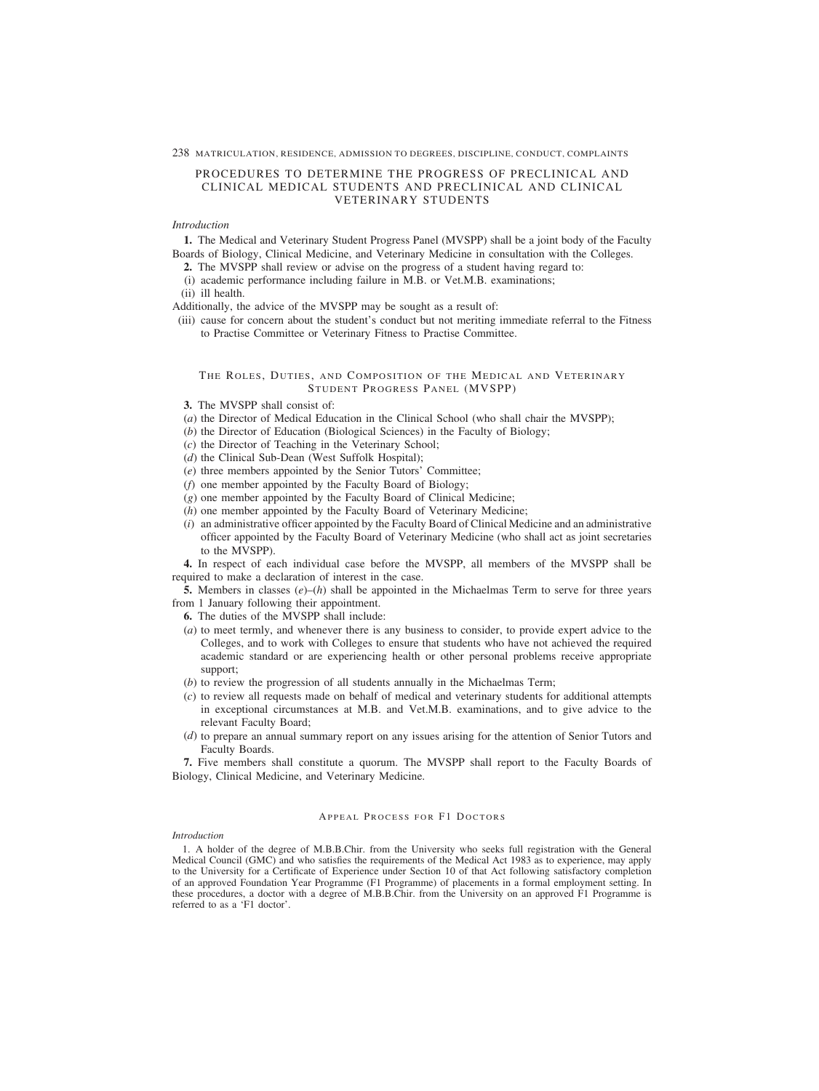#### 238 MATRICULATION, RESIDENCE, ADMISSION TO DEGREES, DISCIPLINE, CONDUCT, COMPLAINTS

# PROCEDURES TO DETERMINE THE PROGRESS OF PRECLINICAL AND CLINICAL MEDICAL STUDENTS AND PRECLINICAL AND CLINICAL VETERINARY STUDENTS

# *Introduction*

**1.** The Medical and Veterinary Student Progress Panel (MVSPP) shall be a joint body of the Faculty Boards of Biology, Clinical Medicine, and Veterinary Medicine in consultation with the Colleges.

- **2.** The MVSPP shall review or advise on the progress of a student having regard to:
- (i) academic performance including failure in M.B. or Vet.M.B. examinations;
- (ii) ill health.

Additionally, the advice of the MVSPP may be sought as a result of:

(iii) cause for concern about the student's conduct but not meriting immediate referral to the Fitness to Practise Committee or Veterinary Fitness to Practise Committee.

## THE ROLES, DUTIES, AND COMPOSITION OF THE MEDICAL AND VETERINARY STUDENT PROGRESS PANEL (MVSPP)

- **3.** The MVSPP shall consist of:
- (*a*) the Director of Medical Education in the Clinical School (who shall chair the MVSPP);
- (*b*) the Director of Education (Biological Sciences) in the Faculty of Biology;
- (*c*) the Director of Teaching in the Veterinary School;
- (*d*) the Clinical Sub-Dean (West Suffolk Hospital);
- (*e*) three members appointed by the Senior Tutors' Committee;
- (*f*) one member appointed by the Faculty Board of Biology;
- (*g*) one member appointed by the Faculty Board of Clinical Medicine;
- (*h*) one member appointed by the Faculty Board of Veterinary Medicine;
- (*i*) an administrative officer appointed by the Faculty Board of Clinical Medicine and an administrative officer appointed by the Faculty Board of Veterinary Medicine (who shall act as joint secretaries to the MVSPP).

**4.** In respect of each individual case before the MVSPP, all members of the MVSPP shall be required to make a declaration of interest in the case.

**5.** Members in classes (*e*)–(*h*) shall be appointed in the Michaelmas Term to serve for three years from 1 January following their appointment.

**6.** The duties of the MVSPP shall include:

- (*a*) to meet termly, and whenever there is any business to consider, to provide expert advice to the Colleges, and to work with Colleges to ensure that students who have not achieved the required academic standard or are experiencing health or other personal problems receive appropriate support;
- (*b*) to review the progression of all students annually in the Michaelmas Term;
- (*c*) to review all requests made on behalf of medical and veterinary students for additional attempts in exceptional circumstances at M.B. and Vet.M.B. examinations, and to give advice to the relevant Faculty Board;
- (*d*) to prepare an annual summary report on any issues arising for the attention of Senior Tutors and Faculty Boards.

**7.** Five members shall constitute a quorum. The MVSPP shall report to the Faculty Boards of Biology, Clinical Medicine, and Veterinary Medicine.

## APPEAL PROCESS FOR F1 DOCTORS

### *Introduction*

1. A holder of the degree of M.B.B.Chir. from the University who seeks full registration with the General Medical Council (GMC) and who satisfies the requirements of the Medical Act 1983 as to experience, may apply to the University for a Certificate of Experience under Section 10 of that Act following satisfactory completion of an approved Foundation Year Programme (F1 Programme) of placements in a formal employment setting. In these procedures, a doctor with a degree of M.B.B.Chir. from the University on an approved F1 Programme is referred to as a 'F1 doctor'.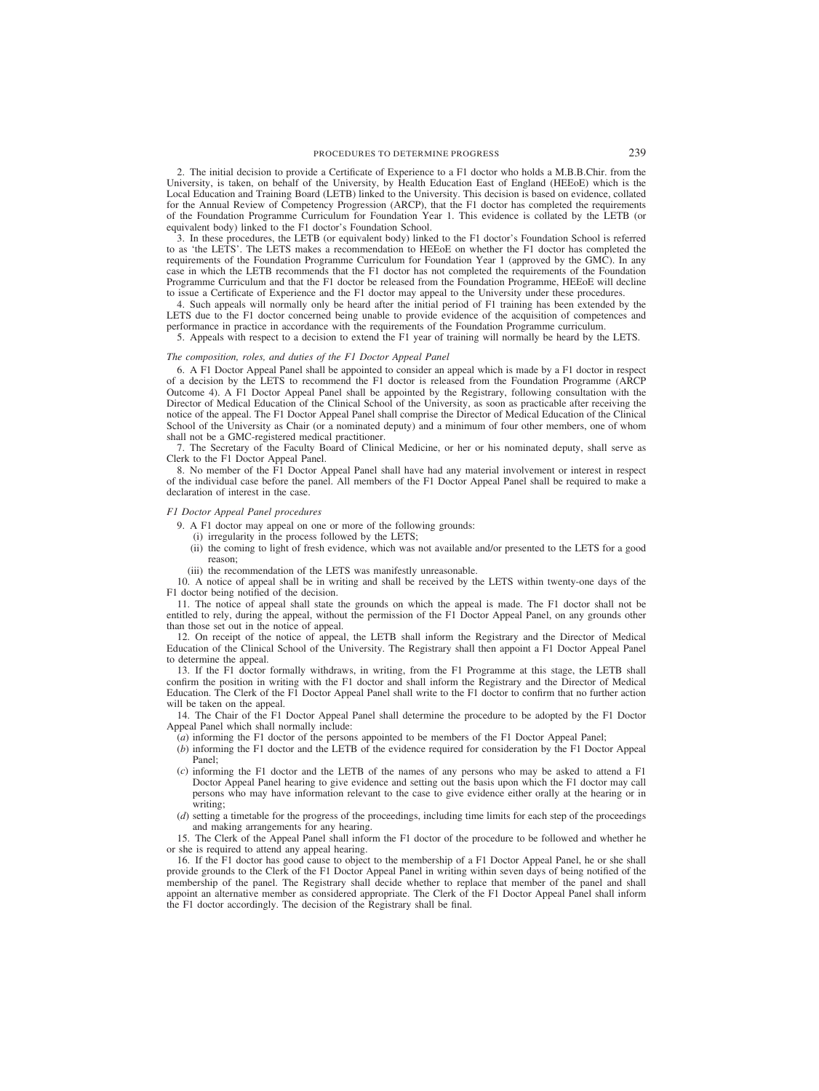2. The initial decision to provide a Certificate of Experience to a F1 doctor who holds a M.B.B.Chir. from the University, is taken, on behalf of the University, by Health Education East of England (HEEoE) which is the Local Education and Training Board (LETB) linked to the University. This decision is based on evidence, collated for the Annual Review of Competency Progression (ARCP), that the F1 doctor has completed the requirements of the Foundation Programme Curriculum for Foundation Year 1. This evidence is collated by the LETB (or equivalent body) linked to the F1 doctor's Foundation School.

3. In these procedures, the LETB (or equivalent body) linked to the F1 doctor's Foundation School is referred to as 'the LETS'. The LETS makes a recommendation to HEEoE on whether the F1 doctor has completed the requirements of the Foundation Programme Curriculum for Foundation Year 1 (approved by the GMC). In any case in which the LETB recommends that the F1 doctor has not completed the requirements of the Foundation Programme Curriculum and that the F1 doctor be released from the Foundation Programme, HEEoE will decline to issue a Certificate of Experience and the F1 doctor may appeal to the University under these procedures.

4. Such appeals will normally only be heard after the initial period of F1 training has been extended by the LETS due to the F1 doctor concerned being unable to provide evidence of the acquisition of competences and performance in practice in accordance with the requirements of the Foundation Programme curriculum.

5. Appeals with respect to a decision to extend the F1 year of training will normally be heard by the LETS.

### *The composition, roles, and duties of the F1 Doctor Appeal Panel*

6. A F1 Doctor Appeal Panel shall be appointed to consider an appeal which is made by a F1 doctor in respect of a decision by the LETS to recommend the F1 doctor is released from the Foundation Programme (ARCP Outcome 4). A F1 Doctor Appeal Panel shall be appointed by the Registrary, following consultation with the Director of Medical Education of the Clinical School of the University, as soon as practicable after receiving the notice of the appeal. The F1 Doctor Appeal Panel shall comprise the Director of Medical Education of the Clinical School of the University as Chair (or a nominated deputy) and a minimum of four other members, one of whom shall not be a GMC-registered medical practitioner.

7. The Secretary of the Faculty Board of Clinical Medicine, or her or his nominated deputy, shall serve as Clerk to the F1 Doctor Appeal Panel.

8. No member of the F1 Doctor Appeal Panel shall have had any material involvement or interest in respect of the individual case before the panel. All members of the F1 Doctor Appeal Panel shall be required to make a declaration of interest in the case.

# *F1 Doctor Appeal Panel procedures*

- 9. A F1 doctor may appeal on one or more of the following grounds:
	- (i) irregularity in the process followed by the LETS;
	- (ii) the coming to light of fresh evidence, which was not available and/or presented to the LETS for a good reason;
	- (iii) the recommendation of the LETS was manifestly unreasonable.

10. A notice of appeal shall be in writing and shall be received by the LETS within twenty-one days of the F1 doctor being notified of the decision.

11. The notice of appeal shall state the grounds on which the appeal is made. The F1 doctor shall not be entitled to rely, during the appeal, without the permission of the F1 Doctor Appeal Panel, on any grounds other than those set out in the notice of appeal.

12. On receipt of the notice of appeal, the LETB shall inform the Registrary and the Director of Medical Education of the Clinical School of the University. The Registrary shall then appoint a F1 Doctor Appeal Panel to determine the appeal.

13. If the F1 doctor formally withdraws, in writing, from the F1 Programme at this stage, the LETB shall confirm the position in writing with the F1 doctor and shall inform the Registrary and the Director of Medical Education. The Clerk of the F1 Doctor Appeal Panel shall write to the F1 doctor to confirm that no further action will be taken on the appeal.

14. The Chair of the F1 Doctor Appeal Panel shall determine the procedure to be adopted by the F1 Doctor Appeal Panel which shall normally include:

- (*a*) informing the F1 doctor of the persons appointed to be members of the F1 Doctor Appeal Panel;
- (*b*) informing the F1 doctor and the LETB of the evidence required for consideration by the F1 Doctor Appeal Panel;
- (*c*) informing the F1 doctor and the LETB of the names of any persons who may be asked to attend a F1 Doctor Appeal Panel hearing to give evidence and setting out the basis upon which the F1 doctor may call persons who may have information relevant to the case to give evidence either orally at the hearing or in writing;
- (*d*) setting a timetable for the progress of the proceedings, including time limits for each step of the proceedings and making arrangements for any hearing.

15. The Clerk of the Appeal Panel shall inform the F1 doctor of the procedure to be followed and whether he or she is required to attend any appeal hearing.

16. If the F1 doctor has good cause to object to the membership of a F1 Doctor Appeal Panel, he or she shall provide grounds to the Clerk of the F1 Doctor Appeal Panel in writing within seven days of being notified of the membership of the panel. The Registrary shall decide whether to replace that member of the panel and shall appoint an alternative member as considered appropriate. The Clerk of the F1 Doctor Appeal Panel shall inform the F1 doctor accordingly. The decision of the Registrary shall be final.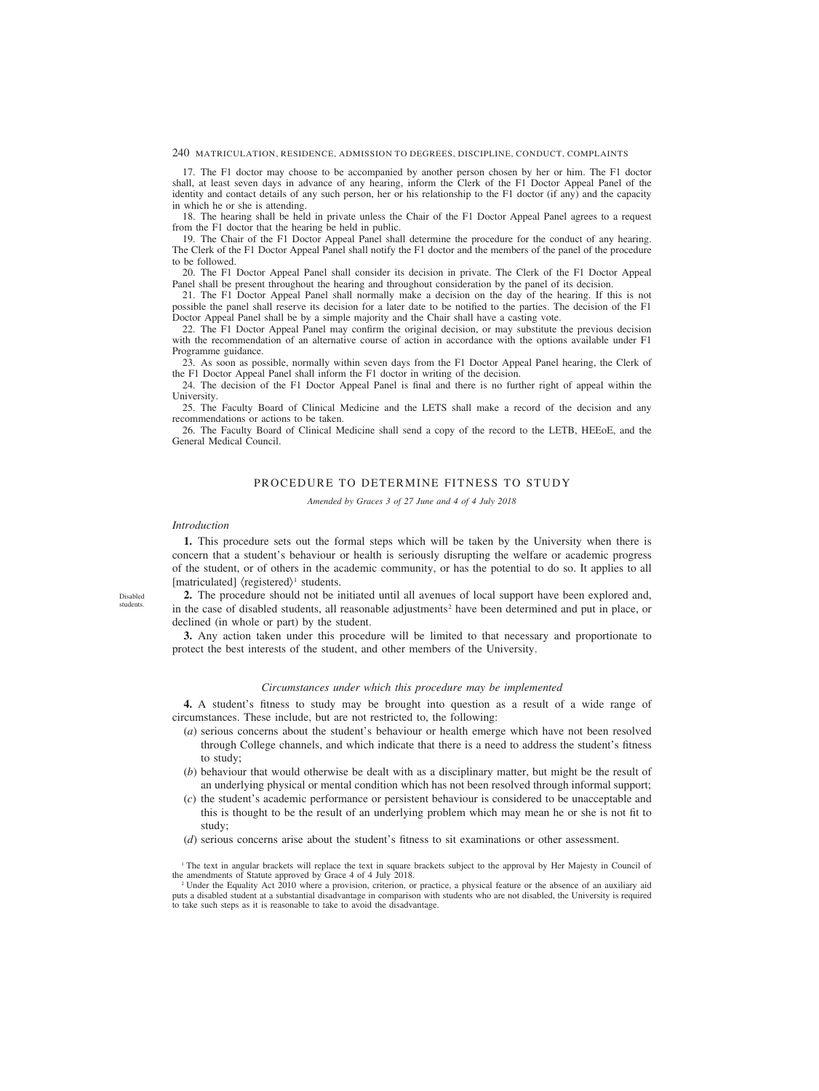240 MATRICULATION, RESIDENCE, ADMISSION TO DEGREES, DISCIPLINE, CONDUCT, COMPLAINTS

17. The F1 doctor may choose to be accompanied by another person chosen by her or him. The F1 doctor shall, at least seven days in advance of any hearing, inform the Clerk of the F1 Doctor Appeal Panel of the identity and contact details of any such person, her or his relationship to the F1 doctor (if any) and the capacity in which he or she is attending.

18. The hearing shall be held in private unless the Chair of the F1 Doctor Appeal Panel agrees to a request from the F1 doctor that the hearing be held in public.

19. The Chair of the F1 Doctor Appeal Panel shall determine the procedure for the conduct of any hearing. The Clerk of the F1 Doctor Appeal Panel shall notify the F1 doctor and the members of the panel of the procedure to be followed.

20. The F1 Doctor Appeal Panel shall consider its decision in private. The Clerk of the F1 Doctor Appeal Panel shall be present throughout the hearing and throughout consideration by the panel of its decision.

21. The F1 Doctor Appeal Panel shall normally make a decision on the day of the hearing. If this is not possible the panel shall reserve its decision for a later date to be notified to the parties. The decision of the F1 Doctor Appeal Panel shall be by a simple majority and the Chair shall have a casting vote.

22. The F1 Doctor Appeal Panel may confirm the original decision, or may substitute the previous decision with the recommendation of an alternative course of action in accordance with the options available under F1 Programme guidance.

23. As soon as possible, normally within seven days from the F1 Doctor Appeal Panel hearing, the Clerk of the F1 Doctor Appeal Panel shall inform the F1 doctor in writing of the decision.

24. The decision of the F1 Doctor Appeal Panel is final and there is no further right of appeal within the **University** 

25. The Faculty Board of Clinical Medicine and the LETS shall make a record of the decision and any recommendations or actions to be taken.

26. The Faculty Board of Clinical Medicine shall send a copy of the record to the LETB, HEEoE, and the General Medical Council.

# PROCEDURE TO DETERMINE FITNESS TO STUDY

*Amended by Graces 3 of 27 June and 4 of 4 July 2018*

### *Introduction*

**1.** This procedure sets out the formal steps which will be taken by the University when there is concern that a student's behaviour or health is seriously disrupting the welfare or academic progress of the student, or of others in the academic community, or has the potential to do so. It applies to all [matriculated]  $\langle$  registered $\rangle$ <sup>1</sup> students.

Disabled students.

**2.** The procedure should not be initiated until all avenues of local support have been explored and, in the case of disabled students, all reasonable adjustments<sup>2</sup> have been determined and put in place, or declined (in whole or part) by the student.

**3.** Any action taken under this procedure will be limited to that necessary and proportionate to protect the best interests of the student, and other members of the University.

### *Circumstances under which this procedure may be implemented*

**4.** A student's fitness to study may be brought into question as a result of a wide range of circumstances. These include, but are not restricted to, the following:

- (*a*) serious concerns about the student's behaviour or health emerge which have not been resolved through College channels, and which indicate that there is a need to address the student's fitness to study;
- (*b*) behaviour that would otherwise be dealt with as a disciplinary matter, but might be the result of an underlying physical or mental condition which has not been resolved through informal support;
- (*c*) the student's academic performance or persistent behaviour is considered to be unacceptable and this is thought to be the result of an underlying problem which may mean he or she is not fit to study;
- (*d*) serious concerns arise about the student's fitness to sit examinations or other assessment.

<sup>1</sup> The text in angular brackets will replace the text in square brackets subject to the approval by Her Majesty in Council of the amendments of Statute approved by Grace 4 of 4 July 2018.

<sup>2</sup> Under the Equality Act 2010 where a provision, criterion, or practice, a physical feature or the absence of an auxiliary aid puts a disabled student at a substantial disadvantage in comparison with students who are not disabled, the University is required to take such steps as it is reasonable to take to avoid the disadvantage.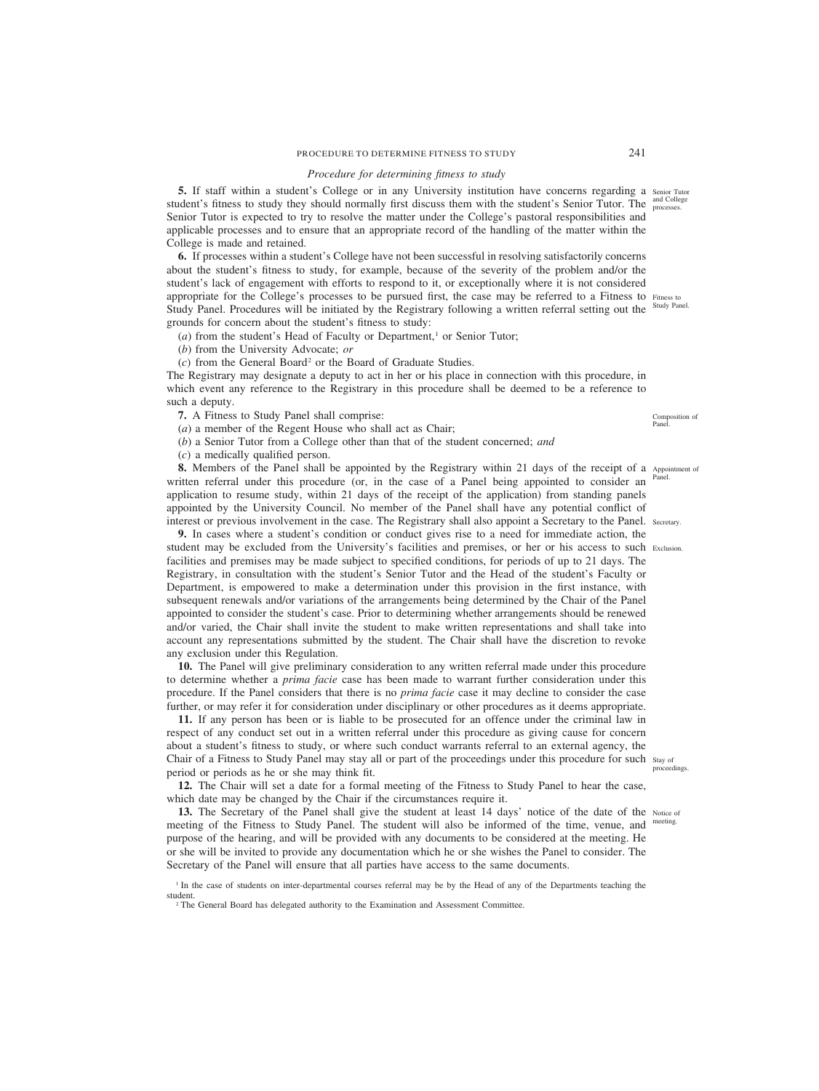# PROCEDURE TO DETERMINE FITNESS TO STUDY 241

### *Procedure for determining fitness to study*

**5.** If staff within a student's College or in any University institution have concerns regarding a senior Tutor student's fitness to study they should normally first discuss them with the student's Senior Tutor. The  $\frac{and College}{processes}$ . Senior Tutor is expected to try to resolve the matter under the College's pastoral responsibilities and applicable processes and to ensure that an appropriate record of the handling of the matter within the College is made and retained.

**6.** If processes within a student's College have not been successful in resolving satisfactorily concerns about the student's fitness to study, for example, because of the severity of the problem and/or the student's lack of engagement with efforts to respond to it, or exceptionally where it is not considered appropriate for the College's processes to be pursued first, the case may be referred to a Fitness to Fitness to Study Panel. Procedures will be initiated by the Registrary following a written referral setting out the grounds for concern about the student's fitness to study:

 $(a)$  from the student's Head of Faculty or Department,<sup>1</sup> or Senior Tutor;

(*b*) from the University Advocate; *or*

(*c*) from the General Board<sup>2</sup> or the Board of Graduate Studies.

The Registrary may designate a deputy to act in her or his place in connection with this procedure, in which event any reference to the Registrary in this procedure shall be deemed to be a reference to such a deputy.

**7.** A Fitness to Study Panel shall comprise:

(*a*) a member of the Regent House who shall act as Chair;

(*b*) a Senior Tutor from a College other than that of the student concerned; *and*

(*c*) a medically qualified person.

**8.** Members of the Panel shall be appointed by the Registrary within 21 days of the receipt of a Appointment of written referral under this procedure (or, in the case of a Panel being appointed to consider an Panel. application to resume study, within 21 days of the receipt of the application) from standing panels appointed by the University Council. No member of the Panel shall have any potential conflict of interest or previous involvement in the case. The Registrary shall also appoint a Secretary to the Panel. Secretary.

**9.** In cases where a student's condition or conduct gives rise to a need for immediate action, the student may be excluded from the University's facilities and premises, or her or his access to such Exclusion. facilities and premises may be made subject to specified conditions, for periods of up to 21 days. The Registrary, in consultation with the student's Senior Tutor and the Head of the student's Faculty or Department, is empowered to make a determination under this provision in the first instance, with subsequent renewals and/or variations of the arrangements being determined by the Chair of the Panel appointed to consider the student's case. Prior to determining whether arrangements should be renewed and/or varied, the Chair shall invite the student to make written representations and shall take into account any representations submitted by the student. The Chair shall have the discretion to revoke any exclusion under this Regulation.

**10.** The Panel will give preliminary consideration to any written referral made under this procedure to determine whether a *prima facie* case has been made to warrant further consideration under this procedure. If the Panel considers that there is no *prima facie* case it may decline to consider the case further, or may refer it for consideration under disciplinary or other procedures as it deems appropriate.

**11.** If any person has been or is liable to be prosecuted for an offence under the criminal law in respect of any conduct set out in a written referral under this procedure as giving cause for concern about a student's fitness to study, or where such conduct warrants referral to an external agency, the Chair of a Fitness to Study Panel may stay all or part of the proceedings under this procedure for such stay of period or periods as he or she may think fit.

**12.** The Chair will set a date for a formal meeting of the Fitness to Study Panel to hear the case, which date may be changed by the Chair if the circumstances require it.

**13.** The Secretary of the Panel shall give the student at least 14 days' notice of the date of the Notice of meeting of the Fitness to Study Panel. The student will also be informed of the time, venue, and purpose of the hearing, and will be provided with any documents to be considered at the meeting. He or she will be invited to provide any documentation which he or she wishes the Panel to consider. The Secretary of the Panel will ensure that all parties have access to the same documents.

Study Panel.

Composition of Panel.

proceedings.

<sup>&</sup>lt;sup>1</sup> In the case of students on inter-departmental courses referral may be by the Head of any of the Departments teaching the student.

<sup>&</sup>lt;sup>2</sup> The General Board has delegated authority to the Examination and Assessment Committee.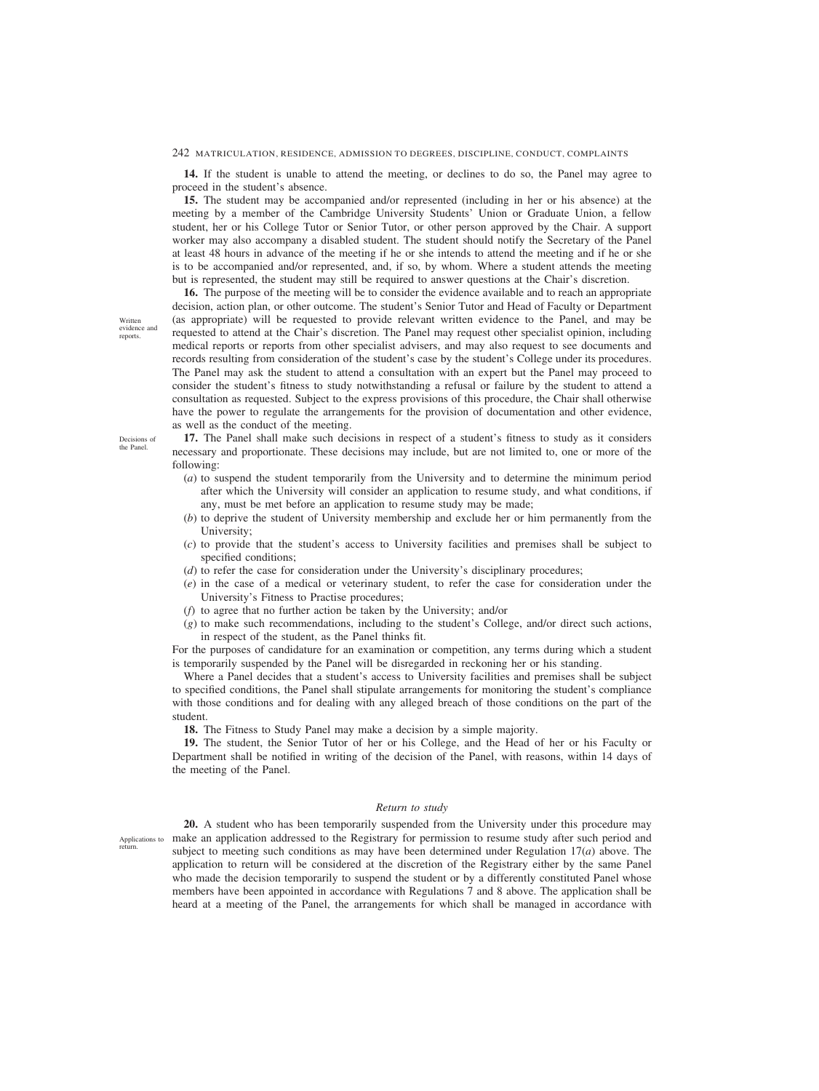#### 242 MATRICULATION, RESIDENCE, ADMISSION TO DEGREES, DISCIPLINE, CONDUCT, COMPLAINTS

**14.** If the student is unable to attend the meeting, or declines to do so, the Panel may agree to proceed in the student's absence.

**15.** The student may be accompanied and/or represented (including in her or his absence) at the meeting by a member of the Cambridge University Students' Union or Graduate Union, a fellow student, her or his College Tutor or Senior Tutor, or other person approved by the Chair. A support worker may also accompany a disabled student. The student should notify the Secretary of the Panel at least 48 hours in advance of the meeting if he or she intends to attend the meeting and if he or she is to be accompanied and/or represented, and, if so, by whom. Where a student attends the meeting but is represented, the student may still be required to answer questions at the Chair's discretion.

**16.** The purpose of the meeting will be to consider the evidence available and to reach an appropriate decision, action plan, or other outcome. The student's Senior Tutor and Head of Faculty or Department (as appropriate) will be requested to provide relevant written evidence to the Panel, and may be requested to attend at the Chair's discretion. The Panel may request other specialist opinion, including medical reports or reports from other specialist advisers, and may also request to see documents and records resulting from consideration of the student's case by the student's College under its procedures. The Panel may ask the student to attend a consultation with an expert but the Panel may proceed to consider the student's fitness to study notwithstanding a refusal or failure by the student to attend a consultation as requested. Subject to the express provisions of this procedure, the Chair shall otherwise have the power to regulate the arrangements for the provision of documentation and other evidence, as well as the conduct of the meeting.

Decisions of the Panel.

Written evidence and reports.

> **17.** The Panel shall make such decisions in respect of a student's fitness to study as it considers necessary and proportionate. These decisions may include, but are not limited to, one or more of the following:

- (*a*) to suspend the student temporarily from the University and to determine the minimum period after which the University will consider an application to resume study, and what conditions, if any, must be met before an application to resume study may be made;
- (*b*) to deprive the student of University membership and exclude her or him permanently from the University;
- (*c*) to provide that the student's access to University facilities and premises shall be subject to specified conditions;
- (*d*) to refer the case for consideration under the University's disciplinary procedures;
- (*e*) in the case of a medical or veterinary student, to refer the case for consideration under the University's Fitness to Practise procedures;
- (*f*) to agree that no further action be taken by the University; and/or
- (*g*) to make such recommendations, including to the student's College, and/or direct such actions, in respect of the student, as the Panel thinks fit.

For the purposes of candidature for an examination or competition, any terms during which a student is temporarily suspended by the Panel will be disregarded in reckoning her or his standing.

Where a Panel decides that a student's access to University facilities and premises shall be subject to specified conditions, the Panel shall stipulate arrangements for monitoring the student's compliance with those conditions and for dealing with any alleged breach of those conditions on the part of the student.

**18.** The Fitness to Study Panel may make a decision by a simple majority.

**19.** The student, the Senior Tutor of her or his College, and the Head of her or his Faculty or Department shall be notified in writing of the decision of the Panel, with reasons, within 14 days of the meeting of the Panel.

#### *Return to study*

Applications to return.

**20.** A student who has been temporarily suspended from the University under this procedure may make an application addressed to the Registrary for permission to resume study after such period and subject to meeting such conditions as may have been determined under Regulation 17(*a*) above. The application to return will be considered at the discretion of the Registrary either by the same Panel who made the decision temporarily to suspend the student or by a differently constituted Panel whose members have been appointed in accordance with Regulations 7 and 8 above. The application shall be heard at a meeting of the Panel, the arrangements for which shall be managed in accordance with